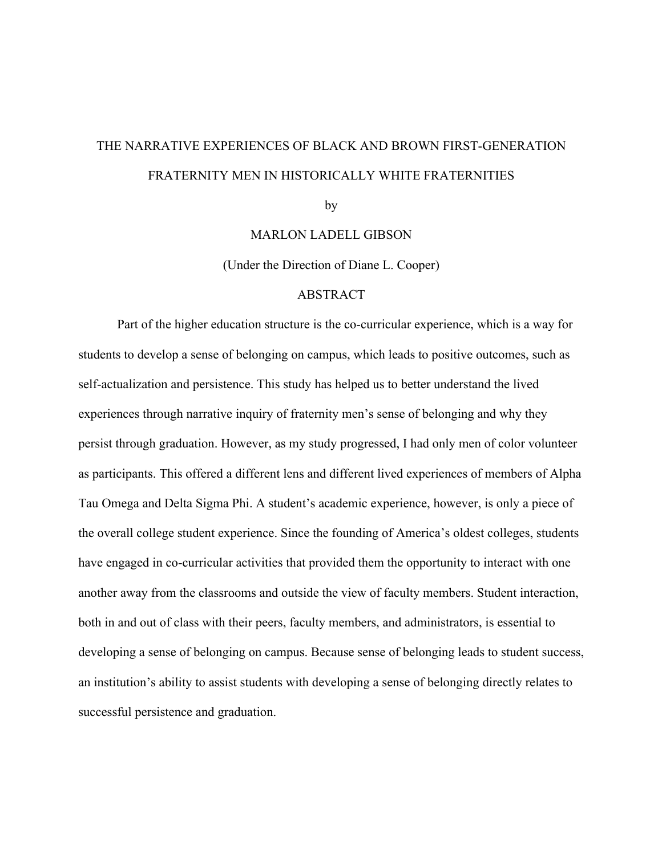# THE NARRATIVE EXPERIENCES OF BLACK AND BROWN FIRST-GENERATION FRATERNITY MEN IN HISTORICALLY WHITE FRATERNITIES

by

MARLON LADELL GIBSON

(Under the Direction of Diane L. Cooper)

#### ABSTRACT

Part of the higher education structure is the co-curricular experience, which is a way for students to develop a sense of belonging on campus, which leads to positive outcomes, such as self-actualization and persistence. This study has helped us to better understand the lived experiences through narrative inquiry of fraternity men's sense of belonging and why they persist through graduation. However, as my study progressed, I had only men of color volunteer as participants. This offered a different lens and different lived experiences of members of Alpha Tau Omega and Delta Sigma Phi. A student's academic experience, however, is only a piece of the overall college student experience. Since the founding of America's oldest colleges, students have engaged in co-curricular activities that provided them the opportunity to interact with one another away from the classrooms and outside the view of faculty members. Student interaction, both in and out of class with their peers, faculty members, and administrators, is essential to developing a sense of belonging on campus. Because sense of belonging leads to student success, an institution's ability to assist students with developing a sense of belonging directly relates to successful persistence and graduation.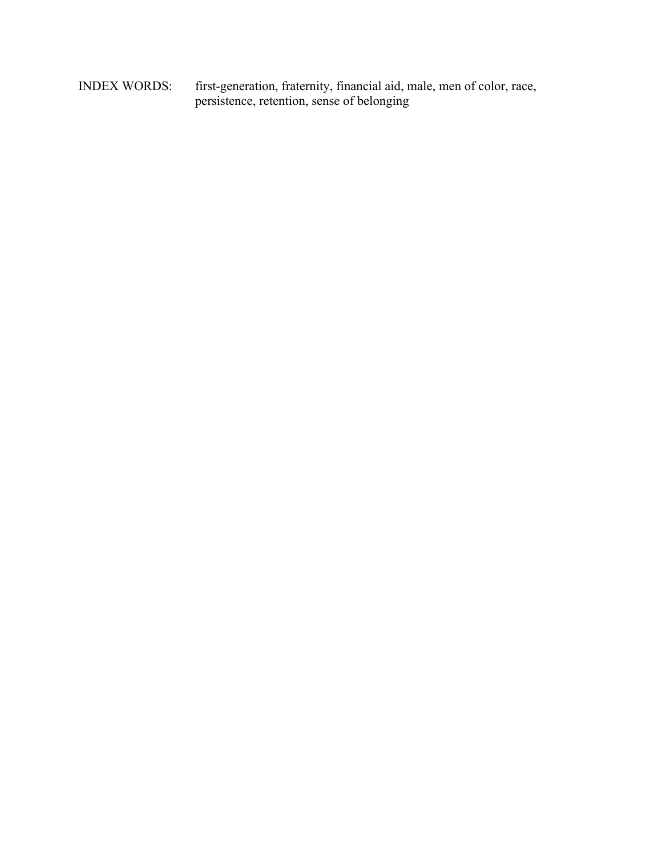INDEX WORDS: first-generation, fraternity, financial aid, male, men of color, race, persistence, retention, sense of belonging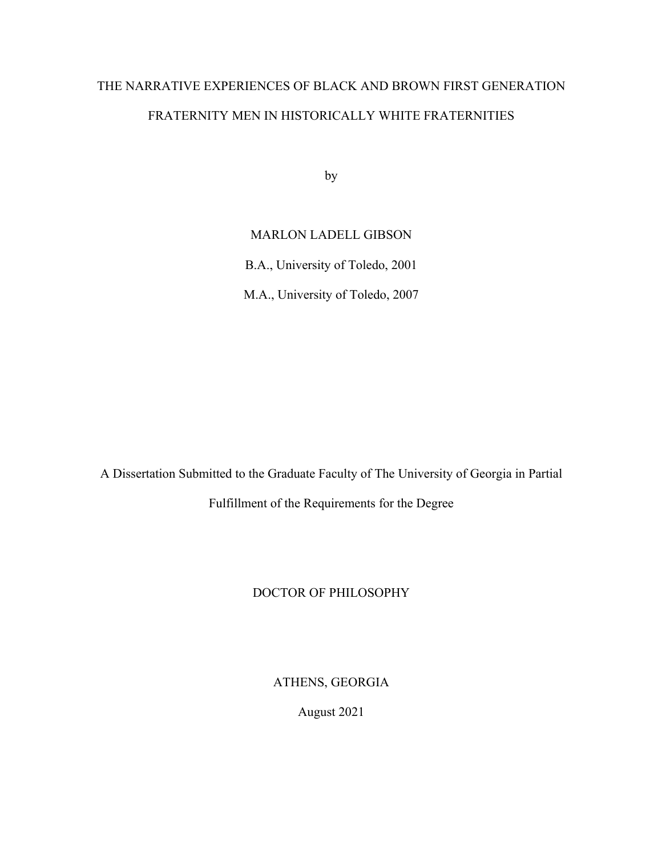# THE NARRATIVE EXPERIENCES OF BLACK AND BROWN FIRST GENERATION FRATERNITY MEN IN HISTORICALLY WHITE FRATERNITIES

by

# MARLON LADELL GIBSON

B.A., University of Toledo, 2001

M.A., University of Toledo, 2007

A Dissertation Submitted to the Graduate Faculty of The University of Georgia in Partial Fulfillment of the Requirements for the Degree

# DOCTOR OF PHILOSOPHY

ATHENS, GEORGIA

August 2021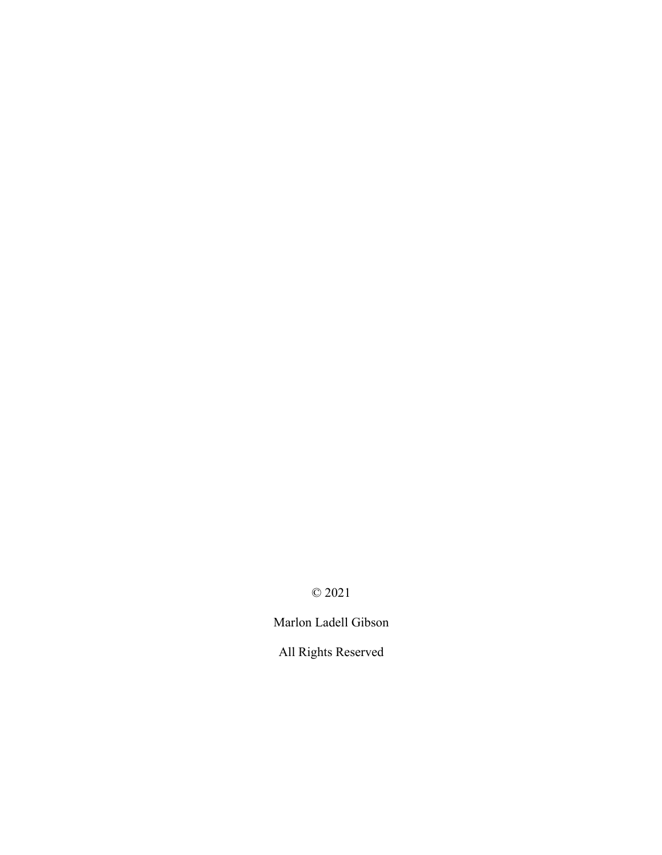© 2021

Marlon Ladell Gibson

All Rights Reserved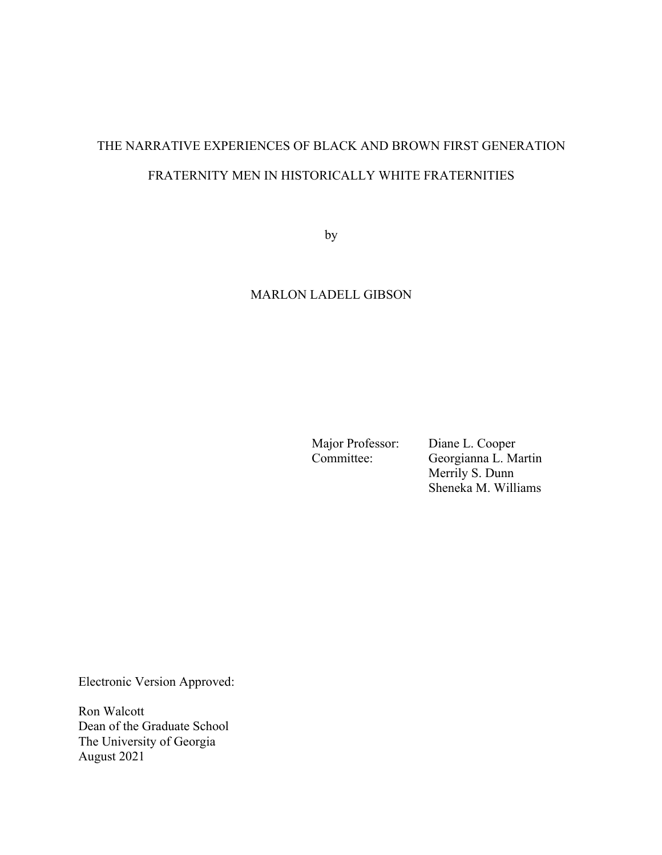# THE NARRATIVE EXPERIENCES OF BLACK AND BROWN FIRST GENERATION FRATERNITY MEN IN HISTORICALLY WHITE FRATERNITIES

by

# MARLON LADELL GIBSON

Major Professor: Diane L. Cooper<br>
Committee: Georgianna L. Ma Georgianna L. Martin Merrily S. Dunn Sheneka M. Williams

Electronic Version Approved:

Ron Walcott Dean of the Graduate School The University of Georgia August 2021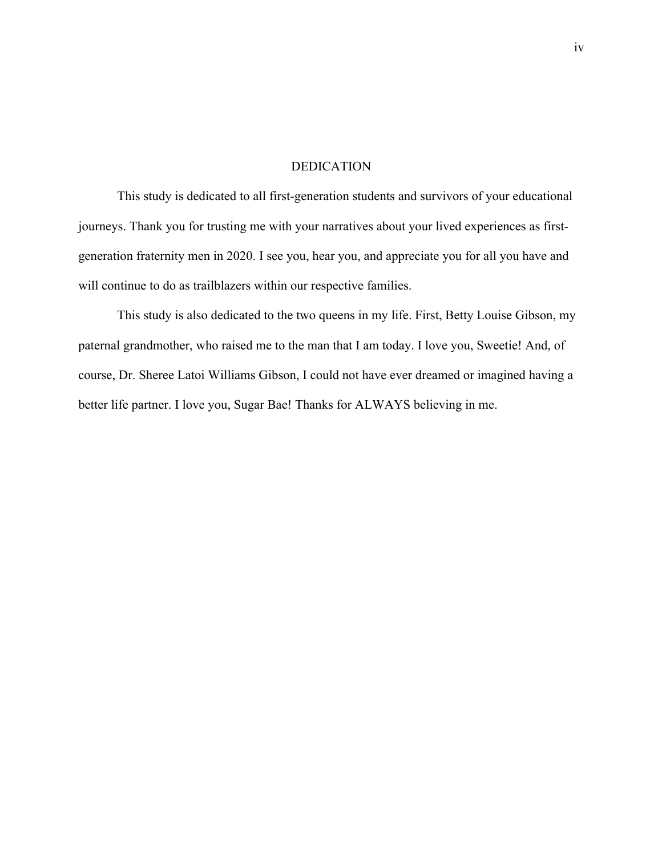## DEDICATION

This study is dedicated to all first-generation students and survivors of your educational journeys. Thank you for trusting me with your narratives about your lived experiences as firstgeneration fraternity men in 2020. I see you, hear you, and appreciate you for all you have and will continue to do as trailblazers within our respective families.

This study is also dedicated to the two queens in my life. First, Betty Louise Gibson, my paternal grandmother, who raised me to the man that I am today. I love you, Sweetie! And, of course, Dr. Sheree Latoi Williams Gibson, I could not have ever dreamed or imagined having a better life partner. I love you, Sugar Bae! Thanks for ALWAYS believing in me.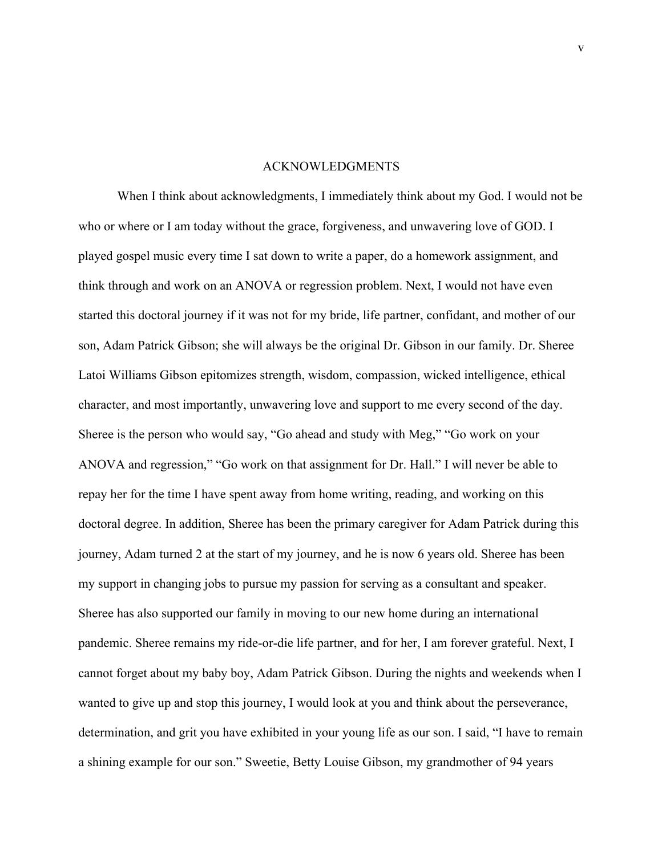## ACKNOWLEDGMENTS

When I think about acknowledgments, I immediately think about my God. I would not be who or where or I am today without the grace, forgiveness, and unwavering love of GOD. I played gospel music every time I sat down to write a paper, do a homework assignment, and think through and work on an ANOVA or regression problem. Next, I would not have even started this doctoral journey if it was not for my bride, life partner, confidant, and mother of our son, Adam Patrick Gibson; she will always be the original Dr. Gibson in our family. Dr. Sheree Latoi Williams Gibson epitomizes strength, wisdom, compassion, wicked intelligence, ethical character, and most importantly, unwavering love and support to me every second of the day. Sheree is the person who would say, "Go ahead and study with Meg," "Go work on your ANOVA and regression," "Go work on that assignment for Dr. Hall." I will never be able to repay her for the time I have spent away from home writing, reading, and working on this doctoral degree. In addition, Sheree has been the primary caregiver for Adam Patrick during this journey, Adam turned 2 at the start of my journey, and he is now 6 years old. Sheree has been my support in changing jobs to pursue my passion for serving as a consultant and speaker. Sheree has also supported our family in moving to our new home during an international pandemic. Sheree remains my ride-or-die life partner, and for her, I am forever grateful. Next, I cannot forget about my baby boy, Adam Patrick Gibson. During the nights and weekends when I wanted to give up and stop this journey, I would look at you and think about the perseverance, determination, and grit you have exhibited in your young life as our son. I said, "I have to remain a shining example for our son." Sweetie, Betty Louise Gibson, my grandmother of 94 years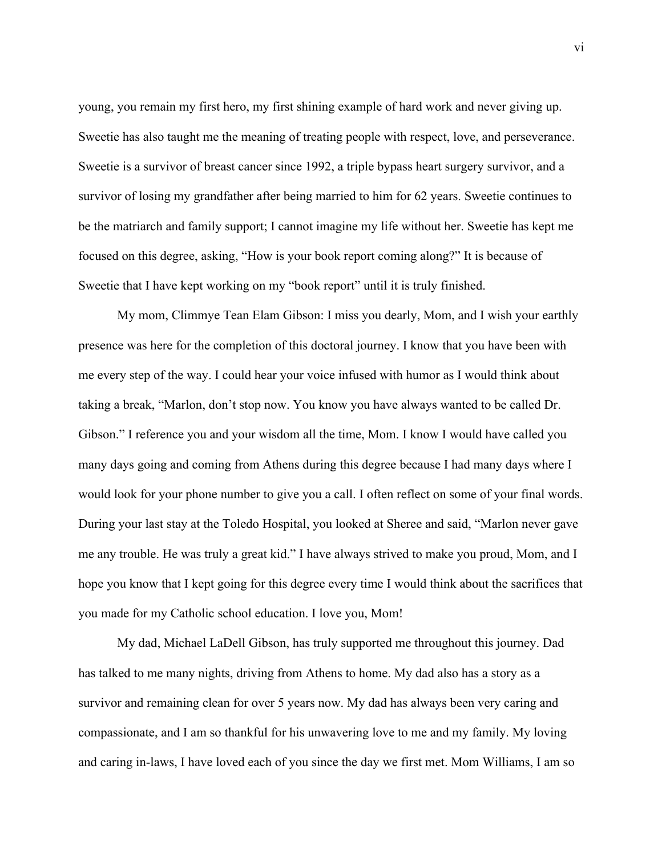young, you remain my first hero, my first shining example of hard work and never giving up. Sweetie has also taught me the meaning of treating people with respect, love, and perseverance. Sweetie is a survivor of breast cancer since 1992, a triple bypass heart surgery survivor, and a survivor of losing my grandfather after being married to him for 62 years. Sweetie continues to be the matriarch and family support; I cannot imagine my life without her. Sweetie has kept me focused on this degree, asking, "How is your book report coming along?" It is because of Sweetie that I have kept working on my "book report" until it is truly finished.

My mom, Climmye Tean Elam Gibson: I miss you dearly, Mom, and I wish your earthly presence was here for the completion of this doctoral journey. I know that you have been with me every step of the way. I could hear your voice infused with humor as I would think about taking a break, "Marlon, don't stop now. You know you have always wanted to be called Dr. Gibson." I reference you and your wisdom all the time, Mom. I know I would have called you many days going and coming from Athens during this degree because I had many days where I would look for your phone number to give you a call. I often reflect on some of your final words. During your last stay at the Toledo Hospital, you looked at Sheree and said, "Marlon never gave me any trouble. He was truly a great kid." I have always strived to make you proud, Mom, and I hope you know that I kept going for this degree every time I would think about the sacrifices that you made for my Catholic school education. I love you, Mom!

My dad, Michael LaDell Gibson, has truly supported me throughout this journey. Dad has talked to me many nights, driving from Athens to home. My dad also has a story as a survivor and remaining clean for over 5 years now. My dad has always been very caring and compassionate, and I am so thankful for his unwavering love to me and my family. My loving and caring in-laws, I have loved each of you since the day we first met. Mom Williams, I am so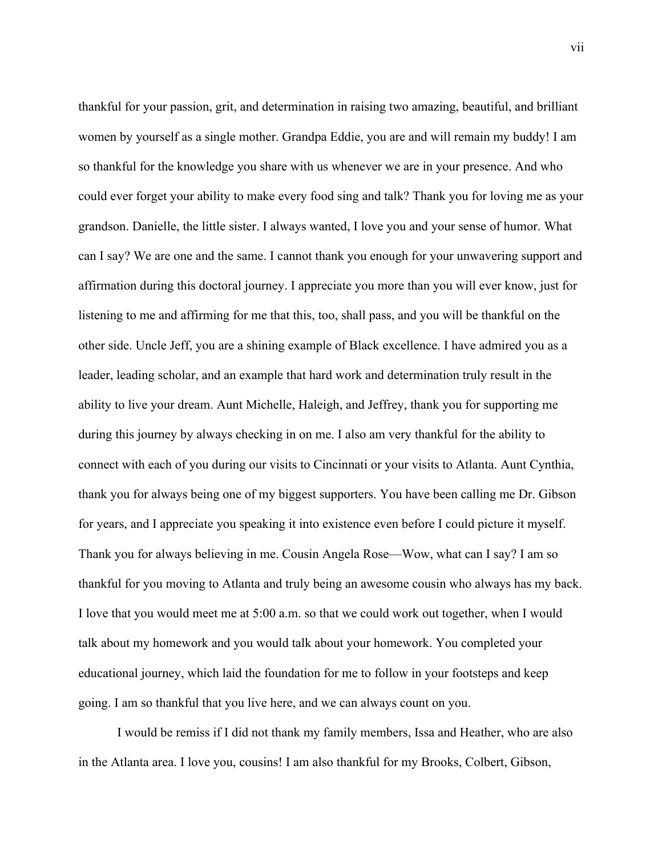thankful for your passion, grit, and determination in raising two amazing, beautiful, and brilliant women by yourself as a single mother. Grandpa Eddie, you are and will remain my buddy! I am so thankful for the knowledge you share with us whenever we are in your presence. And who could ever forget your ability to make every food sing and talk? Thank you for loving me as your grandson. Danielle, the little sister. I always wanted, I love you and your sense of humor. What can I say? We are one and the same. I cannot thank you enough for your unwavering support and affirmation during this doctoral journey. I appreciate you more than you will ever know, just for listening to me and affirming for me that this, too, shall pass, and you will be thankful on the other side. Uncle Jeff, you are a shining example of Black excellence. I have admired you as a leader, leading scholar, and an example that hard work and determination truly result in the ability to live your dream. Aunt Michelle, Haleigh, and Jeffrey, thank you for supporting me during this journey by always checking in on me. I also am very thankful for the ability to connect with each of you during our visits to Cincinnati or your visits to Atlanta. Aunt Cynthia, thank you for always being one of my biggest supporters. You have been calling me Dr. Gibson for years, and I appreciate you speaking it into existence even before I could picture it myself. Thank you for always believing in me. Cousin Angela Rose—Wow, what can I say? I am so thankful for you moving to Atlanta and truly being an awesome cousin who always has my back. I love that you would meet me at 5:00 a.m. so that we could work out together, when I would talk about my homework and you would talk about your homework. You completed your educational journey, which laid the foundation for me to follow in your footsteps and keep going. I am so thankful that you live here, and we can always count on you.

I would be remiss if I did not thank my family members, Issa and Heather, who are also in the Atlanta area. I love you, cousins! I am also thankful for my Brooks, Colbert, Gibson,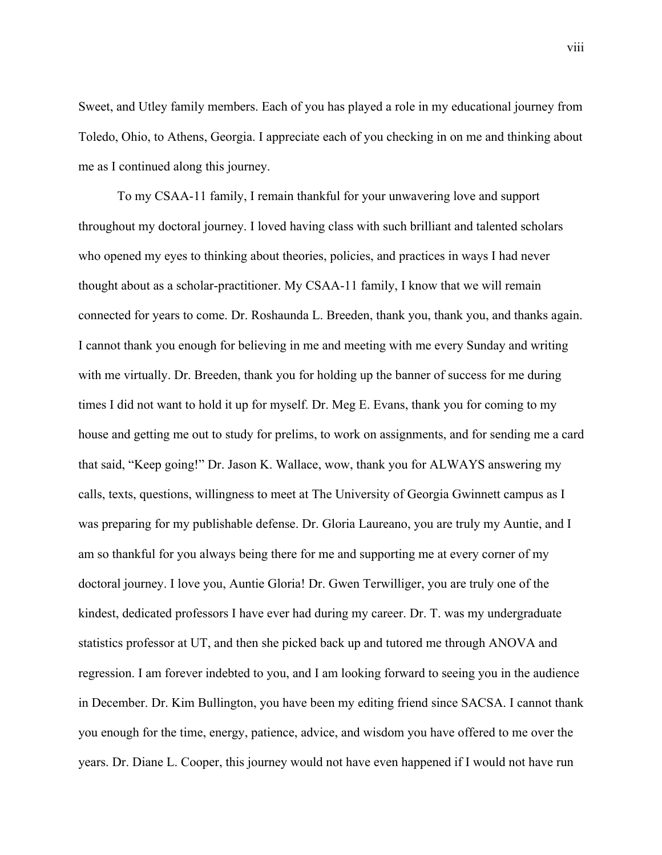Sweet, and Utley family members. Each of you has played a role in my educational journey from Toledo, Ohio, to Athens, Georgia. I appreciate each of you checking in on me and thinking about me as I continued along this journey.

To my CSAA-11 family, I remain thankful for your unwavering love and support throughout my doctoral journey. I loved having class with such brilliant and talented scholars who opened my eyes to thinking about theories, policies, and practices in ways I had never thought about as a scholar-practitioner. My CSAA-11 family, I know that we will remain connected for years to come. Dr. Roshaunda L. Breeden, thank you, thank you, and thanks again. I cannot thank you enough for believing in me and meeting with me every Sunday and writing with me virtually. Dr. Breeden, thank you for holding up the banner of success for me during times I did not want to hold it up for myself. Dr. Meg E. Evans, thank you for coming to my house and getting me out to study for prelims, to work on assignments, and for sending me a card that said, "Keep going!" Dr. Jason K. Wallace, wow, thank you for ALWAYS answering my calls, texts, questions, willingness to meet at The University of Georgia Gwinnett campus as I was preparing for my publishable defense. Dr. Gloria Laureano, you are truly my Auntie, and I am so thankful for you always being there for me and supporting me at every corner of my doctoral journey. I love you, Auntie Gloria! Dr. Gwen Terwilliger, you are truly one of the kindest, dedicated professors I have ever had during my career. Dr. T. was my undergraduate statistics professor at UT, and then she picked back up and tutored me through ANOVA and regression. I am forever indebted to you, and I am looking forward to seeing you in the audience in December. Dr. Kim Bullington, you have been my editing friend since SACSA. I cannot thank you enough for the time, energy, patience, advice, and wisdom you have offered to me over the years. Dr. Diane L. Cooper, this journey would not have even happened if I would not have run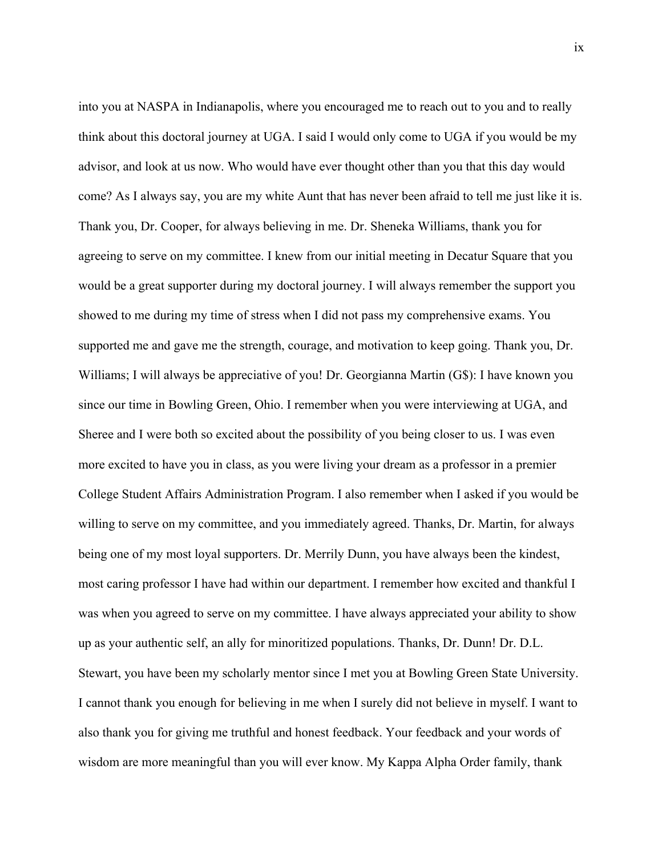into you at NASPA in Indianapolis, where you encouraged me to reach out to you and to really think about this doctoral journey at UGA. I said I would only come to UGA if you would be my advisor, and look at us now. Who would have ever thought other than you that this day would come? As I always say, you are my white Aunt that has never been afraid to tell me just like it is. Thank you, Dr. Cooper, for always believing in me. Dr. Sheneka Williams, thank you for agreeing to serve on my committee. I knew from our initial meeting in Decatur Square that you would be a great supporter during my doctoral journey. I will always remember the support you showed to me during my time of stress when I did not pass my comprehensive exams. You supported me and gave me the strength, courage, and motivation to keep going. Thank you, Dr. Williams; I will always be appreciative of you! Dr. Georgianna Martin (G\$): I have known you since our time in Bowling Green, Ohio. I remember when you were interviewing at UGA, and Sheree and I were both so excited about the possibility of you being closer to us. I was even more excited to have you in class, as you were living your dream as a professor in a premier College Student Affairs Administration Program. I also remember when I asked if you would be willing to serve on my committee, and you immediately agreed. Thanks, Dr. Martin, for always being one of my most loyal supporters. Dr. Merrily Dunn, you have always been the kindest, most caring professor I have had within our department. I remember how excited and thankful I was when you agreed to serve on my committee. I have always appreciated your ability to show up as your authentic self, an ally for minoritized populations. Thanks, Dr. Dunn! Dr. D.L. Stewart, you have been my scholarly mentor since I met you at Bowling Green State University. I cannot thank you enough for believing in me when I surely did not believe in myself. I want to also thank you for giving me truthful and honest feedback. Your feedback and your words of wisdom are more meaningful than you will ever know. My Kappa Alpha Order family, thank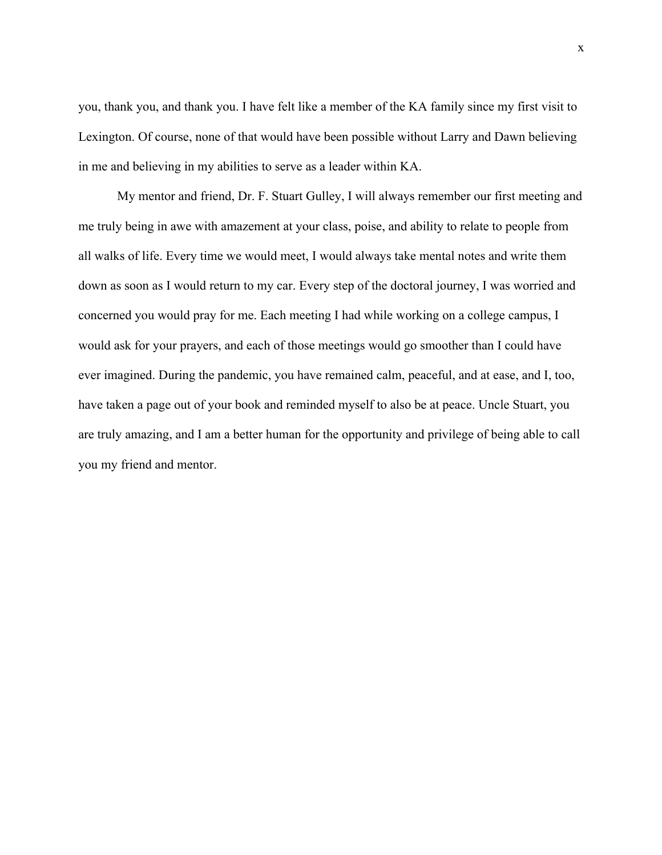you, thank you, and thank you. I have felt like a member of the KA family since my first visit to Lexington. Of course, none of that would have been possible without Larry and Dawn believing in me and believing in my abilities to serve as a leader within KA.

My mentor and friend, Dr. F. Stuart Gulley, I will always remember our first meeting and me truly being in awe with amazement at your class, poise, and ability to relate to people from all walks of life. Every time we would meet, I would always take mental notes and write them down as soon as I would return to my car. Every step of the doctoral journey, I was worried and concerned you would pray for me. Each meeting I had while working on a college campus, I would ask for your prayers, and each of those meetings would go smoother than I could have ever imagined. During the pandemic, you have remained calm, peaceful, and at ease, and I, too, have taken a page out of your book and reminded myself to also be at peace. Uncle Stuart, you are truly amazing, and I am a better human for the opportunity and privilege of being able to call you my friend and mentor.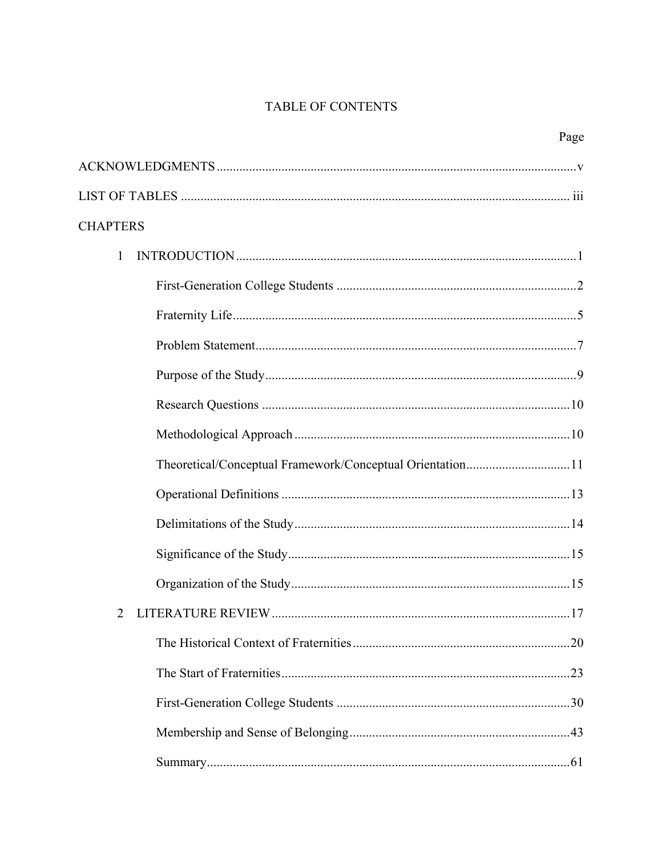# TABLE OF CONTENTS

| Page                                                      |
|-----------------------------------------------------------|
|                                                           |
|                                                           |
| <b>CHAPTERS</b>                                           |
| $\mathbf{1}$                                              |
|                                                           |
|                                                           |
|                                                           |
|                                                           |
|                                                           |
|                                                           |
| Theoretical/Conceptual Framework/Conceptual Orientation11 |
|                                                           |
|                                                           |
|                                                           |
|                                                           |
| .17                                                       |
|                                                           |
|                                                           |
|                                                           |
|                                                           |
|                                                           |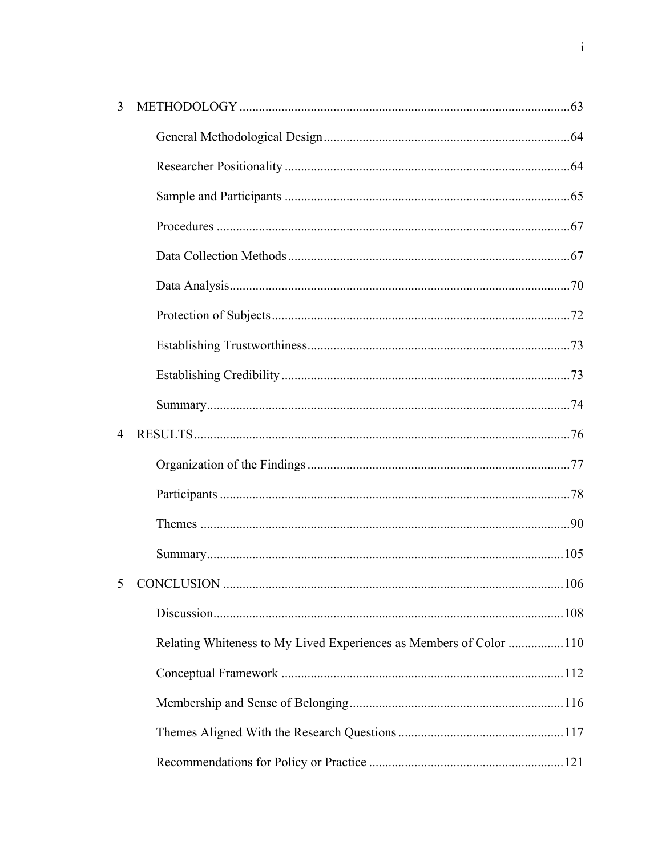| 3              |                                                                    |  |
|----------------|--------------------------------------------------------------------|--|
|                |                                                                    |  |
|                |                                                                    |  |
|                |                                                                    |  |
|                |                                                                    |  |
|                |                                                                    |  |
|                |                                                                    |  |
|                |                                                                    |  |
|                |                                                                    |  |
|                |                                                                    |  |
|                |                                                                    |  |
| $\overline{4}$ |                                                                    |  |
|                |                                                                    |  |
|                |                                                                    |  |
|                |                                                                    |  |
|                |                                                                    |  |
|                |                                                                    |  |
|                |                                                                    |  |
|                | Relating Whiteness to My Lived Experiences as Members of Color 110 |  |
|                |                                                                    |  |
|                |                                                                    |  |
|                |                                                                    |  |
|                |                                                                    |  |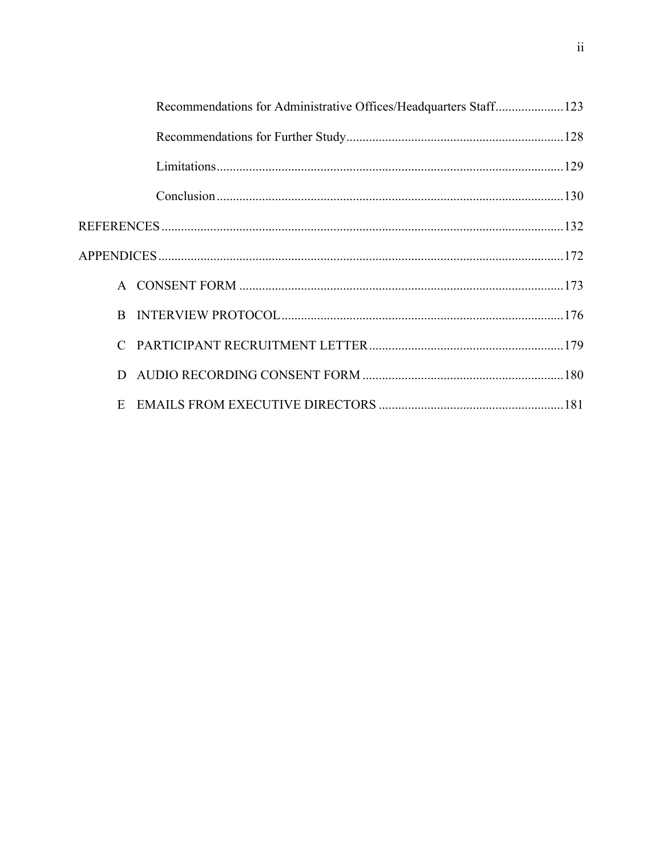| Recommendations for Administrative Offices/Headquarters Staff123 |  |
|------------------------------------------------------------------|--|
|                                                                  |  |
|                                                                  |  |
|                                                                  |  |
|                                                                  |  |
|                                                                  |  |
|                                                                  |  |
|                                                                  |  |
|                                                                  |  |
| D                                                                |  |
| E                                                                |  |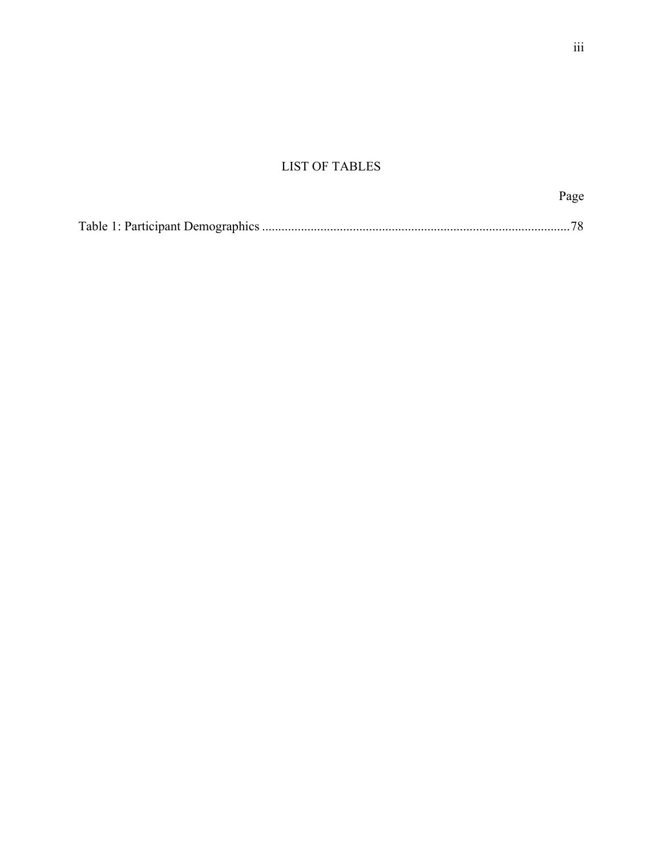# LIST OF TABLES

|--|

|--|--|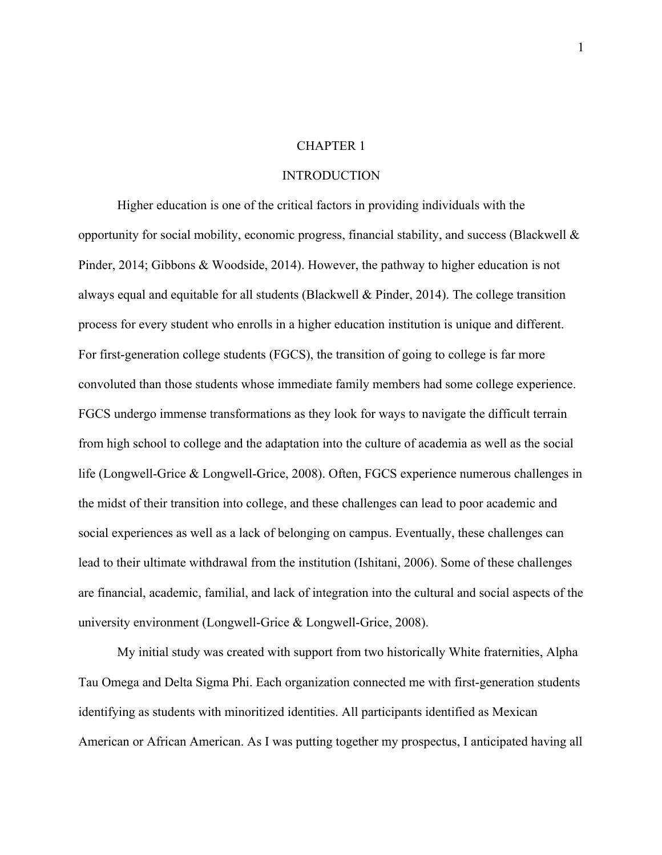#### CHAPTER 1

### INTRODUCTION

Higher education is one of the critical factors in providing individuals with the opportunity for social mobility, economic progress, financial stability, and success (Blackwell  $\&$ Pinder, 2014; Gibbons & Woodside, 2014). However, the pathway to higher education is not always equal and equitable for all students (Blackwell & Pinder, 2014). The college transition process for every student who enrolls in a higher education institution is unique and different. For first-generation college students (FGCS), the transition of going to college is far more convoluted than those students whose immediate family members had some college experience. FGCS undergo immense transformations as they look for ways to navigate the difficult terrain from high school to college and the adaptation into the culture of academia as well as the social life (Longwell-Grice & Longwell-Grice, 2008). Often, FGCS experience numerous challenges in the midst of their transition into college, and these challenges can lead to poor academic and social experiences as well as a lack of belonging on campus. Eventually, these challenges can lead to their ultimate withdrawal from the institution (Ishitani, 2006). Some of these challenges are financial, academic, familial, and lack of integration into the cultural and social aspects of the university environment (Longwell-Grice & Longwell-Grice, 2008).

My initial study was created with support from two historically White fraternities, Alpha Tau Omega and Delta Sigma Phi. Each organization connected me with first-generation students identifying as students with minoritized identities. All participants identified as Mexican American or African American. As I was putting together my prospectus, I anticipated having all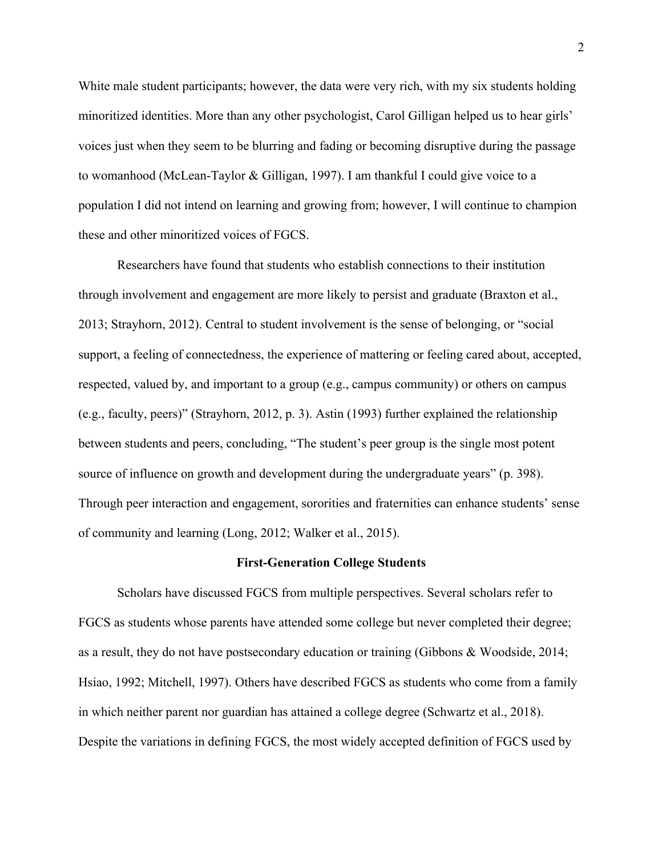White male student participants; however, the data were very rich, with my six students holding minoritized identities. More than any other psychologist, Carol Gilligan helped us to hear girls' voices just when they seem to be blurring and fading or becoming disruptive during the passage to womanhood (McLean-Taylor & Gilligan, 1997). I am thankful I could give voice to a population I did not intend on learning and growing from; however, I will continue to champion these and other minoritized voices of FGCS.

Researchers have found that students who establish connections to their institution through involvement and engagement are more likely to persist and graduate (Braxton et al., 2013; Strayhorn, 2012). Central to student involvement is the sense of belonging, or "social support, a feeling of connectedness, the experience of mattering or feeling cared about, accepted, respected, valued by, and important to a group (e.g., campus community) or others on campus (e.g., faculty, peers)" (Strayhorn, 2012, p. 3). Astin (1993) further explained the relationship between students and peers, concluding, "The student's peer group is the single most potent source of influence on growth and development during the undergraduate years" (p. 398). Through peer interaction and engagement, sororities and fraternities can enhance students' sense of community and learning (Long, 2012; Walker et al., 2015).

#### **First-Generation College Students**

Scholars have discussed FGCS from multiple perspectives. Several scholars refer to FGCS as students whose parents have attended some college but never completed their degree; as a result, they do not have postsecondary education or training (Gibbons & Woodside, 2014; Hsiao, 1992; Mitchell, 1997). Others have described FGCS as students who come from a family in which neither parent nor guardian has attained a college degree (Schwartz et al., 2018). Despite the variations in defining FGCS, the most widely accepted definition of FGCS used by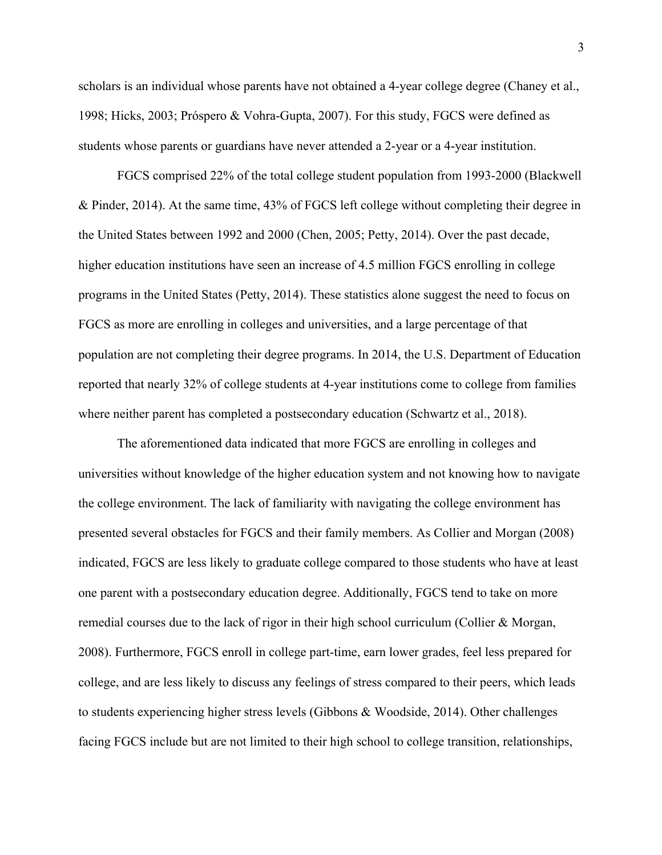scholars is an individual whose parents have not obtained a 4-year college degree (Chaney et al., 1998; Hicks, 2003; Próspero & Vohra-Gupta, 2007). For this study, FGCS were defined as students whose parents or guardians have never attended a 2-year or a 4-year institution.

FGCS comprised 22% of the total college student population from 1993-2000 (Blackwell & Pinder, 2014). At the same time, 43% of FGCS left college without completing their degree in the United States between 1992 and 2000 (Chen, 2005; Petty, 2014). Over the past decade, higher education institutions have seen an increase of 4.5 million FGCS enrolling in college programs in the United States (Petty, 2014). These statistics alone suggest the need to focus on FGCS as more are enrolling in colleges and universities, and a large percentage of that population are not completing their degree programs. In 2014, the U.S. Department of Education reported that nearly 32% of college students at 4-year institutions come to college from families where neither parent has completed a postsecondary education (Schwartz et al., 2018).

The aforementioned data indicated that more FGCS are enrolling in colleges and universities without knowledge of the higher education system and not knowing how to navigate the college environment. The lack of familiarity with navigating the college environment has presented several obstacles for FGCS and their family members. As Collier and Morgan (2008) indicated, FGCS are less likely to graduate college compared to those students who have at least one parent with a postsecondary education degree. Additionally, FGCS tend to take on more remedial courses due to the lack of rigor in their high school curriculum (Collier & Morgan, 2008). Furthermore, FGCS enroll in college part-time, earn lower grades, feel less prepared for college, and are less likely to discuss any feelings of stress compared to their peers, which leads to students experiencing higher stress levels (Gibbons & Woodside, 2014). Other challenges facing FGCS include but are not limited to their high school to college transition, relationships,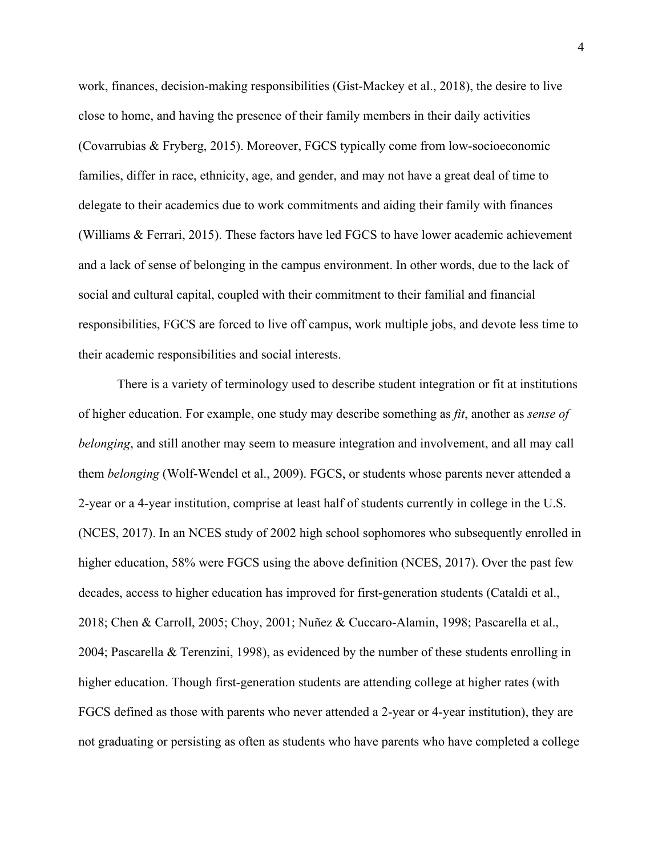work, finances, decision-making responsibilities (Gist-Mackey et al., 2018), the desire to live close to home, and having the presence of their family members in their daily activities (Covarrubias & Fryberg, 2015). Moreover, FGCS typically come from low-socioeconomic families, differ in race, ethnicity, age, and gender, and may not have a great deal of time to delegate to their academics due to work commitments and aiding their family with finances (Williams & Ferrari, 2015). These factors have led FGCS to have lower academic achievement and a lack of sense of belonging in the campus environment. In other words, due to the lack of social and cultural capital, coupled with their commitment to their familial and financial responsibilities, FGCS are forced to live off campus, work multiple jobs, and devote less time to their academic responsibilities and social interests.

There is a variety of terminology used to describe student integration or fit at institutions of higher education. For example, one study may describe something as *fit*, another as *sense of belonging*, and still another may seem to measure integration and involvement, and all may call them *belonging* (Wolf-Wendel et al., 2009). FGCS, or students whose parents never attended a 2-year or a 4-year institution, comprise at least half of students currently in college in the U.S. (NCES, 2017). In an NCES study of 2002 high school sophomores who subsequently enrolled in higher education, 58% were FGCS using the above definition (NCES, 2017). Over the past few decades, access to higher education has improved for first-generation students (Cataldi et al., 2018; Chen & Carroll, 2005; Choy, 2001; Nuñez & Cuccaro-Alamin, 1998; Pascarella et al., 2004; Pascarella & Terenzini, 1998), as evidenced by the number of these students enrolling in higher education. Though first-generation students are attending college at higher rates (with FGCS defined as those with parents who never attended a 2-year or 4-year institution), they are not graduating or persisting as often as students who have parents who have completed a college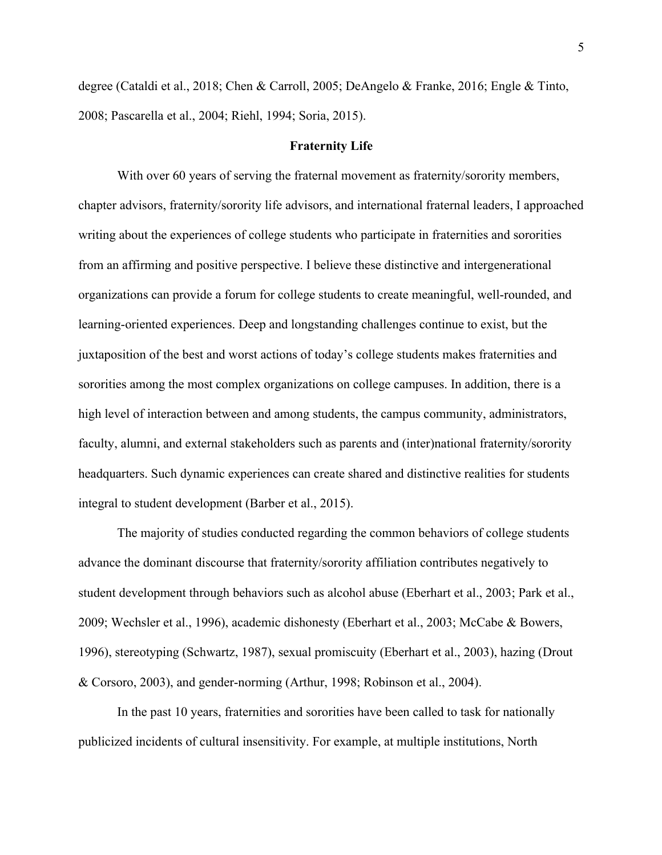degree (Cataldi et al., 2018; Chen & Carroll, 2005; DeAngelo & Franke, 2016; Engle & Tinto, 2008; Pascarella et al., 2004; Riehl, 1994; Soria, 2015).

#### **Fraternity Life**

With over 60 years of serving the fraternal movement as fraternity/sorority members, chapter advisors, fraternity/sorority life advisors, and international fraternal leaders, I approached writing about the experiences of college students who participate in fraternities and sororities from an affirming and positive perspective. I believe these distinctive and intergenerational organizations can provide a forum for college students to create meaningful, well-rounded, and learning-oriented experiences. Deep and longstanding challenges continue to exist, but the juxtaposition of the best and worst actions of today's college students makes fraternities and sororities among the most complex organizations on college campuses. In addition, there is a high level of interaction between and among students, the campus community, administrators, faculty, alumni, and external stakeholders such as parents and (inter)national fraternity/sorority headquarters. Such dynamic experiences can create shared and distinctive realities for students integral to student development (Barber et al., 2015).

The majority of studies conducted regarding the common behaviors of college students advance the dominant discourse that fraternity/sorority affiliation contributes negatively to student development through behaviors such as alcohol abuse (Eberhart et al., 2003; Park et al., 2009; Wechsler et al., 1996), academic dishonesty (Eberhart et al., 2003; McCabe & Bowers, 1996), stereotyping (Schwartz, 1987), sexual promiscuity (Eberhart et al., 2003), hazing (Drout & Corsoro, 2003), and gender-norming (Arthur, 1998; Robinson et al., 2004).

In the past 10 years, fraternities and sororities have been called to task for nationally publicized incidents of cultural insensitivity. For example, at multiple institutions, North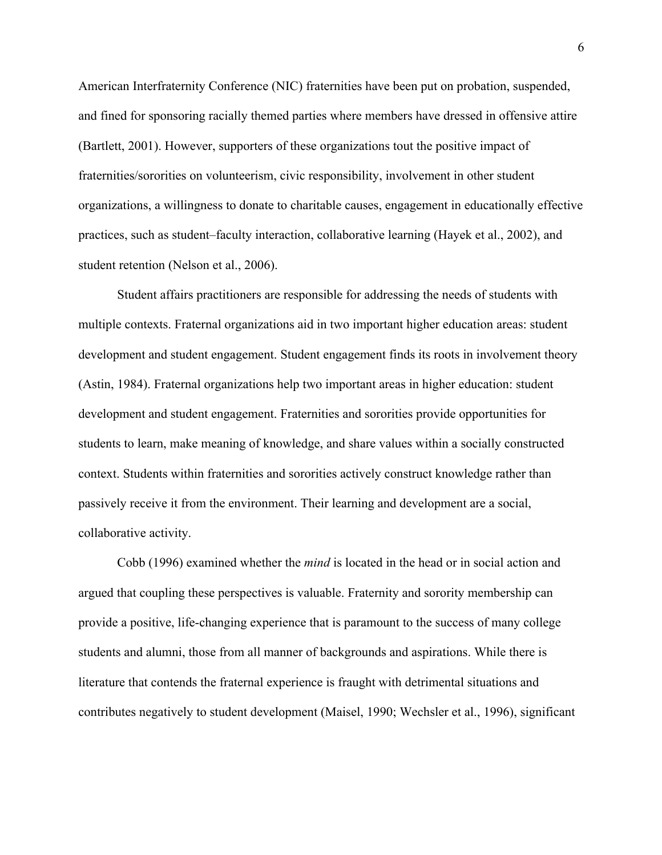American Interfraternity Conference (NIC) fraternities have been put on probation, suspended, and fined for sponsoring racially themed parties where members have dressed in offensive attire (Bartlett, 2001). However, supporters of these organizations tout the positive impact of fraternities/sororities on volunteerism, civic responsibility, involvement in other student organizations, a willingness to donate to charitable causes, engagement in educationally effective practices, such as student–faculty interaction, collaborative learning (Hayek et al., 2002), and student retention (Nelson et al., 2006).

Student affairs practitioners are responsible for addressing the needs of students with multiple contexts. Fraternal organizations aid in two important higher education areas: student development and student engagement. Student engagement finds its roots in involvement theory (Astin, 1984). Fraternal organizations help two important areas in higher education: student development and student engagement. Fraternities and sororities provide opportunities for students to learn, make meaning of knowledge, and share values within a socially constructed context. Students within fraternities and sororities actively construct knowledge rather than passively receive it from the environment. Their learning and development are a social, collaborative activity.

Cobb (1996) examined whether the *mind* is located in the head or in social action and argued that coupling these perspectives is valuable. Fraternity and sorority membership can provide a positive, life-changing experience that is paramount to the success of many college students and alumni, those from all manner of backgrounds and aspirations. While there is literature that contends the fraternal experience is fraught with detrimental situations and contributes negatively to student development (Maisel, 1990; Wechsler et al., 1996), significant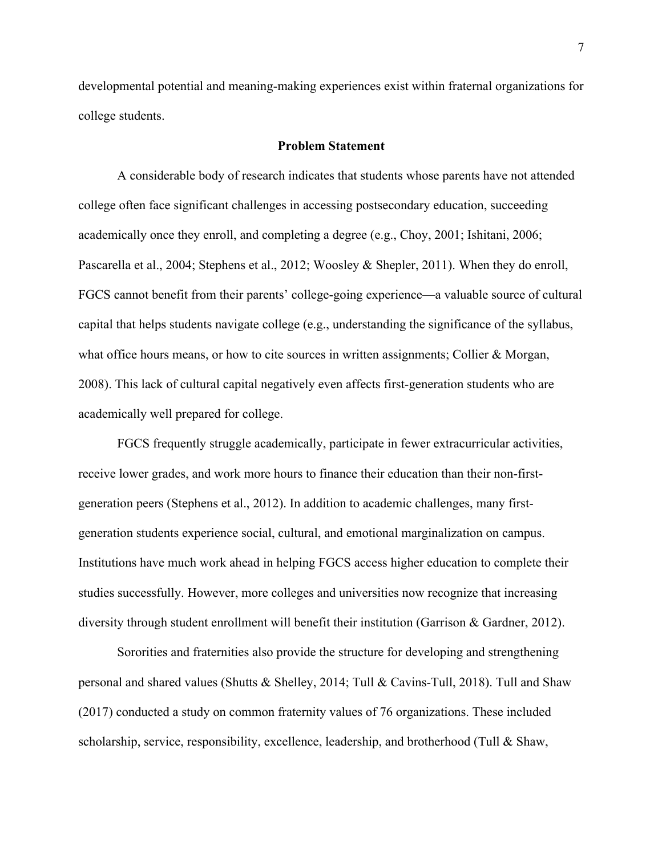developmental potential and meaning-making experiences exist within fraternal organizations for college students.

#### **Problem Statement**

A considerable body of research indicates that students whose parents have not attended college often face significant challenges in accessing postsecondary education, succeeding academically once they enroll, and completing a degree (e.g., Choy, 2001; Ishitani, 2006; Pascarella et al., 2004; Stephens et al., 2012; Woosley & Shepler, 2011). When they do enroll, FGCS cannot benefit from their parents' college-going experience—a valuable source of cultural capital that helps students navigate college (e.g., understanding the significance of the syllabus, what office hours means, or how to cite sources in written assignments; Collier & Morgan, 2008). This lack of cultural capital negatively even affects first-generation students who are academically well prepared for college.

FGCS frequently struggle academically, participate in fewer extracurricular activities, receive lower grades, and work more hours to finance their education than their non-firstgeneration peers (Stephens et al., 2012). In addition to academic challenges, many firstgeneration students experience social, cultural, and emotional marginalization on campus. Institutions have much work ahead in helping FGCS access higher education to complete their studies successfully. However, more colleges and universities now recognize that increasing diversity through student enrollment will benefit their institution (Garrison & Gardner, 2012).

Sororities and fraternities also provide the structure for developing and strengthening personal and shared values (Shutts & Shelley, 2014; Tull & Cavins-Tull, 2018). Tull and Shaw (2017) conducted a study on common fraternity values of 76 organizations. These included scholarship, service, responsibility, excellence, leadership, and brotherhood (Tull & Shaw,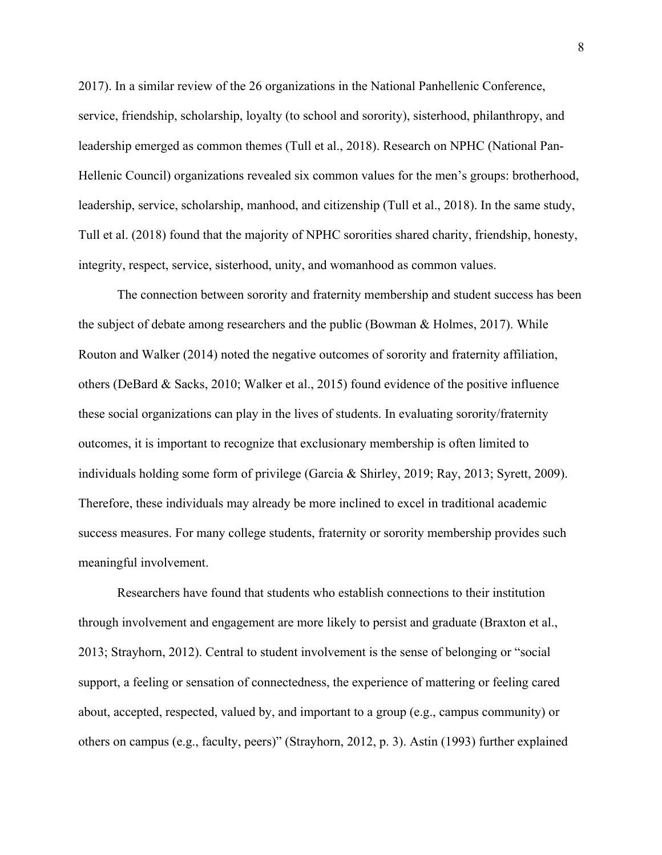2017). In a similar review of the 26 organizations in the National Panhellenic Conference, service, friendship, scholarship, loyalty (to school and sorority), sisterhood, philanthropy, and leadership emerged as common themes (Tull et al., 2018). Research on NPHC (National Pan-Hellenic Council) organizations revealed six common values for the men's groups: brotherhood, leadership, service, scholarship, manhood, and citizenship (Tull et al., 2018). In the same study, Tull et al. (2018) found that the majority of NPHC sororities shared charity, friendship, honesty, integrity, respect, service, sisterhood, unity, and womanhood as common values.

The connection between sorority and fraternity membership and student success has been the subject of debate among researchers and the public (Bowman & Holmes, 2017). While Routon and Walker (2014) noted the negative outcomes of sorority and fraternity affiliation, others (DeBard & Sacks, 2010; Walker et al., 2015) found evidence of the positive influence these social organizations can play in the lives of students. In evaluating sorority/fraternity outcomes, it is important to recognize that exclusionary membership is often limited to individuals holding some form of privilege (Garcia & Shirley, 2019; Ray, 2013; Syrett, 2009). Therefore, these individuals may already be more inclined to excel in traditional academic success measures. For many college students, fraternity or sorority membership provides such meaningful involvement.

Researchers have found that students who establish connections to their institution through involvement and engagement are more likely to persist and graduate (Braxton et al., 2013; Strayhorn, 2012). Central to student involvement is the sense of belonging or "social support, a feeling or sensation of connectedness, the experience of mattering or feeling cared about, accepted, respected, valued by, and important to a group (e.g., campus community) or others on campus (e.g., faculty, peers)" (Strayhorn, 2012, p. 3). Astin (1993) further explained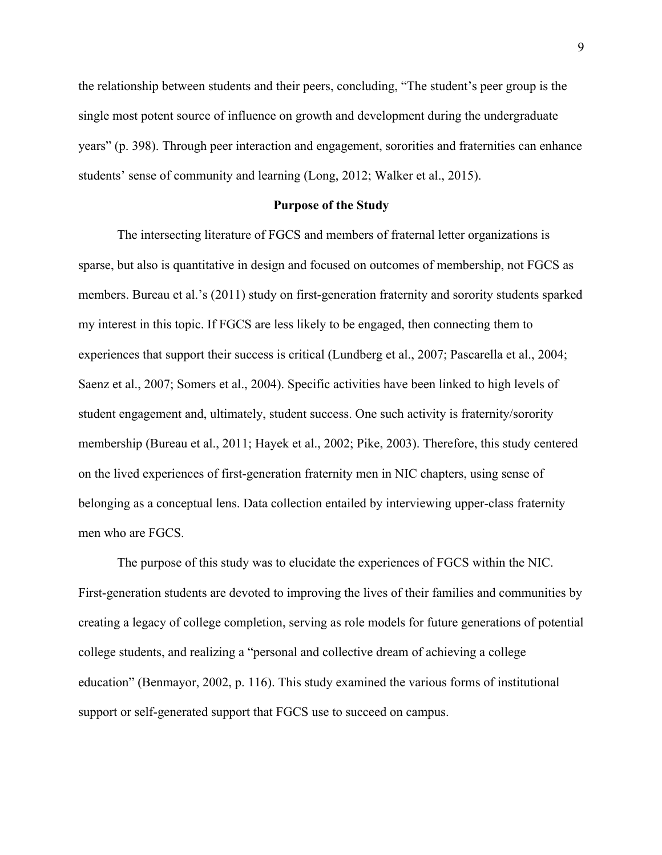the relationship between students and their peers, concluding, "The student's peer group is the single most potent source of influence on growth and development during the undergraduate years" (p. 398). Through peer interaction and engagement, sororities and fraternities can enhance students' sense of community and learning (Long, 2012; Walker et al., 2015).

#### **Purpose of the Study**

The intersecting literature of FGCS and members of fraternal letter organizations is sparse, but also is quantitative in design and focused on outcomes of membership, not FGCS as members. Bureau et al.'s (2011) study on first-generation fraternity and sorority students sparked my interest in this topic. If FGCS are less likely to be engaged, then connecting them to experiences that support their success is critical (Lundberg et al., 2007; Pascarella et al., 2004; Saenz et al., 2007; Somers et al., 2004). Specific activities have been linked to high levels of student engagement and, ultimately, student success. One such activity is fraternity/sorority membership (Bureau et al., 2011; Hayek et al., 2002; Pike, 2003). Therefore, this study centered on the lived experiences of first-generation fraternity men in NIC chapters, using sense of belonging as a conceptual lens. Data collection entailed by interviewing upper-class fraternity men who are FGCS.

The purpose of this study was to elucidate the experiences of FGCS within the NIC. First-generation students are devoted to improving the lives of their families and communities by creating a legacy of college completion, serving as role models for future generations of potential college students, and realizing a "personal and collective dream of achieving a college education" (Benmayor, 2002, p. 116). This study examined the various forms of institutional support or self-generated support that FGCS use to succeed on campus.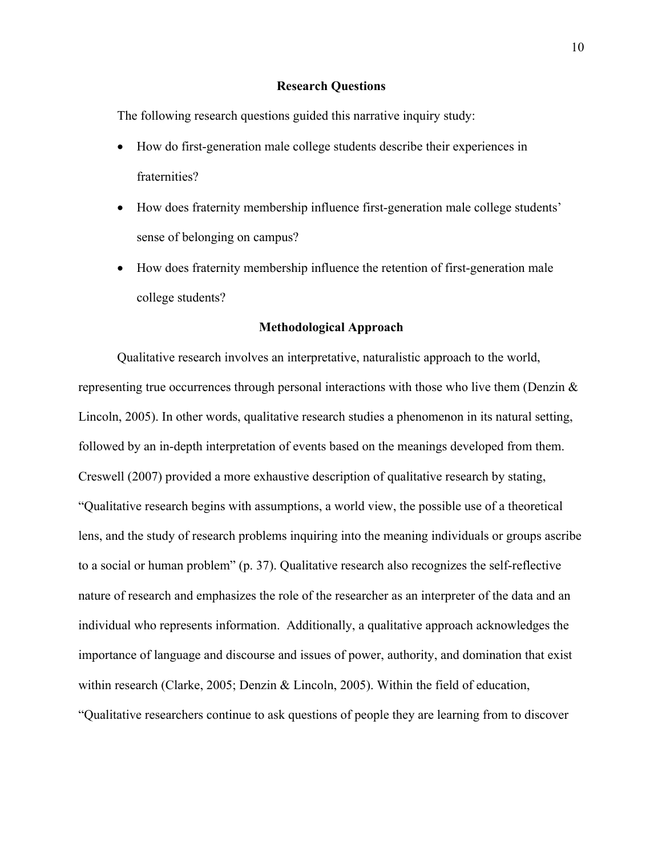### **Research Questions**

The following research questions guided this narrative inquiry study:

- How do first-generation male college students describe their experiences in fraternities?
- How does fraternity membership influence first-generation male college students' sense of belonging on campus?
- How does fraternity membership influence the retention of first-generation male college students?

#### **Methodological Approach**

Qualitative research involves an interpretative, naturalistic approach to the world, representing true occurrences through personal interactions with those who live them (Denzin  $\&$ Lincoln, 2005). In other words, qualitative research studies a phenomenon in its natural setting, followed by an in-depth interpretation of events based on the meanings developed from them. Creswell (2007) provided a more exhaustive description of qualitative research by stating, "Qualitative research begins with assumptions, a world view, the possible use of a theoretical lens, and the study of research problems inquiring into the meaning individuals or groups ascribe to a social or human problem" (p. 37). Qualitative research also recognizes the self-reflective nature of research and emphasizes the role of the researcher as an interpreter of the data and an individual who represents information. Additionally, a qualitative approach acknowledges the importance of language and discourse and issues of power, authority, and domination that exist within research (Clarke, 2005; Denzin & Lincoln, 2005). Within the field of education, "Qualitative researchers continue to ask questions of people they are learning from to discover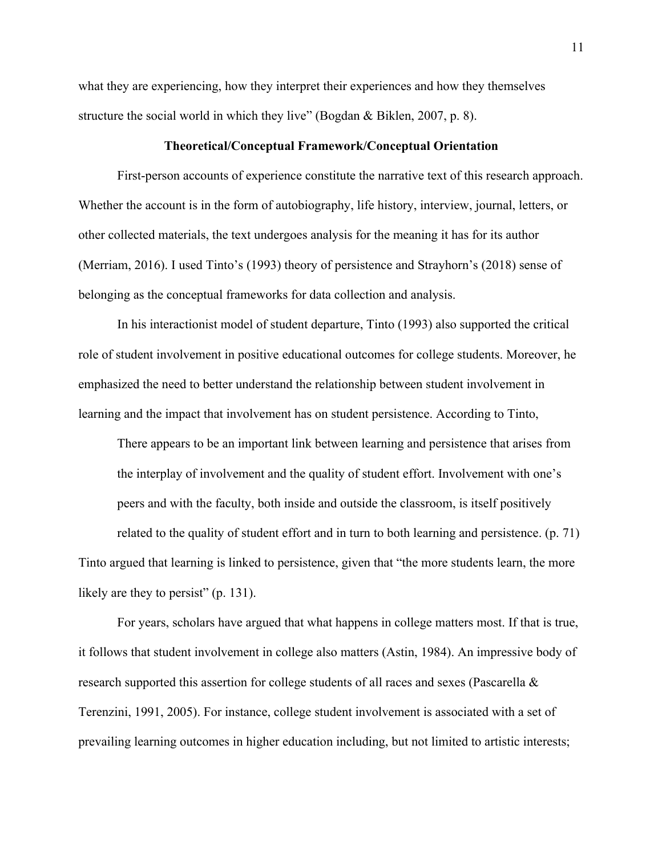what they are experiencing, how they interpret their experiences and how they themselves structure the social world in which they live" (Bogdan & Biklen, 2007, p. 8).

#### **Theoretical/Conceptual Framework/Conceptual Orientation**

First-person accounts of experience constitute the narrative text of this research approach. Whether the account is in the form of autobiography, life history, interview, journal, letters, or other collected materials, the text undergoes analysis for the meaning it has for its author (Merriam, 2016). I used Tinto's (1993) theory of persistence and Strayhorn's (2018) sense of belonging as the conceptual frameworks for data collection and analysis.

In his interactionist model of student departure, Tinto (1993) also supported the critical role of student involvement in positive educational outcomes for college students. Moreover, he emphasized the need to better understand the relationship between student involvement in learning and the impact that involvement has on student persistence. According to Tinto,

There appears to be an important link between learning and persistence that arises from the interplay of involvement and the quality of student effort. Involvement with one's peers and with the faculty, both inside and outside the classroom, is itself positively related to the quality of student effort and in turn to both learning and persistence. (p. 71)

Tinto argued that learning is linked to persistence, given that "the more students learn, the more likely are they to persist" (p. 131).

For years, scholars have argued that what happens in college matters most. If that is true, it follows that student involvement in college also matters (Astin, 1984). An impressive body of research supported this assertion for college students of all races and sexes (Pascarella & Terenzini, 1991, 2005). For instance, college student involvement is associated with a set of prevailing learning outcomes in higher education including, but not limited to artistic interests;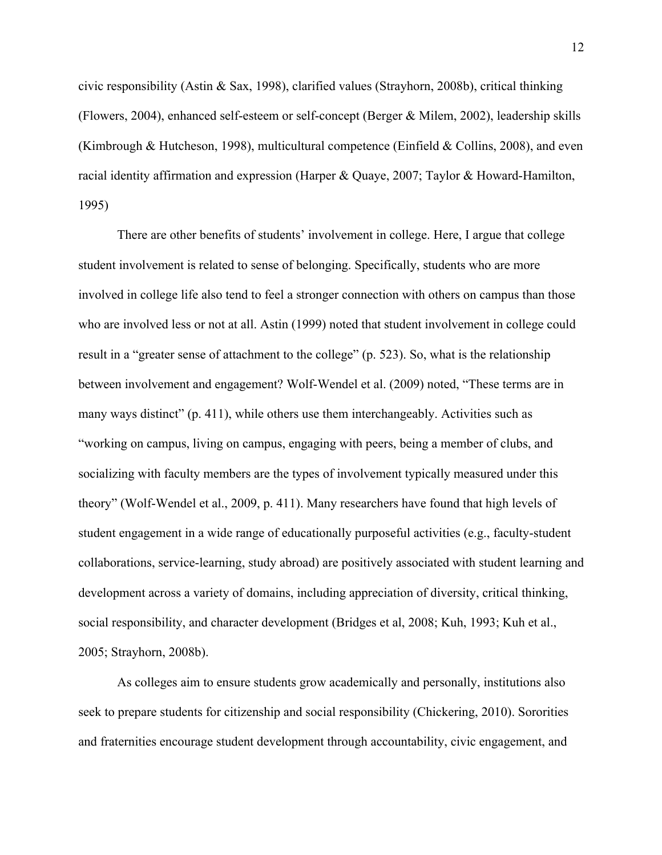civic responsibility (Astin & Sax, 1998), clarified values (Strayhorn, 2008b), critical thinking (Flowers, 2004), enhanced self-esteem or self-concept (Berger & Milem, 2002), leadership skills (Kimbrough & Hutcheson, 1998), multicultural competence (Einfield & Collins, 2008), and even racial identity affirmation and expression (Harper & Quaye, 2007; Taylor & Howard-Hamilton, 1995)

There are other benefits of students' involvement in college. Here, I argue that college student involvement is related to sense of belonging. Specifically, students who are more involved in college life also tend to feel a stronger connection with others on campus than those who are involved less or not at all. Astin (1999) noted that student involvement in college could result in a "greater sense of attachment to the college" (p. 523). So, what is the relationship between involvement and engagement? Wolf-Wendel et al. (2009) noted, "These terms are in many ways distinct" (p. 411), while others use them interchangeably. Activities such as "working on campus, living on campus, engaging with peers, being a member of clubs, and socializing with faculty members are the types of involvement typically measured under this theory" (Wolf-Wendel et al., 2009, p. 411). Many researchers have found that high levels of student engagement in a wide range of educationally purposeful activities (e.g., faculty-student collaborations, service-learning, study abroad) are positively associated with student learning and development across a variety of domains, including appreciation of diversity, critical thinking, social responsibility, and character development (Bridges et al, 2008; Kuh, 1993; Kuh et al., 2005; Strayhorn, 2008b).

As colleges aim to ensure students grow academically and personally, institutions also seek to prepare students for citizenship and social responsibility (Chickering, 2010). Sororities and fraternities encourage student development through accountability, civic engagement, and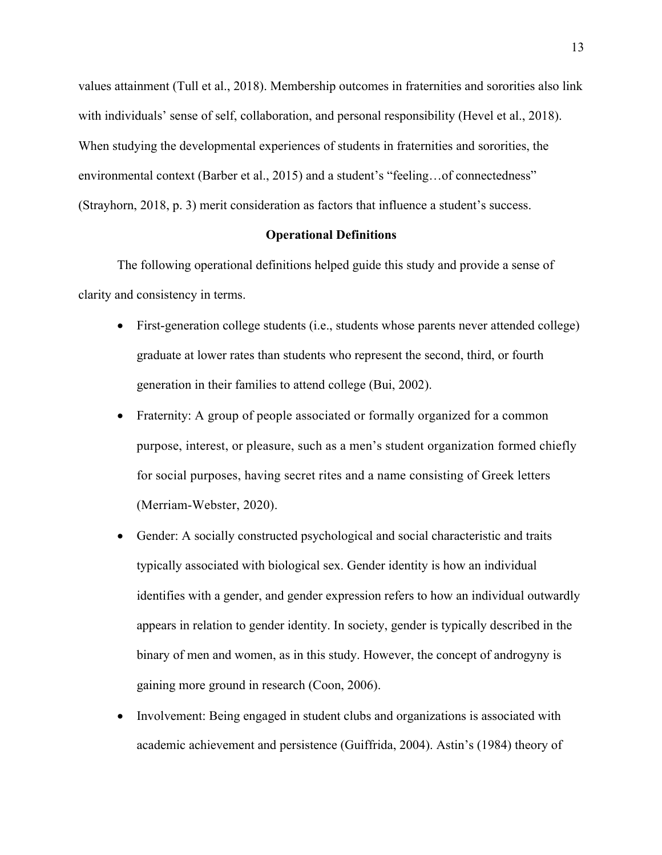values attainment (Tull et al., 2018). Membership outcomes in fraternities and sororities also link with individuals' sense of self, collaboration, and personal responsibility (Hevel et al., 2018). When studying the developmental experiences of students in fraternities and sororities, the environmental context (Barber et al., 2015) and a student's "feeling…of connectedness" (Strayhorn, 2018, p. 3) merit consideration as factors that influence a student's success.

### **Operational Definitions**

The following operational definitions helped guide this study and provide a sense of clarity and consistency in terms.

- First-generation college students (i.e., students whose parents never attended college) graduate at lower rates than students who represent the second, third, or fourth generation in their families to attend college (Bui, 2002).
- Fraternity: A group of people associated or formally organized for a common purpose, interest, or pleasure, such as a men's student organization formed chiefly for social purposes, having secret rites and a name consisting of Greek letters (Merriam-Webster, 2020).
- Gender: A socially constructed psychological and social characteristic and traits typically associated with biological sex. Gender identity is how an individual identifies with a gender, and gender expression refers to how an individual outwardly appears in relation to gender identity. In society, gender is typically described in the binary of men and women, as in this study. However, the concept of androgyny is gaining more ground in research (Coon, 2006).
- Involvement: Being engaged in student clubs and organizations is associated with academic achievement and persistence (Guiffrida, 2004). Astin's (1984) theory of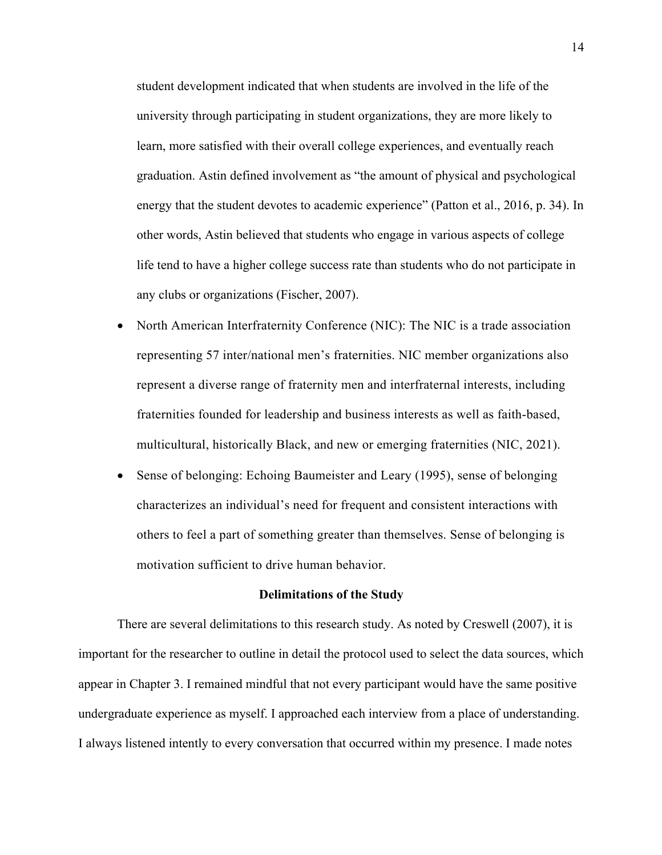student development indicated that when students are involved in the life of the university through participating in student organizations, they are more likely to learn, more satisfied with their overall college experiences, and eventually reach graduation. Astin defined involvement as "the amount of physical and psychological energy that the student devotes to academic experience" (Patton et al., 2016, p. 34). In other words, Astin believed that students who engage in various aspects of college life tend to have a higher college success rate than students who do not participate in any clubs or organizations (Fischer, 2007).

- North American Interfraternity Conference (NIC): The NIC is a trade association representing 57 inter/national men's fraternities. NIC member organizations also represent a diverse range of fraternity men and interfraternal interests, including fraternities founded for leadership and business interests as well as faith-based, multicultural, historically Black, and new or emerging fraternities (NIC, 2021).
- Sense of belonging: Echoing Baumeister and Leary (1995), sense of belonging characterizes an individual's need for frequent and consistent interactions with others to feel a part of something greater than themselves. Sense of belonging is motivation sufficient to drive human behavior.

#### **Delimitations of the Study**

There are several delimitations to this research study. As noted by Creswell (2007), it is important for the researcher to outline in detail the protocol used to select the data sources, which appear in Chapter 3. I remained mindful that not every participant would have the same positive undergraduate experience as myself. I approached each interview from a place of understanding. I always listened intently to every conversation that occurred within my presence. I made notes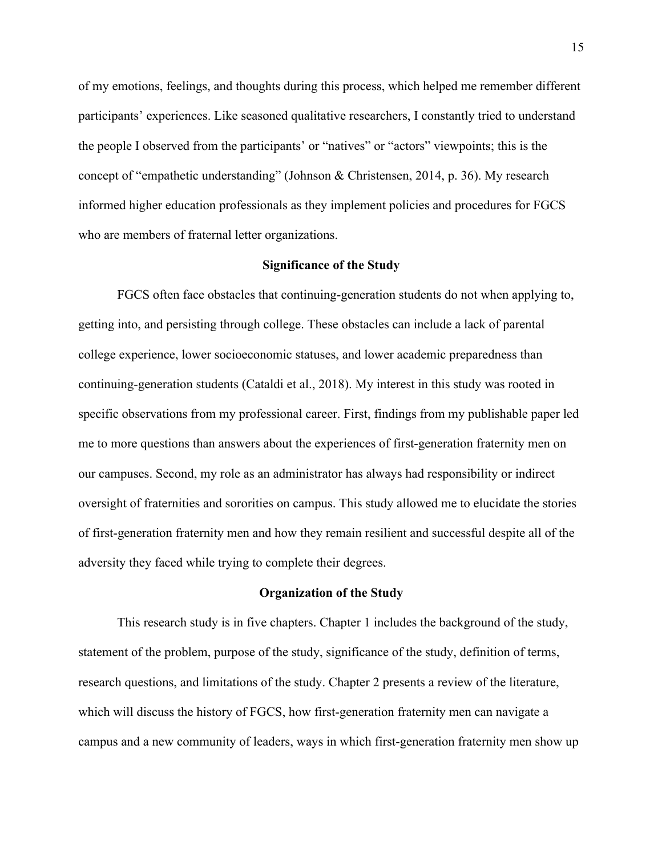of my emotions, feelings, and thoughts during this process, which helped me remember different participants' experiences. Like seasoned qualitative researchers, I constantly tried to understand the people I observed from the participants' or "natives" or "actors" viewpoints; this is the concept of "empathetic understanding" (Johnson & Christensen, 2014, p. 36). My research informed higher education professionals as they implement policies and procedures for FGCS who are members of fraternal letter organizations.

#### **Significance of the Study**

FGCS often face obstacles that continuing-generation students do not when applying to, getting into, and persisting through college. These obstacles can include a lack of parental college experience, lower socioeconomic statuses, and lower academic preparedness than continuing-generation students (Cataldi et al., 2018). My interest in this study was rooted in specific observations from my professional career. First, findings from my publishable paper led me to more questions than answers about the experiences of first-generation fraternity men on our campuses. Second, my role as an administrator has always had responsibility or indirect oversight of fraternities and sororities on campus. This study allowed me to elucidate the stories of first-generation fraternity men and how they remain resilient and successful despite all of the adversity they faced while trying to complete their degrees.

#### **Organization of the Study**

This research study is in five chapters. Chapter 1 includes the background of the study, statement of the problem, purpose of the study, significance of the study, definition of terms, research questions, and limitations of the study. Chapter 2 presents a review of the literature, which will discuss the history of FGCS, how first-generation fraternity men can navigate a campus and a new community of leaders, ways in which first-generation fraternity men show up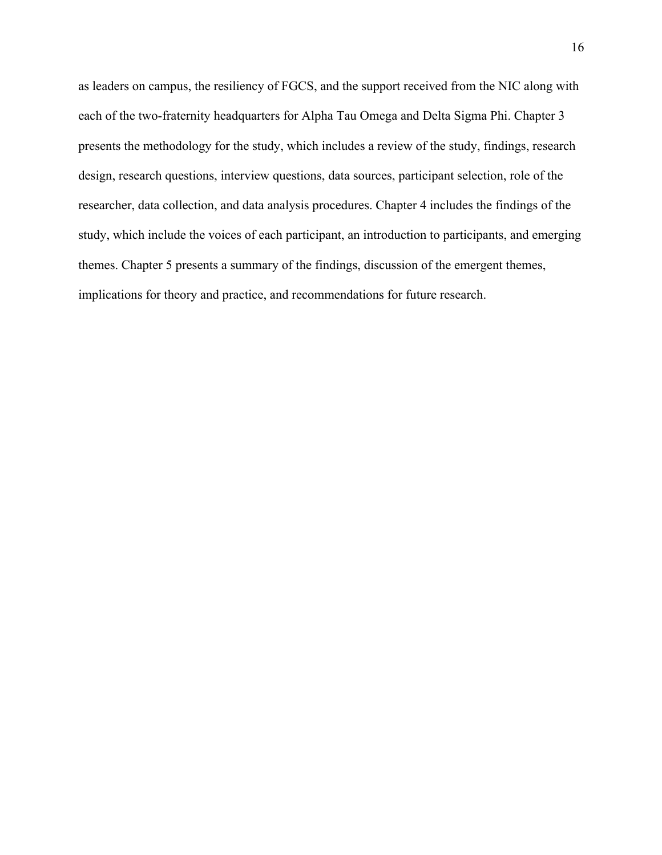as leaders on campus, the resiliency of FGCS, and the support received from the NIC along with each of the two-fraternity headquarters for Alpha Tau Omega and Delta Sigma Phi. Chapter 3 presents the methodology for the study, which includes a review of the study, findings, research design, research questions, interview questions, data sources, participant selection, role of the researcher, data collection, and data analysis procedures. Chapter 4 includes the findings of the study, which include the voices of each participant, an introduction to participants, and emerging themes. Chapter 5 presents a summary of the findings, discussion of the emergent themes, implications for theory and practice, and recommendations for future research.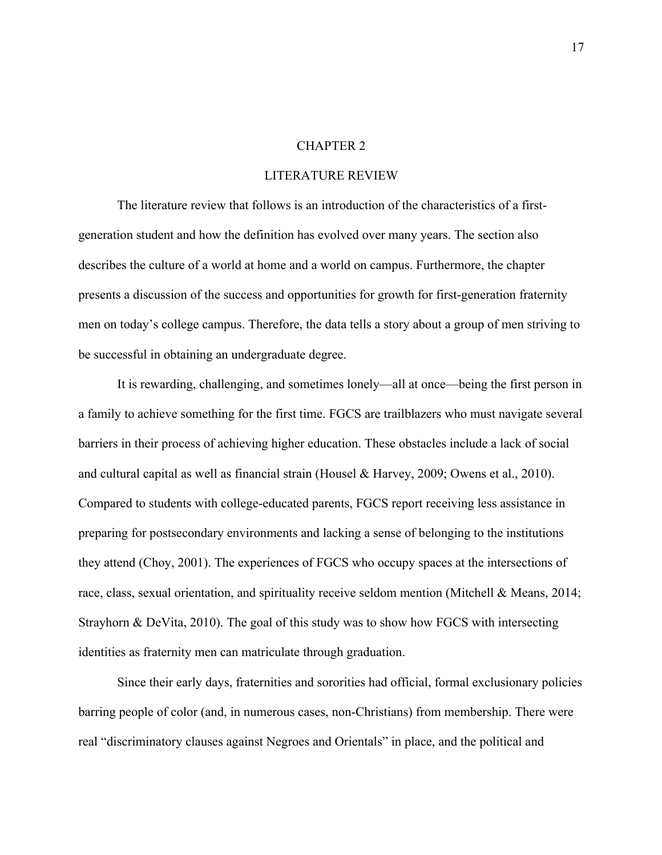#### CHAPTER 2

## LITERATURE REVIEW

The literature review that follows is an introduction of the characteristics of a firstgeneration student and how the definition has evolved over many years. The section also describes the culture of a world at home and a world on campus. Furthermore, the chapter presents a discussion of the success and opportunities for growth for first-generation fraternity men on today's college campus. Therefore, the data tells a story about a group of men striving to be successful in obtaining an undergraduate degree.

It is rewarding, challenging, and sometimes lonely—all at once—being the first person in a family to achieve something for the first time. FGCS are trailblazers who must navigate several barriers in their process of achieving higher education. These obstacles include a lack of social and cultural capital as well as financial strain (Housel & Harvey, 2009; Owens et al., 2010). Compared to students with college-educated parents, FGCS report receiving less assistance in preparing for postsecondary environments and lacking a sense of belonging to the institutions they attend (Choy, 2001). The experiences of FGCS who occupy spaces at the intersections of race, class, sexual orientation, and spirituality receive seldom mention (Mitchell & Means, 2014; Strayhorn & DeVita, 2010). The goal of this study was to show how FGCS with intersecting identities as fraternity men can matriculate through graduation.

Since their early days, fraternities and sororities had official, formal exclusionary policies barring people of color (and, in numerous cases, non-Christians) from membership. There were real "discriminatory clauses against Negroes and Orientals" in place, and the political and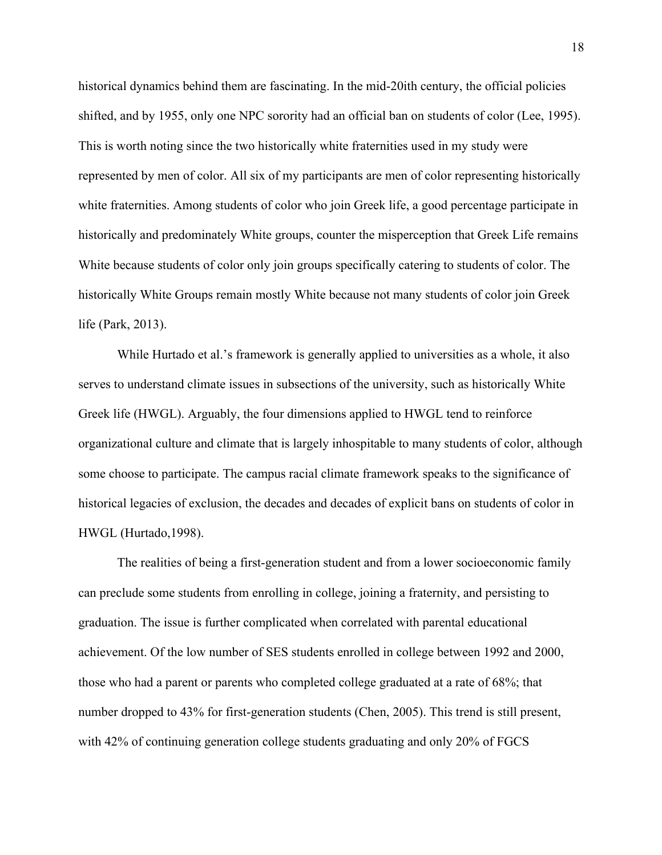historical dynamics behind them are fascinating. In the mid-20ith century, the official policies shifted, and by 1955, only one NPC sorority had an official ban on students of color (Lee, 1995). This is worth noting since the two historically white fraternities used in my study were represented by men of color. All six of my participants are men of color representing historically white fraternities. Among students of color who join Greek life, a good percentage participate in historically and predominately White groups, counter the misperception that Greek Life remains White because students of color only join groups specifically catering to students of color. The historically White Groups remain mostly White because not many students of color join Greek life (Park, 2013).

While Hurtado et al.'s framework is generally applied to universities as a whole, it also serves to understand climate issues in subsections of the university, such as historically White Greek life (HWGL). Arguably, the four dimensions applied to HWGL tend to reinforce organizational culture and climate that is largely inhospitable to many students of color, although some choose to participate. The campus racial climate framework speaks to the significance of historical legacies of exclusion, the decades and decades of explicit bans on students of color in HWGL (Hurtado,1998).

The realities of being a first-generation student and from a lower socioeconomic family can preclude some students from enrolling in college, joining a fraternity, and persisting to graduation. The issue is further complicated when correlated with parental educational achievement. Of the low number of SES students enrolled in college between 1992 and 2000, those who had a parent or parents who completed college graduated at a rate of 68%; that number dropped to 43% for first-generation students (Chen, 2005). This trend is still present, with 42% of continuing generation college students graduating and only 20% of FGCS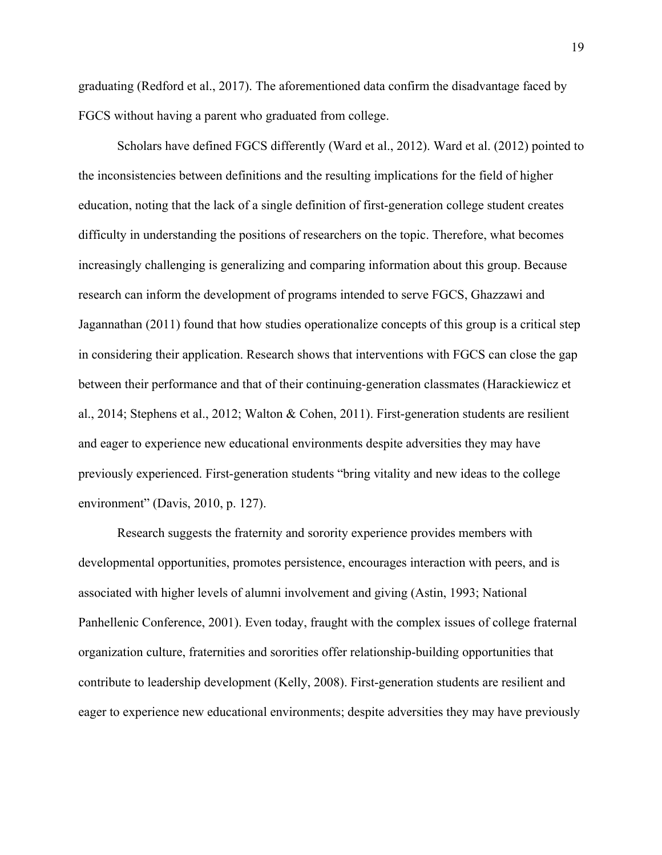graduating (Redford et al., 2017). The aforementioned data confirm the disadvantage faced by FGCS without having a parent who graduated from college.

Scholars have defined FGCS differently (Ward et al., 2012). Ward et al. (2012) pointed to the inconsistencies between definitions and the resulting implications for the field of higher education, noting that the lack of a single definition of first-generation college student creates difficulty in understanding the positions of researchers on the topic. Therefore, what becomes increasingly challenging is generalizing and comparing information about this group. Because research can inform the development of programs intended to serve FGCS, Ghazzawi and Jagannathan (2011) found that how studies operationalize concepts of this group is a critical step in considering their application. Research shows that interventions with FGCS can close the gap between their performance and that of their continuing-generation classmates (Harackiewicz et al., 2014; Stephens et al., 2012; Walton & Cohen, 2011). First-generation students are resilient and eager to experience new educational environments despite adversities they may have previously experienced. First-generation students "bring vitality and new ideas to the college environment" (Davis, 2010, p. 127).

Research suggests the fraternity and sorority experience provides members with developmental opportunities, promotes persistence, encourages interaction with peers, and is associated with higher levels of alumni involvement and giving (Astin, 1993; National Panhellenic Conference, 2001). Even today, fraught with the complex issues of college fraternal organization culture, fraternities and sororities offer relationship-building opportunities that contribute to leadership development (Kelly, 2008). First-generation students are resilient and eager to experience new educational environments; despite adversities they may have previously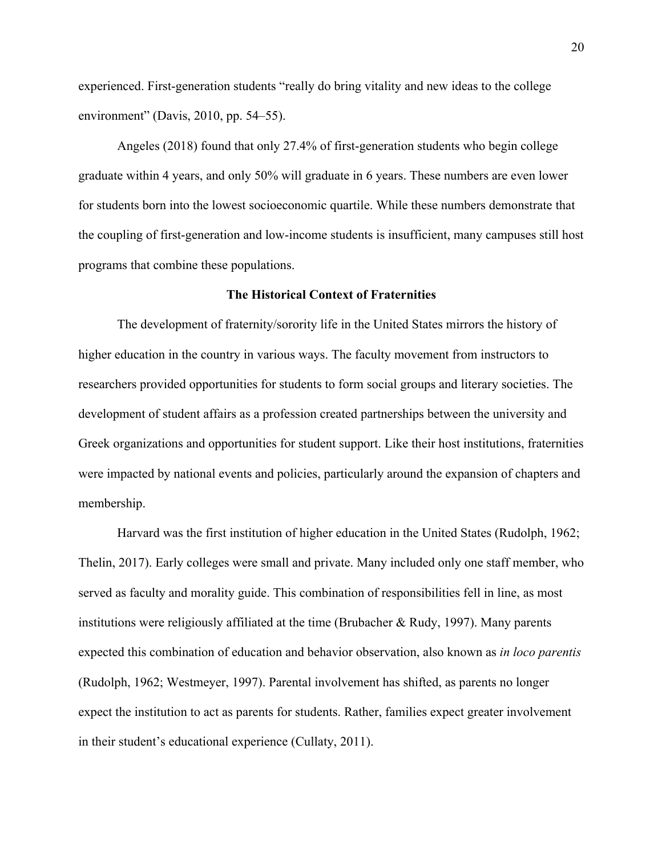experienced. First-generation students "really do bring vitality and new ideas to the college environment" (Davis, 2010, pp. 54–55).

Angeles (2018) found that only 27.4% of first-generation students who begin college graduate within 4 years, and only 50% will graduate in 6 years. These numbers are even lower for students born into the lowest socioeconomic quartile. While these numbers demonstrate that the coupling of first-generation and low-income students is insufficient, many campuses still host programs that combine these populations.

#### **The Historical Context of Fraternities**

The development of fraternity/sorority life in the United States mirrors the history of higher education in the country in various ways. The faculty movement from instructors to researchers provided opportunities for students to form social groups and literary societies. The development of student affairs as a profession created partnerships between the university and Greek organizations and opportunities for student support. Like their host institutions, fraternities were impacted by national events and policies, particularly around the expansion of chapters and membership.

Harvard was the first institution of higher education in the United States (Rudolph, 1962; Thelin, 2017). Early colleges were small and private. Many included only one staff member, who served as faculty and morality guide. This combination of responsibilities fell in line, as most institutions were religiously affiliated at the time (Brubacher & Rudy, 1997). Many parents expected this combination of education and behavior observation, also known as *in loco parentis* (Rudolph, 1962; Westmeyer, 1997). Parental involvement has shifted, as parents no longer expect the institution to act as parents for students. Rather, families expect greater involvement in their student's educational experience (Cullaty, 2011).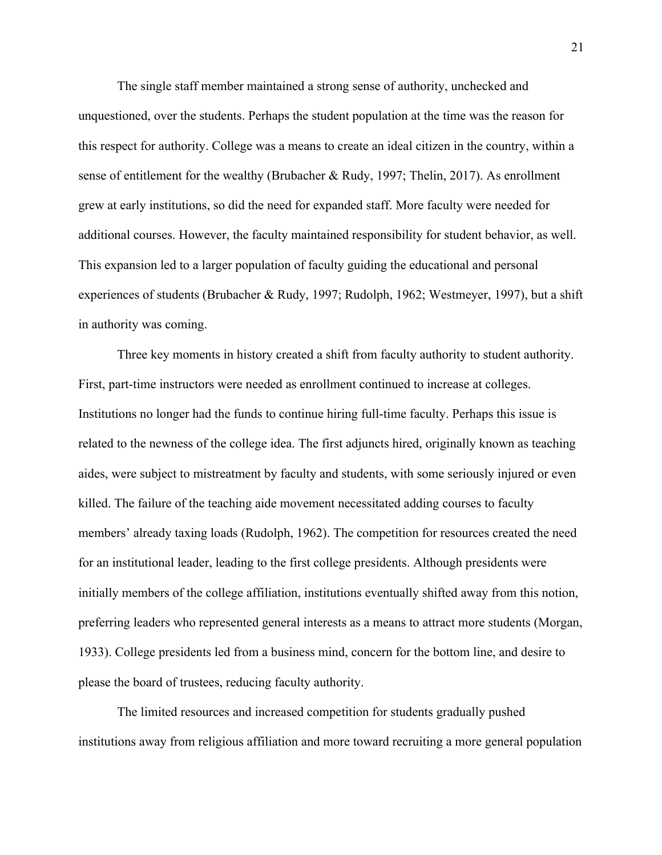The single staff member maintained a strong sense of authority, unchecked and unquestioned, over the students. Perhaps the student population at the time was the reason for this respect for authority. College was a means to create an ideal citizen in the country, within a sense of entitlement for the wealthy (Brubacher & Rudy, 1997; Thelin, 2017). As enrollment grew at early institutions, so did the need for expanded staff. More faculty were needed for additional courses. However, the faculty maintained responsibility for student behavior, as well. This expansion led to a larger population of faculty guiding the educational and personal experiences of students (Brubacher & Rudy, 1997; Rudolph, 1962; Westmeyer, 1997), but a shift in authority was coming.

Three key moments in history created a shift from faculty authority to student authority. First, part-time instructors were needed as enrollment continued to increase at colleges. Institutions no longer had the funds to continue hiring full-time faculty. Perhaps this issue is related to the newness of the college idea. The first adjuncts hired, originally known as teaching aides, were subject to mistreatment by faculty and students, with some seriously injured or even killed. The failure of the teaching aide movement necessitated adding courses to faculty members' already taxing loads (Rudolph, 1962). The competition for resources created the need for an institutional leader, leading to the first college presidents. Although presidents were initially members of the college affiliation, institutions eventually shifted away from this notion, preferring leaders who represented general interests as a means to attract more students (Morgan, 1933). College presidents led from a business mind, concern for the bottom line, and desire to please the board of trustees, reducing faculty authority.

The limited resources and increased competition for students gradually pushed institutions away from religious affiliation and more toward recruiting a more general population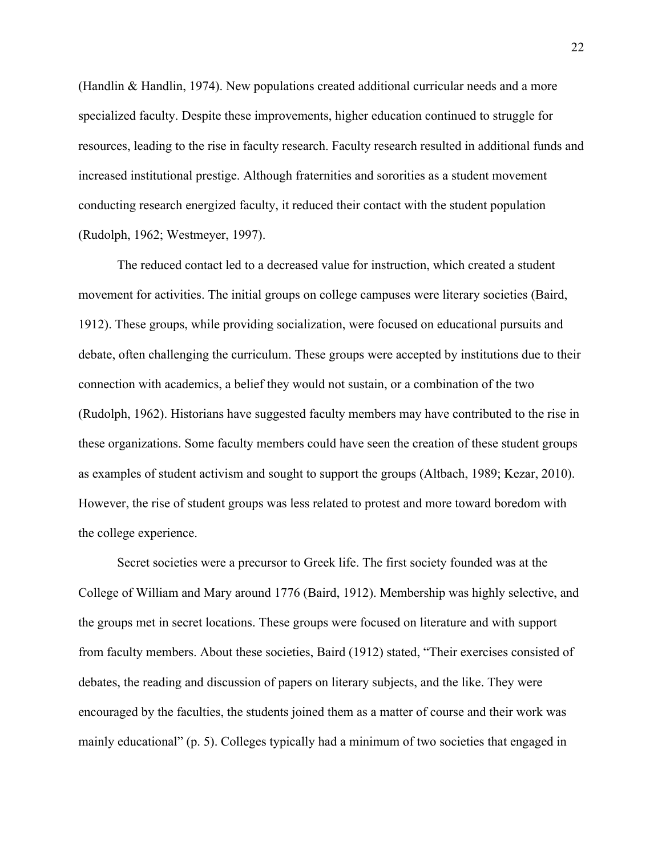(Handlin & Handlin, 1974). New populations created additional curricular needs and a more specialized faculty. Despite these improvements, higher education continued to struggle for resources, leading to the rise in faculty research. Faculty research resulted in additional funds and increased institutional prestige. Although fraternities and sororities as a student movement conducting research energized faculty, it reduced their contact with the student population (Rudolph, 1962; Westmeyer, 1997).

The reduced contact led to a decreased value for instruction, which created a student movement for activities. The initial groups on college campuses were literary societies (Baird, 1912). These groups, while providing socialization, were focused on educational pursuits and debate, often challenging the curriculum. These groups were accepted by institutions due to their connection with academics, a belief they would not sustain, or a combination of the two (Rudolph, 1962). Historians have suggested faculty members may have contributed to the rise in these organizations. Some faculty members could have seen the creation of these student groups as examples of student activism and sought to support the groups (Altbach, 1989; Kezar, 2010). However, the rise of student groups was less related to protest and more toward boredom with the college experience.

Secret societies were a precursor to Greek life. The first society founded was at the College of William and Mary around 1776 (Baird, 1912). Membership was highly selective, and the groups met in secret locations. These groups were focused on literature and with support from faculty members. About these societies, Baird (1912) stated, "Their exercises consisted of debates, the reading and discussion of papers on literary subjects, and the like. They were encouraged by the faculties, the students joined them as a matter of course and their work was mainly educational" (p. 5). Colleges typically had a minimum of two societies that engaged in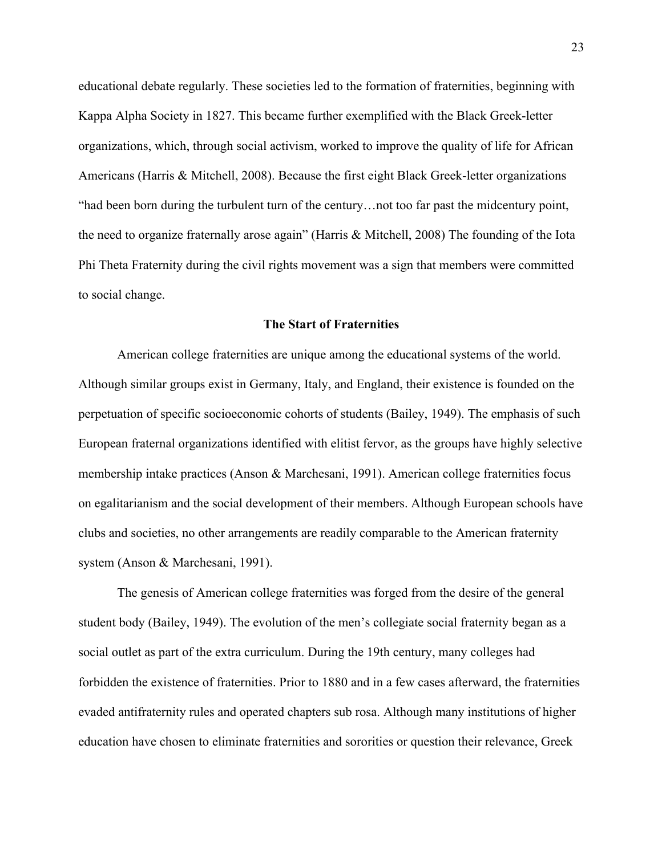educational debate regularly. These societies led to the formation of fraternities, beginning with Kappa Alpha Society in 1827. This became further exemplified with the Black Greek-letter organizations, which, through social activism, worked to improve the quality of life for African Americans (Harris & Mitchell, 2008). Because the first eight Black Greek-letter organizations "had been born during the turbulent turn of the century…not too far past the midcentury point, the need to organize fraternally arose again" (Harris & Mitchell, 2008) The founding of the Iota Phi Theta Fraternity during the civil rights movement was a sign that members were committed to social change.

### **The Start of Fraternities**

American college fraternities are unique among the educational systems of the world. Although similar groups exist in Germany, Italy, and England, their existence is founded on the perpetuation of specific socioeconomic cohorts of students (Bailey, 1949). The emphasis of such European fraternal organizations identified with elitist fervor, as the groups have highly selective membership intake practices (Anson & Marchesani, 1991). American college fraternities focus on egalitarianism and the social development of their members. Although European schools have clubs and societies, no other arrangements are readily comparable to the American fraternity system (Anson & Marchesani, 1991).

The genesis of American college fraternities was forged from the desire of the general student body (Bailey, 1949). The evolution of the men's collegiate social fraternity began as a social outlet as part of the extra curriculum. During the 19th century, many colleges had forbidden the existence of fraternities. Prior to 1880 and in a few cases afterward, the fraternities evaded antifraternity rules and operated chapters sub rosa. Although many institutions of higher education have chosen to eliminate fraternities and sororities or question their relevance, Greek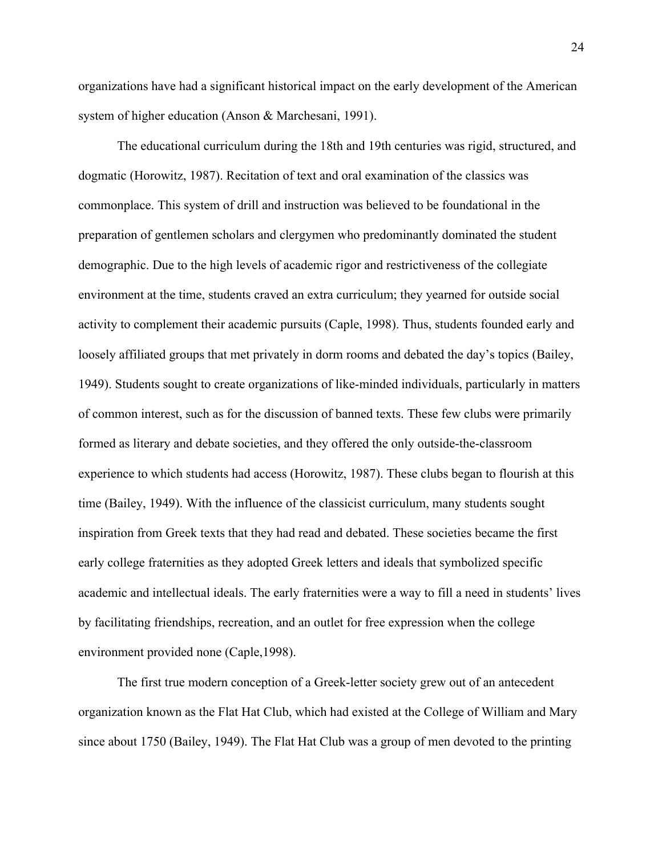organizations have had a significant historical impact on the early development of the American system of higher education (Anson & Marchesani, 1991).

The educational curriculum during the 18th and 19th centuries was rigid, structured, and dogmatic (Horowitz, 1987). Recitation of text and oral examination of the classics was commonplace. This system of drill and instruction was believed to be foundational in the preparation of gentlemen scholars and clergymen who predominantly dominated the student demographic. Due to the high levels of academic rigor and restrictiveness of the collegiate environment at the time, students craved an extra curriculum; they yearned for outside social activity to complement their academic pursuits (Caple, 1998). Thus, students founded early and loosely affiliated groups that met privately in dorm rooms and debated the day's topics (Bailey, 1949). Students sought to create organizations of like-minded individuals, particularly in matters of common interest, such as for the discussion of banned texts. These few clubs were primarily formed as literary and debate societies, and they offered the only outside-the-classroom experience to which students had access (Horowitz, 1987). These clubs began to flourish at this time (Bailey, 1949). With the influence of the classicist curriculum, many students sought inspiration from Greek texts that they had read and debated. These societies became the first early college fraternities as they adopted Greek letters and ideals that symbolized specific academic and intellectual ideals. The early fraternities were a way to fill a need in students' lives by facilitating friendships, recreation, and an outlet for free expression when the college environment provided none (Caple,1998).

The first true modern conception of a Greek-letter society grew out of an antecedent organization known as the Flat Hat Club, which had existed at the College of William and Mary since about 1750 (Bailey, 1949). The Flat Hat Club was a group of men devoted to the printing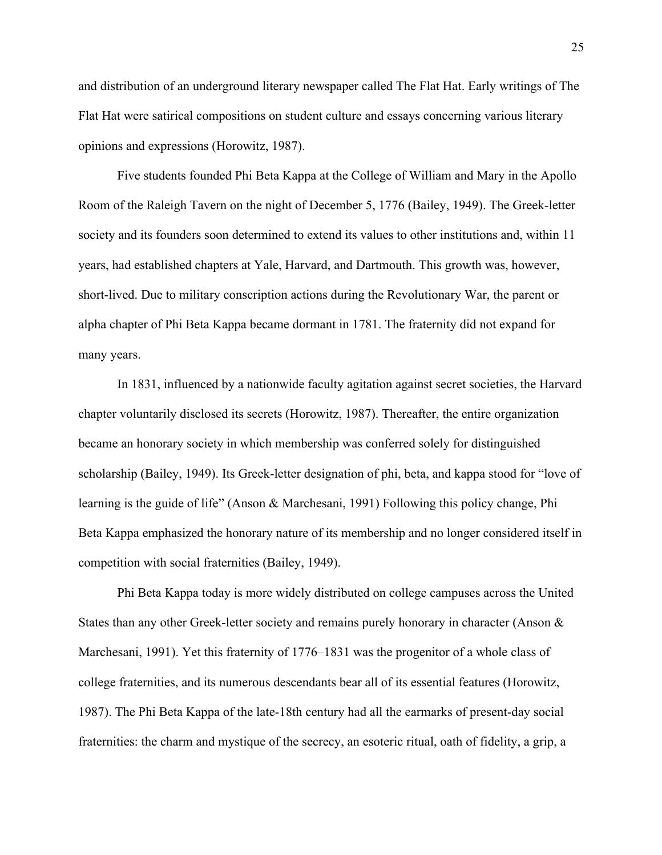and distribution of an underground literary newspaper called The Flat Hat. Early writings of The Flat Hat were satirical compositions on student culture and essays concerning various literary opinions and expressions (Horowitz, 1987).

Five students founded Phi Beta Kappa at the College of William and Mary in the Apollo Room of the Raleigh Tavern on the night of December 5, 1776 (Bailey, 1949). The Greek-letter society and its founders soon determined to extend its values to other institutions and, within 11 years, had established chapters at Yale, Harvard, and Dartmouth. This growth was, however, short-lived. Due to military conscription actions during the Revolutionary War, the parent or alpha chapter of Phi Beta Kappa became dormant in 1781. The fraternity did not expand for many years.

In 1831, influenced by a nationwide faculty agitation against secret societies, the Harvard chapter voluntarily disclosed its secrets (Horowitz, 1987). Thereafter, the entire organization became an honorary society in which membership was conferred solely for distinguished scholarship (Bailey, 1949). Its Greek-letter designation of phi, beta, and kappa stood for "love of learning is the guide of life" (Anson & Marchesani, 1991) Following this policy change, Phi Beta Kappa emphasized the honorary nature of its membership and no longer considered itself in competition with social fraternities (Bailey, 1949).

Phi Beta Kappa today is more widely distributed on college campuses across the United States than any other Greek-letter society and remains purely honorary in character (Anson & Marchesani, 1991). Yet this fraternity of 1776–1831 was the progenitor of a whole class of college fraternities, and its numerous descendants bear all of its essential features (Horowitz, 1987). The Phi Beta Kappa of the late-18th century had all the earmarks of present-day social fraternities: the charm and mystique of the secrecy, an esoteric ritual, oath of fidelity, a grip, a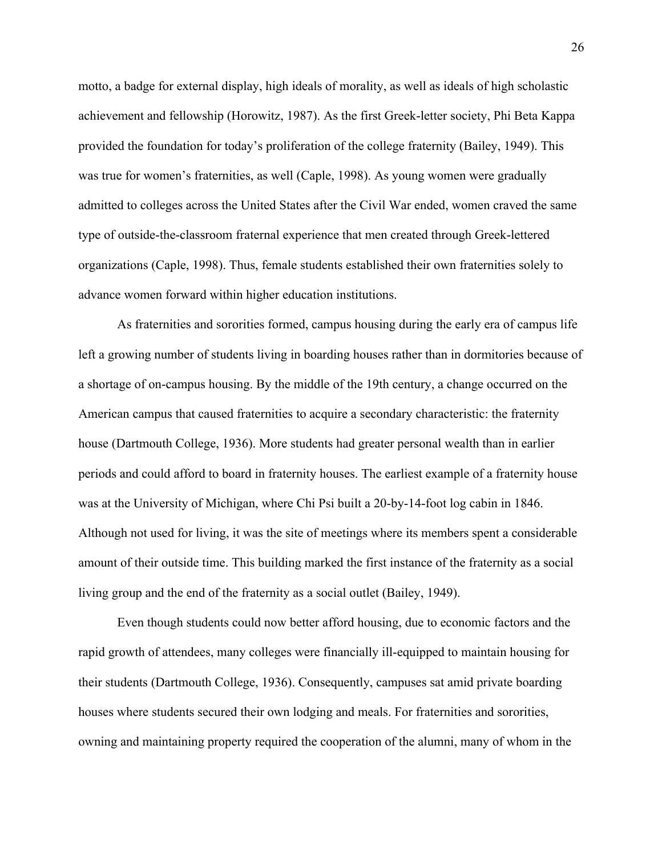motto, a badge for external display, high ideals of morality, as well as ideals of high scholastic achievement and fellowship (Horowitz, 1987). As the first Greek-letter society, Phi Beta Kappa provided the foundation for today's proliferation of the college fraternity (Bailey, 1949). This was true for women's fraternities, as well (Caple, 1998). As young women were gradually admitted to colleges across the United States after the Civil War ended, women craved the same type of outside-the-classroom fraternal experience that men created through Greek-lettered organizations (Caple, 1998). Thus, female students established their own fraternities solely to advance women forward within higher education institutions.

As fraternities and sororities formed, campus housing during the early era of campus life left a growing number of students living in boarding houses rather than in dormitories because of a shortage of on-campus housing. By the middle of the 19th century, a change occurred on the American campus that caused fraternities to acquire a secondary characteristic: the fraternity house (Dartmouth College, 1936). More students had greater personal wealth than in earlier periods and could afford to board in fraternity houses. The earliest example of a fraternity house was at the University of Michigan, where Chi Psi built a 20-by-14-foot log cabin in 1846. Although not used for living, it was the site of meetings where its members spent a considerable amount of their outside time. This building marked the first instance of the fraternity as a social living group and the end of the fraternity as a social outlet (Bailey, 1949).

Even though students could now better afford housing, due to economic factors and the rapid growth of attendees, many colleges were financially ill-equipped to maintain housing for their students (Dartmouth College, 1936). Consequently, campuses sat amid private boarding houses where students secured their own lodging and meals. For fraternities and sororities, owning and maintaining property required the cooperation of the alumni, many of whom in the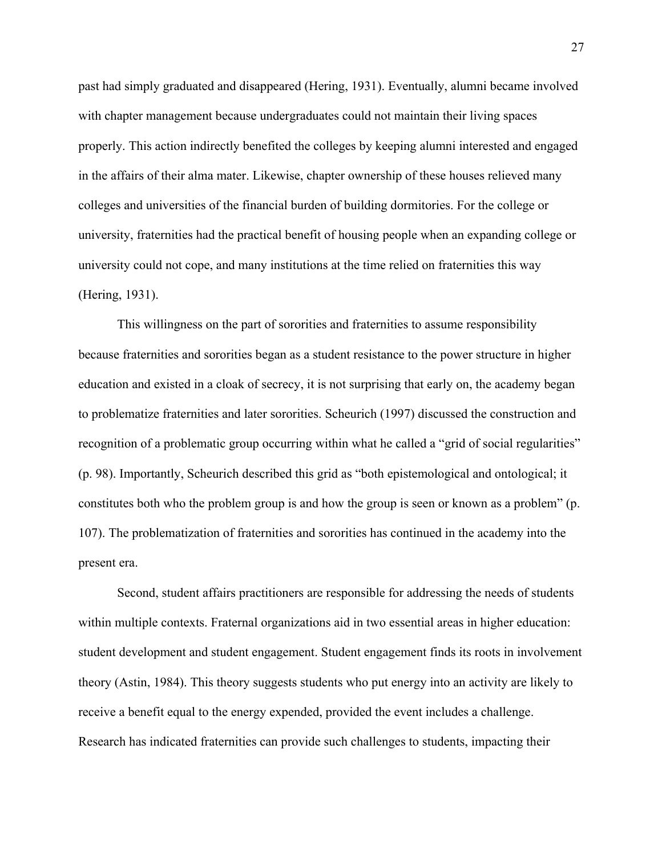past had simply graduated and disappeared (Hering, 1931). Eventually, alumni became involved with chapter management because undergraduates could not maintain their living spaces properly. This action indirectly benefited the colleges by keeping alumni interested and engaged in the affairs of their alma mater. Likewise, chapter ownership of these houses relieved many colleges and universities of the financial burden of building dormitories. For the college or university, fraternities had the practical benefit of housing people when an expanding college or university could not cope, and many institutions at the time relied on fraternities this way (Hering, 1931).

This willingness on the part of sororities and fraternities to assume responsibility because fraternities and sororities began as a student resistance to the power structure in higher education and existed in a cloak of secrecy, it is not surprising that early on, the academy began to problematize fraternities and later sororities. Scheurich (1997) discussed the construction and recognition of a problematic group occurring within what he called a "grid of social regularities" (p. 98). Importantly, Scheurich described this grid as "both epistemological and ontological; it constitutes both who the problem group is and how the group is seen or known as a problem" (p. 107). The problematization of fraternities and sororities has continued in the academy into the present era.

Second, student affairs practitioners are responsible for addressing the needs of students within multiple contexts. Fraternal organizations aid in two essential areas in higher education: student development and student engagement. Student engagement finds its roots in involvement theory (Astin, 1984). This theory suggests students who put energy into an activity are likely to receive a benefit equal to the energy expended, provided the event includes a challenge. Research has indicated fraternities can provide such challenges to students, impacting their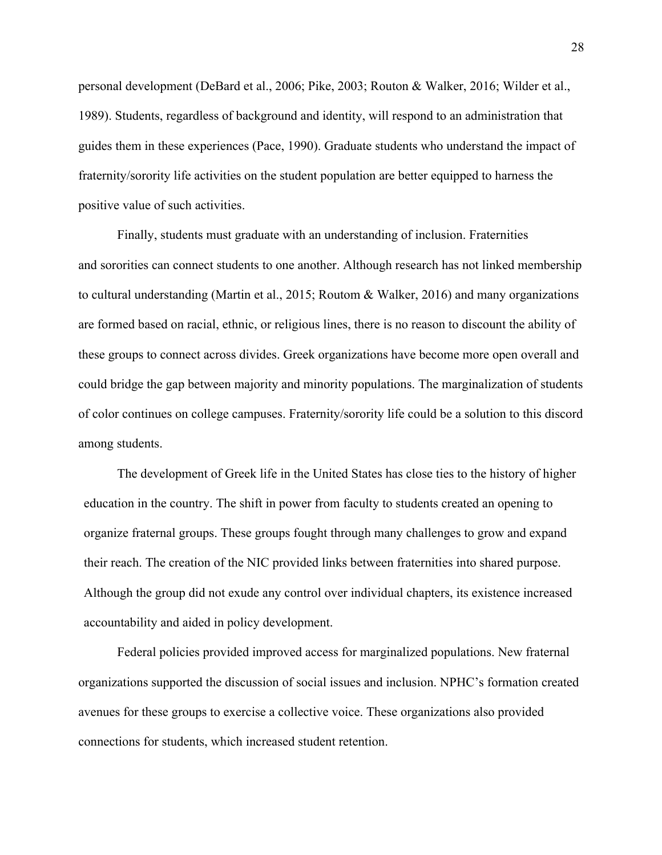personal development (DeBard et al., 2006; Pike, 2003; Routon & Walker, 2016; Wilder et al., 1989). Students, regardless of background and identity, will respond to an administration that guides them in these experiences (Pace, 1990). Graduate students who understand the impact of fraternity/sorority life activities on the student population are better equipped to harness the positive value of such activities.

Finally, students must graduate with an understanding of inclusion. Fraternities and sororities can connect students to one another. Although research has not linked membership to cultural understanding (Martin et al., 2015; Routom & Walker, 2016) and many organizations are formed based on racial, ethnic, or religious lines, there is no reason to discount the ability of these groups to connect across divides. Greek organizations have become more open overall and could bridge the gap between majority and minority populations. The marginalization of students of color continues on college campuses. Fraternity/sorority life could be a solution to this discord among students.

The development of Greek life in the United States has close ties to the history of higher education in the country. The shift in power from faculty to students created an opening to organize fraternal groups. These groups fought through many challenges to grow and expand their reach. The creation of the NIC provided links between fraternities into shared purpose. Although the group did not exude any control over individual chapters, its existence increased accountability and aided in policy development.

Federal policies provided improved access for marginalized populations. New fraternal organizations supported the discussion of social issues and inclusion. NPHC's formation created avenues for these groups to exercise a collective voice. These organizations also provided connections for students, which increased student retention.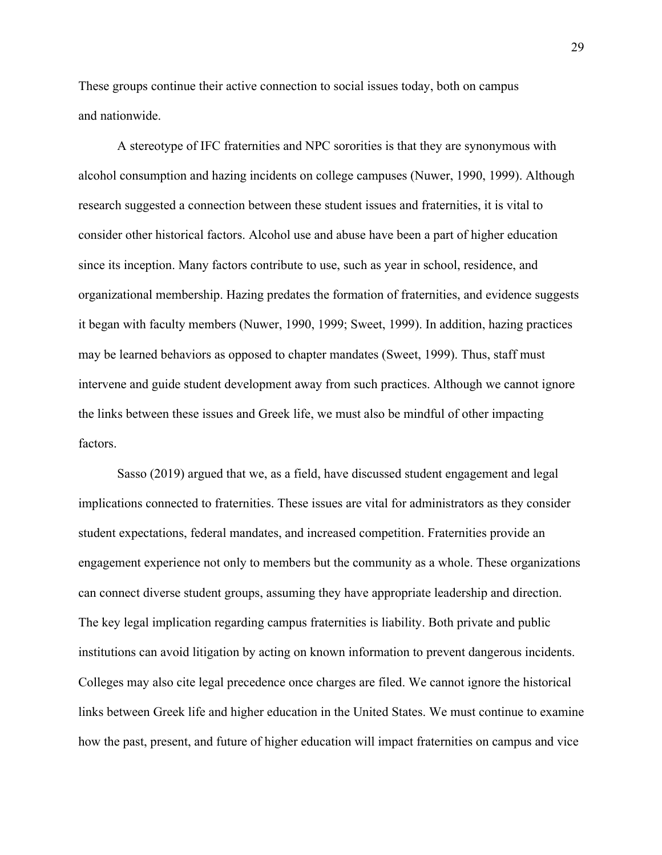These groups continue their active connection to social issues today, both on campus and nationwide.

A stereotype of IFC fraternities and NPC sororities is that they are synonymous with alcohol consumption and hazing incidents on college campuses (Nuwer, 1990, 1999). Although research suggested a connection between these student issues and fraternities, it is vital to consider other historical factors. Alcohol use and abuse have been a part of higher education since its inception. Many factors contribute to use, such as year in school, residence, and organizational membership. Hazing predates the formation of fraternities, and evidence suggests it began with faculty members (Nuwer, 1990, 1999; Sweet, 1999). In addition, hazing practices may be learned behaviors as opposed to chapter mandates (Sweet, 1999). Thus, staff must intervene and guide student development away from such practices. Although we cannot ignore the links between these issues and Greek life, we must also be mindful of other impacting factors.

Sasso (2019) argued that we, as a field, have discussed student engagement and legal implications connected to fraternities. These issues are vital for administrators as they consider student expectations, federal mandates, and increased competition. Fraternities provide an engagement experience not only to members but the community as a whole. These organizations can connect diverse student groups, assuming they have appropriate leadership and direction. The key legal implication regarding campus fraternities is liability. Both private and public institutions can avoid litigation by acting on known information to prevent dangerous incidents. Colleges may also cite legal precedence once charges are filed. We cannot ignore the historical links between Greek life and higher education in the United States. We must continue to examine how the past, present, and future of higher education will impact fraternities on campus and vice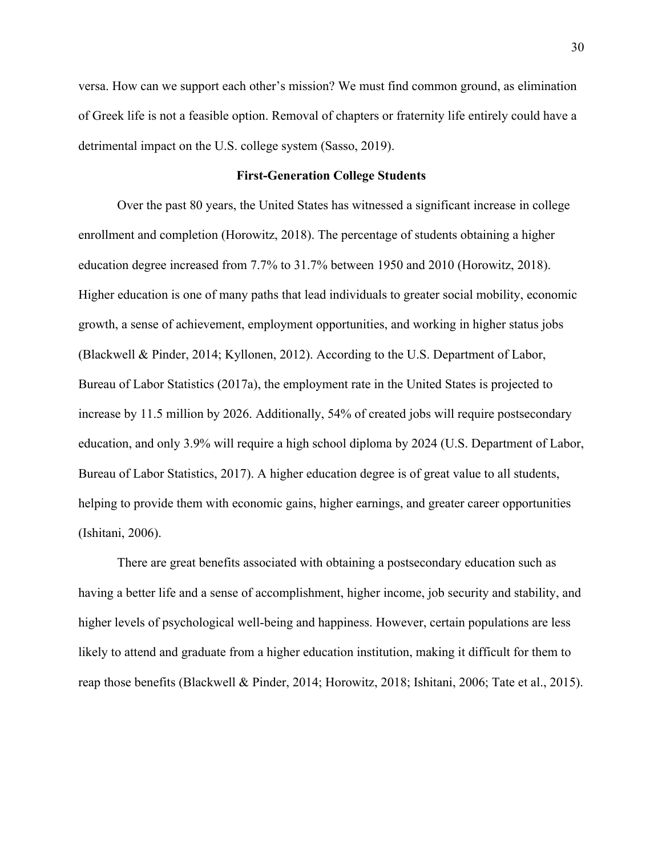versa. How can we support each other's mission? We must find common ground, as elimination of Greek life is not a feasible option. Removal of chapters or fraternity life entirely could have a detrimental impact on the U.S. college system (Sasso, 2019).

#### **First-Generation College Students**

Over the past 80 years, the United States has witnessed a significant increase in college enrollment and completion (Horowitz, 2018). The percentage of students obtaining a higher education degree increased from 7.7% to 31.7% between 1950 and 2010 (Horowitz, 2018). Higher education is one of many paths that lead individuals to greater social mobility, economic growth, a sense of achievement, employment opportunities, and working in higher status jobs (Blackwell & Pinder, 2014; Kyllonen, 2012). According to the U.S. Department of Labor, Bureau of Labor Statistics (2017a), the employment rate in the United States is projected to increase by 11.5 million by 2026. Additionally, 54% of created jobs will require postsecondary education, and only 3.9% will require a high school diploma by 2024 (U.S. Department of Labor, Bureau of Labor Statistics, 2017). A higher education degree is of great value to all students, helping to provide them with economic gains, higher earnings, and greater career opportunities (Ishitani, 2006).

There are great benefits associated with obtaining a postsecondary education such as having a better life and a sense of accomplishment, higher income, job security and stability, and higher levels of psychological well-being and happiness. However, certain populations are less likely to attend and graduate from a higher education institution, making it difficult for them to reap those benefits (Blackwell & Pinder, 2014; Horowitz, 2018; Ishitani, 2006; Tate et al., 2015).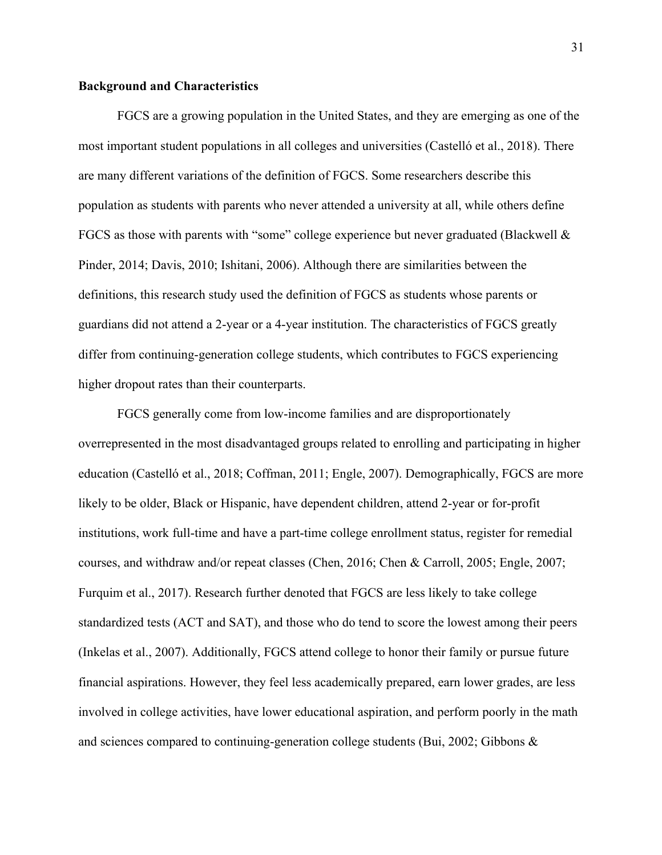# **Background and Characteristics**

FGCS are a growing population in the United States, and they are emerging as one of the most important student populations in all colleges and universities (Castelló et al., 2018). There are many different variations of the definition of FGCS. Some researchers describe this population as students with parents who never attended a university at all, while others define FGCS as those with parents with "some" college experience but never graduated (Blackwell & Pinder, 2014; Davis, 2010; Ishitani, 2006). Although there are similarities between the definitions, this research study used the definition of FGCS as students whose parents or guardians did not attend a 2-year or a 4-year institution. The characteristics of FGCS greatly differ from continuing-generation college students, which contributes to FGCS experiencing higher dropout rates than their counterparts.

FGCS generally come from low-income families and are disproportionately overrepresented in the most disadvantaged groups related to enrolling and participating in higher education (Castelló et al., 2018; Coffman, 2011; Engle, 2007). Demographically, FGCS are more likely to be older, Black or Hispanic, have dependent children, attend 2-year or for-profit institutions, work full-time and have a part-time college enrollment status, register for remedial courses, and withdraw and/or repeat classes (Chen, 2016; Chen & Carroll, 2005; Engle, 2007; Furquim et al., 2017). Research further denoted that FGCS are less likely to take college standardized tests (ACT and SAT), and those who do tend to score the lowest among their peers (Inkelas et al., 2007). Additionally, FGCS attend college to honor their family or pursue future financial aspirations. However, they feel less academically prepared, earn lower grades, are less involved in college activities, have lower educational aspiration, and perform poorly in the math and sciences compared to continuing-generation college students (Bui, 2002; Gibbons &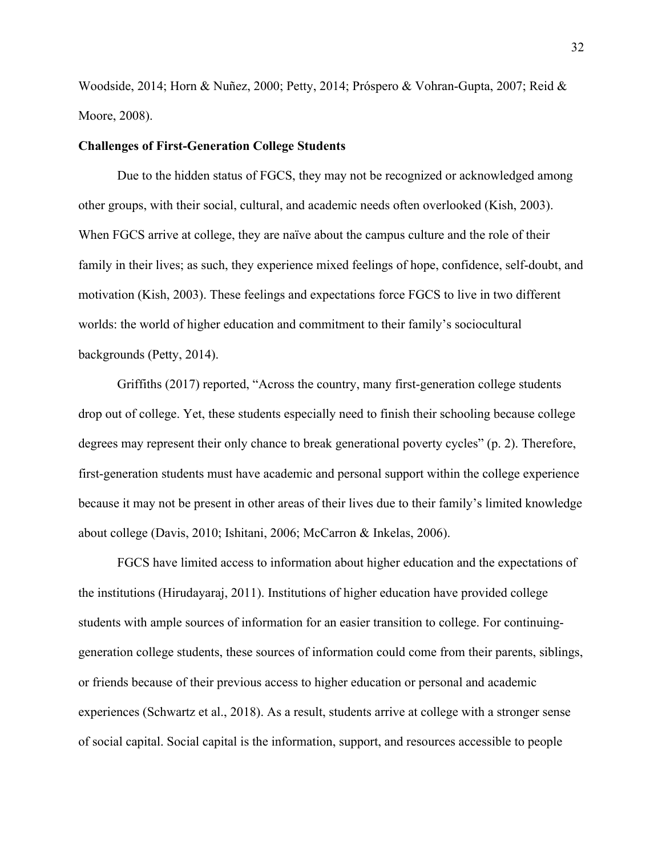Woodside, 2014; Horn & Nuñez, 2000; Petty, 2014; Próspero & Vohran-Gupta, 2007; Reid & Moore, 2008).

## **Challenges of First-Generation College Students**

Due to the hidden status of FGCS, they may not be recognized or acknowledged among other groups, with their social, cultural, and academic needs often overlooked (Kish, 2003). When FGCS arrive at college, they are naïve about the campus culture and the role of their family in their lives; as such, they experience mixed feelings of hope, confidence, self-doubt, and motivation (Kish, 2003). These feelings and expectations force FGCS to live in two different worlds: the world of higher education and commitment to their family's sociocultural backgrounds (Petty, 2014).

Griffiths (2017) reported, "Across the country, many first-generation college students drop out of college. Yet, these students especially need to finish their schooling because college degrees may represent their only chance to break generational poverty cycles" (p. 2). Therefore, first-generation students must have academic and personal support within the college experience because it may not be present in other areas of their lives due to their family's limited knowledge about college (Davis, 2010; Ishitani, 2006; McCarron & Inkelas, 2006).

FGCS have limited access to information about higher education and the expectations of the institutions (Hirudayaraj, 2011). Institutions of higher education have provided college students with ample sources of information for an easier transition to college. For continuinggeneration college students, these sources of information could come from their parents, siblings, or friends because of their previous access to higher education or personal and academic experiences (Schwartz et al., 2018). As a result, students arrive at college with a stronger sense of social capital. Social capital is the information, support, and resources accessible to people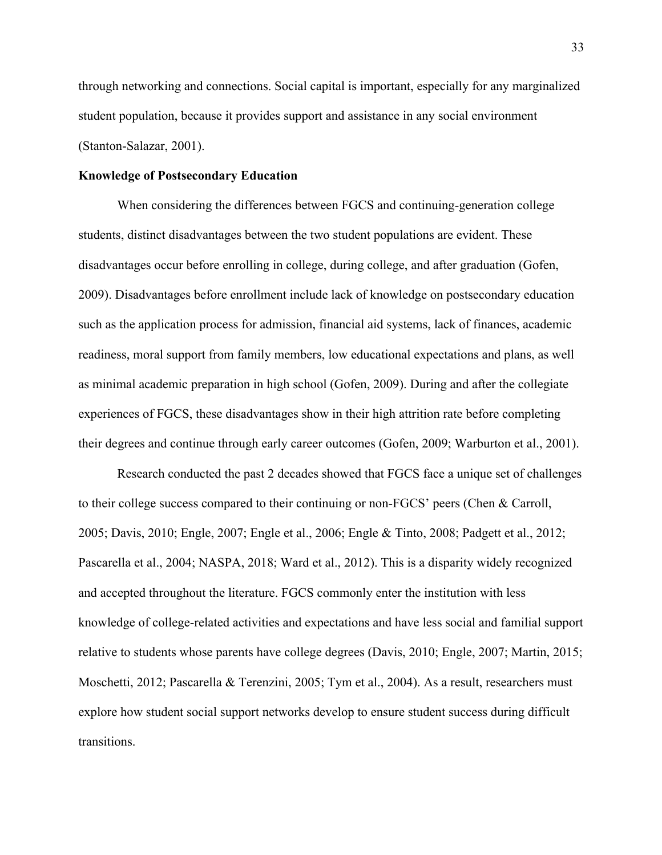through networking and connections. Social capital is important, especially for any marginalized student population, because it provides support and assistance in any social environment (Stanton-Salazar, 2001).

## **Knowledge of Postsecondary Education**

When considering the differences between FGCS and continuing-generation college students, distinct disadvantages between the two student populations are evident. These disadvantages occur before enrolling in college, during college, and after graduation (Gofen, 2009). Disadvantages before enrollment include lack of knowledge on postsecondary education such as the application process for admission, financial aid systems, lack of finances, academic readiness, moral support from family members, low educational expectations and plans, as well as minimal academic preparation in high school (Gofen, 2009). During and after the collegiate experiences of FGCS, these disadvantages show in their high attrition rate before completing their degrees and continue through early career outcomes (Gofen, 2009; Warburton et al., 2001).

Research conducted the past 2 decades showed that FGCS face a unique set of challenges to their college success compared to their continuing or non-FGCS' peers (Chen & Carroll, 2005; Davis, 2010; Engle, 2007; Engle et al., 2006; Engle & Tinto, 2008; Padgett et al., 2012; Pascarella et al., 2004; NASPA, 2018; Ward et al., 2012). This is a disparity widely recognized and accepted throughout the literature. FGCS commonly enter the institution with less knowledge of college-related activities and expectations and have less social and familial support relative to students whose parents have college degrees (Davis, 2010; Engle, 2007; Martin, 2015; Moschetti, 2012; Pascarella & Terenzini, 2005; Tym et al., 2004). As a result, researchers must explore how student social support networks develop to ensure student success during difficult transitions.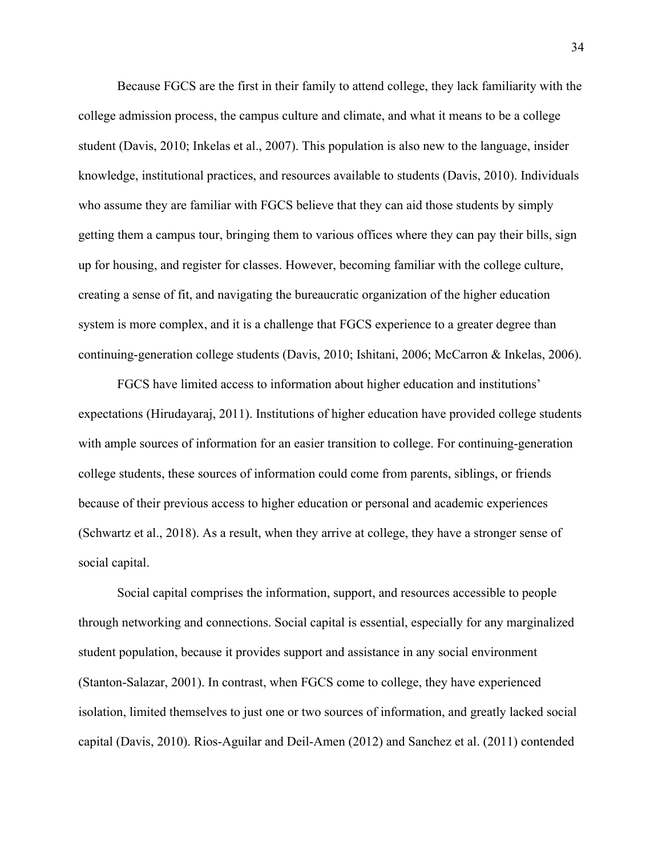Because FGCS are the first in their family to attend college, they lack familiarity with the college admission process, the campus culture and climate, and what it means to be a college student (Davis, 2010; Inkelas et al., 2007). This population is also new to the language, insider knowledge, institutional practices, and resources available to students (Davis, 2010). Individuals who assume they are familiar with FGCS believe that they can aid those students by simply getting them a campus tour, bringing them to various offices where they can pay their bills, sign up for housing, and register for classes. However, becoming familiar with the college culture, creating a sense of fit, and navigating the bureaucratic organization of the higher education system is more complex, and it is a challenge that FGCS experience to a greater degree than continuing-generation college students (Davis, 2010; Ishitani, 2006; McCarron & Inkelas, 2006).

FGCS have limited access to information about higher education and institutions' expectations (Hirudayaraj, 2011). Institutions of higher education have provided college students with ample sources of information for an easier transition to college. For continuing-generation college students, these sources of information could come from parents, siblings, or friends because of their previous access to higher education or personal and academic experiences (Schwartz et al., 2018). As a result, when they arrive at college, they have a stronger sense of social capital.

Social capital comprises the information, support, and resources accessible to people through networking and connections. Social capital is essential, especially for any marginalized student population, because it provides support and assistance in any social environment (Stanton-Salazar, 2001). In contrast, when FGCS come to college, they have experienced isolation, limited themselves to just one or two sources of information, and greatly lacked social capital (Davis, 2010). Rios-Aguilar and Deil-Amen (2012) and Sanchez et al. (2011) contended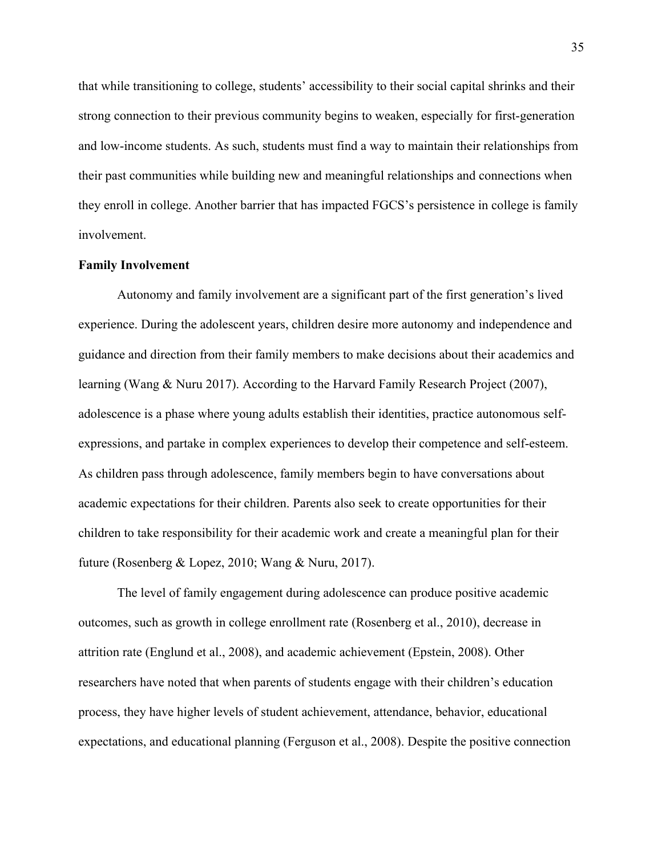that while transitioning to college, students' accessibility to their social capital shrinks and their strong connection to their previous community begins to weaken, especially for first-generation and low-income students. As such, students must find a way to maintain their relationships from their past communities while building new and meaningful relationships and connections when they enroll in college. Another barrier that has impacted FGCS's persistence in college is family involvement.

#### **Family Involvement**

Autonomy and family involvement are a significant part of the first generation's lived experience. During the adolescent years, children desire more autonomy and independence and guidance and direction from their family members to make decisions about their academics and learning (Wang & Nuru 2017). According to the Harvard Family Research Project (2007), adolescence is a phase where young adults establish their identities, practice autonomous selfexpressions, and partake in complex experiences to develop their competence and self-esteem. As children pass through adolescence, family members begin to have conversations about academic expectations for their children. Parents also seek to create opportunities for their children to take responsibility for their academic work and create a meaningful plan for their future (Rosenberg & Lopez, 2010; Wang & Nuru, 2017).

The level of family engagement during adolescence can produce positive academic outcomes, such as growth in college enrollment rate (Rosenberg et al., 2010), decrease in attrition rate (Englund et al., 2008), and academic achievement (Epstein, 2008). Other researchers have noted that when parents of students engage with their children's education process, they have higher levels of student achievement, attendance, behavior, educational expectations, and educational planning (Ferguson et al., 2008). Despite the positive connection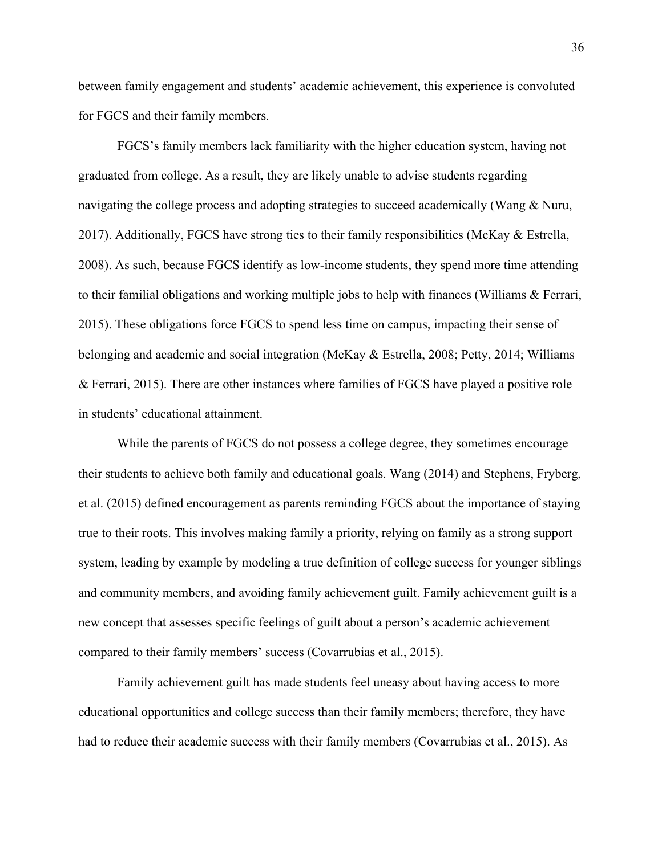between family engagement and students' academic achievement, this experience is convoluted for FGCS and their family members.

FGCS's family members lack familiarity with the higher education system, having not graduated from college. As a result, they are likely unable to advise students regarding navigating the college process and adopting strategies to succeed academically (Wang & Nuru, 2017). Additionally, FGCS have strong ties to their family responsibilities (McKay  $\&$  Estrella, 2008). As such, because FGCS identify as low-income students, they spend more time attending to their familial obligations and working multiple jobs to help with finances (Williams & Ferrari, 2015). These obligations force FGCS to spend less time on campus, impacting their sense of belonging and academic and social integration (McKay & Estrella, 2008; Petty, 2014; Williams & Ferrari, 2015). There are other instances where families of FGCS have played a positive role in students' educational attainment.

While the parents of FGCS do not possess a college degree, they sometimes encourage their students to achieve both family and educational goals. Wang (2014) and Stephens, Fryberg, et al. (2015) defined encouragement as parents reminding FGCS about the importance of staying true to their roots. This involves making family a priority, relying on family as a strong support system, leading by example by modeling a true definition of college success for younger siblings and community members, and avoiding family achievement guilt. Family achievement guilt is a new concept that assesses specific feelings of guilt about a person's academic achievement compared to their family members' success (Covarrubias et al., 2015).

Family achievement guilt has made students feel uneasy about having access to more educational opportunities and college success than their family members; therefore, they have had to reduce their academic success with their family members (Covarrubias et al., 2015). As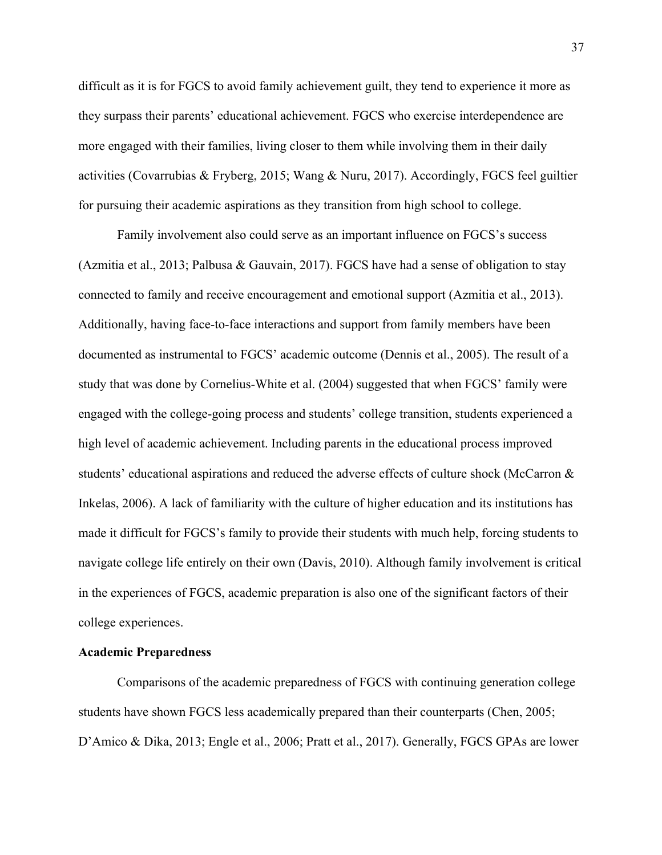difficult as it is for FGCS to avoid family achievement guilt, they tend to experience it more as they surpass their parents' educational achievement. FGCS who exercise interdependence are more engaged with their families, living closer to them while involving them in their daily activities (Covarrubias & Fryberg, 2015; Wang & Nuru, 2017). Accordingly, FGCS feel guiltier for pursuing their academic aspirations as they transition from high school to college.

Family involvement also could serve as an important influence on FGCS's success (Azmitia et al., 2013; Palbusa & Gauvain, 2017). FGCS have had a sense of obligation to stay connected to family and receive encouragement and emotional support (Azmitia et al., 2013). Additionally, having face-to-face interactions and support from family members have been documented as instrumental to FGCS' academic outcome (Dennis et al., 2005). The result of a study that was done by Cornelius-White et al. (2004) suggested that when FGCS' family were engaged with the college-going process and students' college transition, students experienced a high level of academic achievement. Including parents in the educational process improved students' educational aspirations and reduced the adverse effects of culture shock (McCarron & Inkelas, 2006). A lack of familiarity with the culture of higher education and its institutions has made it difficult for FGCS's family to provide their students with much help, forcing students to navigate college life entirely on their own (Davis, 2010). Although family involvement is critical in the experiences of FGCS, academic preparation is also one of the significant factors of their college experiences.

### **Academic Preparedness**

Comparisons of the academic preparedness of FGCS with continuing generation college students have shown FGCS less academically prepared than their counterparts (Chen, 2005; D'Amico & Dika, 2013; Engle et al., 2006; Pratt et al., 2017). Generally, FGCS GPAs are lower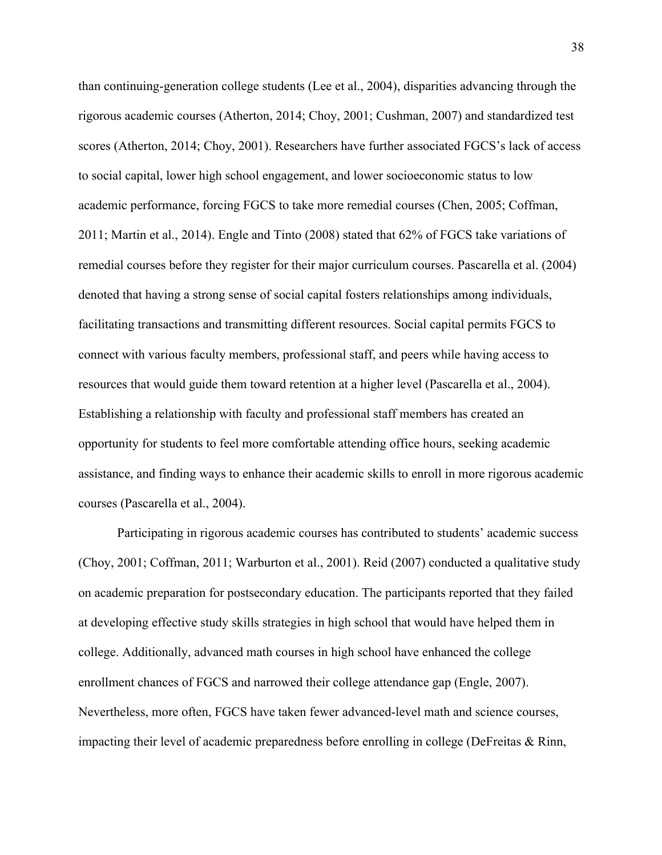than continuing-generation college students (Lee et al., 2004), disparities advancing through the rigorous academic courses (Atherton, 2014; Choy, 2001; Cushman, 2007) and standardized test scores (Atherton, 2014; Choy, 2001). Researchers have further associated FGCS's lack of access to social capital, lower high school engagement, and lower socioeconomic status to low academic performance, forcing FGCS to take more remedial courses (Chen, 2005; Coffman, 2011; Martin et al., 2014). Engle and Tinto (2008) stated that 62% of FGCS take variations of remedial courses before they register for their major curriculum courses. Pascarella et al. (2004) denoted that having a strong sense of social capital fosters relationships among individuals, facilitating transactions and transmitting different resources. Social capital permits FGCS to connect with various faculty members, professional staff, and peers while having access to resources that would guide them toward retention at a higher level (Pascarella et al., 2004). Establishing a relationship with faculty and professional staff members has created an opportunity for students to feel more comfortable attending office hours, seeking academic assistance, and finding ways to enhance their academic skills to enroll in more rigorous academic courses (Pascarella et al., 2004).

Participating in rigorous academic courses has contributed to students' academic success (Choy, 2001; Coffman, 2011; Warburton et al., 2001). Reid (2007) conducted a qualitative study on academic preparation for postsecondary education. The participants reported that they failed at developing effective study skills strategies in high school that would have helped them in college. Additionally, advanced math courses in high school have enhanced the college enrollment chances of FGCS and narrowed their college attendance gap (Engle, 2007). Nevertheless, more often, FGCS have taken fewer advanced-level math and science courses, impacting their level of academic preparedness before enrolling in college (DeFreitas & Rinn,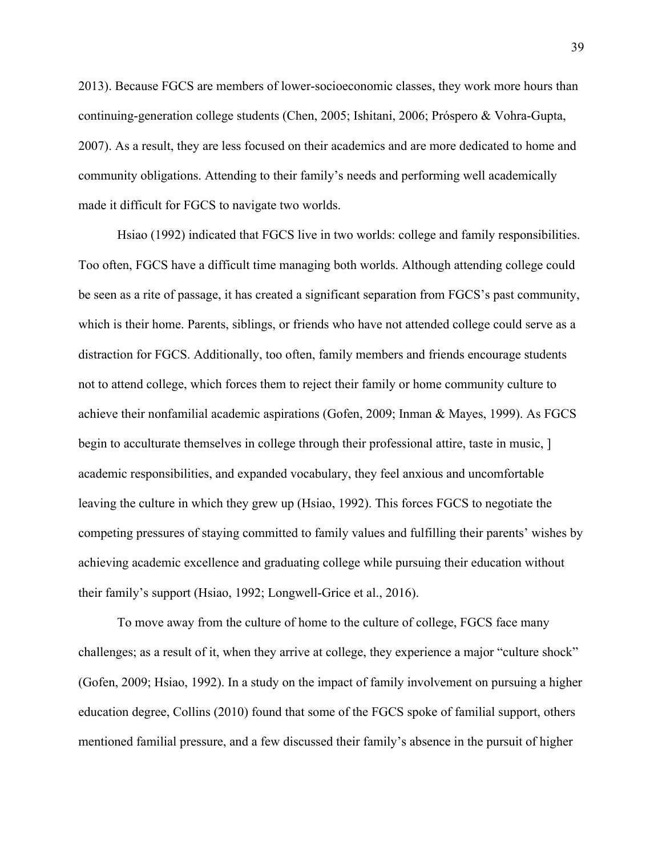2013). Because FGCS are members of lower-socioeconomic classes, they work more hours than continuing-generation college students (Chen, 2005; Ishitani, 2006; Próspero & Vohra-Gupta, 2007). As a result, they are less focused on their academics and are more dedicated to home and community obligations. Attending to their family's needs and performing well academically made it difficult for FGCS to navigate two worlds.

Hsiao (1992) indicated that FGCS live in two worlds: college and family responsibilities. Too often, FGCS have a difficult time managing both worlds. Although attending college could be seen as a rite of passage, it has created a significant separation from FGCS's past community, which is their home. Parents, siblings, or friends who have not attended college could serve as a distraction for FGCS. Additionally, too often, family members and friends encourage students not to attend college, which forces them to reject their family or home community culture to achieve their nonfamilial academic aspirations (Gofen, 2009; Inman & Mayes, 1999). As FGCS begin to acculturate themselves in college through their professional attire, taste in music, ] academic responsibilities, and expanded vocabulary, they feel anxious and uncomfortable leaving the culture in which they grew up (Hsiao, 1992). This forces FGCS to negotiate the competing pressures of staying committed to family values and fulfilling their parents' wishes by achieving academic excellence and graduating college while pursuing their education without their family's support (Hsiao, 1992; Longwell-Grice et al., 2016).

To move away from the culture of home to the culture of college, FGCS face many challenges; as a result of it, when they arrive at college, they experience a major "culture shock" (Gofen, 2009; Hsiao, 1992). In a study on the impact of family involvement on pursuing a higher education degree, Collins (2010) found that some of the FGCS spoke of familial support, others mentioned familial pressure, and a few discussed their family's absence in the pursuit of higher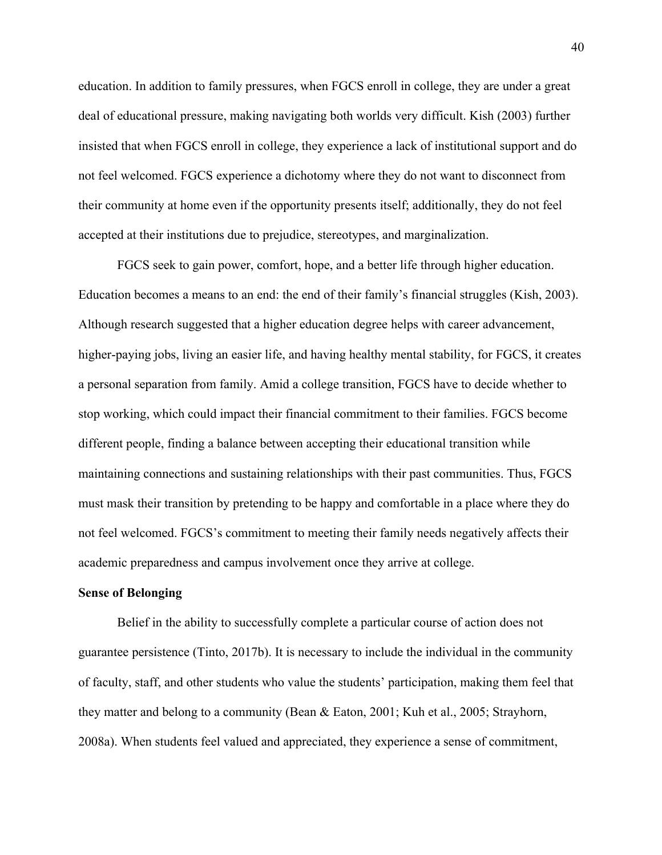education. In addition to family pressures, when FGCS enroll in college, they are under a great deal of educational pressure, making navigating both worlds very difficult. Kish (2003) further insisted that when FGCS enroll in college, they experience a lack of institutional support and do not feel welcomed. FGCS experience a dichotomy where they do not want to disconnect from their community at home even if the opportunity presents itself; additionally, they do not feel accepted at their institutions due to prejudice, stereotypes, and marginalization.

FGCS seek to gain power, comfort, hope, and a better life through higher education. Education becomes a means to an end: the end of their family's financial struggles (Kish, 2003). Although research suggested that a higher education degree helps with career advancement, higher-paying jobs, living an easier life, and having healthy mental stability, for FGCS, it creates a personal separation from family. Amid a college transition, FGCS have to decide whether to stop working, which could impact their financial commitment to their families. FGCS become different people, finding a balance between accepting their educational transition while maintaining connections and sustaining relationships with their past communities. Thus, FGCS must mask their transition by pretending to be happy and comfortable in a place where they do not feel welcomed. FGCS's commitment to meeting their family needs negatively affects their academic preparedness and campus involvement once they arrive at college.

#### **Sense of Belonging**

Belief in the ability to successfully complete a particular course of action does not guarantee persistence (Tinto, 2017b). It is necessary to include the individual in the community of faculty, staff, and other students who value the students' participation, making them feel that they matter and belong to a community (Bean & Eaton, 2001; Kuh et al., 2005; Strayhorn, 2008a). When students feel valued and appreciated, they experience a sense of commitment,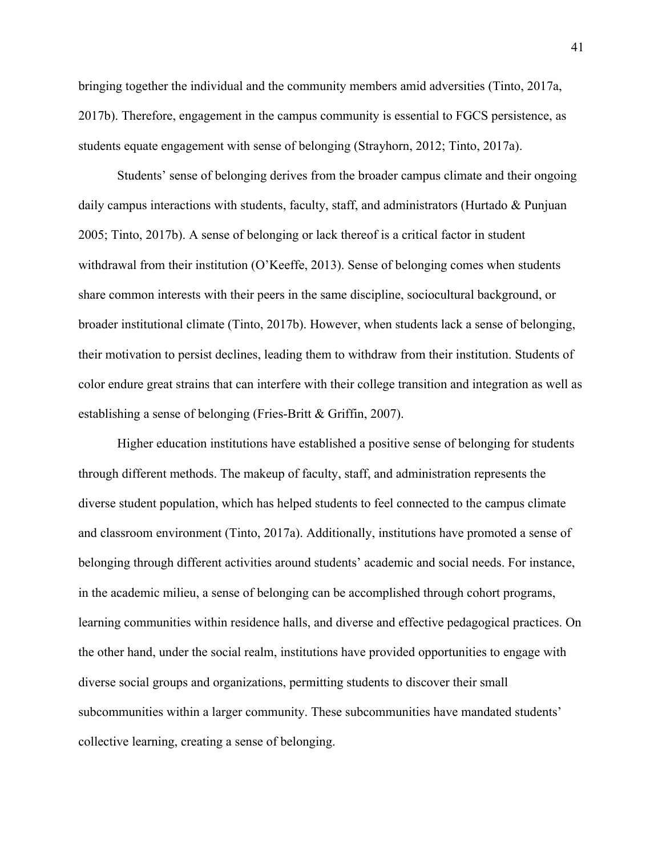bringing together the individual and the community members amid adversities (Tinto, 2017a, 2017b). Therefore, engagement in the campus community is essential to FGCS persistence, as students equate engagement with sense of belonging (Strayhorn, 2012; Tinto, 2017a).

Students' sense of belonging derives from the broader campus climate and their ongoing daily campus interactions with students, faculty, staff, and administrators (Hurtado & Punjuan 2005; Tinto, 2017b). A sense of belonging or lack thereof is a critical factor in student withdrawal from their institution (O'Keeffe, 2013). Sense of belonging comes when students share common interests with their peers in the same discipline, sociocultural background, or broader institutional climate (Tinto, 2017b). However, when students lack a sense of belonging, their motivation to persist declines, leading them to withdraw from their institution. Students of color endure great strains that can interfere with their college transition and integration as well as establishing a sense of belonging (Fries-Britt & Griffin, 2007).

Higher education institutions have established a positive sense of belonging for students through different methods. The makeup of faculty, staff, and administration represents the diverse student population, which has helped students to feel connected to the campus climate and classroom environment (Tinto, 2017a). Additionally, institutions have promoted a sense of belonging through different activities around students' academic and social needs. For instance, in the academic milieu, a sense of belonging can be accomplished through cohort programs, learning communities within residence halls, and diverse and effective pedagogical practices. On the other hand, under the social realm, institutions have provided opportunities to engage with diverse social groups and organizations, permitting students to discover their small subcommunities within a larger community. These subcommunities have mandated students' collective learning, creating a sense of belonging.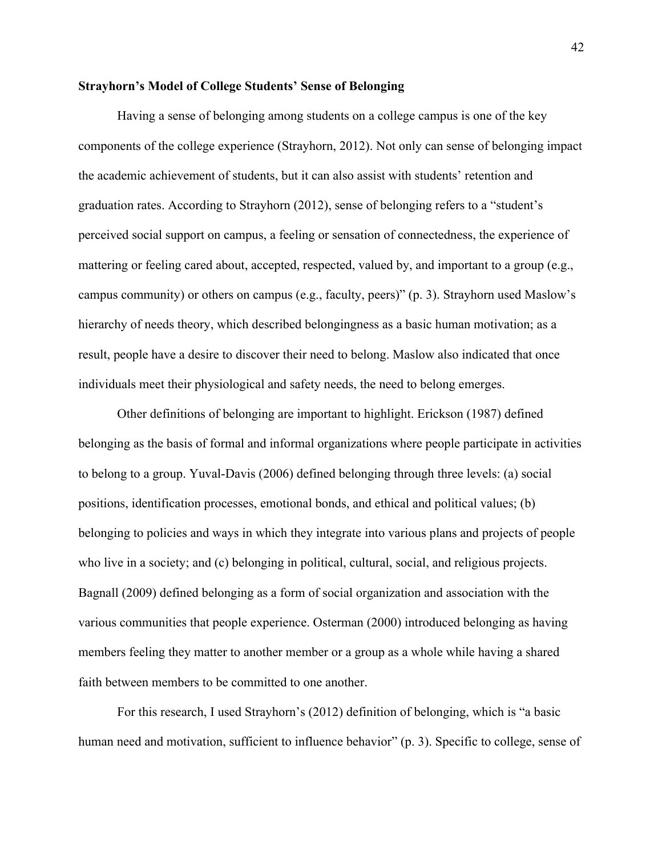## **Strayhorn's Model of College Students' Sense of Belonging**

Having a sense of belonging among students on a college campus is one of the key components of the college experience (Strayhorn, 2012). Not only can sense of belonging impact the academic achievement of students, but it can also assist with students' retention and graduation rates. According to Strayhorn (2012), sense of belonging refers to a "student's perceived social support on campus, a feeling or sensation of connectedness, the experience of mattering or feeling cared about, accepted, respected, valued by, and important to a group (e.g., campus community) or others on campus (e.g., faculty, peers)" (p. 3). Strayhorn used Maslow's hierarchy of needs theory, which described belongingness as a basic human motivation; as a result, people have a desire to discover their need to belong. Maslow also indicated that once individuals meet their physiological and safety needs, the need to belong emerges.

Other definitions of belonging are important to highlight. Erickson (1987) defined belonging as the basis of formal and informal organizations where people participate in activities to belong to a group. Yuval-Davis (2006) defined belonging through three levels: (a) social positions, identification processes, emotional bonds, and ethical and political values; (b) belonging to policies and ways in which they integrate into various plans and projects of people who live in a society; and (c) belonging in political, cultural, social, and religious projects. Bagnall (2009) defined belonging as a form of social organization and association with the various communities that people experience. Osterman (2000) introduced belonging as having members feeling they matter to another member or a group as a whole while having a shared faith between members to be committed to one another.

For this research, I used Strayhorn's (2012) definition of belonging, which is "a basic human need and motivation, sufficient to influence behavior" (p. 3). Specific to college, sense of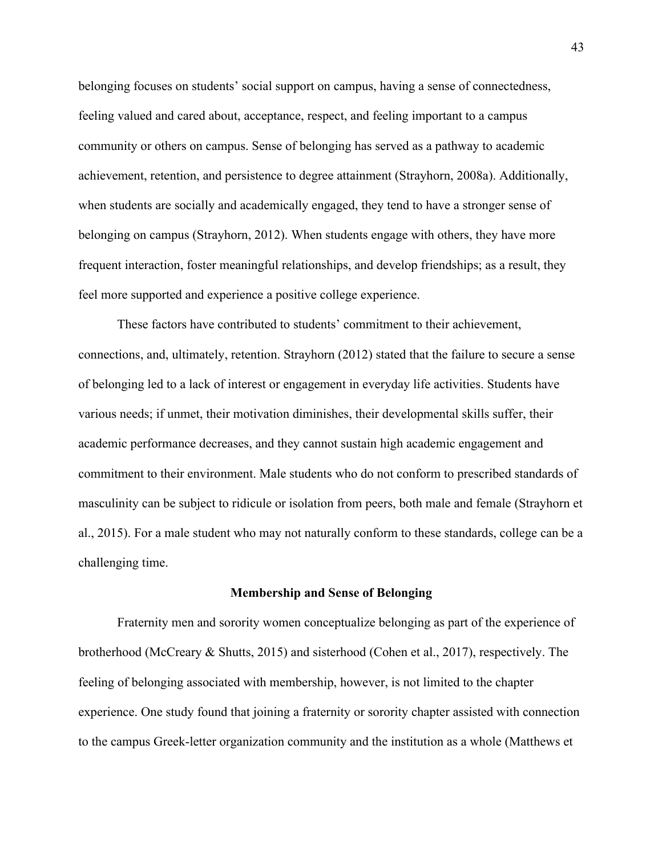belonging focuses on students' social support on campus, having a sense of connectedness, feeling valued and cared about, acceptance, respect, and feeling important to a campus community or others on campus. Sense of belonging has served as a pathway to academic achievement, retention, and persistence to degree attainment (Strayhorn, 2008a). Additionally, when students are socially and academically engaged, they tend to have a stronger sense of belonging on campus (Strayhorn, 2012). When students engage with others, they have more frequent interaction, foster meaningful relationships, and develop friendships; as a result, they feel more supported and experience a positive college experience.

These factors have contributed to students' commitment to their achievement, connections, and, ultimately, retention. Strayhorn (2012) stated that the failure to secure a sense of belonging led to a lack of interest or engagement in everyday life activities. Students have various needs; if unmet, their motivation diminishes, their developmental skills suffer, their academic performance decreases, and they cannot sustain high academic engagement and commitment to their environment. Male students who do not conform to prescribed standards of masculinity can be subject to ridicule or isolation from peers, both male and female (Strayhorn et al., 2015). For a male student who may not naturally conform to these standards, college can be a challenging time.

#### **Membership and Sense of Belonging**

Fraternity men and sorority women conceptualize belonging as part of the experience of brotherhood (McCreary & Shutts, 2015) and sisterhood (Cohen et al., 2017), respectively. The feeling of belonging associated with membership, however, is not limited to the chapter experience. One study found that joining a fraternity or sorority chapter assisted with connection to the campus Greek-letter organization community and the institution as a whole (Matthews et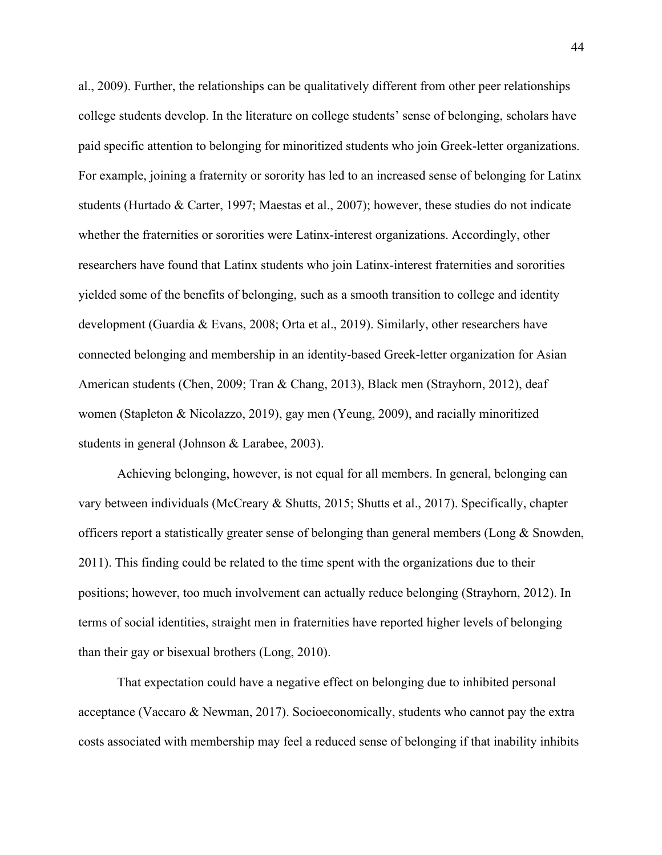al., 2009). Further, the relationships can be qualitatively different from other peer relationships college students develop. In the literature on college students' sense of belonging, scholars have paid specific attention to belonging for minoritized students who join Greek-letter organizations. For example, joining a fraternity or sorority has led to an increased sense of belonging for Latinx students (Hurtado & Carter, 1997; Maestas et al., 2007); however, these studies do not indicate whether the fraternities or sororities were Latinx-interest organizations. Accordingly, other researchers have found that Latinx students who join Latinx-interest fraternities and sororities yielded some of the benefits of belonging, such as a smooth transition to college and identity development (Guardia & Evans, 2008; Orta et al., 2019). Similarly, other researchers have connected belonging and membership in an identity-based Greek-letter organization for Asian American students (Chen, 2009; Tran & Chang, 2013), Black men (Strayhorn, 2012), deaf women (Stapleton & Nicolazzo, 2019), gay men (Yeung, 2009), and racially minoritized students in general (Johnson & Larabee, 2003).

Achieving belonging, however, is not equal for all members. In general, belonging can vary between individuals (McCreary & Shutts, 2015; Shutts et al., 2017). Specifically, chapter officers report a statistically greater sense of belonging than general members (Long & Snowden, 2011). This finding could be related to the time spent with the organizations due to their positions; however, too much involvement can actually reduce belonging (Strayhorn, 2012). In terms of social identities, straight men in fraternities have reported higher levels of belonging than their gay or bisexual brothers (Long, 2010).

That expectation could have a negative effect on belonging due to inhibited personal acceptance (Vaccaro & Newman, 2017). Socioeconomically, students who cannot pay the extra costs associated with membership may feel a reduced sense of belonging if that inability inhibits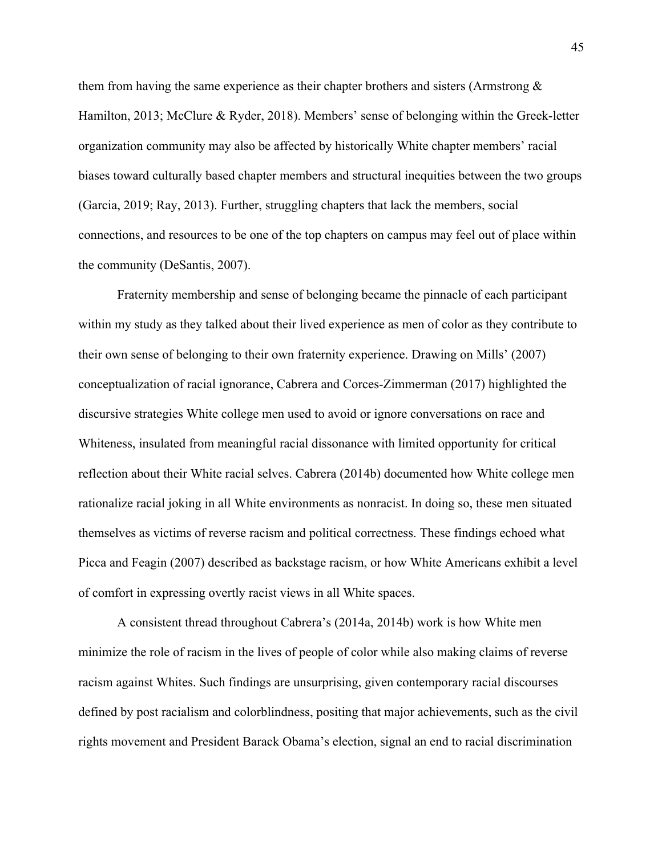them from having the same experience as their chapter brothers and sisters (Armstrong & Hamilton, 2013; McClure & Ryder, 2018). Members' sense of belonging within the Greek-letter organization community may also be affected by historically White chapter members' racial biases toward culturally based chapter members and structural inequities between the two groups (Garcia, 2019; Ray, 2013). Further, struggling chapters that lack the members, social connections, and resources to be one of the top chapters on campus may feel out of place within the community (DeSantis, 2007).

Fraternity membership and sense of belonging became the pinnacle of each participant within my study as they talked about their lived experience as men of color as they contribute to their own sense of belonging to their own fraternity experience. Drawing on Mills' (2007) conceptualization of racial ignorance, Cabrera and Corces-Zimmerman (2017) highlighted the discursive strategies White college men used to avoid or ignore conversations on race and Whiteness, insulated from meaningful racial dissonance with limited opportunity for critical reflection about their White racial selves. Cabrera (2014b) documented how White college men rationalize racial joking in all White environments as nonracist. In doing so, these men situated themselves as victims of reverse racism and political correctness. These findings echoed what Picca and Feagin (2007) described as backstage racism, or how White Americans exhibit a level of comfort in expressing overtly racist views in all White spaces.

A consistent thread throughout Cabrera's (2014a, 2014b) work is how White men minimize the role of racism in the lives of people of color while also making claims of reverse racism against Whites. Such findings are unsurprising, given contemporary racial discourses defined by post racialism and colorblindness, positing that major achievements, such as the civil rights movement and President Barack Obama's election, signal an end to racial discrimination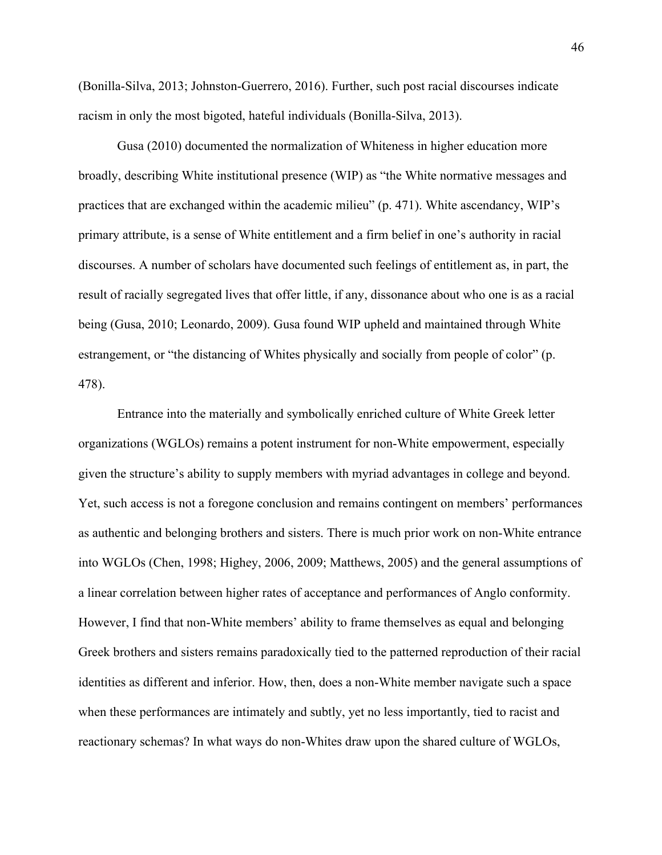(Bonilla-Silva, 2013; Johnston-Guerrero, 2016). Further, such post racial discourses indicate racism in only the most bigoted, hateful individuals (Bonilla-Silva, 2013).

Gusa (2010) documented the normalization of Whiteness in higher education more broadly, describing White institutional presence (WIP) as "the White normative messages and practices that are exchanged within the academic milieu" (p. 471). White ascendancy, WIP's primary attribute, is a sense of White entitlement and a firm belief in one's authority in racial discourses. A number of scholars have documented such feelings of entitlement as, in part, the result of racially segregated lives that offer little, if any, dissonance about who one is as a racial being (Gusa, 2010; Leonardo, 2009). Gusa found WIP upheld and maintained through White estrangement, or "the distancing of Whites physically and socially from people of color" (p. 478).

Entrance into the materially and symbolically enriched culture of White Greek letter organizations (WGLOs) remains a potent instrument for non-White empowerment, especially given the structure's ability to supply members with myriad advantages in college and beyond. Yet, such access is not a foregone conclusion and remains contingent on members' performances as authentic and belonging brothers and sisters. There is much prior work on non-White entrance into WGLOs (Chen, 1998; Highey, 2006, 2009; Matthews, 2005) and the general assumptions of a linear correlation between higher rates of acceptance and performances of Anglo conformity. However, I find that non-White members' ability to frame themselves as equal and belonging Greek brothers and sisters remains paradoxically tied to the patterned reproduction of their racial identities as different and inferior. How, then, does a non-White member navigate such a space when these performances are intimately and subtly, yet no less importantly, tied to racist and reactionary schemas? In what ways do non-Whites draw upon the shared culture of WGLOs,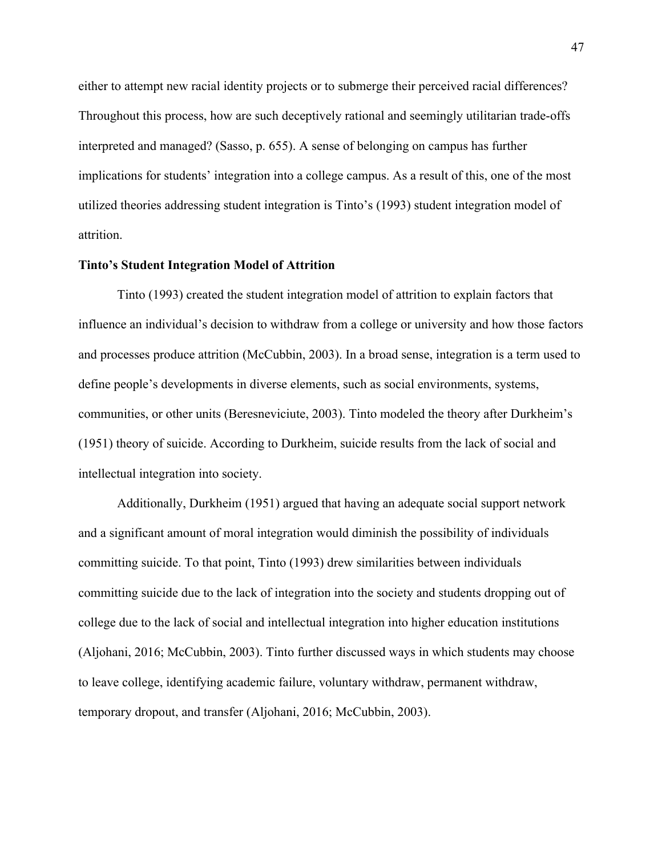either to attempt new racial identity projects or to submerge their perceived racial differences? Throughout this process, how are such deceptively rational and seemingly utilitarian trade-offs interpreted and managed? (Sasso, p. 655). A sense of belonging on campus has further implications for students' integration into a college campus. As a result of this, one of the most utilized theories addressing student integration is Tinto's (1993) student integration model of attrition.

#### **Tinto's Student Integration Model of Attrition**

Tinto (1993) created the student integration model of attrition to explain factors that influence an individual's decision to withdraw from a college or university and how those factors and processes produce attrition (McCubbin, 2003). In a broad sense, integration is a term used to define people's developments in diverse elements, such as social environments, systems, communities, or other units (Beresneviciute, 2003). Tinto modeled the theory after Durkheim's (1951) theory of suicide. According to Durkheim, suicide results from the lack of social and intellectual integration into society.

Additionally, Durkheim (1951) argued that having an adequate social support network and a significant amount of moral integration would diminish the possibility of individuals committing suicide. To that point, Tinto (1993) drew similarities between individuals committing suicide due to the lack of integration into the society and students dropping out of college due to the lack of social and intellectual integration into higher education institutions (Aljohani, 2016; McCubbin, 2003). Tinto further discussed ways in which students may choose to leave college, identifying academic failure, voluntary withdraw, permanent withdraw, temporary dropout, and transfer (Aljohani, 2016; McCubbin, 2003).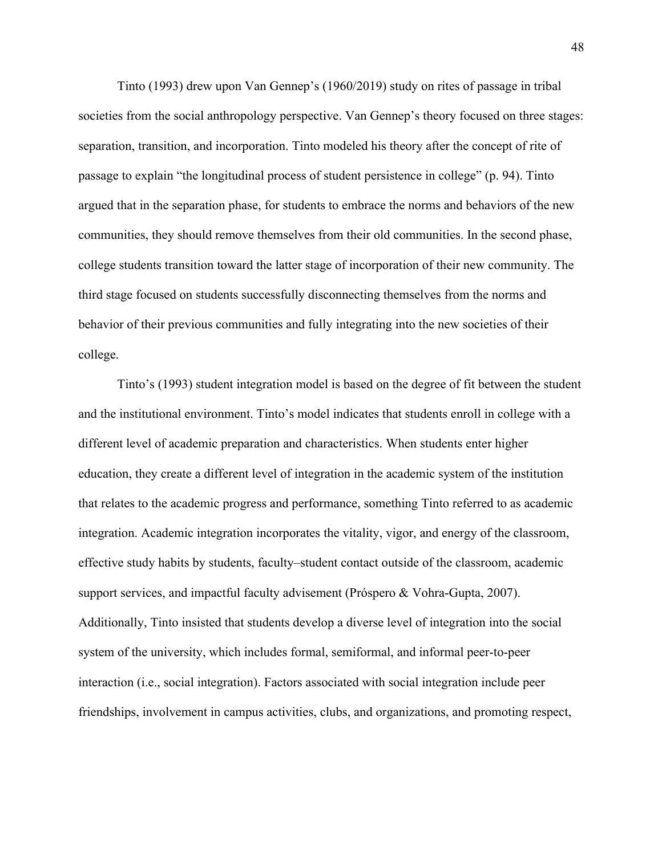Tinto (1993) drew upon Van Gennep's (1960/2019) study on rites of passage in tribal societies from the social anthropology perspective. Van Gennep's theory focused on three stages: separation, transition, and incorporation. Tinto modeled his theory after the concept of rite of passage to explain "the longitudinal process of student persistence in college" (p. 94). Tinto argued that in the separation phase, for students to embrace the norms and behaviors of the new communities, they should remove themselves from their old communities. In the second phase, college students transition toward the latter stage of incorporation of their new community. The third stage focused on students successfully disconnecting themselves from the norms and behavior of their previous communities and fully integrating into the new societies of their college.

Tinto's (1993) student integration model is based on the degree of fit between the student and the institutional environment. Tinto's model indicates that students enroll in college with a different level of academic preparation and characteristics. When students enter higher education, they create a different level of integration in the academic system of the institution that relates to the academic progress and performance, something Tinto referred to as academic integration. Academic integration incorporates the vitality, vigor, and energy of the classroom, effective study habits by students, faculty–student contact outside of the classroom, academic support services, and impactful faculty advisement (Próspero & Vohra-Gupta, 2007). Additionally, Tinto insisted that students develop a diverse level of integration into the social system of the university, which includes formal, semiformal, and informal peer-to-peer interaction (i.e., social integration). Factors associated with social integration include peer friendships, involvement in campus activities, clubs, and organizations, and promoting respect,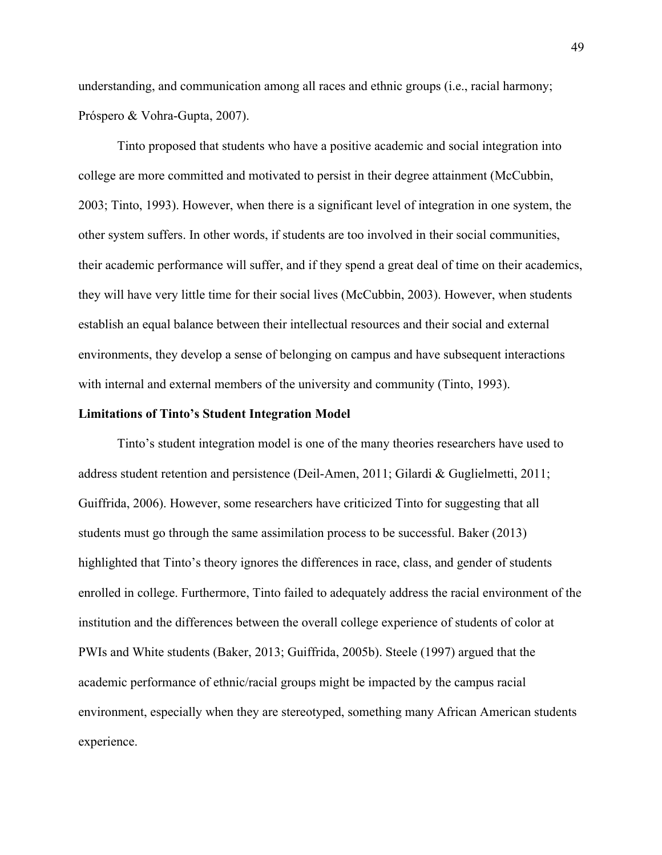understanding, and communication among all races and ethnic groups (i.e., racial harmony; Próspero & Vohra-Gupta, 2007).

Tinto proposed that students who have a positive academic and social integration into college are more committed and motivated to persist in their degree attainment (McCubbin, 2003; Tinto, 1993). However, when there is a significant level of integration in one system, the other system suffers. In other words, if students are too involved in their social communities, their academic performance will suffer, and if they spend a great deal of time on their academics, they will have very little time for their social lives (McCubbin, 2003). However, when students establish an equal balance between their intellectual resources and their social and external environments, they develop a sense of belonging on campus and have subsequent interactions with internal and external members of the university and community (Tinto, 1993).

### **Limitations of Tinto's Student Integration Model**

Tinto's student integration model is one of the many theories researchers have used to address student retention and persistence (Deil-Amen, 2011; Gilardi & Guglielmetti, 2011; Guiffrida, 2006). However, some researchers have criticized Tinto for suggesting that all students must go through the same assimilation process to be successful. Baker (2013) highlighted that Tinto's theory ignores the differences in race, class, and gender of students enrolled in college. Furthermore, Tinto failed to adequately address the racial environment of the institution and the differences between the overall college experience of students of color at PWIs and White students (Baker, 2013; Guiffrida, 2005b). Steele (1997) argued that the academic performance of ethnic/racial groups might be impacted by the campus racial environment, especially when they are stereotyped, something many African American students experience.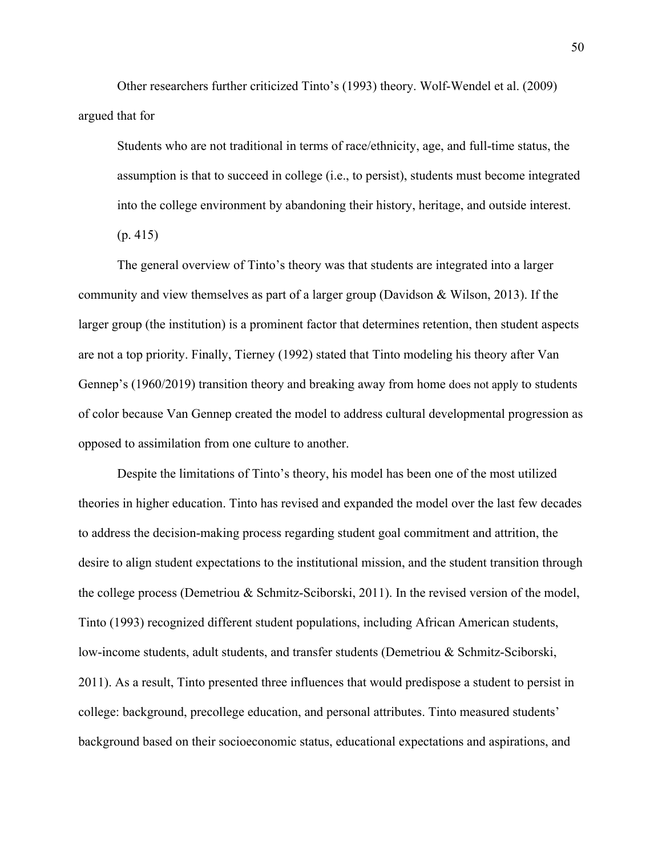Other researchers further criticized Tinto's (1993) theory. Wolf-Wendel et al. (2009) argued that for

Students who are not traditional in terms of race/ethnicity, age, and full-time status, the assumption is that to succeed in college (i.e., to persist), students must become integrated into the college environment by abandoning their history, heritage, and outside interest. (p. 415)

The general overview of Tinto's theory was that students are integrated into a larger community and view themselves as part of a larger group (Davidson & Wilson, 2013). If the larger group (the institution) is a prominent factor that determines retention, then student aspects are not a top priority. Finally, Tierney (1992) stated that Tinto modeling his theory after Van Gennep's (1960/2019) transition theory and breaking away from home does not apply to students of color because Van Gennep created the model to address cultural developmental progression as opposed to assimilation from one culture to another.

Despite the limitations of Tinto's theory, his model has been one of the most utilized theories in higher education. Tinto has revised and expanded the model over the last few decades to address the decision-making process regarding student goal commitment and attrition, the desire to align student expectations to the institutional mission, and the student transition through the college process (Demetriou & Schmitz-Sciborski, 2011). In the revised version of the model, Tinto (1993) recognized different student populations, including African American students, low-income students, adult students, and transfer students (Demetriou & Schmitz-Sciborski, 2011). As a result, Tinto presented three influences that would predispose a student to persist in college: background, precollege education, and personal attributes. Tinto measured students' background based on their socioeconomic status, educational expectations and aspirations, and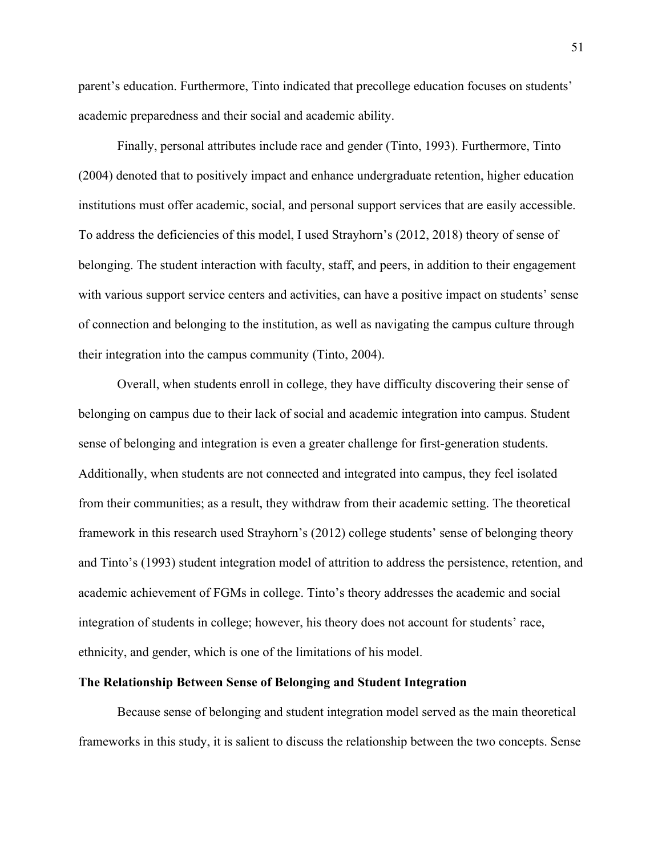parent's education. Furthermore, Tinto indicated that precollege education focuses on students' academic preparedness and their social and academic ability.

Finally, personal attributes include race and gender (Tinto, 1993). Furthermore, Tinto (2004) denoted that to positively impact and enhance undergraduate retention, higher education institutions must offer academic, social, and personal support services that are easily accessible. To address the deficiencies of this model, I used Strayhorn's (2012, 2018) theory of sense of belonging. The student interaction with faculty, staff, and peers, in addition to their engagement with various support service centers and activities, can have a positive impact on students' sense of connection and belonging to the institution, as well as navigating the campus culture through their integration into the campus community (Tinto, 2004).

Overall, when students enroll in college, they have difficulty discovering their sense of belonging on campus due to their lack of social and academic integration into campus. Student sense of belonging and integration is even a greater challenge for first-generation students. Additionally, when students are not connected and integrated into campus, they feel isolated from their communities; as a result, they withdraw from their academic setting. The theoretical framework in this research used Strayhorn's (2012) college students' sense of belonging theory and Tinto's (1993) student integration model of attrition to address the persistence, retention, and academic achievement of FGMs in college. Tinto's theory addresses the academic and social integration of students in college; however, his theory does not account for students' race, ethnicity, and gender, which is one of the limitations of his model.

# **The Relationship Between Sense of Belonging and Student Integration**

Because sense of belonging and student integration model served as the main theoretical frameworks in this study, it is salient to discuss the relationship between the two concepts. Sense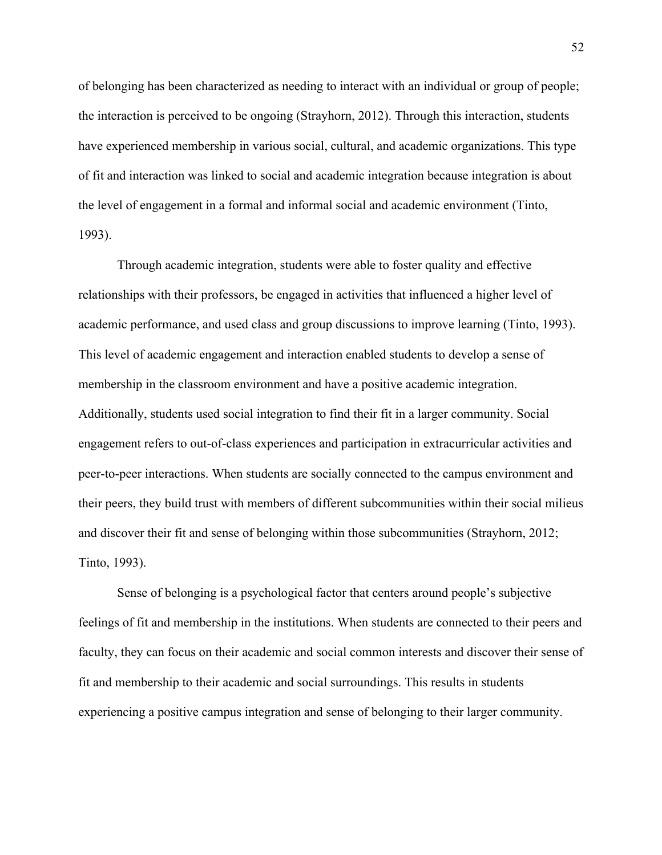of belonging has been characterized as needing to interact with an individual or group of people; the interaction is perceived to be ongoing (Strayhorn, 2012). Through this interaction, students have experienced membership in various social, cultural, and academic organizations. This type of fit and interaction was linked to social and academic integration because integration is about the level of engagement in a formal and informal social and academic environment (Tinto, 1993).

Through academic integration, students were able to foster quality and effective relationships with their professors, be engaged in activities that influenced a higher level of academic performance, and used class and group discussions to improve learning (Tinto, 1993). This level of academic engagement and interaction enabled students to develop a sense of membership in the classroom environment and have a positive academic integration. Additionally, students used social integration to find their fit in a larger community. Social engagement refers to out-of-class experiences and participation in extracurricular activities and peer-to-peer interactions. When students are socially connected to the campus environment and their peers, they build trust with members of different subcommunities within their social milieus and discover their fit and sense of belonging within those subcommunities (Strayhorn, 2012; Tinto, 1993).

Sense of belonging is a psychological factor that centers around people's subjective feelings of fit and membership in the institutions. When students are connected to their peers and faculty, they can focus on their academic and social common interests and discover their sense of fit and membership to their academic and social surroundings. This results in students experiencing a positive campus integration and sense of belonging to their larger community.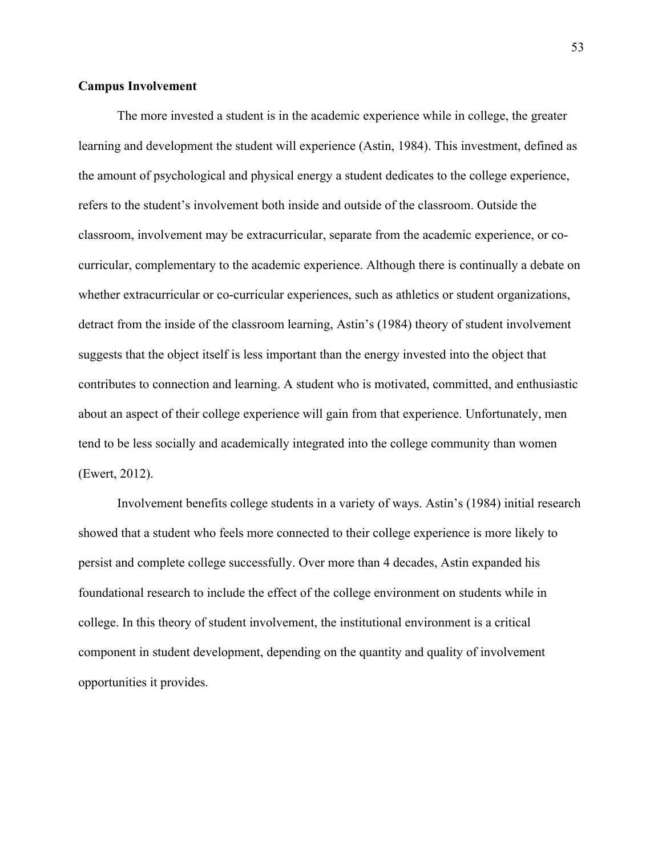# **Campus Involvement**

The more invested a student is in the academic experience while in college, the greater learning and development the student will experience (Astin, 1984). This investment, defined as the amount of psychological and physical energy a student dedicates to the college experience, refers to the student's involvement both inside and outside of the classroom. Outside the classroom, involvement may be extracurricular, separate from the academic experience, or cocurricular, complementary to the academic experience. Although there is continually a debate on whether extracurricular or co-curricular experiences, such as athletics or student organizations, detract from the inside of the classroom learning, Astin's (1984) theory of student involvement suggests that the object itself is less important than the energy invested into the object that contributes to connection and learning. A student who is motivated, committed, and enthusiastic about an aspect of their college experience will gain from that experience. Unfortunately, men tend to be less socially and academically integrated into the college community than women (Ewert, 2012).

Involvement benefits college students in a variety of ways. Astin's (1984) initial research showed that a student who feels more connected to their college experience is more likely to persist and complete college successfully. Over more than 4 decades, Astin expanded his foundational research to include the effect of the college environment on students while in college. In this theory of student involvement, the institutional environment is a critical component in student development, depending on the quantity and quality of involvement opportunities it provides.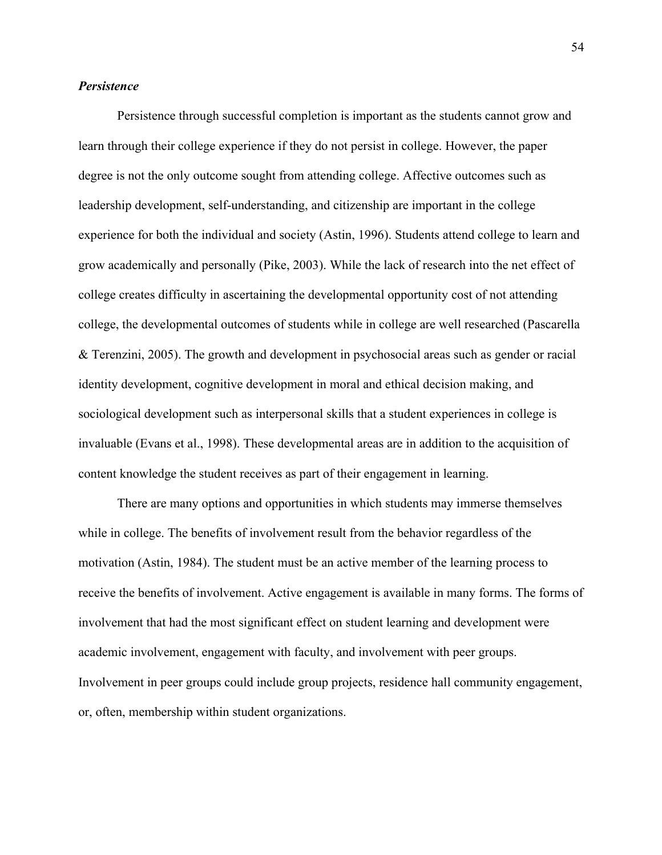## *Persistence*

Persistence through successful completion is important as the students cannot grow and learn through their college experience if they do not persist in college. However, the paper degree is not the only outcome sought from attending college. Affective outcomes such as leadership development, self-understanding, and citizenship are important in the college experience for both the individual and society (Astin, 1996). Students attend college to learn and grow academically and personally (Pike, 2003). While the lack of research into the net effect of college creates difficulty in ascertaining the developmental opportunity cost of not attending college, the developmental outcomes of students while in college are well researched (Pascarella & Terenzini, 2005). The growth and development in psychosocial areas such as gender or racial identity development, cognitive development in moral and ethical decision making, and sociological development such as interpersonal skills that a student experiences in college is invaluable (Evans et al., 1998). These developmental areas are in addition to the acquisition of content knowledge the student receives as part of their engagement in learning.

There are many options and opportunities in which students may immerse themselves while in college. The benefits of involvement result from the behavior regardless of the motivation (Astin, 1984). The student must be an active member of the learning process to receive the benefits of involvement. Active engagement is available in many forms. The forms of involvement that had the most significant effect on student learning and development were academic involvement, engagement with faculty, and involvement with peer groups. Involvement in peer groups could include group projects, residence hall community engagement, or, often, membership within student organizations.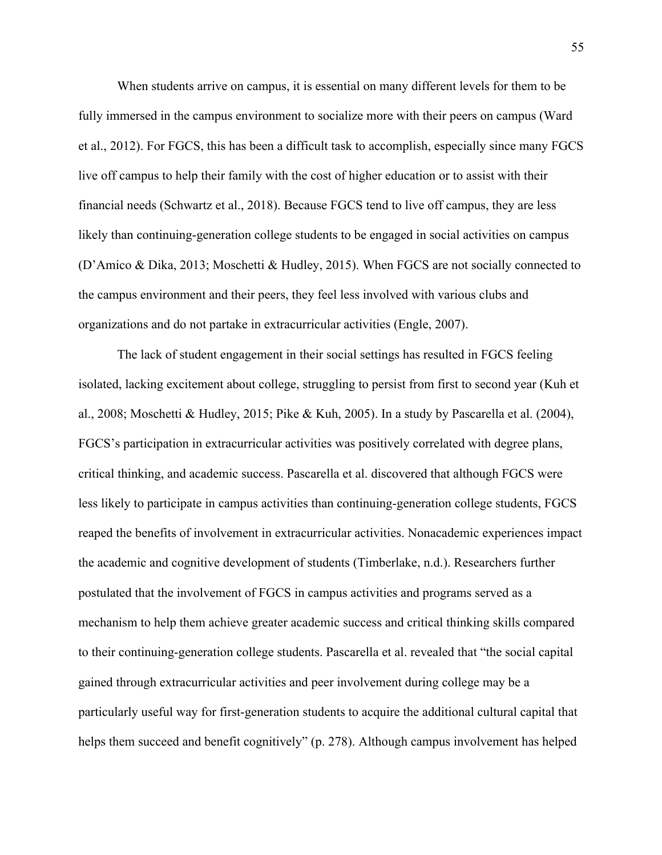When students arrive on campus, it is essential on many different levels for them to be fully immersed in the campus environment to socialize more with their peers on campus (Ward et al., 2012). For FGCS, this has been a difficult task to accomplish, especially since many FGCS live off campus to help their family with the cost of higher education or to assist with their financial needs (Schwartz et al., 2018). Because FGCS tend to live off campus, they are less likely than continuing-generation college students to be engaged in social activities on campus (D'Amico & Dika, 2013; Moschetti & Hudley, 2015). When FGCS are not socially connected to the campus environment and their peers, they feel less involved with various clubs and organizations and do not partake in extracurricular activities (Engle, 2007).

The lack of student engagement in their social settings has resulted in FGCS feeling isolated, lacking excitement about college, struggling to persist from first to second year (Kuh et al., 2008; Moschetti & Hudley, 2015; Pike & Kuh, 2005). In a study by Pascarella et al. (2004), FGCS's participation in extracurricular activities was positively correlated with degree plans, critical thinking, and academic success. Pascarella et al. discovered that although FGCS were less likely to participate in campus activities than continuing-generation college students, FGCS reaped the benefits of involvement in extracurricular activities. Nonacademic experiences impact the academic and cognitive development of students (Timberlake, n.d.). Researchers further postulated that the involvement of FGCS in campus activities and programs served as a mechanism to help them achieve greater academic success and critical thinking skills compared to their continuing-generation college students. Pascarella et al. revealed that "the social capital gained through extracurricular activities and peer involvement during college may be a particularly useful way for first-generation students to acquire the additional cultural capital that helps them succeed and benefit cognitively" (p. 278). Although campus involvement has helped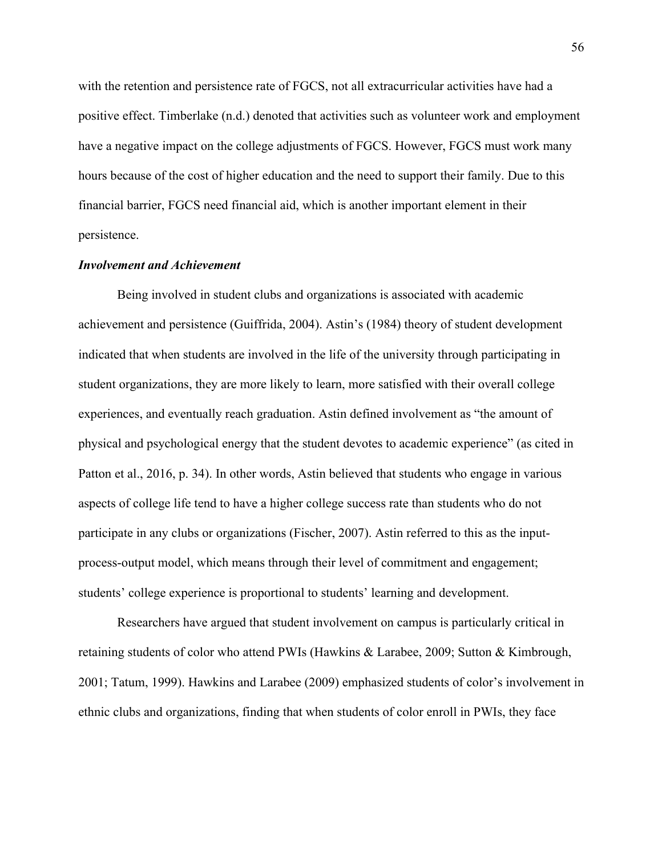with the retention and persistence rate of FGCS, not all extracurricular activities have had a positive effect. Timberlake (n.d.) denoted that activities such as volunteer work and employment have a negative impact on the college adjustments of FGCS. However, FGCS must work many hours because of the cost of higher education and the need to support their family. Due to this financial barrier, FGCS need financial aid, which is another important element in their persistence.

## *Involvement and Achievement*

Being involved in student clubs and organizations is associated with academic achievement and persistence (Guiffrida, 2004). Astin's (1984) theory of student development indicated that when students are involved in the life of the university through participating in student organizations, they are more likely to learn, more satisfied with their overall college experiences, and eventually reach graduation. Astin defined involvement as "the amount of physical and psychological energy that the student devotes to academic experience" (as cited in Patton et al., 2016, p. 34). In other words, Astin believed that students who engage in various aspects of college life tend to have a higher college success rate than students who do not participate in any clubs or organizations (Fischer, 2007). Astin referred to this as the inputprocess-output model, which means through their level of commitment and engagement; students' college experience is proportional to students' learning and development.

Researchers have argued that student involvement on campus is particularly critical in retaining students of color who attend PWIs (Hawkins & Larabee, 2009; Sutton & Kimbrough, 2001; Tatum, 1999). Hawkins and Larabee (2009) emphasized students of color's involvement in ethnic clubs and organizations, finding that when students of color enroll in PWIs, they face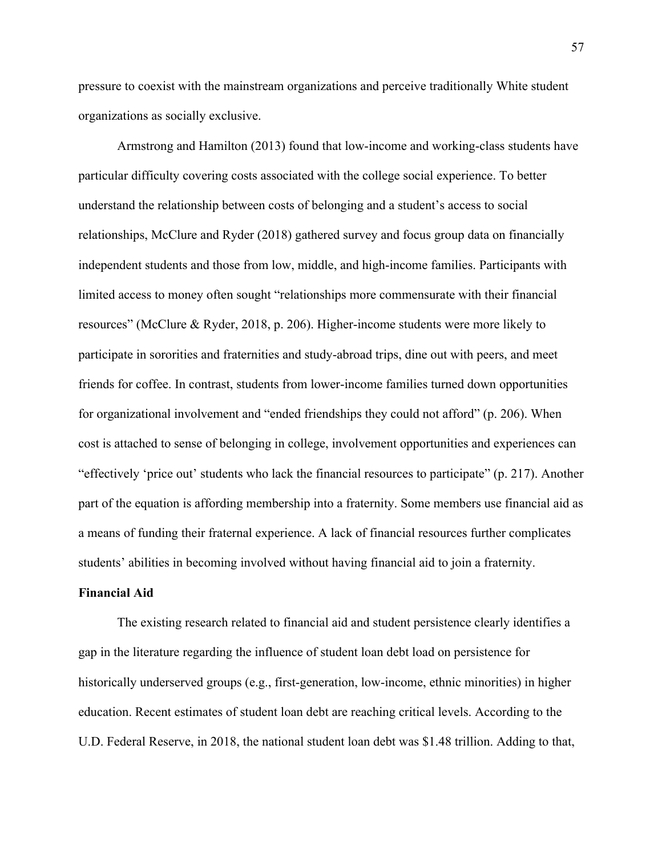pressure to coexist with the mainstream organizations and perceive traditionally White student organizations as socially exclusive.

Armstrong and Hamilton (2013) found that low-income and working-class students have particular difficulty covering costs associated with the college social experience. To better understand the relationship between costs of belonging and a student's access to social relationships, McClure and Ryder (2018) gathered survey and focus group data on financially independent students and those from low, middle, and high-income families. Participants with limited access to money often sought "relationships more commensurate with their financial resources" (McClure & Ryder, 2018, p. 206). Higher-income students were more likely to participate in sororities and fraternities and study-abroad trips, dine out with peers, and meet friends for coffee. In contrast, students from lower-income families turned down opportunities for organizational involvement and "ended friendships they could not afford" (p. 206). When cost is attached to sense of belonging in college, involvement opportunities and experiences can "effectively 'price out' students who lack the financial resources to participate" (p. 217). Another part of the equation is affording membership into a fraternity. Some members use financial aid as a means of funding their fraternal experience. A lack of financial resources further complicates students' abilities in becoming involved without having financial aid to join a fraternity.

#### **Financial Aid**

The existing research related to financial aid and student persistence clearly identifies a gap in the literature regarding the influence of student loan debt load on persistence for historically underserved groups (e.g., first-generation, low-income, ethnic minorities) in higher education. Recent estimates of student loan debt are reaching critical levels. According to the U.D. Federal Reserve, in 2018, the national student loan debt was \$1.48 trillion. Adding to that,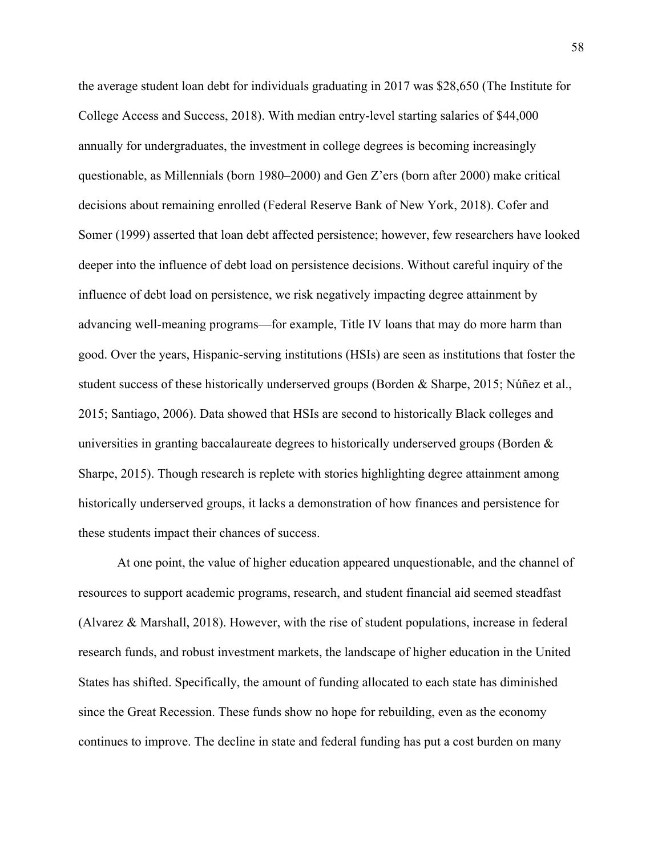the average student loan debt for individuals graduating in 2017 was \$28,650 (The Institute for College Access and Success, 2018). With median entry-level starting salaries of \$44,000 annually for undergraduates, the investment in college degrees is becoming increasingly questionable, as Millennials (born 1980–2000) and Gen Z'ers (born after 2000) make critical decisions about remaining enrolled (Federal Reserve Bank of New York, 2018). Cofer and Somer (1999) asserted that loan debt affected persistence; however, few researchers have looked deeper into the influence of debt load on persistence decisions. Without careful inquiry of the influence of debt load on persistence, we risk negatively impacting degree attainment by advancing well-meaning programs—for example, Title IV loans that may do more harm than good. Over the years, Hispanic-serving institutions (HSIs) are seen as institutions that foster the student success of these historically underserved groups (Borden & Sharpe, 2015; Núñez et al., 2015; Santiago, 2006). Data showed that HSIs are second to historically Black colleges and universities in granting baccalaureate degrees to historically underserved groups (Borden & Sharpe, 2015). Though research is replete with stories highlighting degree attainment among historically underserved groups, it lacks a demonstration of how finances and persistence for these students impact their chances of success.

At one point, the value of higher education appeared unquestionable, and the channel of resources to support academic programs, research, and student financial aid seemed steadfast (Alvarez & Marshall, 2018). However, with the rise of student populations, increase in federal research funds, and robust investment markets, the landscape of higher education in the United States has shifted. Specifically, the amount of funding allocated to each state has diminished since the Great Recession. These funds show no hope for rebuilding, even as the economy continues to improve. The decline in state and federal funding has put a cost burden on many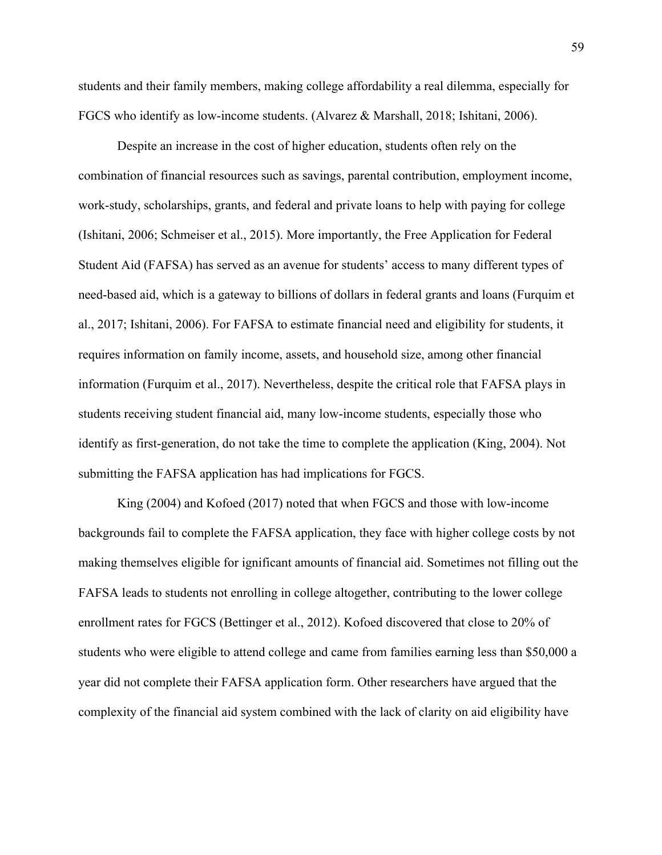students and their family members, making college affordability a real dilemma, especially for FGCS who identify as low-income students. (Alvarez & Marshall, 2018; Ishitani, 2006).

Despite an increase in the cost of higher education, students often rely on the combination of financial resources such as savings, parental contribution, employment income, work-study, scholarships, grants, and federal and private loans to help with paying for college (Ishitani, 2006; Schmeiser et al., 2015). More importantly, the Free Application for Federal Student Aid (FAFSA) has served as an avenue for students' access to many different types of need-based aid, which is a gateway to billions of dollars in federal grants and loans (Furquim et al., 2017; Ishitani, 2006). For FAFSA to estimate financial need and eligibility for students, it requires information on family income, assets, and household size, among other financial information (Furquim et al., 2017). Nevertheless, despite the critical role that FAFSA plays in students receiving student financial aid, many low-income students, especially those who identify as first-generation, do not take the time to complete the application (King, 2004). Not submitting the FAFSA application has had implications for FGCS.

King (2004) and Kofoed (2017) noted that when FGCS and those with low-income backgrounds fail to complete the FAFSA application, they face with higher college costs by not making themselves eligible for ignificant amounts of financial aid. Sometimes not filling out the FAFSA leads to students not enrolling in college altogether, contributing to the lower college enrollment rates for FGCS (Bettinger et al., 2012). Kofoed discovered that close to 20% of students who were eligible to attend college and came from families earning less than \$50,000 a year did not complete their FAFSA application form. Other researchers have argued that the complexity of the financial aid system combined with the lack of clarity on aid eligibility have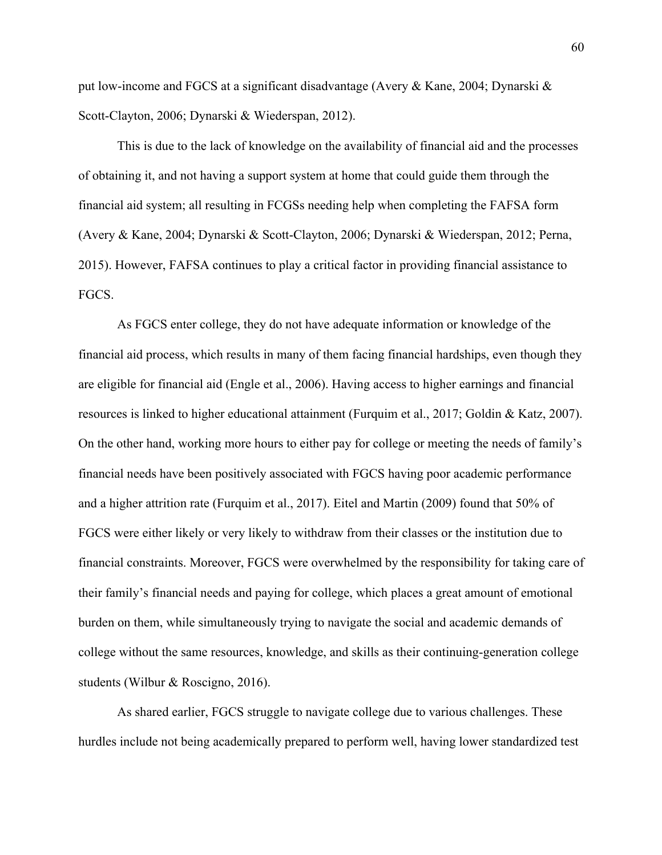put low-income and FGCS at a significant disadvantage (Avery & Kane, 2004; Dynarski & Scott-Clayton, 2006; Dynarski & Wiederspan, 2012).

This is due to the lack of knowledge on the availability of financial aid and the processes of obtaining it, and not having a support system at home that could guide them through the financial aid system; all resulting in FCGSs needing help when completing the FAFSA form (Avery & Kane, 2004; Dynarski & Scott-Clayton, 2006; Dynarski & Wiederspan, 2012; Perna, 2015). However, FAFSA continues to play a critical factor in providing financial assistance to FGCS.

As FGCS enter college, they do not have adequate information or knowledge of the financial aid process, which results in many of them facing financial hardships, even though they are eligible for financial aid (Engle et al., 2006). Having access to higher earnings and financial resources is linked to higher educational attainment (Furquim et al., 2017; Goldin & Katz, 2007). On the other hand, working more hours to either pay for college or meeting the needs of family's financial needs have been positively associated with FGCS having poor academic performance and a higher attrition rate (Furquim et al., 2017). Eitel and Martin (2009) found that 50% of FGCS were either likely or very likely to withdraw from their classes or the institution due to financial constraints. Moreover, FGCS were overwhelmed by the responsibility for taking care of their family's financial needs and paying for college, which places a great amount of emotional burden on them, while simultaneously trying to navigate the social and academic demands of college without the same resources, knowledge, and skills as their continuing-generation college students (Wilbur & Roscigno, 2016).

As shared earlier, FGCS struggle to navigate college due to various challenges. These hurdles include not being academically prepared to perform well, having lower standardized test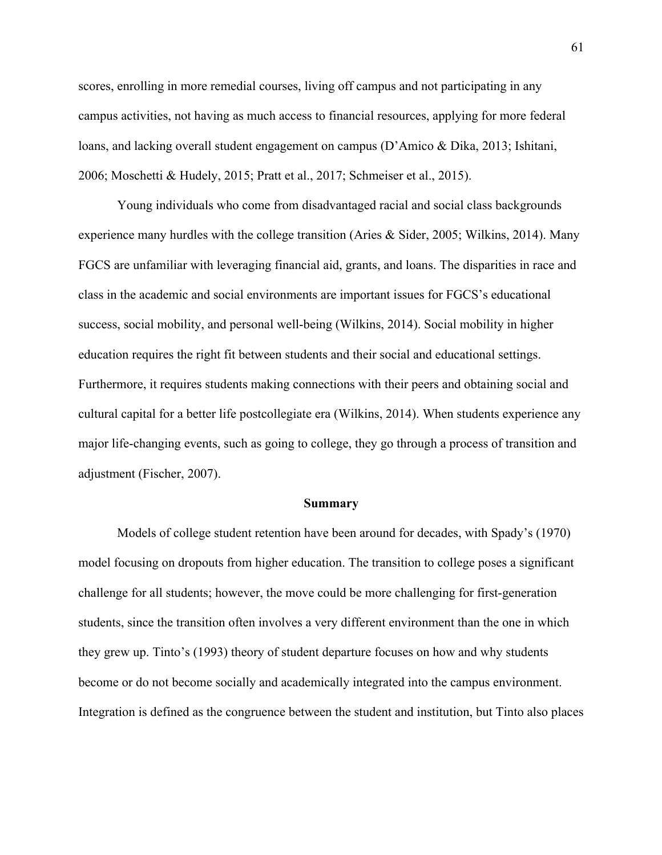scores, enrolling in more remedial courses, living off campus and not participating in any campus activities, not having as much access to financial resources, applying for more federal loans, and lacking overall student engagement on campus (D'Amico & Dika, 2013; Ishitani, 2006; Moschetti & Hudely, 2015; Pratt et al., 2017; Schmeiser et al., 2015).

Young individuals who come from disadvantaged racial and social class backgrounds experience many hurdles with the college transition (Aries & Sider, 2005; Wilkins, 2014). Many FGCS are unfamiliar with leveraging financial aid, grants, and loans. The disparities in race and class in the academic and social environments are important issues for FGCS's educational success, social mobility, and personal well-being (Wilkins, 2014). Social mobility in higher education requires the right fit between students and their social and educational settings. Furthermore, it requires students making connections with their peers and obtaining social and cultural capital for a better life postcollegiate era (Wilkins, 2014). When students experience any major life-changing events, such as going to college, they go through a process of transition and adjustment (Fischer, 2007).

### **Summary**

Models of college student retention have been around for decades, with Spady's (1970) model focusing on dropouts from higher education. The transition to college poses a significant challenge for all students; however, the move could be more challenging for first-generation students, since the transition often involves a very different environment than the one in which they grew up. Tinto's (1993) theory of student departure focuses on how and why students become or do not become socially and academically integrated into the campus environment. Integration is defined as the congruence between the student and institution, but Tinto also places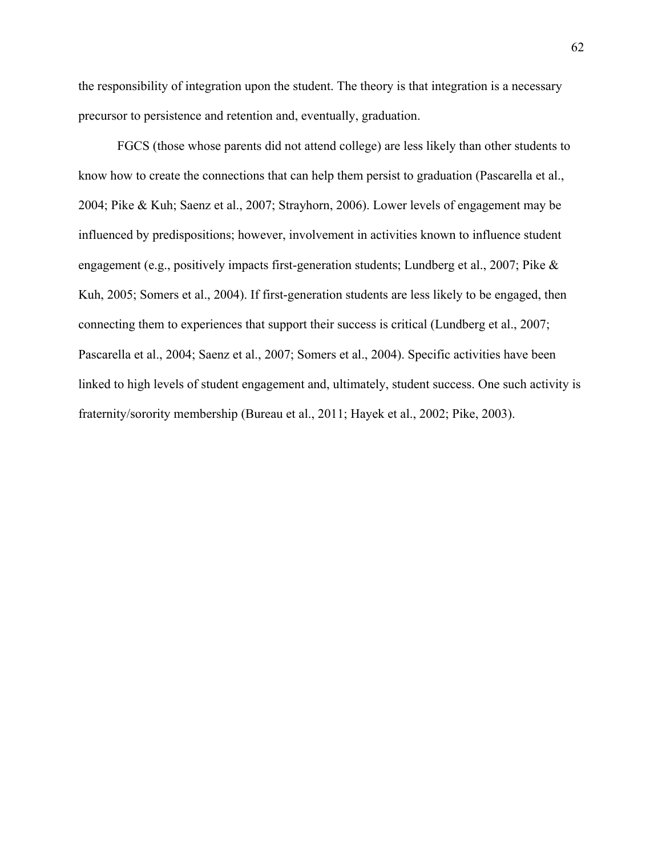the responsibility of integration upon the student. The theory is that integration is a necessary precursor to persistence and retention and, eventually, graduation.

FGCS (those whose parents did not attend college) are less likely than other students to know how to create the connections that can help them persist to graduation (Pascarella et al., 2004; Pike & Kuh; Saenz et al., 2007; Strayhorn, 2006). Lower levels of engagement may be influenced by predispositions; however, involvement in activities known to influence student engagement (e.g., positively impacts first-generation students; Lundberg et al., 2007; Pike & Kuh, 2005; Somers et al., 2004). If first-generation students are less likely to be engaged, then connecting them to experiences that support their success is critical (Lundberg et al., 2007; Pascarella et al., 2004; Saenz et al., 2007; Somers et al., 2004). Specific activities have been linked to high levels of student engagement and, ultimately, student success. One such activity is fraternity/sorority membership (Bureau et al., 2011; Hayek et al., 2002; Pike, 2003).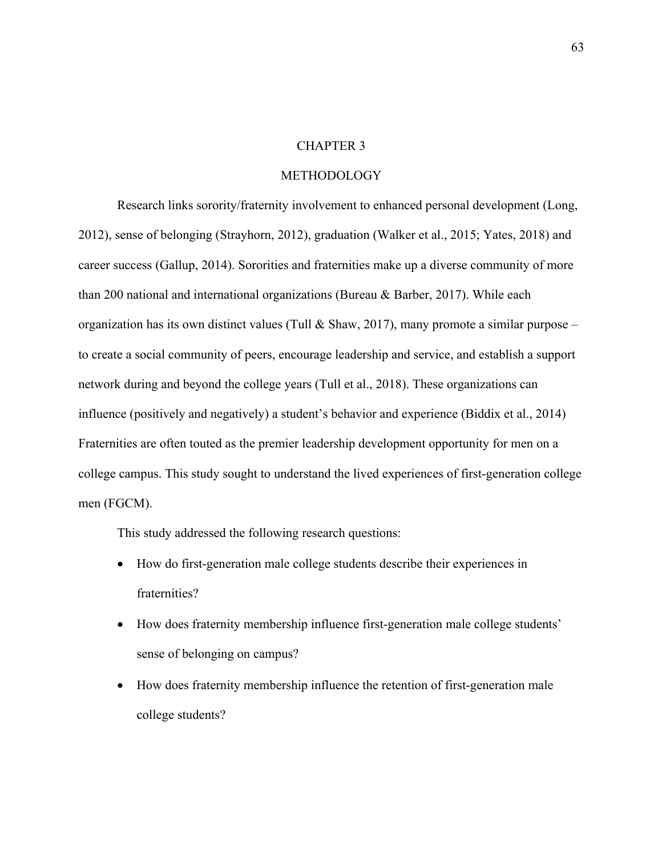## CHAPTER 3

## METHODOLOGY

Research links sorority/fraternity involvement to enhanced personal development (Long, 2012), sense of belonging (Strayhorn, 2012), graduation (Walker et al., 2015; Yates, 2018) and career success (Gallup, 2014). Sororities and fraternities make up a diverse community of more than 200 national and international organizations (Bureau & Barber, 2017). While each organization has its own distinct values (Tull & Shaw, 2017), many promote a similar purpose – to create a social community of peers, encourage leadership and service, and establish a support network during and beyond the college years (Tull et al., 2018). These organizations can influence (positively and negatively) a student's behavior and experience (Biddix et al., 2014) Fraternities are often touted as the premier leadership development opportunity for men on a college campus. This study sought to understand the lived experiences of first-generation college men (FGCM).

This study addressed the following research questions:

- How do first-generation male college students describe their experiences in fraternities?
- How does fraternity membership influence first-generation male college students' sense of belonging on campus?
- How does fraternity membership influence the retention of first-generation male college students?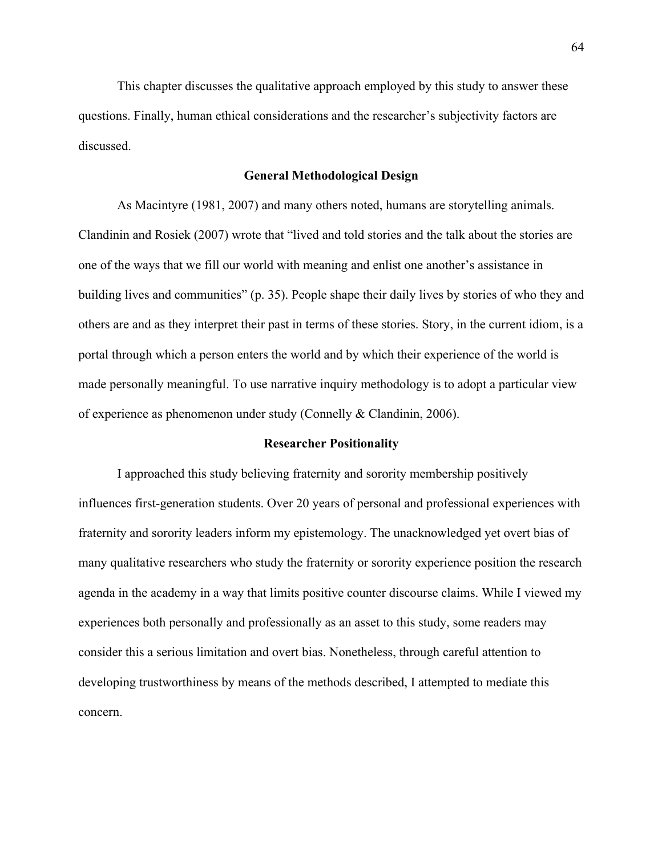This chapter discusses the qualitative approach employed by this study to answer these questions. Finally, human ethical considerations and the researcher's subjectivity factors are discussed.

#### **General Methodological Design**

As Macintyre (1981, 2007) and many others noted, humans are storytelling animals. Clandinin and Rosiek (2007) wrote that "lived and told stories and the talk about the stories are one of the ways that we fill our world with meaning and enlist one another's assistance in building lives and communities" (p. 35). People shape their daily lives by stories of who they and others are and as they interpret their past in terms of these stories. Story, in the current idiom, is a portal through which a person enters the world and by which their experience of the world is made personally meaningful. To use narrative inquiry methodology is to adopt a particular view of experience as phenomenon under study (Connelly & Clandinin, 2006).

## **Researcher Positionality**

I approached this study believing fraternity and sorority membership positively influences first-generation students. Over 20 years of personal and professional experiences with fraternity and sorority leaders inform my epistemology. The unacknowledged yet overt bias of many qualitative researchers who study the fraternity or sorority experience position the research agenda in the academy in a way that limits positive counter discourse claims. While I viewed my experiences both personally and professionally as an asset to this study, some readers may consider this a serious limitation and overt bias. Nonetheless, through careful attention to developing trustworthiness by means of the methods described, I attempted to mediate this concern.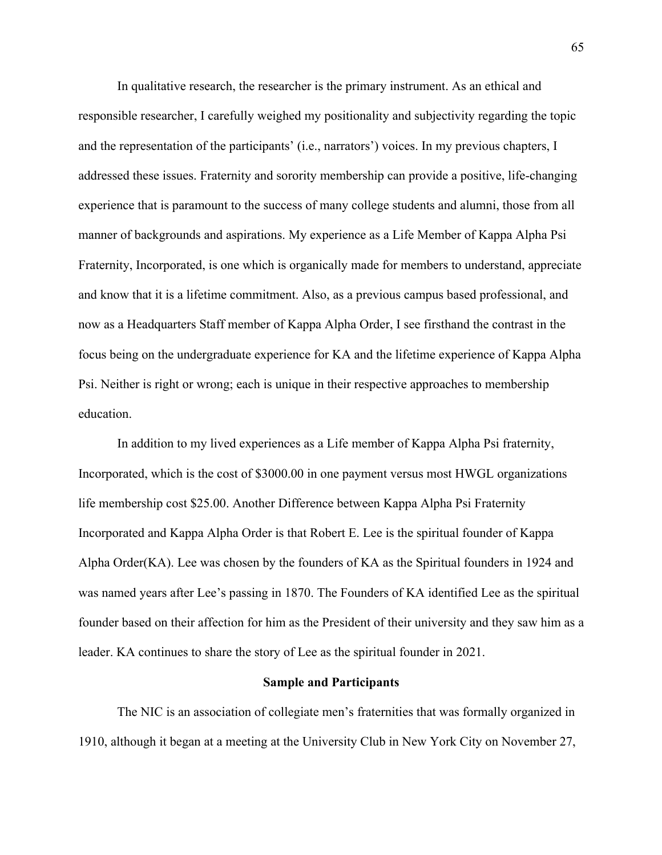In qualitative research, the researcher is the primary instrument. As an ethical and responsible researcher, I carefully weighed my positionality and subjectivity regarding the topic and the representation of the participants' (i.e., narrators') voices. In my previous chapters, I addressed these issues. Fraternity and sorority membership can provide a positive, life-changing experience that is paramount to the success of many college students and alumni, those from all manner of backgrounds and aspirations. My experience as a Life Member of Kappa Alpha Psi Fraternity, Incorporated, is one which is organically made for members to understand, appreciate and know that it is a lifetime commitment. Also, as a previous campus based professional, and now as a Headquarters Staff member of Kappa Alpha Order, I see firsthand the contrast in the focus being on the undergraduate experience for KA and the lifetime experience of Kappa Alpha Psi. Neither is right or wrong; each is unique in their respective approaches to membership education.

In addition to my lived experiences as a Life member of Kappa Alpha Psi fraternity, Incorporated, which is the cost of \$3000.00 in one payment versus most HWGL organizations life membership cost \$25.00. Another Difference between Kappa Alpha Psi Fraternity Incorporated and Kappa Alpha Order is that Robert E. Lee is the spiritual founder of Kappa Alpha Order(KA). Lee was chosen by the founders of KA as the Spiritual founders in 1924 and was named years after Lee's passing in 1870. The Founders of KA identified Lee as the spiritual founder based on their affection for him as the President of their university and they saw him as a leader. KA continues to share the story of Lee as the spiritual founder in 2021.

## **Sample and Participants**

The NIC is an association of collegiate men's fraternities that was formally organized in 1910, although it began at a meeting at the University Club in New York City on November 27,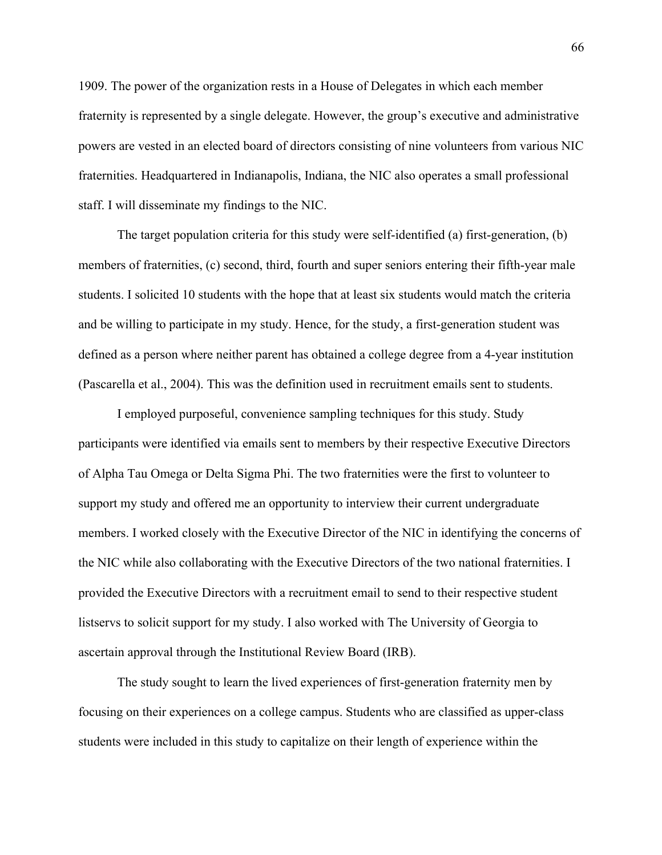1909. The power of the organization rests in a House of Delegates in which each member fraternity is represented by a single delegate. However, the group's executive and administrative powers are vested in an elected board of directors consisting of nine volunteers from various NIC fraternities. Headquartered in Indianapolis, Indiana, the NIC also operates a small professional staff. I will disseminate my findings to the NIC.

The target population criteria for this study were self-identified (a) first-generation, (b) members of fraternities, (c) second, third, fourth and super seniors entering their fifth-year male students. I solicited 10 students with the hope that at least six students would match the criteria and be willing to participate in my study. Hence, for the study, a first-generation student was defined as a person where neither parent has obtained a college degree from a 4-year institution (Pascarella et al., 2004). This was the definition used in recruitment emails sent to students.

I employed purposeful, convenience sampling techniques for this study. Study participants were identified via emails sent to members by their respective Executive Directors of Alpha Tau Omega or Delta Sigma Phi. The two fraternities were the first to volunteer to support my study and offered me an opportunity to interview their current undergraduate members. I worked closely with the Executive Director of the NIC in identifying the concerns of the NIC while also collaborating with the Executive Directors of the two national fraternities. I provided the Executive Directors with a recruitment email to send to their respective student listservs to solicit support for my study. I also worked with The University of Georgia to ascertain approval through the Institutional Review Board (IRB).

The study sought to learn the lived experiences of first-generation fraternity men by focusing on their experiences on a college campus. Students who are classified as upper-class students were included in this study to capitalize on their length of experience within the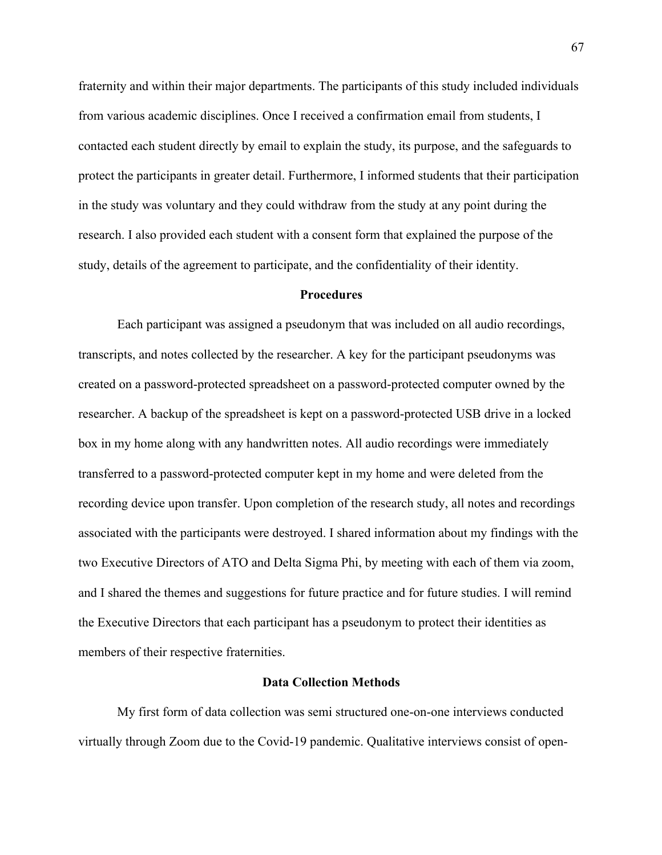fraternity and within their major departments. The participants of this study included individuals from various academic disciplines. Once I received a confirmation email from students, I contacted each student directly by email to explain the study, its purpose, and the safeguards to protect the participants in greater detail. Furthermore, I informed students that their participation in the study was voluntary and they could withdraw from the study at any point during the research. I also provided each student with a consent form that explained the purpose of the study, details of the agreement to participate, and the confidentiality of their identity.

## **Procedures**

Each participant was assigned a pseudonym that was included on all audio recordings, transcripts, and notes collected by the researcher. A key for the participant pseudonyms was created on a password-protected spreadsheet on a password-protected computer owned by the researcher. A backup of the spreadsheet is kept on a password-protected USB drive in a locked box in my home along with any handwritten notes. All audio recordings were immediately transferred to a password-protected computer kept in my home and were deleted from the recording device upon transfer. Upon completion of the research study, all notes and recordings associated with the participants were destroyed. I shared information about my findings with the two Executive Directors of ATO and Delta Sigma Phi, by meeting with each of them via zoom, and I shared the themes and suggestions for future practice and for future studies. I will remind the Executive Directors that each participant has a pseudonym to protect their identities as members of their respective fraternities.

## **Data Collection Methods**

My first form of data collection was semi structured one-on-one interviews conducted virtually through Zoom due to the Covid-19 pandemic. Qualitative interviews consist of open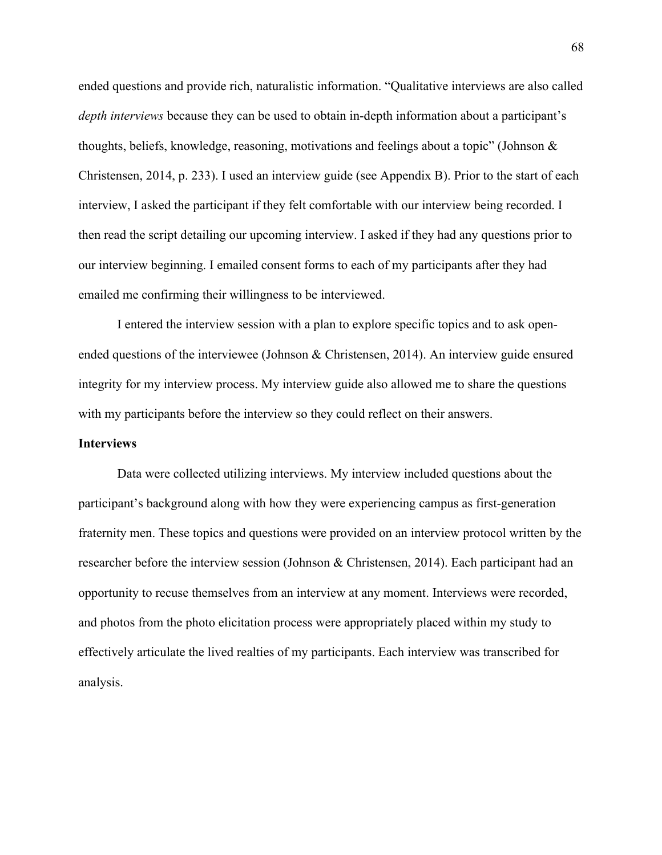ended questions and provide rich, naturalistic information. "Qualitative interviews are also called *depth interviews* because they can be used to obtain in-depth information about a participant's thoughts, beliefs, knowledge, reasoning, motivations and feelings about a topic" (Johnson & Christensen, 2014, p. 233). I used an interview guide (see Appendix B). Prior to the start of each interview, I asked the participant if they felt comfortable with our interview being recorded. I then read the script detailing our upcoming interview. I asked if they had any questions prior to our interview beginning. I emailed consent forms to each of my participants after they had emailed me confirming their willingness to be interviewed.

I entered the interview session with a plan to explore specific topics and to ask openended questions of the interviewee (Johnson & Christensen, 2014). An interview guide ensured integrity for my interview process. My interview guide also allowed me to share the questions with my participants before the interview so they could reflect on their answers.

## **Interviews**

Data were collected utilizing interviews. My interview included questions about the participant's background along with how they were experiencing campus as first-generation fraternity men. These topics and questions were provided on an interview protocol written by the researcher before the interview session (Johnson & Christensen, 2014). Each participant had an opportunity to recuse themselves from an interview at any moment. Interviews were recorded, and photos from the photo elicitation process were appropriately placed within my study to effectively articulate the lived realties of my participants. Each interview was transcribed for analysis.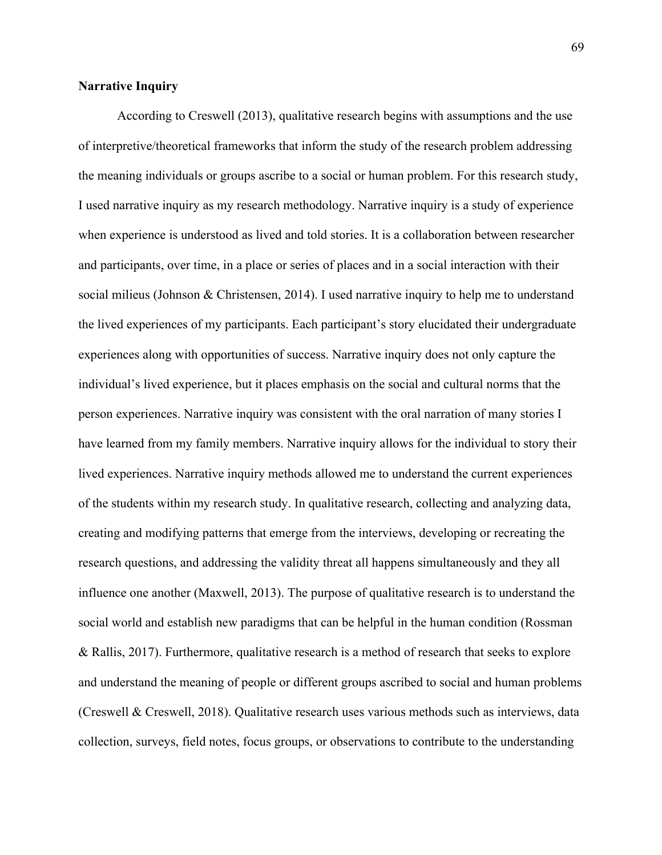## **Narrative Inquiry**

According to Creswell (2013), qualitative research begins with assumptions and the use of interpretive/theoretical frameworks that inform the study of the research problem addressing the meaning individuals or groups ascribe to a social or human problem. For this research study, I used narrative inquiry as my research methodology. Narrative inquiry is a study of experience when experience is understood as lived and told stories. It is a collaboration between researcher and participants, over time, in a place or series of places and in a social interaction with their social milieus (Johnson & Christensen, 2014). I used narrative inquiry to help me to understand the lived experiences of my participants. Each participant's story elucidated their undergraduate experiences along with opportunities of success. Narrative inquiry does not only capture the individual's lived experience, but it places emphasis on the social and cultural norms that the person experiences. Narrative inquiry was consistent with the oral narration of many stories I have learned from my family members. Narrative inquiry allows for the individual to story their lived experiences. Narrative inquiry methods allowed me to understand the current experiences of the students within my research study. In qualitative research, collecting and analyzing data, creating and modifying patterns that emerge from the interviews, developing or recreating the research questions, and addressing the validity threat all happens simultaneously and they all influence one another (Maxwell, 2013). The purpose of qualitative research is to understand the social world and establish new paradigms that can be helpful in the human condition (Rossman & Rallis, 2017). Furthermore, qualitative research is a method of research that seeks to explore and understand the meaning of people or different groups ascribed to social and human problems (Creswell & Creswell, 2018). Qualitative research uses various methods such as interviews, data collection, surveys, field notes, focus groups, or observations to contribute to the understanding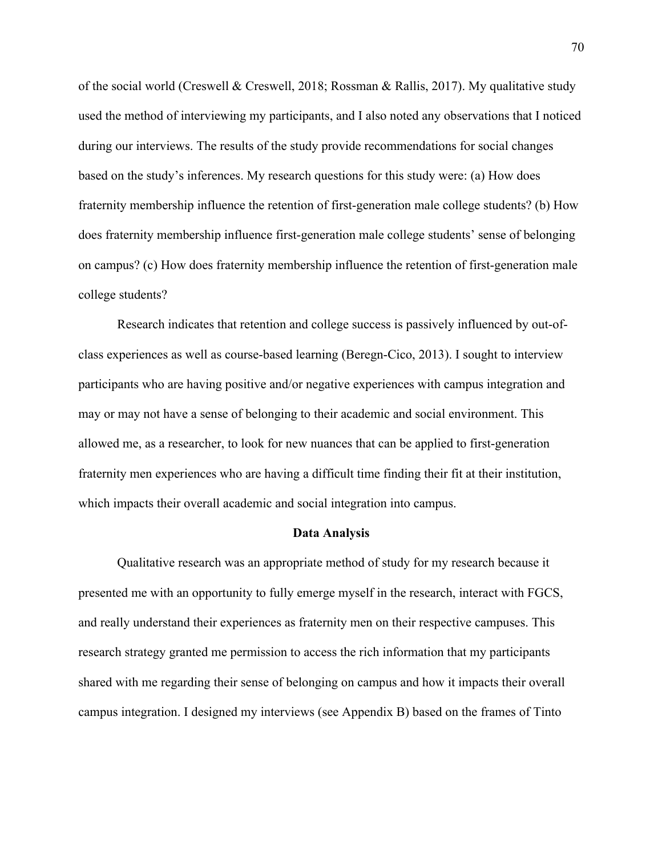of the social world (Creswell & Creswell, 2018; Rossman & Rallis, 2017). My qualitative study used the method of interviewing my participants, and I also noted any observations that I noticed during our interviews. The results of the study provide recommendations for social changes based on the study's inferences. My research questions for this study were: (a) How does fraternity membership influence the retention of first-generation male college students? (b) How does fraternity membership influence first-generation male college students' sense of belonging on campus? (c) How does fraternity membership influence the retention of first-generation male college students?

Research indicates that retention and college success is passively influenced by out-ofclass experiences as well as course-based learning (Beregn-Cico, 2013). I sought to interview participants who are having positive and/or negative experiences with campus integration and may or may not have a sense of belonging to their academic and social environment. This allowed me, as a researcher, to look for new nuances that can be applied to first-generation fraternity men experiences who are having a difficult time finding their fit at their institution, which impacts their overall academic and social integration into campus.

## **Data Analysis**

Qualitative research was an appropriate method of study for my research because it presented me with an opportunity to fully emerge myself in the research, interact with FGCS, and really understand their experiences as fraternity men on their respective campuses. This research strategy granted me permission to access the rich information that my participants shared with me regarding their sense of belonging on campus and how it impacts their overall campus integration. I designed my interviews (see Appendix B) based on the frames of Tinto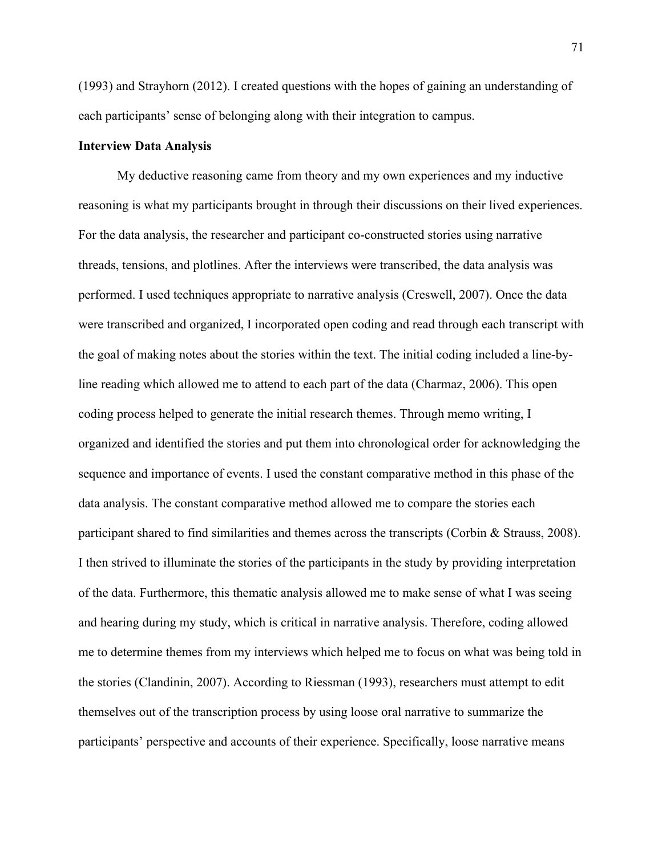(1993) and Strayhorn (2012). I created questions with the hopes of gaining an understanding of each participants' sense of belonging along with their integration to campus.

## **Interview Data Analysis**

My deductive reasoning came from theory and my own experiences and my inductive reasoning is what my participants brought in through their discussions on their lived experiences. For the data analysis, the researcher and participant co-constructed stories using narrative threads, tensions, and plotlines. After the interviews were transcribed, the data analysis was performed. I used techniques appropriate to narrative analysis (Creswell, 2007). Once the data were transcribed and organized, I incorporated open coding and read through each transcript with the goal of making notes about the stories within the text. The initial coding included a line-byline reading which allowed me to attend to each part of the data (Charmaz, 2006). This open coding process helped to generate the initial research themes. Through memo writing, I organized and identified the stories and put them into chronological order for acknowledging the sequence and importance of events. I used the constant comparative method in this phase of the data analysis. The constant comparative method allowed me to compare the stories each participant shared to find similarities and themes across the transcripts (Corbin & Strauss, 2008). I then strived to illuminate the stories of the participants in the study by providing interpretation of the data. Furthermore, this thematic analysis allowed me to make sense of what I was seeing and hearing during my study, which is critical in narrative analysis. Therefore, coding allowed me to determine themes from my interviews which helped me to focus on what was being told in the stories (Clandinin, 2007). According to Riessman (1993), researchers must attempt to edit themselves out of the transcription process by using loose oral narrative to summarize the participants' perspective and accounts of their experience. Specifically, loose narrative means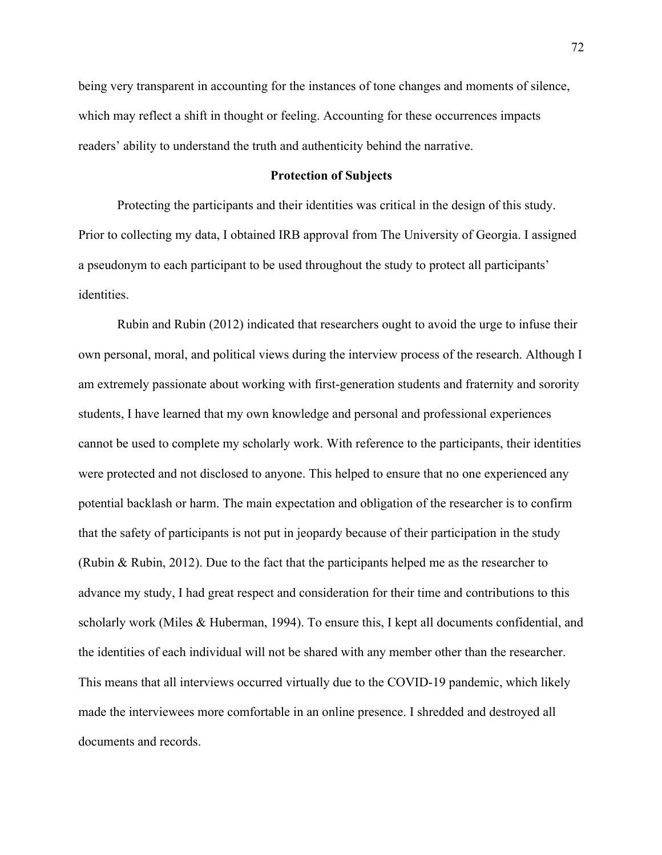being very transparent in accounting for the instances of tone changes and moments of silence, which may reflect a shift in thought or feeling. Accounting for these occurrences impacts readers' ability to understand the truth and authenticity behind the narrative.

#### **Protection of Subjects**

Protecting the participants and their identities was critical in the design of this study. Prior to collecting my data, I obtained IRB approval from The University of Georgia. I assigned a pseudonym to each participant to be used throughout the study to protect all participants' identities.

Rubin and Rubin (2012) indicated that researchers ought to avoid the urge to infuse their own personal, moral, and political views during the interview process of the research. Although I am extremely passionate about working with first-generation students and fraternity and sorority students, I have learned that my own knowledge and personal and professional experiences cannot be used to complete my scholarly work. With reference to the participants, their identities were protected and not disclosed to anyone. This helped to ensure that no one experienced any potential backlash or harm. The main expectation and obligation of the researcher is to confirm that the safety of participants is not put in jeopardy because of their participation in the study (Rubin & Rubin, 2012). Due to the fact that the participants helped me as the researcher to advance my study, I had great respect and consideration for their time and contributions to this scholarly work (Miles & Huberman, 1994). To ensure this, I kept all documents confidential, and the identities of each individual will not be shared with any member other than the researcher. This means that all interviews occurred virtually due to the COVID-19 pandemic, which likely made the interviewees more comfortable in an online presence. I shredded and destroyed all documents and records.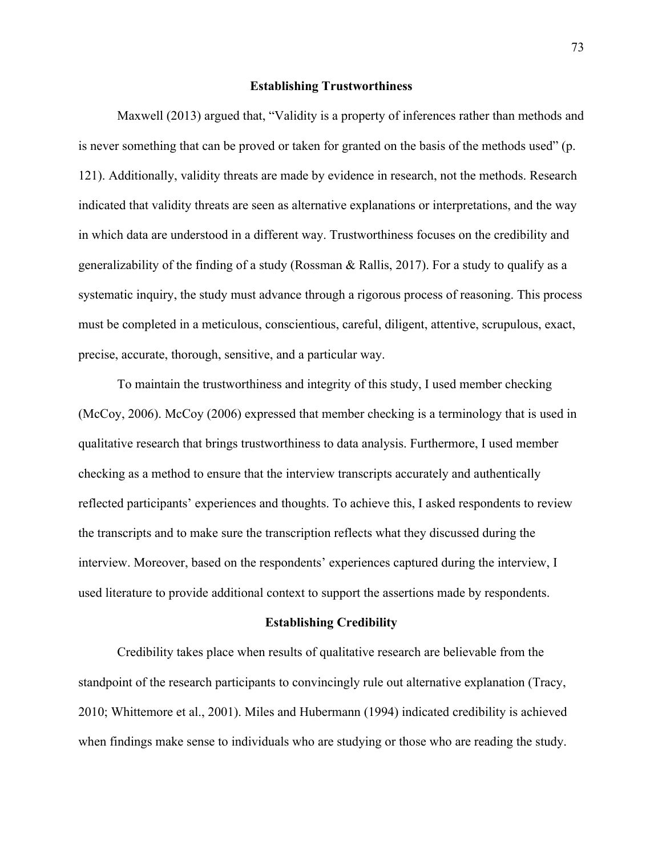#### **Establishing Trustworthiness**

Maxwell (2013) argued that, "Validity is a property of inferences rather than methods and is never something that can be proved or taken for granted on the basis of the methods used" (p. 121). Additionally, validity threats are made by evidence in research, not the methods. Research indicated that validity threats are seen as alternative explanations or interpretations, and the way in which data are understood in a different way. Trustworthiness focuses on the credibility and generalizability of the finding of a study (Rossman & Rallis, 2017). For a study to qualify as a systematic inquiry, the study must advance through a rigorous process of reasoning. This process must be completed in a meticulous, conscientious, careful, diligent, attentive, scrupulous, exact, precise, accurate, thorough, sensitive, and a particular way.

To maintain the trustworthiness and integrity of this study, I used member checking (McCoy, 2006). McCoy (2006) expressed that member checking is a terminology that is used in qualitative research that brings trustworthiness to data analysis. Furthermore, I used member checking as a method to ensure that the interview transcripts accurately and authentically reflected participants' experiences and thoughts. To achieve this, I asked respondents to review the transcripts and to make sure the transcription reflects what they discussed during the interview. Moreover, based on the respondents' experiences captured during the interview, I used literature to provide additional context to support the assertions made by respondents.

## **Establishing Credibility**

Credibility takes place when results of qualitative research are believable from the standpoint of the research participants to convincingly rule out alternative explanation (Tracy, 2010; Whittemore et al., 2001). Miles and Hubermann (1994) indicated credibility is achieved when findings make sense to individuals who are studying or those who are reading the study.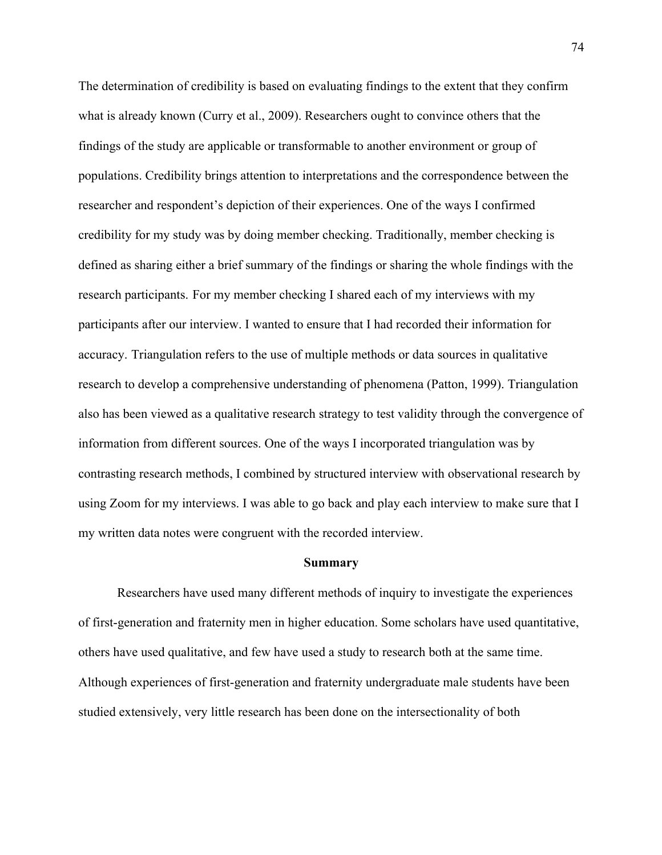The determination of credibility is based on evaluating findings to the extent that they confirm what is already known (Curry et al., 2009). Researchers ought to convince others that the findings of the study are applicable or transformable to another environment or group of populations. Credibility brings attention to interpretations and the correspondence between the researcher and respondent's depiction of their experiences. One of the ways I confirmed credibility for my study was by doing member checking. Traditionally, member checking is defined as sharing either a brief summary of the findings or sharing the whole findings with the research participants. For my member checking I shared each of my interviews with my participants after our interview. I wanted to ensure that I had recorded their information for accuracy. Triangulation refers to the use of multiple methods or data sources in qualitative research to develop a comprehensive understanding of phenomena (Patton, 1999). Triangulation also has been viewed as a qualitative research strategy to test validity through the convergence of information from different sources. One of the ways I incorporated triangulation was by contrasting research methods, I combined by structured interview with observational research by using Zoom for my interviews. I was able to go back and play each interview to make sure that I my written data notes were congruent with the recorded interview.

#### **Summary**

Researchers have used many different methods of inquiry to investigate the experiences of first-generation and fraternity men in higher education. Some scholars have used quantitative, others have used qualitative, and few have used a study to research both at the same time. Although experiences of first-generation and fraternity undergraduate male students have been studied extensively, very little research has been done on the intersectionality of both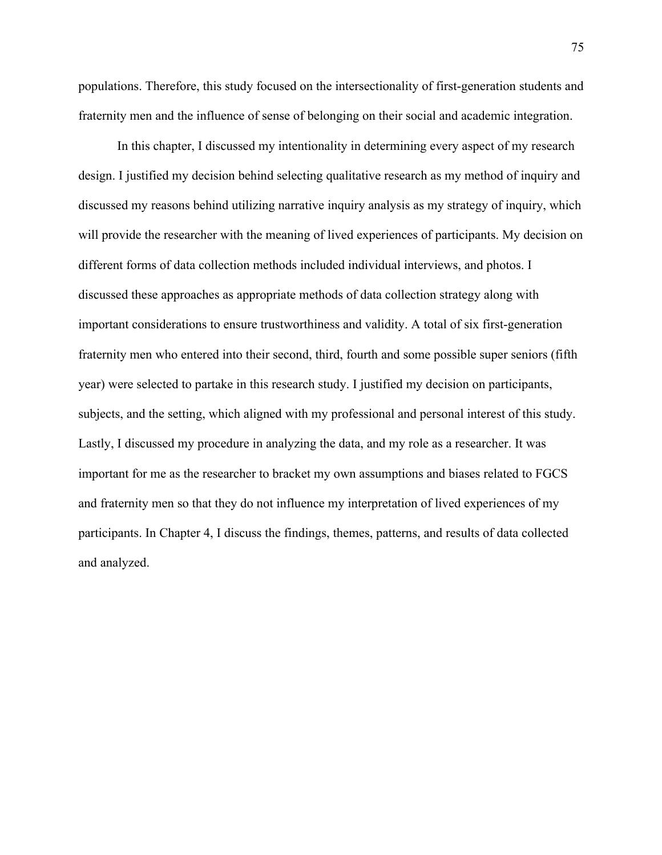populations. Therefore, this study focused on the intersectionality of first-generation students and fraternity men and the influence of sense of belonging on their social and academic integration.

In this chapter, I discussed my intentionality in determining every aspect of my research design. I justified my decision behind selecting qualitative research as my method of inquiry and discussed my reasons behind utilizing narrative inquiry analysis as my strategy of inquiry, which will provide the researcher with the meaning of lived experiences of participants. My decision on different forms of data collection methods included individual interviews, and photos. I discussed these approaches as appropriate methods of data collection strategy along with important considerations to ensure trustworthiness and validity. A total of six first-generation fraternity men who entered into their second, third, fourth and some possible super seniors (fifth year) were selected to partake in this research study. I justified my decision on participants, subjects, and the setting, which aligned with my professional and personal interest of this study. Lastly, I discussed my procedure in analyzing the data, and my role as a researcher. It was important for me as the researcher to bracket my own assumptions and biases related to FGCS and fraternity men so that they do not influence my interpretation of lived experiences of my participants. In Chapter 4, I discuss the findings, themes, patterns, and results of data collected and analyzed.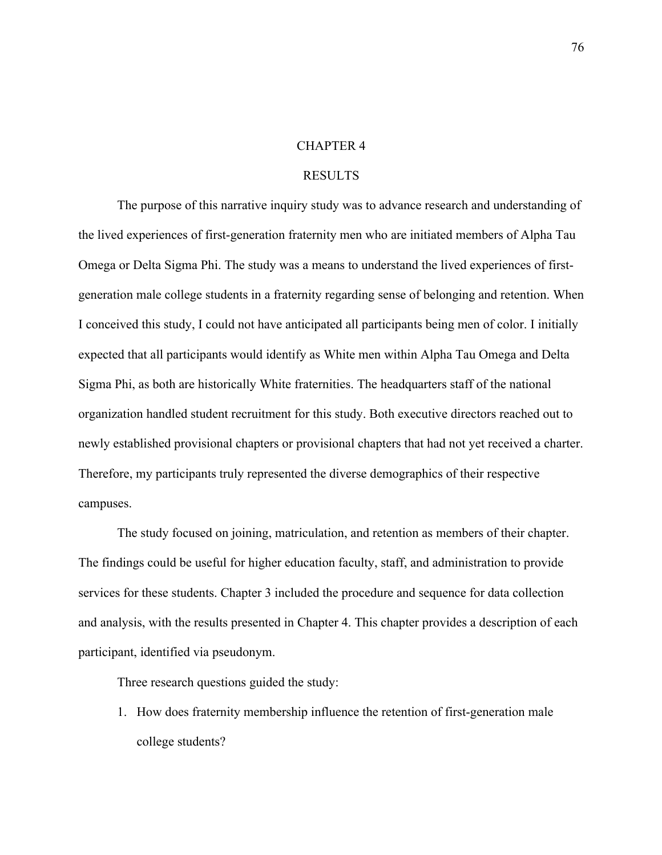#### CHAPTER 4

### RESULTS

The purpose of this narrative inquiry study was to advance research and understanding of the lived experiences of first-generation fraternity men who are initiated members of Alpha Tau Omega or Delta Sigma Phi. The study was a means to understand the lived experiences of firstgeneration male college students in a fraternity regarding sense of belonging and retention. When I conceived this study, I could not have anticipated all participants being men of color. I initially expected that all participants would identify as White men within Alpha Tau Omega and Delta Sigma Phi, as both are historically White fraternities. The headquarters staff of the national organization handled student recruitment for this study. Both executive directors reached out to newly established provisional chapters or provisional chapters that had not yet received a charter. Therefore, my participants truly represented the diverse demographics of their respective campuses.

The study focused on joining, matriculation, and retention as members of their chapter. The findings could be useful for higher education faculty, staff, and administration to provide services for these students. Chapter 3 included the procedure and sequence for data collection and analysis, with the results presented in Chapter 4. This chapter provides a description of each participant, identified via pseudonym.

Three research questions guided the study:

1. How does fraternity membership influence the retention of first-generation male college students?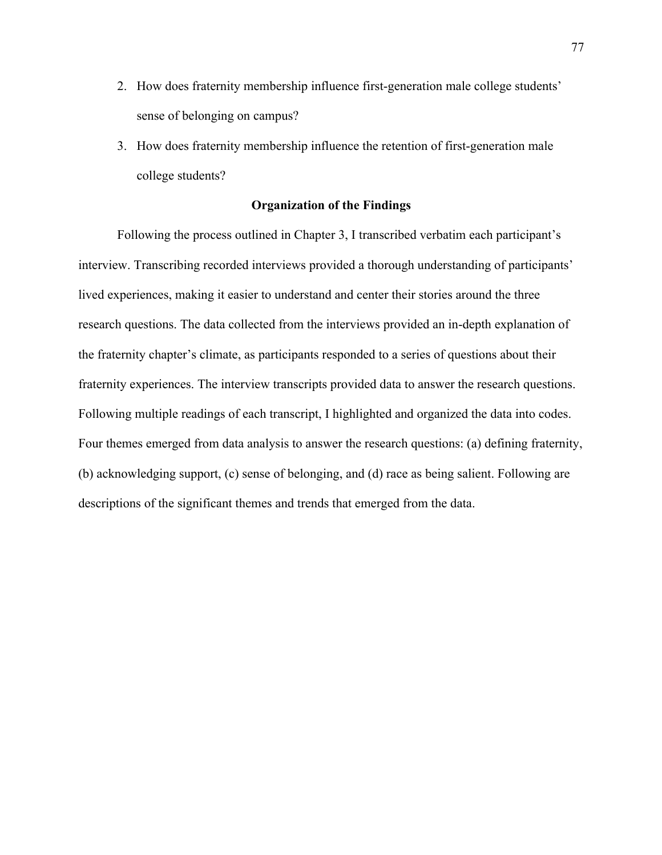- 2. How does fraternity membership influence first-generation male college students' sense of belonging on campus?
- 3. How does fraternity membership influence the retention of first-generation male college students?

## **Organization of the Findings**

Following the process outlined in Chapter 3, I transcribed verbatim each participant's interview. Transcribing recorded interviews provided a thorough understanding of participants' lived experiences, making it easier to understand and center their stories around the three research questions. The data collected from the interviews provided an in-depth explanation of the fraternity chapter's climate, as participants responded to a series of questions about their fraternity experiences. The interview transcripts provided data to answer the research questions. Following multiple readings of each transcript, I highlighted and organized the data into codes. Four themes emerged from data analysis to answer the research questions: (a) defining fraternity, (b) acknowledging support, (c) sense of belonging, and (d) race as being salient. Following are descriptions of the significant themes and trends that emerged from the data.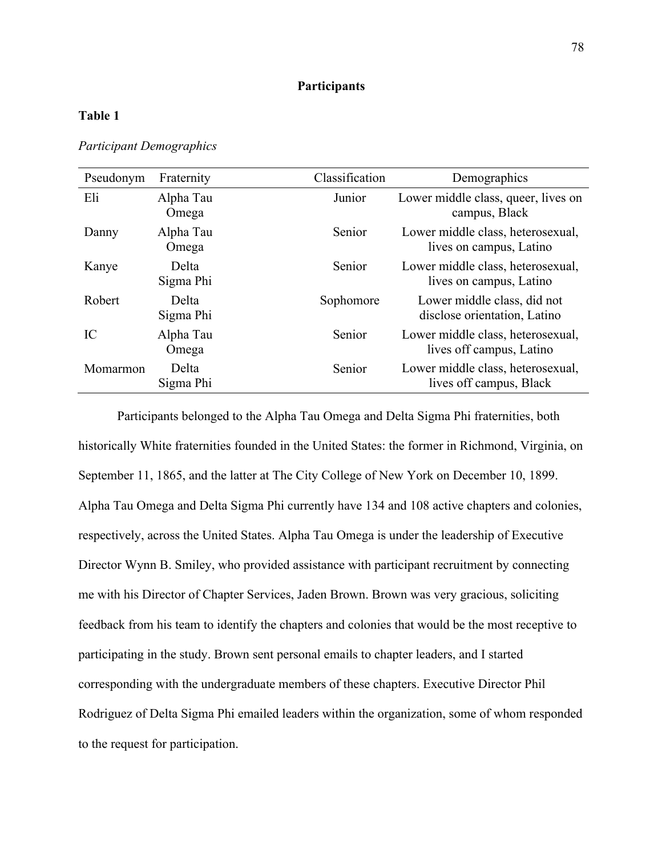# **Participants**

# **Table 1**

*Participant Demographics*

| Pseudonym | Fraternity         | Classification | Demographics                                                  |
|-----------|--------------------|----------------|---------------------------------------------------------------|
| Eli       | Alpha Tau<br>Omega | Junior         | Lower middle class, queer, lives on<br>campus, Black          |
| Danny     | Alpha Tau<br>Omega | Senior         | Lower middle class, heterosexual,<br>lives on campus, Latino  |
| Kanye     | Delta<br>Sigma Phi | Senior         | Lower middle class, heterosexual,<br>lives on campus, Latino  |
| Robert    | Delta<br>Sigma Phi | Sophomore      | Lower middle class, did not<br>disclose orientation, Latino   |
| IC        | Alpha Tau<br>Omega | Senior         | Lower middle class, heterosexual,<br>lives off campus, Latino |
| Momarmon  | Delta<br>Sigma Phi | Senior         | Lower middle class, heterosexual,<br>lives off campus, Black  |

Participants belonged to the Alpha Tau Omega and Delta Sigma Phi fraternities, both historically White fraternities founded in the United States: the former in Richmond, Virginia, on September 11, 1865, and the latter at The City College of New York on December 10, 1899. Alpha Tau Omega and Delta Sigma Phi currently have 134 and 108 active chapters and colonies, respectively, across the United States. Alpha Tau Omega is under the leadership of Executive Director Wynn B. Smiley, who provided assistance with participant recruitment by connecting me with his Director of Chapter Services, Jaden Brown. Brown was very gracious, soliciting feedback from his team to identify the chapters and colonies that would be the most receptive to participating in the study. Brown sent personal emails to chapter leaders, and I started corresponding with the undergraduate members of these chapters. Executive Director Phil Rodriguez of Delta Sigma Phi emailed leaders within the organization, some of whom responded to the request for participation.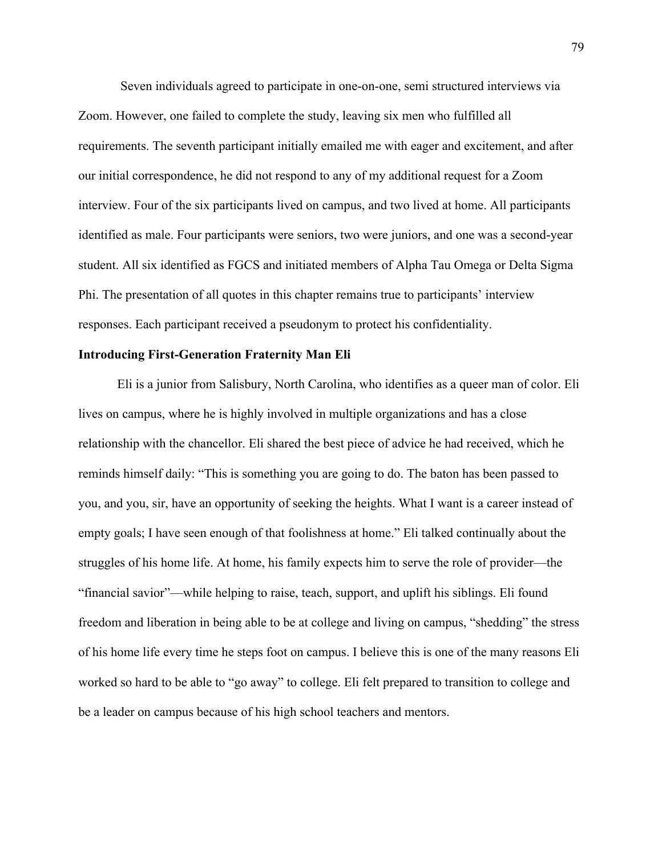Seven individuals agreed to participate in one-on-one, semi structured interviews via Zoom. However, one failed to complete the study, leaving six men who fulfilled all requirements. The seventh participant initially emailed me with eager and excitement, and after our initial correspondence, he did not respond to any of my additional request for a Zoom interview. Four of the six participants lived on campus, and two lived at home. All participants identified as male. Four participants were seniors, two were juniors, and one was a second-year student. All six identified as FGCS and initiated members of Alpha Tau Omega or Delta Sigma Phi. The presentation of all quotes in this chapter remains true to participants' interview responses. Each participant received a pseudonym to protect his confidentiality.

## **Introducing First-Generation Fraternity Man Eli**

Eli is a junior from Salisbury, North Carolina, who identifies as a queer man of color. Eli lives on campus, where he is highly involved in multiple organizations and has a close relationship with the chancellor. Eli shared the best piece of advice he had received, which he reminds himself daily: "This is something you are going to do. The baton has been passed to you, and you, sir, have an opportunity of seeking the heights. What I want is a career instead of empty goals; I have seen enough of that foolishness at home." Eli talked continually about the struggles of his home life. At home, his family expects him to serve the role of provider—the "financial savior"—while helping to raise, teach, support, and uplift his siblings. Eli found freedom and liberation in being able to be at college and living on campus, "shedding" the stress of his home life every time he steps foot on campus. I believe this is one of the many reasons Eli worked so hard to be able to "go away" to college. Eli felt prepared to transition to college and be a leader on campus because of his high school teachers and mentors.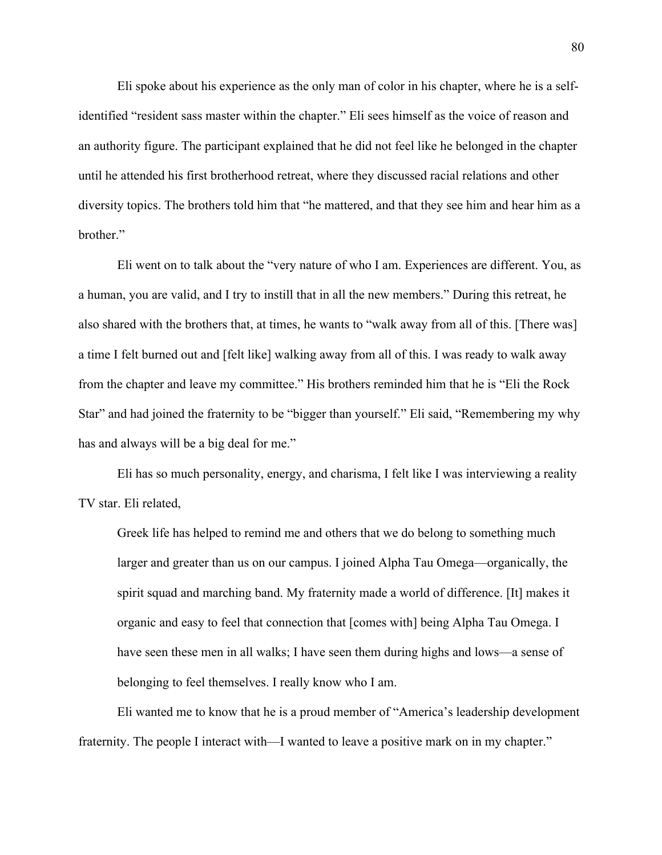Eli spoke about his experience as the only man of color in his chapter, where he is a selfidentified "resident sass master within the chapter." Eli sees himself as the voice of reason and an authority figure. The participant explained that he did not feel like he belonged in the chapter until he attended his first brotherhood retreat, where they discussed racial relations and other diversity topics. The brothers told him that "he mattered, and that they see him and hear him as a brother."

Eli went on to talk about the "very nature of who I am. Experiences are different. You, as a human, you are valid, and I try to instill that in all the new members." During this retreat, he also shared with the brothers that, at times, he wants to "walk away from all of this. [There was] a time I felt burned out and [felt like] walking away from all of this. I was ready to walk away from the chapter and leave my committee." His brothers reminded him that he is "Eli the Rock Star" and had joined the fraternity to be "bigger than yourself." Eli said, "Remembering my why has and always will be a big deal for me."

Eli has so much personality, energy, and charisma, I felt like I was interviewing a reality TV star. Eli related,

Greek life has helped to remind me and others that we do belong to something much larger and greater than us on our campus. I joined Alpha Tau Omega—organically, the spirit squad and marching band. My fraternity made a world of difference. [It] makes it organic and easy to feel that connection that [comes with] being Alpha Tau Omega. I have seen these men in all walks; I have seen them during highs and lows—a sense of belonging to feel themselves. I really know who I am.

Eli wanted me to know that he is a proud member of "America's leadership development fraternity. The people I interact with—I wanted to leave a positive mark on in my chapter."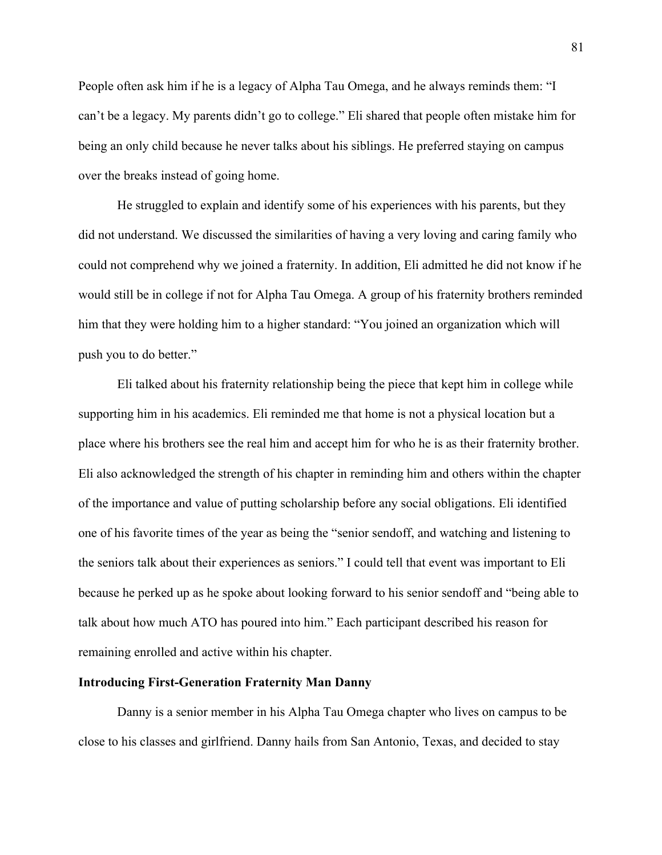People often ask him if he is a legacy of Alpha Tau Omega, and he always reminds them: "I can't be a legacy. My parents didn't go to college." Eli shared that people often mistake him for being an only child because he never talks about his siblings. He preferred staying on campus over the breaks instead of going home.

He struggled to explain and identify some of his experiences with his parents, but they did not understand. We discussed the similarities of having a very loving and caring family who could not comprehend why we joined a fraternity. In addition, Eli admitted he did not know if he would still be in college if not for Alpha Tau Omega. A group of his fraternity brothers reminded him that they were holding him to a higher standard: "You joined an organization which will push you to do better."

Eli talked about his fraternity relationship being the piece that kept him in college while supporting him in his academics. Eli reminded me that home is not a physical location but a place where his brothers see the real him and accept him for who he is as their fraternity brother. Eli also acknowledged the strength of his chapter in reminding him and others within the chapter of the importance and value of putting scholarship before any social obligations. Eli identified one of his favorite times of the year as being the "senior sendoff, and watching and listening to the seniors talk about their experiences as seniors." I could tell that event was important to Eli because he perked up as he spoke about looking forward to his senior sendoff and "being able to talk about how much ATO has poured into him." Each participant described his reason for remaining enrolled and active within his chapter.

## **Introducing First-Generation Fraternity Man Danny**

Danny is a senior member in his Alpha Tau Omega chapter who lives on campus to be close to his classes and girlfriend. Danny hails from San Antonio, Texas, and decided to stay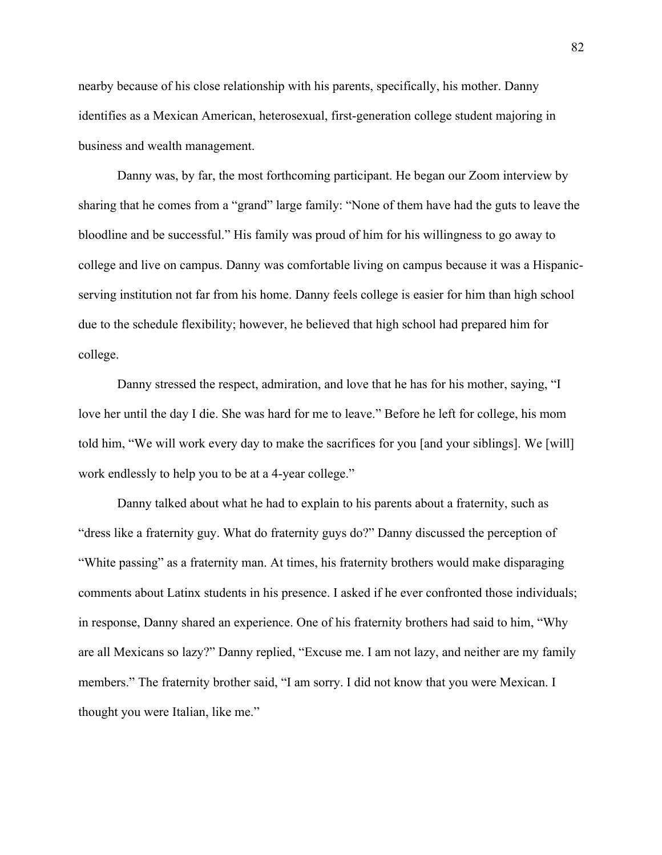nearby because of his close relationship with his parents, specifically, his mother. Danny identifies as a Mexican American, heterosexual, first-generation college student majoring in business and wealth management.

Danny was, by far, the most forthcoming participant. He began our Zoom interview by sharing that he comes from a "grand" large family: "None of them have had the guts to leave the bloodline and be successful." His family was proud of him for his willingness to go away to college and live on campus. Danny was comfortable living on campus because it was a Hispanicserving institution not far from his home. Danny feels college is easier for him than high school due to the schedule flexibility; however, he believed that high school had prepared him for college.

Danny stressed the respect, admiration, and love that he has for his mother, saying, "I love her until the day I die. She was hard for me to leave." Before he left for college, his mom told him, "We will work every day to make the sacrifices for you [and your siblings]. We [will] work endlessly to help you to be at a 4-year college."

Danny talked about what he had to explain to his parents about a fraternity, such as "dress like a fraternity guy. What do fraternity guys do?" Danny discussed the perception of "White passing" as a fraternity man. At times, his fraternity brothers would make disparaging comments about Latinx students in his presence. I asked if he ever confronted those individuals; in response, Danny shared an experience. One of his fraternity brothers had said to him, "Why are all Mexicans so lazy?" Danny replied, "Excuse me. I am not lazy, and neither are my family members." The fraternity brother said, "I am sorry. I did not know that you were Mexican. I thought you were Italian, like me."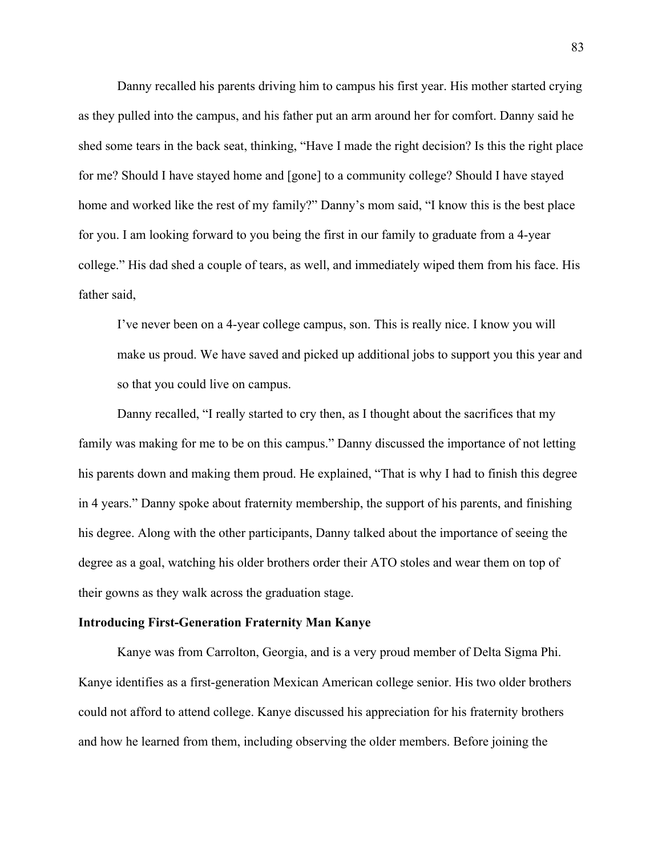Danny recalled his parents driving him to campus his first year. His mother started crying as they pulled into the campus, and his father put an arm around her for comfort. Danny said he shed some tears in the back seat, thinking, "Have I made the right decision? Is this the right place for me? Should I have stayed home and [gone] to a community college? Should I have stayed home and worked like the rest of my family?" Danny's mom said, "I know this is the best place for you. I am looking forward to you being the first in our family to graduate from a 4-year college." His dad shed a couple of tears, as well, and immediately wiped them from his face. His father said,

I've never been on a 4-year college campus, son. This is really nice. I know you will make us proud. We have saved and picked up additional jobs to support you this year and so that you could live on campus.

Danny recalled, "I really started to cry then, as I thought about the sacrifices that my family was making for me to be on this campus." Danny discussed the importance of not letting his parents down and making them proud. He explained, "That is why I had to finish this degree in 4 years." Danny spoke about fraternity membership, the support of his parents, and finishing his degree. Along with the other participants, Danny talked about the importance of seeing the degree as a goal, watching his older brothers order their ATO stoles and wear them on top of their gowns as they walk across the graduation stage.

## **Introducing First-Generation Fraternity Man Kanye**

Kanye was from Carrolton, Georgia, and is a very proud member of Delta Sigma Phi. Kanye identifies as a first-generation Mexican American college senior. His two older brothers could not afford to attend college. Kanye discussed his appreciation for his fraternity brothers and how he learned from them, including observing the older members. Before joining the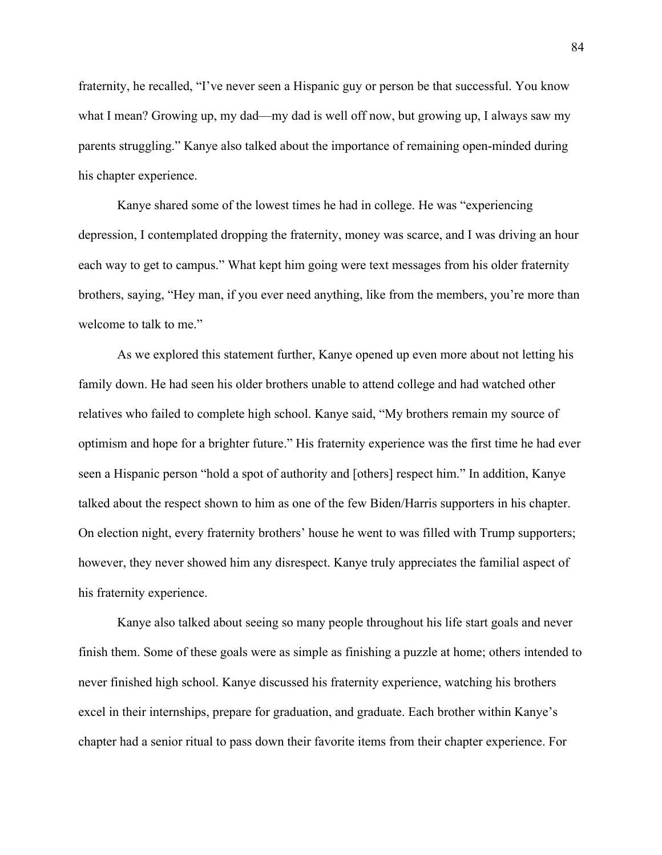fraternity, he recalled, "I've never seen a Hispanic guy or person be that successful. You know what I mean? Growing up, my dad—my dad is well off now, but growing up, I always saw my parents struggling." Kanye also talked about the importance of remaining open-minded during his chapter experience.

Kanye shared some of the lowest times he had in college. He was "experiencing depression, I contemplated dropping the fraternity, money was scarce, and I was driving an hour each way to get to campus." What kept him going were text messages from his older fraternity brothers, saying, "Hey man, if you ever need anything, like from the members, you're more than welcome to talk to me."

As we explored this statement further, Kanye opened up even more about not letting his family down. He had seen his older brothers unable to attend college and had watched other relatives who failed to complete high school. Kanye said, "My brothers remain my source of optimism and hope for a brighter future." His fraternity experience was the first time he had ever seen a Hispanic person "hold a spot of authority and [others] respect him." In addition, Kanye talked about the respect shown to him as one of the few Biden/Harris supporters in his chapter. On election night, every fraternity brothers' house he went to was filled with Trump supporters; however, they never showed him any disrespect. Kanye truly appreciates the familial aspect of his fraternity experience.

Kanye also talked about seeing so many people throughout his life start goals and never finish them. Some of these goals were as simple as finishing a puzzle at home; others intended to never finished high school. Kanye discussed his fraternity experience, watching his brothers excel in their internships, prepare for graduation, and graduate. Each brother within Kanye's chapter had a senior ritual to pass down their favorite items from their chapter experience. For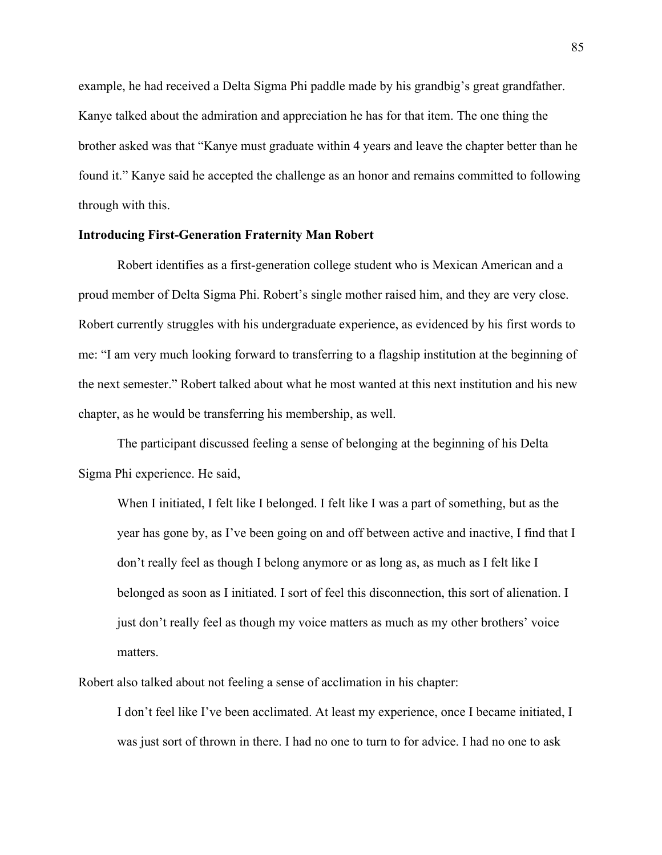example, he had received a Delta Sigma Phi paddle made by his grandbig's great grandfather. Kanye talked about the admiration and appreciation he has for that item. The one thing the brother asked was that "Kanye must graduate within 4 years and leave the chapter better than he found it." Kanye said he accepted the challenge as an honor and remains committed to following through with this.

## **Introducing First-Generation Fraternity Man Robert**

Robert identifies as a first-generation college student who is Mexican American and a proud member of Delta Sigma Phi. Robert's single mother raised him, and they are very close. Robert currently struggles with his undergraduate experience, as evidenced by his first words to me: "I am very much looking forward to transferring to a flagship institution at the beginning of the next semester." Robert talked about what he most wanted at this next institution and his new chapter, as he would be transferring his membership, as well.

The participant discussed feeling a sense of belonging at the beginning of his Delta Sigma Phi experience. He said,

When I initiated, I felt like I belonged. I felt like I was a part of something, but as the year has gone by, as I've been going on and off between active and inactive, I find that I don't really feel as though I belong anymore or as long as, as much as I felt like I belonged as soon as I initiated. I sort of feel this disconnection, this sort of alienation. I just don't really feel as though my voice matters as much as my other brothers' voice matters.

Robert also talked about not feeling a sense of acclimation in his chapter:

I don't feel like I've been acclimated. At least my experience, once I became initiated, I was just sort of thrown in there. I had no one to turn to for advice. I had no one to ask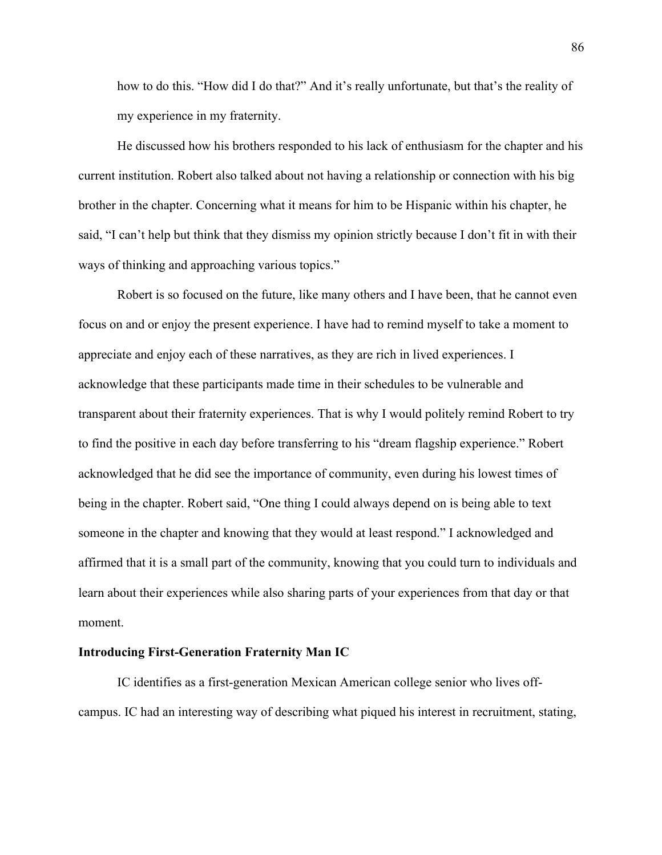how to do this. "How did I do that?" And it's really unfortunate, but that's the reality of my experience in my fraternity.

He discussed how his brothers responded to his lack of enthusiasm for the chapter and his current institution. Robert also talked about not having a relationship or connection with his big brother in the chapter. Concerning what it means for him to be Hispanic within his chapter, he said, "I can't help but think that they dismiss my opinion strictly because I don't fit in with their ways of thinking and approaching various topics."

Robert is so focused on the future, like many others and I have been, that he cannot even focus on and or enjoy the present experience. I have had to remind myself to take a moment to appreciate and enjoy each of these narratives, as they are rich in lived experiences. I acknowledge that these participants made time in their schedules to be vulnerable and transparent about their fraternity experiences. That is why I would politely remind Robert to try to find the positive in each day before transferring to his "dream flagship experience." Robert acknowledged that he did see the importance of community, even during his lowest times of being in the chapter. Robert said, "One thing I could always depend on is being able to text someone in the chapter and knowing that they would at least respond." I acknowledged and affirmed that it is a small part of the community, knowing that you could turn to individuals and learn about their experiences while also sharing parts of your experiences from that day or that moment.

## **Introducing First-Generation Fraternity Man IC**

IC identifies as a first-generation Mexican American college senior who lives offcampus. IC had an interesting way of describing what piqued his interest in recruitment, stating,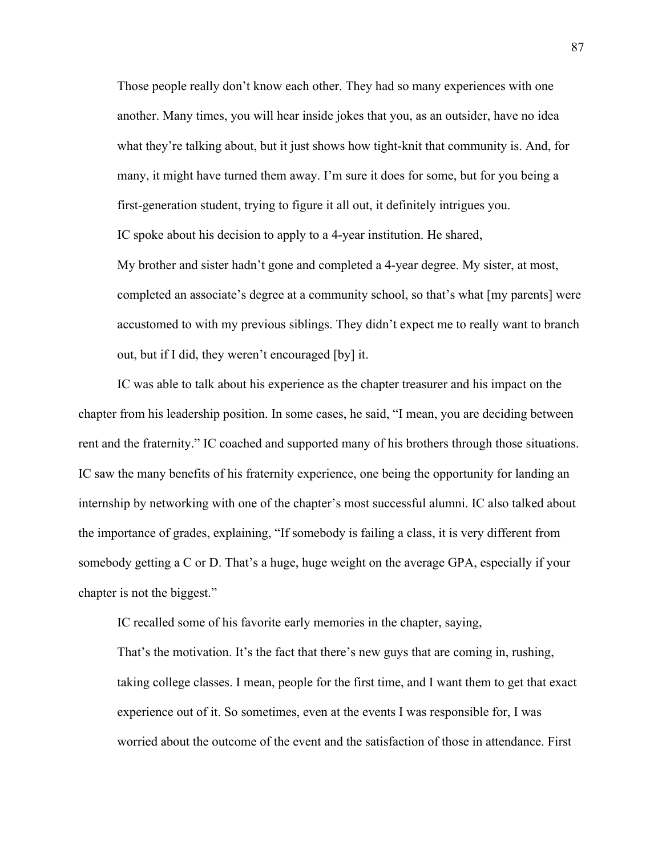Those people really don't know each other. They had so many experiences with one another. Many times, you will hear inside jokes that you, as an outsider, have no idea what they're talking about, but it just shows how tight-knit that community is. And, for many, it might have turned them away. I'm sure it does for some, but for you being a first-generation student, trying to figure it all out, it definitely intrigues you. IC spoke about his decision to apply to a 4-year institution. He shared, My brother and sister hadn't gone and completed a 4-year degree. My sister, at most, completed an associate's degree at a community school, so that's what [my parents] were accustomed to with my previous siblings. They didn't expect me to really want to branch out, but if I did, they weren't encouraged [by] it.

IC was able to talk about his experience as the chapter treasurer and his impact on the chapter from his leadership position. In some cases, he said, "I mean, you are deciding between rent and the fraternity." IC coached and supported many of his brothers through those situations. IC saw the many benefits of his fraternity experience, one being the opportunity for landing an internship by networking with one of the chapter's most successful alumni. IC also talked about the importance of grades, explaining, "If somebody is failing a class, it is very different from somebody getting a C or D. That's a huge, huge weight on the average GPA, especially if your chapter is not the biggest."

IC recalled some of his favorite early memories in the chapter, saying,

That's the motivation. It's the fact that there's new guys that are coming in, rushing, taking college classes. I mean, people for the first time, and I want them to get that exact experience out of it. So sometimes, even at the events I was responsible for, I was worried about the outcome of the event and the satisfaction of those in attendance. First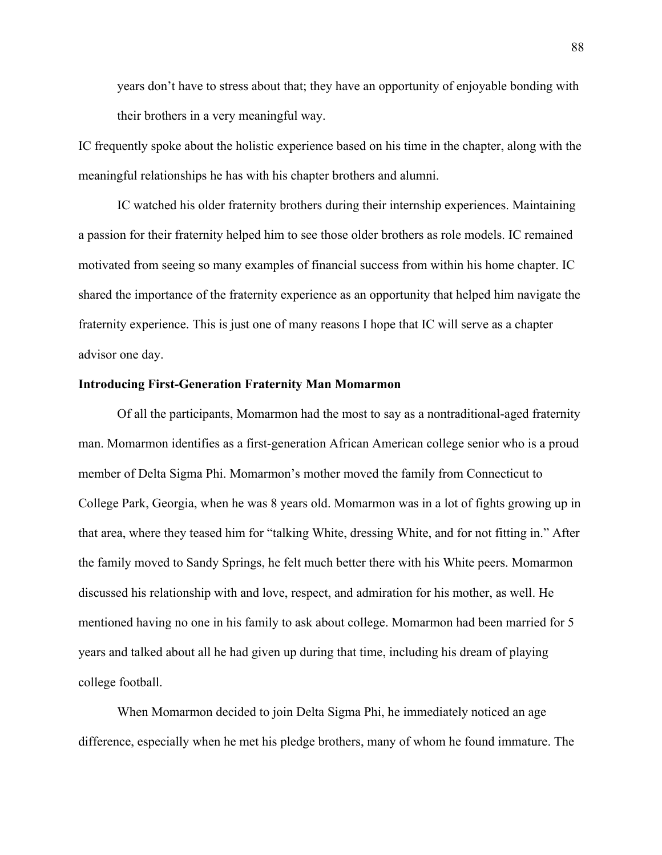years don't have to stress about that; they have an opportunity of enjoyable bonding with their brothers in a very meaningful way.

IC frequently spoke about the holistic experience based on his time in the chapter, along with the meaningful relationships he has with his chapter brothers and alumni.

IC watched his older fraternity brothers during their internship experiences. Maintaining a passion for their fraternity helped him to see those older brothers as role models. IC remained motivated from seeing so many examples of financial success from within his home chapter. IC shared the importance of the fraternity experience as an opportunity that helped him navigate the fraternity experience. This is just one of many reasons I hope that IC will serve as a chapter advisor one day.

#### **Introducing First-Generation Fraternity Man Momarmon**

Of all the participants, Momarmon had the most to say as a nontraditional-aged fraternity man. Momarmon identifies as a first-generation African American college senior who is a proud member of Delta Sigma Phi. Momarmon's mother moved the family from Connecticut to College Park, Georgia, when he was 8 years old. Momarmon was in a lot of fights growing up in that area, where they teased him for "talking White, dressing White, and for not fitting in." After the family moved to Sandy Springs, he felt much better there with his White peers. Momarmon discussed his relationship with and love, respect, and admiration for his mother, as well. He mentioned having no one in his family to ask about college. Momarmon had been married for 5 years and talked about all he had given up during that time, including his dream of playing college football.

When Momarmon decided to join Delta Sigma Phi, he immediately noticed an age difference, especially when he met his pledge brothers, many of whom he found immature. The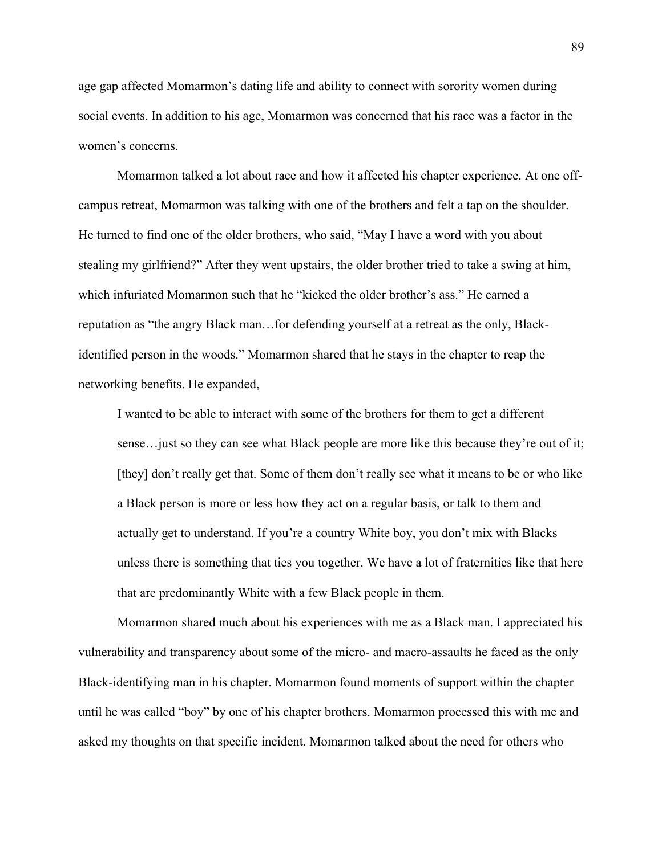age gap affected Momarmon's dating life and ability to connect with sorority women during social events. In addition to his age, Momarmon was concerned that his race was a factor in the women's concerns.

Momarmon talked a lot about race and how it affected his chapter experience. At one offcampus retreat, Momarmon was talking with one of the brothers and felt a tap on the shoulder. He turned to find one of the older brothers, who said, "May I have a word with you about stealing my girlfriend?" After they went upstairs, the older brother tried to take a swing at him, which infuriated Momarmon such that he "kicked the older brother's ass." He earned a reputation as "the angry Black man…for defending yourself at a retreat as the only, Blackidentified person in the woods." Momarmon shared that he stays in the chapter to reap the networking benefits. He expanded,

I wanted to be able to interact with some of the brothers for them to get a different sense…just so they can see what Black people are more like this because they're out of it; [they] don't really get that. Some of them don't really see what it means to be or who like a Black person is more or less how they act on a regular basis, or talk to them and actually get to understand. If you're a country White boy, you don't mix with Blacks unless there is something that ties you together. We have a lot of fraternities like that here that are predominantly White with a few Black people in them.

Momarmon shared much about his experiences with me as a Black man. I appreciated his vulnerability and transparency about some of the micro- and macro-assaults he faced as the only Black-identifying man in his chapter. Momarmon found moments of support within the chapter until he was called "boy" by one of his chapter brothers. Momarmon processed this with me and asked my thoughts on that specific incident. Momarmon talked about the need for others who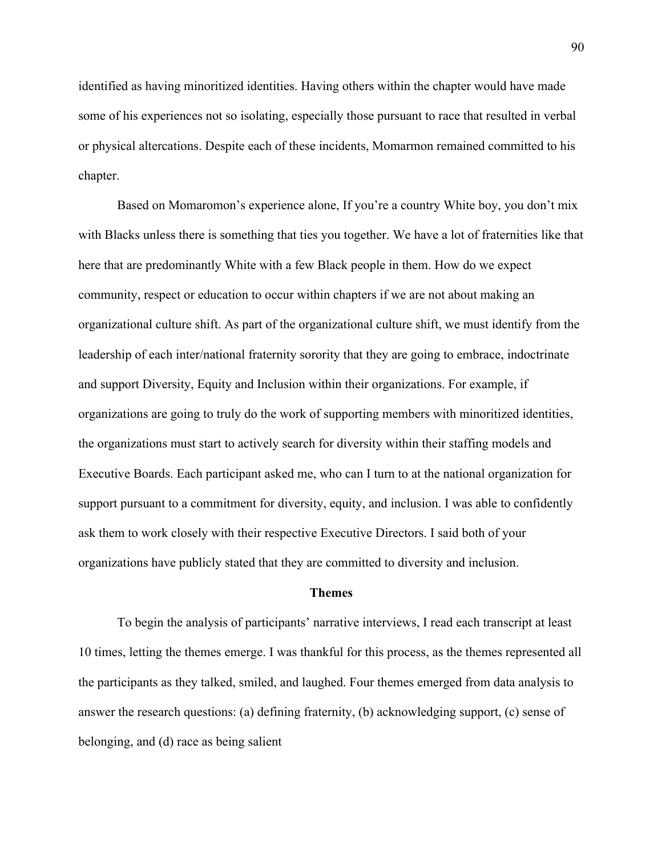identified as having minoritized identities. Having others within the chapter would have made some of his experiences not so isolating, especially those pursuant to race that resulted in verbal or physical altercations. Despite each of these incidents, Momarmon remained committed to his chapter.

Based on Momaromon's experience alone, If you're a country White boy, you don't mix with Blacks unless there is something that ties you together. We have a lot of fraternities like that here that are predominantly White with a few Black people in them. How do we expect community, respect or education to occur within chapters if we are not about making an organizational culture shift. As part of the organizational culture shift, we must identify from the leadership of each inter/national fraternity sorority that they are going to embrace, indoctrinate and support Diversity, Equity and Inclusion within their organizations. For example, if organizations are going to truly do the work of supporting members with minoritized identities, the organizations must start to actively search for diversity within their staffing models and Executive Boards. Each participant asked me, who can I turn to at the national organization for support pursuant to a commitment for diversity, equity, and inclusion. I was able to confidently ask them to work closely with their respective Executive Directors. I said both of your organizations have publicly stated that they are committed to diversity and inclusion.

#### **Themes**

To begin the analysis of participants' narrative interviews, I read each transcript at least 10 times, letting the themes emerge. I was thankful for this process, as the themes represented all the participants as they talked, smiled, and laughed. Four themes emerged from data analysis to answer the research questions: (a) defining fraternity, (b) acknowledging support, (c) sense of belonging, and (d) race as being salient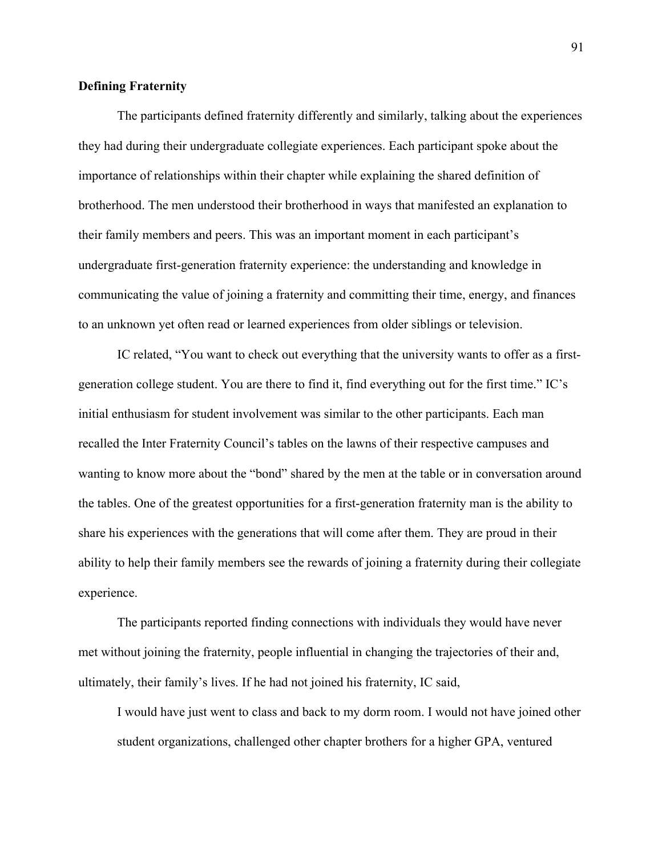## **Defining Fraternity**

The participants defined fraternity differently and similarly, talking about the experiences they had during their undergraduate collegiate experiences. Each participant spoke about the importance of relationships within their chapter while explaining the shared definition of brotherhood. The men understood their brotherhood in ways that manifested an explanation to their family members and peers. This was an important moment in each participant's undergraduate first-generation fraternity experience: the understanding and knowledge in communicating the value of joining a fraternity and committing their time, energy, and finances to an unknown yet often read or learned experiences from older siblings or television.

IC related, "You want to check out everything that the university wants to offer as a firstgeneration college student. You are there to find it, find everything out for the first time." IC's initial enthusiasm for student involvement was similar to the other participants. Each man recalled the Inter Fraternity Council's tables on the lawns of their respective campuses and wanting to know more about the "bond" shared by the men at the table or in conversation around the tables. One of the greatest opportunities for a first-generation fraternity man is the ability to share his experiences with the generations that will come after them. They are proud in their ability to help their family members see the rewards of joining a fraternity during their collegiate experience.

The participants reported finding connections with individuals they would have never met without joining the fraternity, people influential in changing the trajectories of their and, ultimately, their family's lives. If he had not joined his fraternity, IC said,

I would have just went to class and back to my dorm room. I would not have joined other student organizations, challenged other chapter brothers for a higher GPA, ventured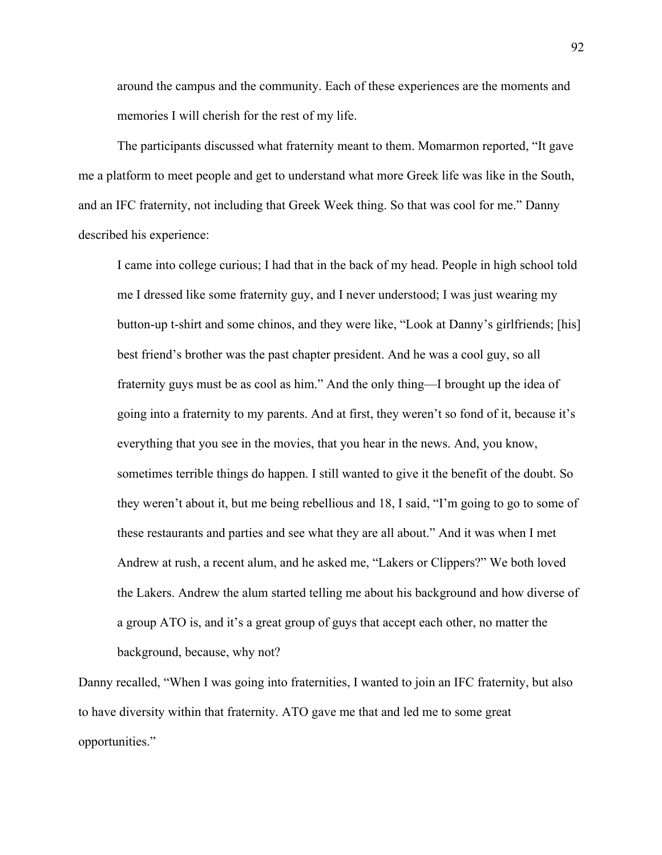around the campus and the community. Each of these experiences are the moments and memories I will cherish for the rest of my life.

The participants discussed what fraternity meant to them. Momarmon reported, "It gave me a platform to meet people and get to understand what more Greek life was like in the South, and an IFC fraternity, not including that Greek Week thing. So that was cool for me." Danny described his experience:

I came into college curious; I had that in the back of my head. People in high school told me I dressed like some fraternity guy, and I never understood; I was just wearing my button-up t-shirt and some chinos, and they were like, "Look at Danny's girlfriends; [his] best friend's brother was the past chapter president. And he was a cool guy, so all fraternity guys must be as cool as him." And the only thing—I brought up the idea of going into a fraternity to my parents. And at first, they weren't so fond of it, because it's everything that you see in the movies, that you hear in the news. And, you know, sometimes terrible things do happen. I still wanted to give it the benefit of the doubt. So they weren't about it, but me being rebellious and 18, I said, "I'm going to go to some of these restaurants and parties and see what they are all about." And it was when I met Andrew at rush, a recent alum, and he asked me, "Lakers or Clippers?" We both loved the Lakers. Andrew the alum started telling me about his background and how diverse of a group ATO is, and it's a great group of guys that accept each other, no matter the background, because, why not?

Danny recalled, "When I was going into fraternities, I wanted to join an IFC fraternity, but also to have diversity within that fraternity. ATO gave me that and led me to some great opportunities."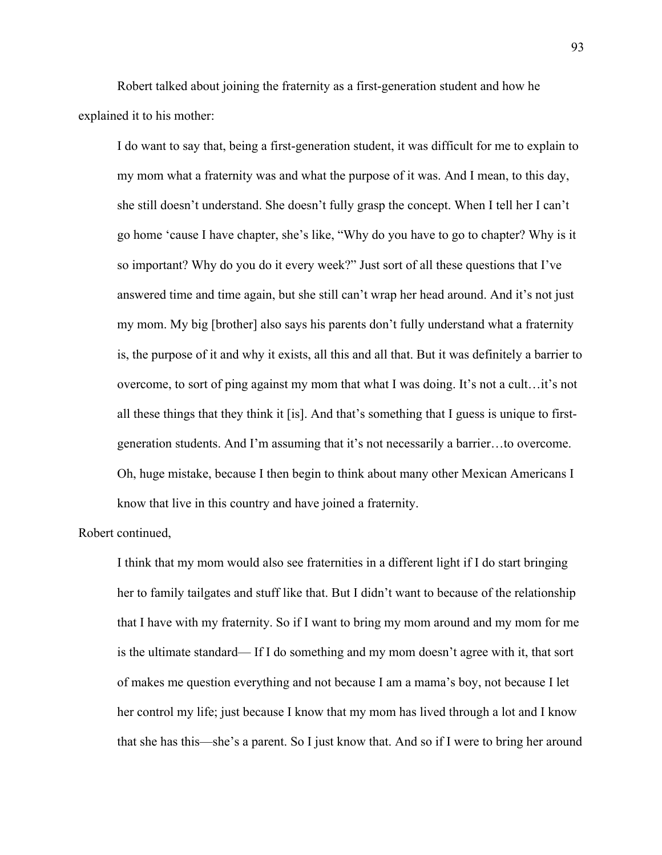Robert talked about joining the fraternity as a first-generation student and how he explained it to his mother:

I do want to say that, being a first-generation student, it was difficult for me to explain to my mom what a fraternity was and what the purpose of it was. And I mean, to this day, she still doesn't understand. She doesn't fully grasp the concept. When I tell her I can't go home 'cause I have chapter, she's like, "Why do you have to go to chapter? Why is it so important? Why do you do it every week?" Just sort of all these questions that I've answered time and time again, but she still can't wrap her head around. And it's not just my mom. My big [brother] also says his parents don't fully understand what a fraternity is, the purpose of it and why it exists, all this and all that. But it was definitely a barrier to overcome, to sort of ping against my mom that what I was doing. It's not a cult…it's not all these things that they think it [is]. And that's something that I guess is unique to firstgeneration students. And I'm assuming that it's not necessarily a barrier…to overcome. Oh, huge mistake, because I then begin to think about many other Mexican Americans I know that live in this country and have joined a fraternity.

## Robert continued,

I think that my mom would also see fraternities in a different light if I do start bringing her to family tailgates and stuff like that. But I didn't want to because of the relationship that I have with my fraternity. So if I want to bring my mom around and my mom for me is the ultimate standard— If I do something and my mom doesn't agree with it, that sort of makes me question everything and not because I am a mama's boy, not because I let her control my life; just because I know that my mom has lived through a lot and I know that she has this—she's a parent. So I just know that. And so if I were to bring her around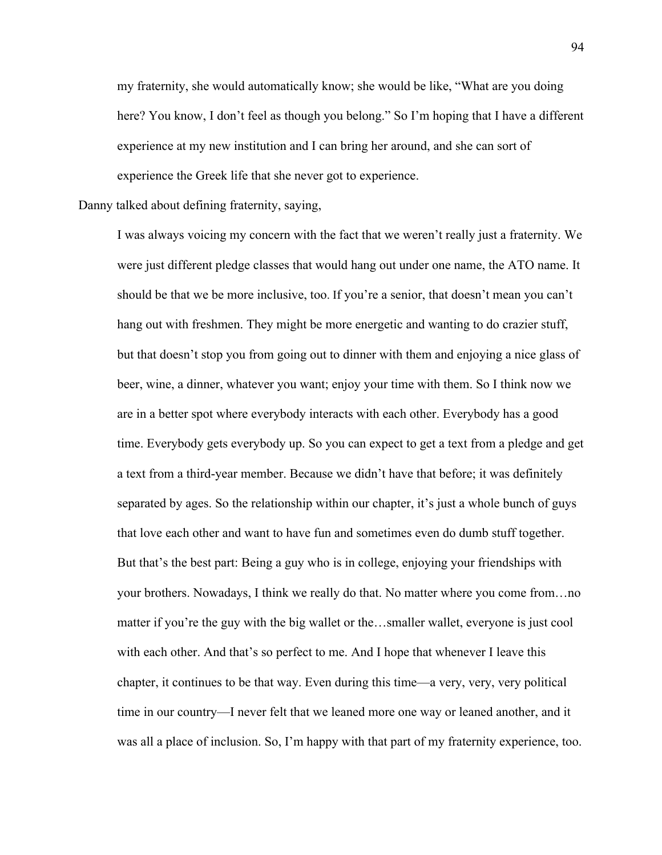my fraternity, she would automatically know; she would be like, "What are you doing here? You know, I don't feel as though you belong." So I'm hoping that I have a different experience at my new institution and I can bring her around, and she can sort of experience the Greek life that she never got to experience.

Danny talked about defining fraternity, saying,

I was always voicing my concern with the fact that we weren't really just a fraternity. We were just different pledge classes that would hang out under one name, the ATO name. It should be that we be more inclusive, too. If you're a senior, that doesn't mean you can't hang out with freshmen. They might be more energetic and wanting to do crazier stuff, but that doesn't stop you from going out to dinner with them and enjoying a nice glass of beer, wine, a dinner, whatever you want; enjoy your time with them. So I think now we are in a better spot where everybody interacts with each other. Everybody has a good time. Everybody gets everybody up. So you can expect to get a text from a pledge and get a text from a third-year member. Because we didn't have that before; it was definitely separated by ages. So the relationship within our chapter, it's just a whole bunch of guys that love each other and want to have fun and sometimes even do dumb stuff together. But that's the best part: Being a guy who is in college, enjoying your friendships with your brothers. Nowadays, I think we really do that. No matter where you come from…no matter if you're the guy with the big wallet or the…smaller wallet, everyone is just cool with each other. And that's so perfect to me. And I hope that whenever I leave this chapter, it continues to be that way. Even during this time—a very, very, very political time in our country—I never felt that we leaned more one way or leaned another, and it was all a place of inclusion. So, I'm happy with that part of my fraternity experience, too.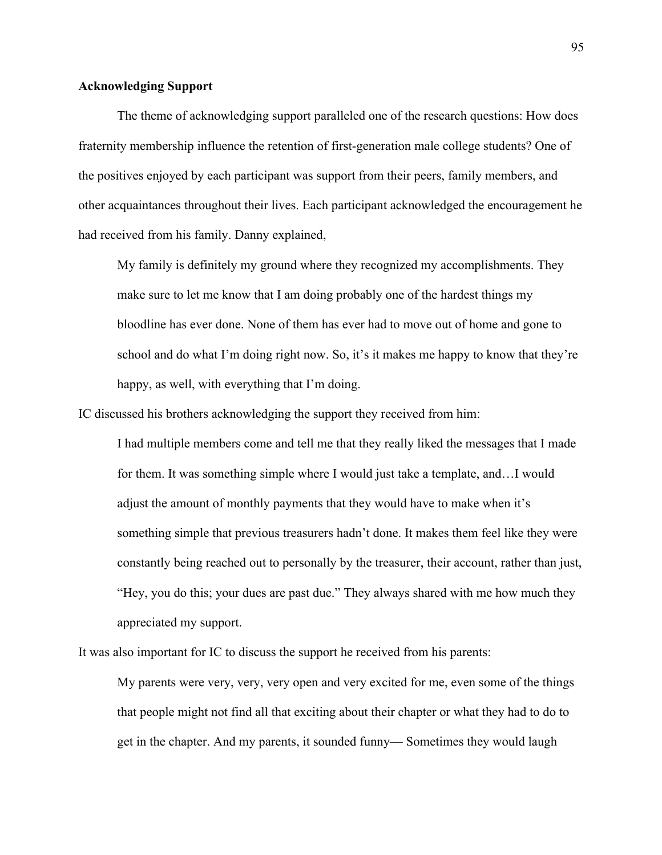## **Acknowledging Support**

The theme of acknowledging support paralleled one of the research questions: How does fraternity membership influence the retention of first-generation male college students? One of the positives enjoyed by each participant was support from their peers, family members, and other acquaintances throughout their lives. Each participant acknowledged the encouragement he had received from his family. Danny explained,

My family is definitely my ground where they recognized my accomplishments. They make sure to let me know that I am doing probably one of the hardest things my bloodline has ever done. None of them has ever had to move out of home and gone to school and do what I'm doing right now. So, it's it makes me happy to know that they're happy, as well, with everything that I'm doing.

IC discussed his brothers acknowledging the support they received from him:

I had multiple members come and tell me that they really liked the messages that I made for them. It was something simple where I would just take a template, and…I would adjust the amount of monthly payments that they would have to make when it's something simple that previous treasurers hadn't done. It makes them feel like they were constantly being reached out to personally by the treasurer, their account, rather than just, "Hey, you do this; your dues are past due." They always shared with me how much they appreciated my support.

It was also important for IC to discuss the support he received from his parents:

My parents were very, very, very open and very excited for me, even some of the things that people might not find all that exciting about their chapter or what they had to do to get in the chapter. And my parents, it sounded funny— Sometimes they would laugh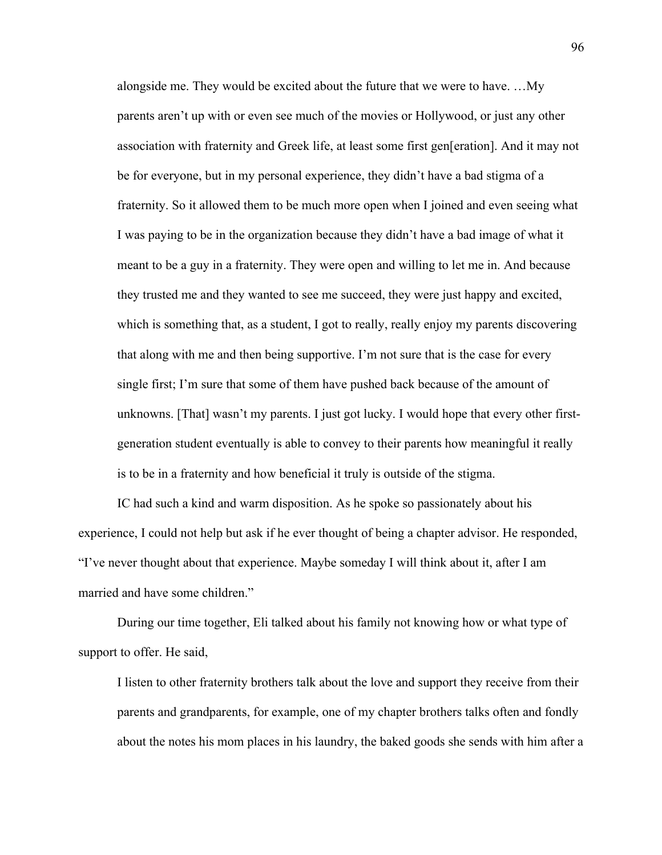alongside me. They would be excited about the future that we were to have. …My parents aren't up with or even see much of the movies or Hollywood, or just any other association with fraternity and Greek life, at least some first gen[eration]. And it may not be for everyone, but in my personal experience, they didn't have a bad stigma of a fraternity. So it allowed them to be much more open when I joined and even seeing what I was paying to be in the organization because they didn't have a bad image of what it meant to be a guy in a fraternity. They were open and willing to let me in. And because they trusted me and they wanted to see me succeed, they were just happy and excited, which is something that, as a student, I got to really, really enjoy my parents discovering that along with me and then being supportive. I'm not sure that is the case for every single first; I'm sure that some of them have pushed back because of the amount of unknowns. [That] wasn't my parents. I just got lucky. I would hope that every other firstgeneration student eventually is able to convey to their parents how meaningful it really is to be in a fraternity and how beneficial it truly is outside of the stigma.

IC had such a kind and warm disposition. As he spoke so passionately about his experience, I could not help but ask if he ever thought of being a chapter advisor. He responded, "I've never thought about that experience. Maybe someday I will think about it, after I am married and have some children."

During our time together, Eli talked about his family not knowing how or what type of support to offer. He said,

I listen to other fraternity brothers talk about the love and support they receive from their parents and grandparents, for example, one of my chapter brothers talks often and fondly about the notes his mom places in his laundry, the baked goods she sends with him after a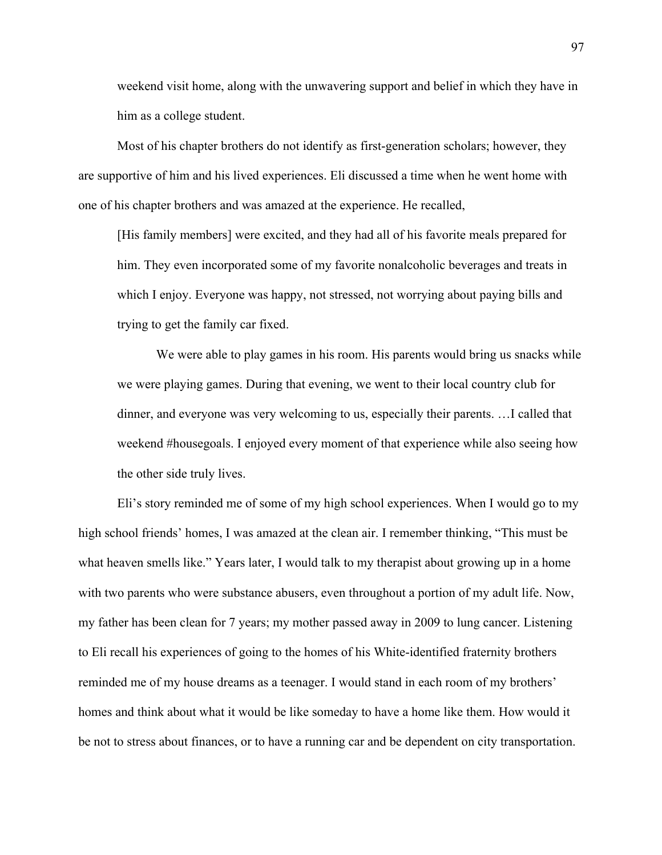weekend visit home, along with the unwavering support and belief in which they have in him as a college student.

Most of his chapter brothers do not identify as first-generation scholars; however, they are supportive of him and his lived experiences. Eli discussed a time when he went home with one of his chapter brothers and was amazed at the experience. He recalled,

[His family members] were excited, and they had all of his favorite meals prepared for him. They even incorporated some of my favorite nonalcoholic beverages and treats in which I enjoy. Everyone was happy, not stressed, not worrying about paying bills and trying to get the family car fixed.

We were able to play games in his room. His parents would bring us snacks while we were playing games. During that evening, we went to their local country club for dinner, and everyone was very welcoming to us, especially their parents. …I called that weekend #housegoals. I enjoyed every moment of that experience while also seeing how the other side truly lives.

Eli's story reminded me of some of my high school experiences. When I would go to my high school friends' homes, I was amazed at the clean air. I remember thinking, "This must be what heaven smells like." Years later, I would talk to my therapist about growing up in a home with two parents who were substance abusers, even throughout a portion of my adult life. Now, my father has been clean for 7 years; my mother passed away in 2009 to lung cancer. Listening to Eli recall his experiences of going to the homes of his White-identified fraternity brothers reminded me of my house dreams as a teenager. I would stand in each room of my brothers' homes and think about what it would be like someday to have a home like them. How would it be not to stress about finances, or to have a running car and be dependent on city transportation.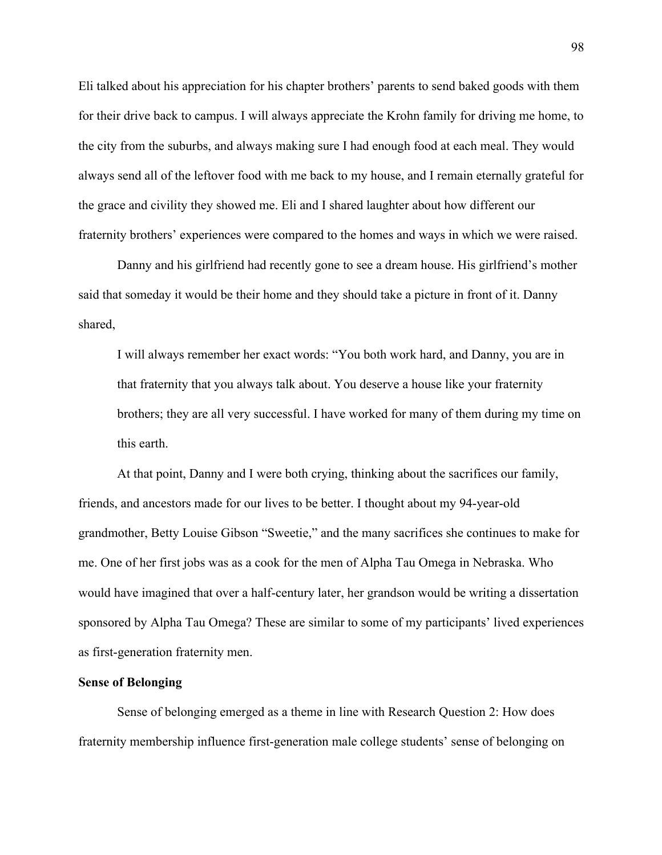Eli talked about his appreciation for his chapter brothers' parents to send baked goods with them for their drive back to campus. I will always appreciate the Krohn family for driving me home, to the city from the suburbs, and always making sure I had enough food at each meal. They would always send all of the leftover food with me back to my house, and I remain eternally grateful for the grace and civility they showed me. Eli and I shared laughter about how different our fraternity brothers' experiences were compared to the homes and ways in which we were raised.

Danny and his girlfriend had recently gone to see a dream house. His girlfriend's mother said that someday it would be their home and they should take a picture in front of it. Danny shared,

I will always remember her exact words: "You both work hard, and Danny, you are in that fraternity that you always talk about. You deserve a house like your fraternity brothers; they are all very successful. I have worked for many of them during my time on this earth.

At that point, Danny and I were both crying, thinking about the sacrifices our family, friends, and ancestors made for our lives to be better. I thought about my 94-year-old grandmother, Betty Louise Gibson "Sweetie," and the many sacrifices she continues to make for me. One of her first jobs was as a cook for the men of Alpha Tau Omega in Nebraska. Who would have imagined that over a half-century later, her grandson would be writing a dissertation sponsored by Alpha Tau Omega? These are similar to some of my participants' lived experiences as first-generation fraternity men.

## **Sense of Belonging**

Sense of belonging emerged as a theme in line with Research Question 2: How does fraternity membership influence first-generation male college students' sense of belonging on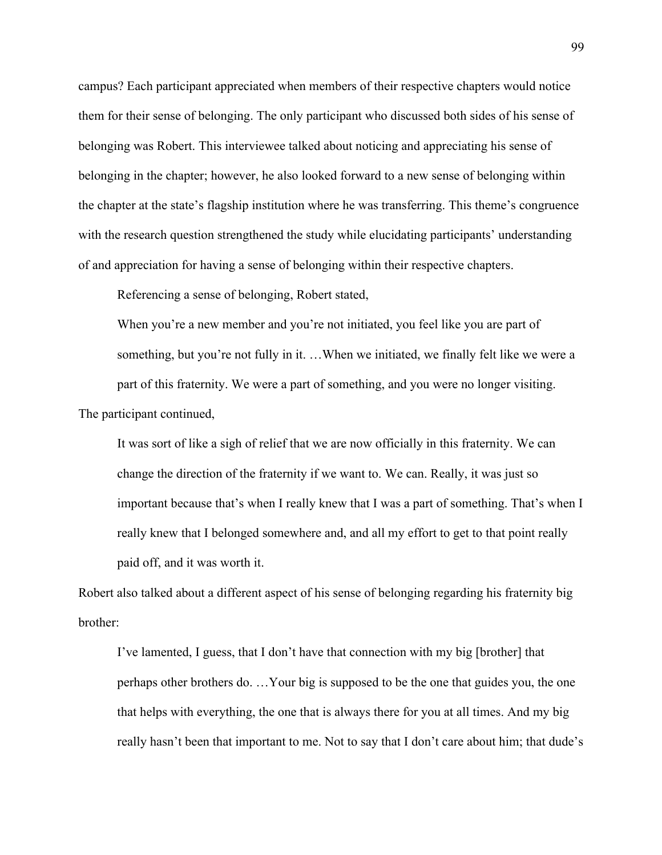campus? Each participant appreciated when members of their respective chapters would notice them for their sense of belonging. The only participant who discussed both sides of his sense of belonging was Robert. This interviewee talked about noticing and appreciating his sense of belonging in the chapter; however, he also looked forward to a new sense of belonging within the chapter at the state's flagship institution where he was transferring. This theme's congruence with the research question strengthened the study while elucidating participants' understanding of and appreciation for having a sense of belonging within their respective chapters.

Referencing a sense of belonging, Robert stated,

When you're a new member and you're not initiated, you feel like you are part of something, but you're not fully in it. …When we initiated, we finally felt like we were a part of this fraternity. We were a part of something, and you were no longer visiting. The participant continued,

It was sort of like a sigh of relief that we are now officially in this fraternity. We can change the direction of the fraternity if we want to. We can. Really, it was just so important because that's when I really knew that I was a part of something. That's when I really knew that I belonged somewhere and, and all my effort to get to that point really paid off, and it was worth it.

Robert also talked about a different aspect of his sense of belonging regarding his fraternity big brother:

I've lamented, I guess, that I don't have that connection with my big [brother] that perhaps other brothers do. …Your big is supposed to be the one that guides you, the one that helps with everything, the one that is always there for you at all times. And my big really hasn't been that important to me. Not to say that I don't care about him; that dude's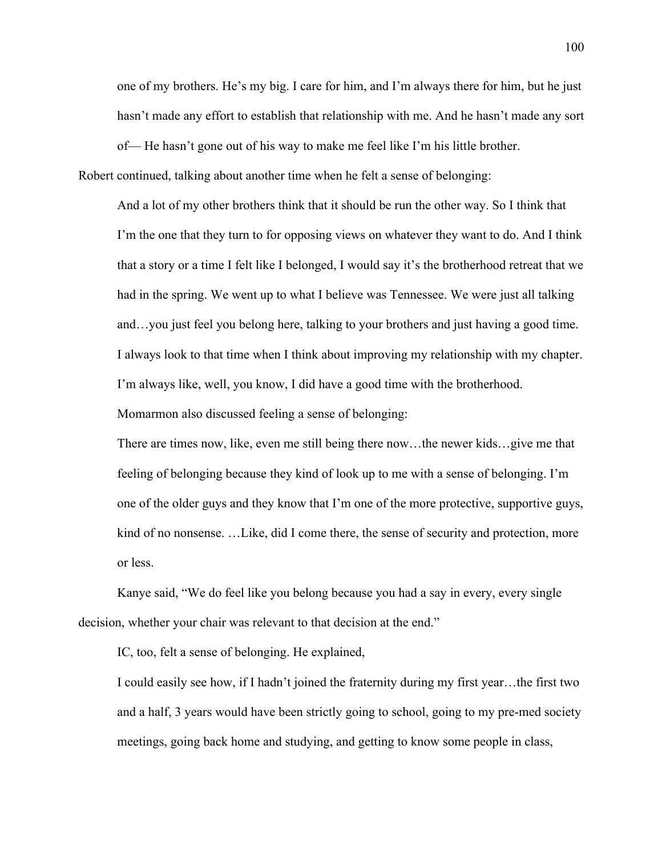one of my brothers. He's my big. I care for him, and I'm always there for him, but he just hasn't made any effort to establish that relationship with me. And he hasn't made any sort of— He hasn't gone out of his way to make me feel like I'm his little brother.

Robert continued, talking about another time when he felt a sense of belonging:

And a lot of my other brothers think that it should be run the other way. So I think that I'm the one that they turn to for opposing views on whatever they want to do. And I think that a story or a time I felt like I belonged, I would say it's the brotherhood retreat that we had in the spring. We went up to what I believe was Tennessee. We were just all talking and…you just feel you belong here, talking to your brothers and just having a good time. I always look to that time when I think about improving my relationship with my chapter. I'm always like, well, you know, I did have a good time with the brotherhood. Momarmon also discussed feeling a sense of belonging:

There are times now, like, even me still being there now…the newer kids…give me that feeling of belonging because they kind of look up to me with a sense of belonging. I'm one of the older guys and they know that I'm one of the more protective, supportive guys, kind of no nonsense. …Like, did I come there, the sense of security and protection, more or less.

Kanye said, "We do feel like you belong because you had a say in every, every single decision, whether your chair was relevant to that decision at the end."

IC, too, felt a sense of belonging. He explained,

I could easily see how, if I hadn't joined the fraternity during my first year…the first two and a half, 3 years would have been strictly going to school, going to my pre-med society meetings, going back home and studying, and getting to know some people in class,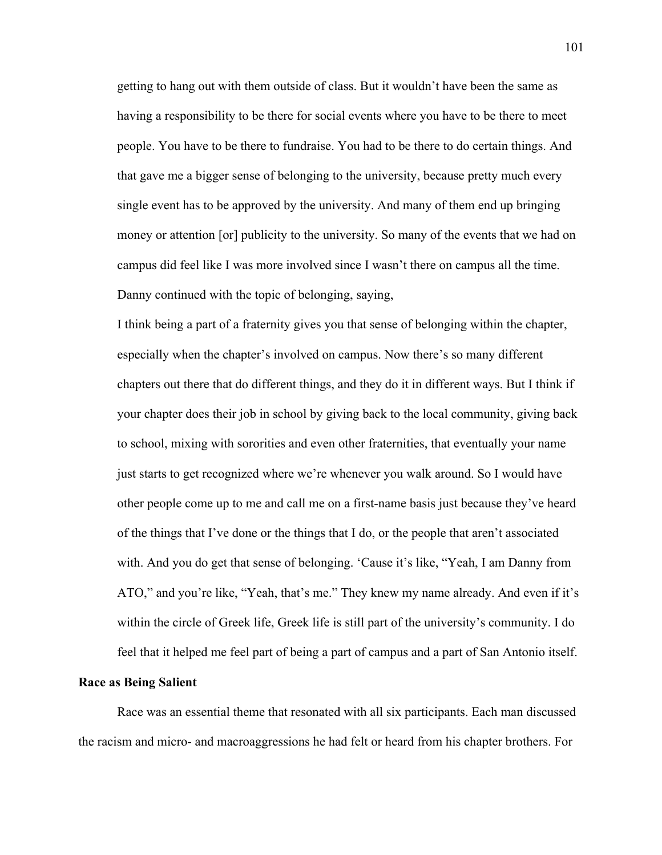getting to hang out with them outside of class. But it wouldn't have been the same as having a responsibility to be there for social events where you have to be there to meet people. You have to be there to fundraise. You had to be there to do certain things. And that gave me a bigger sense of belonging to the university, because pretty much every single event has to be approved by the university. And many of them end up bringing money or attention [or] publicity to the university. So many of the events that we had on campus did feel like I was more involved since I wasn't there on campus all the time. Danny continued with the topic of belonging, saying,

I think being a part of a fraternity gives you that sense of belonging within the chapter, especially when the chapter's involved on campus. Now there's so many different chapters out there that do different things, and they do it in different ways. But I think if your chapter does their job in school by giving back to the local community, giving back to school, mixing with sororities and even other fraternities, that eventually your name just starts to get recognized where we're whenever you walk around. So I would have other people come up to me and call me on a first-name basis just because they've heard of the things that I've done or the things that I do, or the people that aren't associated with. And you do get that sense of belonging. 'Cause it's like, "Yeah, I am Danny from ATO," and you're like, "Yeah, that's me." They knew my name already. And even if it's within the circle of Greek life, Greek life is still part of the university's community. I do feel that it helped me feel part of being a part of campus and a part of San Antonio itself.

## **Race as Being Salient**

Race was an essential theme that resonated with all six participants. Each man discussed the racism and micro- and macroaggressions he had felt or heard from his chapter brothers. For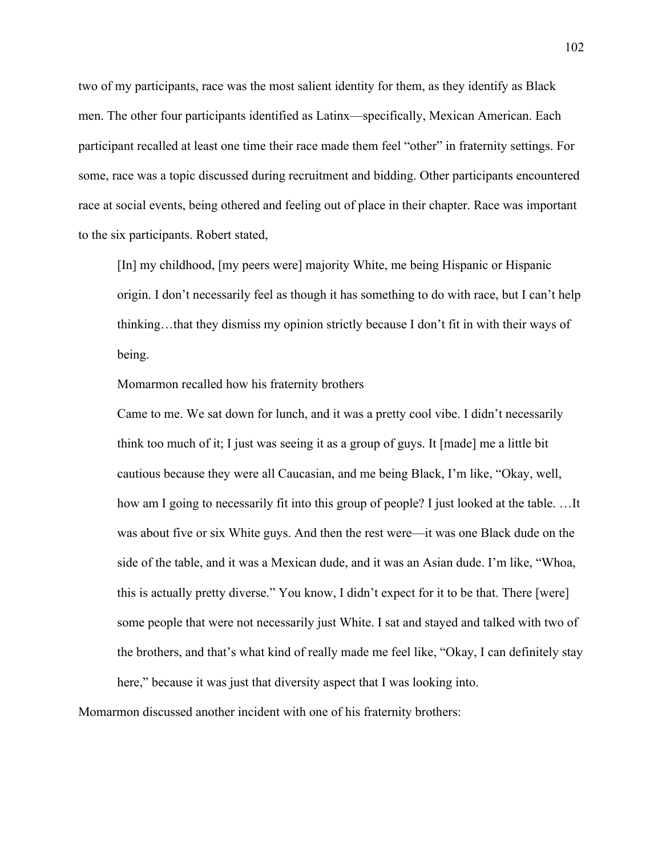two of my participants, race was the most salient identity for them, as they identify as Black men. The other four participants identified as Latinx—specifically, Mexican American. Each participant recalled at least one time their race made them feel "other" in fraternity settings. For some, race was a topic discussed during recruitment and bidding. Other participants encountered race at social events, being othered and feeling out of place in their chapter. Race was important to the six participants. Robert stated,

[In] my childhood, [my peers were] majority White, me being Hispanic or Hispanic origin. I don't necessarily feel as though it has something to do with race, but I can't help thinking…that they dismiss my opinion strictly because I don't fit in with their ways of being.

Momarmon recalled how his fraternity brothers

Came to me. We sat down for lunch, and it was a pretty cool vibe. I didn't necessarily think too much of it; I just was seeing it as a group of guys. It [made] me a little bit cautious because they were all Caucasian, and me being Black, I'm like, "Okay, well, how am I going to necessarily fit into this group of people? I just looked at the table. …It was about five or six White guys. And then the rest were—it was one Black dude on the side of the table, and it was a Mexican dude, and it was an Asian dude. I'm like, "Whoa, this is actually pretty diverse." You know, I didn't expect for it to be that. There [were] some people that were not necessarily just White. I sat and stayed and talked with two of the brothers, and that's what kind of really made me feel like, "Okay, I can definitely stay here," because it was just that diversity aspect that I was looking into.

Momarmon discussed another incident with one of his fraternity brothers: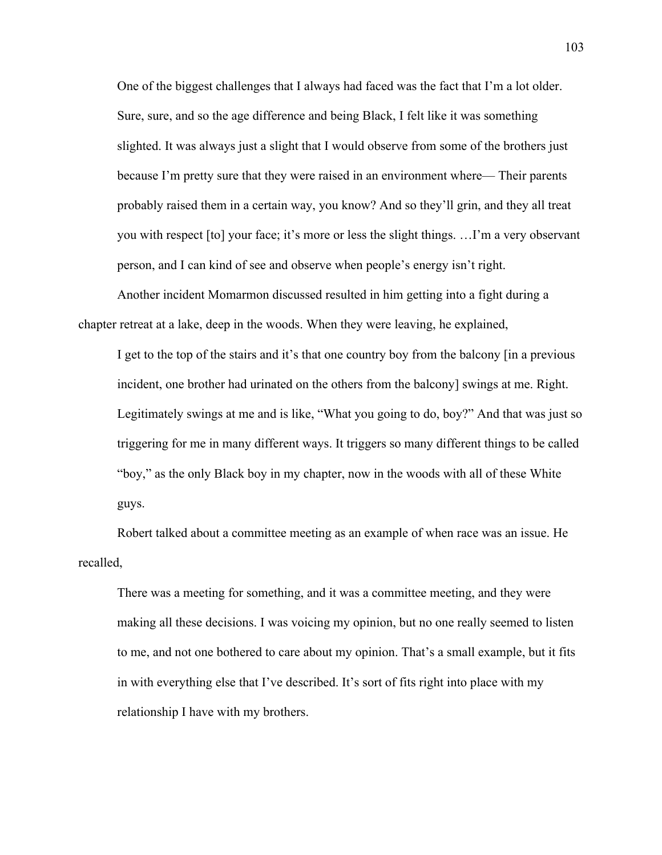One of the biggest challenges that I always had faced was the fact that I'm a lot older. Sure, sure, and so the age difference and being Black, I felt like it was something slighted. It was always just a slight that I would observe from some of the brothers just because I'm pretty sure that they were raised in an environment where— Their parents probably raised them in a certain way, you know? And so they'll grin, and they all treat you with respect [to] your face; it's more or less the slight things. …I'm a very observant person, and I can kind of see and observe when people's energy isn't right.

Another incident Momarmon discussed resulted in him getting into a fight during a chapter retreat at a lake, deep in the woods. When they were leaving, he explained,

I get to the top of the stairs and it's that one country boy from the balcony [in a previous incident, one brother had urinated on the others from the balcony] swings at me. Right. Legitimately swings at me and is like, "What you going to do, boy?" And that was just so triggering for me in many different ways. It triggers so many different things to be called "boy," as the only Black boy in my chapter, now in the woods with all of these White guys.

Robert talked about a committee meeting as an example of when race was an issue. He recalled,

There was a meeting for something, and it was a committee meeting, and they were making all these decisions. I was voicing my opinion, but no one really seemed to listen to me, and not one bothered to care about my opinion. That's a small example, but it fits in with everything else that I've described. It's sort of fits right into place with my relationship I have with my brothers.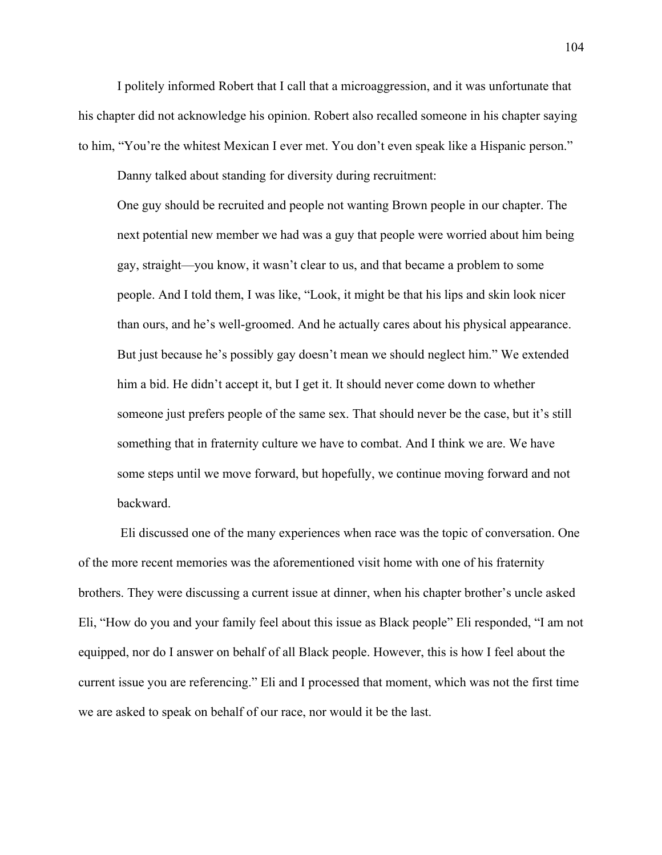I politely informed Robert that I call that a microaggression, and it was unfortunate that his chapter did not acknowledge his opinion. Robert also recalled someone in his chapter saying to him, "You're the whitest Mexican I ever met. You don't even speak like a Hispanic person."

Danny talked about standing for diversity during recruitment:

One guy should be recruited and people not wanting Brown people in our chapter. The next potential new member we had was a guy that people were worried about him being gay, straight—you know, it wasn't clear to us, and that became a problem to some people. And I told them, I was like, "Look, it might be that his lips and skin look nicer than ours, and he's well-groomed. And he actually cares about his physical appearance. But just because he's possibly gay doesn't mean we should neglect him." We extended him a bid. He didn't accept it, but I get it. It should never come down to whether someone just prefers people of the same sex. That should never be the case, but it's still something that in fraternity culture we have to combat. And I think we are. We have some steps until we move forward, but hopefully, we continue moving forward and not backward.

Eli discussed one of the many experiences when race was the topic of conversation. One of the more recent memories was the aforementioned visit home with one of his fraternity brothers. They were discussing a current issue at dinner, when his chapter brother's uncle asked Eli, "How do you and your family feel about this issue as Black people" Eli responded, "I am not equipped, nor do I answer on behalf of all Black people. However, this is how I feel about the current issue you are referencing." Eli and I processed that moment, which was not the first time we are asked to speak on behalf of our race, nor would it be the last.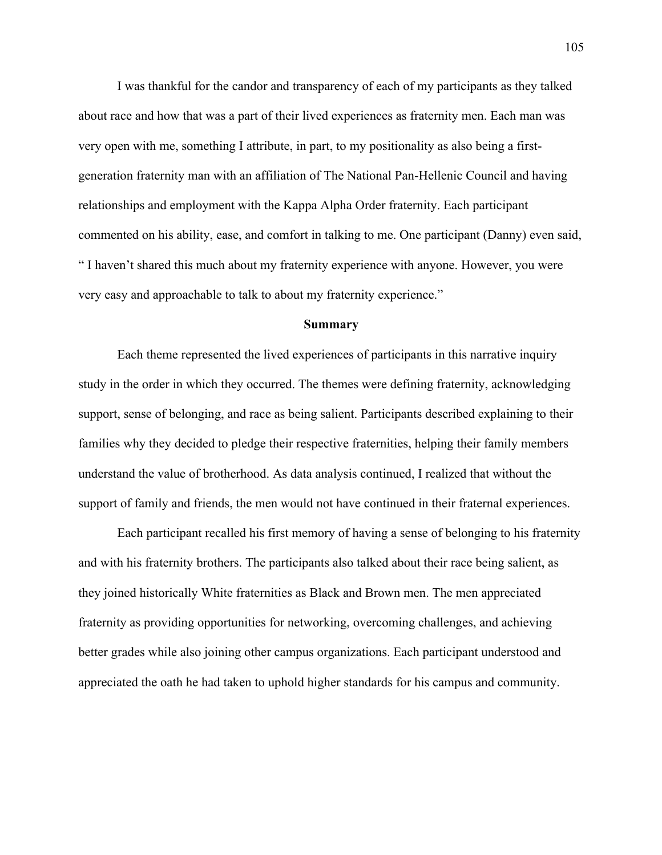I was thankful for the candor and transparency of each of my participants as they talked about race and how that was a part of their lived experiences as fraternity men. Each man was very open with me, something I attribute, in part, to my positionality as also being a firstgeneration fraternity man with an affiliation of The National Pan-Hellenic Council and having relationships and employment with the Kappa Alpha Order fraternity. Each participant commented on his ability, ease, and comfort in talking to me. One participant (Danny) even said, " I haven't shared this much about my fraternity experience with anyone. However, you were very easy and approachable to talk to about my fraternity experience."

#### **Summary**

Each theme represented the lived experiences of participants in this narrative inquiry study in the order in which they occurred. The themes were defining fraternity, acknowledging support, sense of belonging, and race as being salient. Participants described explaining to their families why they decided to pledge their respective fraternities, helping their family members understand the value of brotherhood. As data analysis continued, I realized that without the support of family and friends, the men would not have continued in their fraternal experiences.

Each participant recalled his first memory of having a sense of belonging to his fraternity and with his fraternity brothers. The participants also talked about their race being salient, as they joined historically White fraternities as Black and Brown men. The men appreciated fraternity as providing opportunities for networking, overcoming challenges, and achieving better grades while also joining other campus organizations. Each participant understood and appreciated the oath he had taken to uphold higher standards for his campus and community.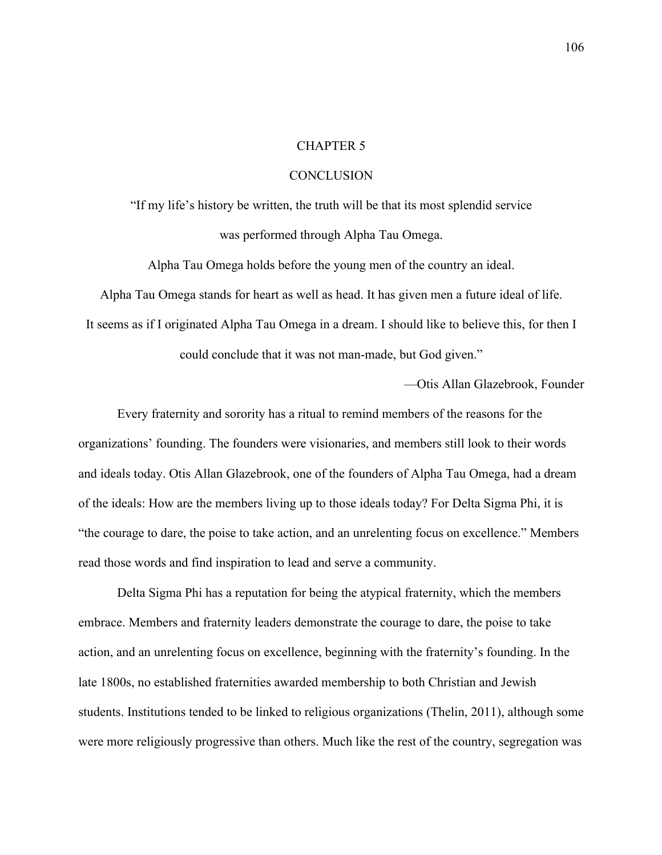### CHAPTER 5

### **CONCLUSION**

"If my life's history be written, the truth will be that its most splendid service was performed through Alpha Tau Omega.

Alpha Tau Omega holds before the young men of the country an ideal.

Alpha Tau Omega stands for heart as well as head. It has given men a future ideal of life.

It seems as if I originated Alpha Tau Omega in a dream. I should like to believe this, for then I

could conclude that it was not man-made, but God given."

—Otis Allan Glazebrook, Founder

Every fraternity and sorority has a ritual to remind members of the reasons for the organizations' founding. The founders were visionaries, and members still look to their words and ideals today. Otis Allan Glazebrook, one of the founders of Alpha Tau Omega, had a dream of the ideals: How are the members living up to those ideals today? For Delta Sigma Phi, it is "the courage to dare, the poise to take action, and an unrelenting focus on excellence." Members read those words and find inspiration to lead and serve a community.

Delta Sigma Phi has a reputation for being the atypical fraternity, which the members embrace. Members and fraternity leaders demonstrate the courage to dare, the poise to take action, and an unrelenting focus on excellence, beginning with the fraternity's founding. In the late 1800s, no established fraternities awarded membership to both Christian and Jewish students. Institutions tended to be linked to religious organizations (Thelin, 2011), although some were more religiously progressive than others. Much like the rest of the country, segregation was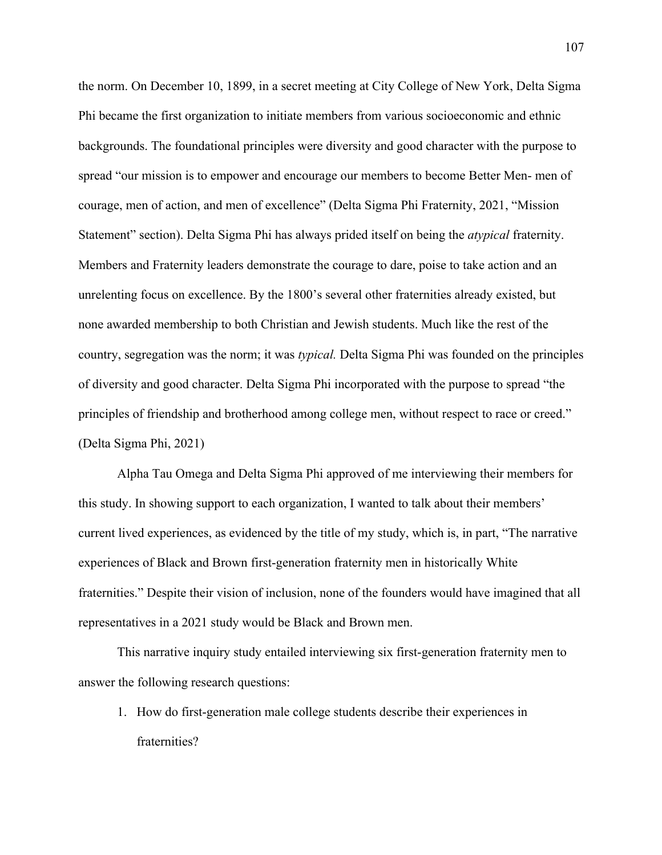the norm. On December 10, 1899, in a secret meeting at City College of New York, Delta Sigma Phi became the first organization to initiate members from various socioeconomic and ethnic backgrounds. The foundational principles were diversity and good character with the purpose to spread "our mission is to empower and encourage our members to become Better Men- men of courage, men of action, and men of excellence" (Delta Sigma Phi Fraternity, 2021, "Mission Statement" section). Delta Sigma Phi has always prided itself on being the *atypical* fraternity. Members and Fraternity leaders demonstrate the courage to dare, poise to take action and an unrelenting focus on excellence. By the 1800's several other fraternities already existed, but none awarded membership to both Christian and Jewish students. Much like the rest of the country, segregation was the norm; it was *typical.* Delta Sigma Phi was founded on the principles of diversity and good character. Delta Sigma Phi incorporated with the purpose to spread "the principles of friendship and brotherhood among college men, without respect to race or creed." (Delta Sigma Phi, 2021)

Alpha Tau Omega and Delta Sigma Phi approved of me interviewing their members for this study. In showing support to each organization, I wanted to talk about their members' current lived experiences, as evidenced by the title of my study, which is, in part, "The narrative experiences of Black and Brown first-generation fraternity men in historically White fraternities." Despite their vision of inclusion, none of the founders would have imagined that all representatives in a 2021 study would be Black and Brown men.

This narrative inquiry study entailed interviewing six first-generation fraternity men to answer the following research questions:

1. How do first-generation male college students describe their experiences in fraternities?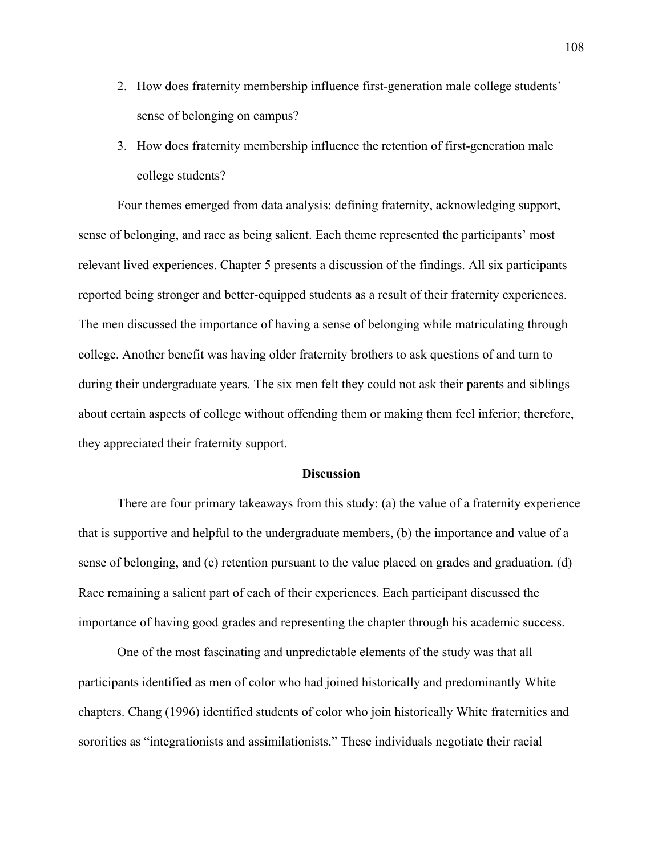- 2. How does fraternity membership influence first-generation male college students' sense of belonging on campus?
- 3. How does fraternity membership influence the retention of first-generation male college students?

Four themes emerged from data analysis: defining fraternity, acknowledging support, sense of belonging, and race as being salient. Each theme represented the participants' most relevant lived experiences. Chapter 5 presents a discussion of the findings. All six participants reported being stronger and better-equipped students as a result of their fraternity experiences. The men discussed the importance of having a sense of belonging while matriculating through college. Another benefit was having older fraternity brothers to ask questions of and turn to during their undergraduate years. The six men felt they could not ask their parents and siblings about certain aspects of college without offending them or making them feel inferior; therefore, they appreciated their fraternity support.

### **Discussion**

There are four primary takeaways from this study: (a) the value of a fraternity experience that is supportive and helpful to the undergraduate members, (b) the importance and value of a sense of belonging, and (c) retention pursuant to the value placed on grades and graduation. (d) Race remaining a salient part of each of their experiences. Each participant discussed the importance of having good grades and representing the chapter through his academic success.

One of the most fascinating and unpredictable elements of the study was that all participants identified as men of color who had joined historically and predominantly White chapters. Chang (1996) identified students of color who join historically White fraternities and sororities as "integrationists and assimilationists." These individuals negotiate their racial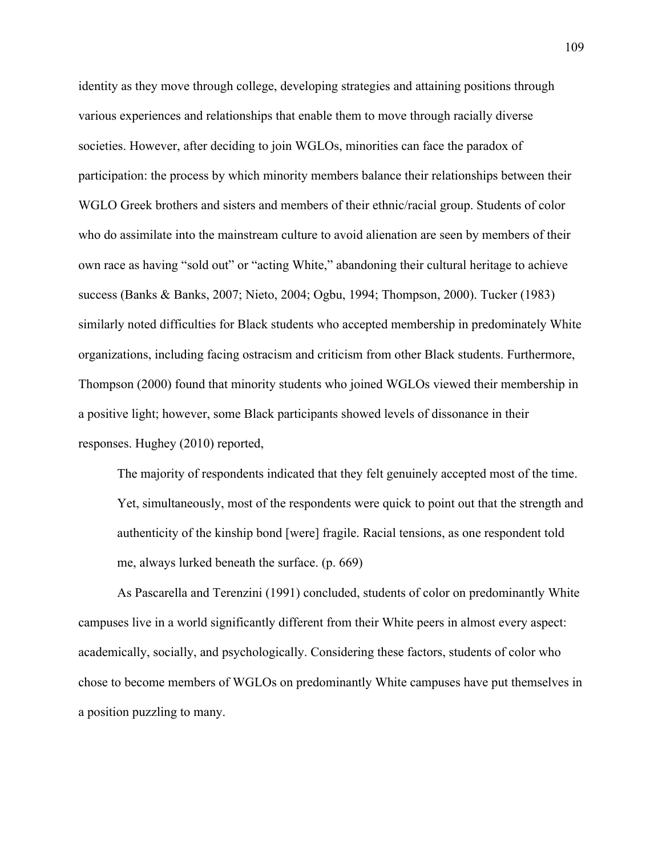identity as they move through college, developing strategies and attaining positions through various experiences and relationships that enable them to move through racially diverse societies. However, after deciding to join WGLOs, minorities can face the paradox of participation: the process by which minority members balance their relationships between their WGLO Greek brothers and sisters and members of their ethnic/racial group. Students of color who do assimilate into the mainstream culture to avoid alienation are seen by members of their own race as having "sold out" or "acting White," abandoning their cultural heritage to achieve success (Banks & Banks, 2007; Nieto, 2004; Ogbu, 1994; Thompson, 2000). Tucker (1983) similarly noted difficulties for Black students who accepted membership in predominately White organizations, including facing ostracism and criticism from other Black students. Furthermore, Thompson (2000) found that minority students who joined WGLOs viewed their membership in a positive light; however, some Black participants showed levels of dissonance in their responses. Hughey (2010) reported,

The majority of respondents indicated that they felt genuinely accepted most of the time. Yet, simultaneously, most of the respondents were quick to point out that the strength and authenticity of the kinship bond [were] fragile. Racial tensions, as one respondent told me, always lurked beneath the surface. (p. 669)

As Pascarella and Terenzini (1991) concluded, students of color on predominantly White campuses live in a world significantly different from their White peers in almost every aspect: academically, socially, and psychologically. Considering these factors, students of color who chose to become members of WGLOs on predominantly White campuses have put themselves in a position puzzling to many.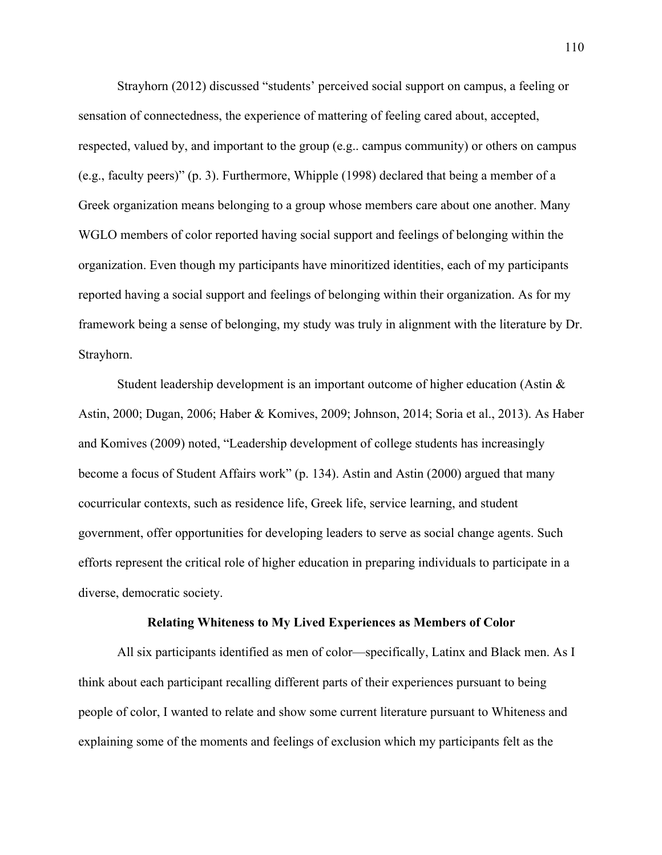Strayhorn (2012) discussed "students' perceived social support on campus, a feeling or sensation of connectedness, the experience of mattering of feeling cared about, accepted, respected, valued by, and important to the group (e.g.. campus community) or others on campus (e.g., faculty peers)" (p. 3). Furthermore, Whipple (1998) declared that being a member of a Greek organization means belonging to a group whose members care about one another. Many WGLO members of color reported having social support and feelings of belonging within the organization. Even though my participants have minoritized identities, each of my participants reported having a social support and feelings of belonging within their organization. As for my framework being a sense of belonging, my study was truly in alignment with the literature by Dr. Strayhorn.

Student leadership development is an important outcome of higher education (Astin & Astin, 2000; Dugan, 2006; Haber & Komives, 2009; Johnson, 2014; Soria et al., 2013). As Haber and Komives (2009) noted, "Leadership development of college students has increasingly become a focus of Student Affairs work" (p. 134). Astin and Astin (2000) argued that many cocurricular contexts, such as residence life, Greek life, service learning, and student government, offer opportunities for developing leaders to serve as social change agents. Such efforts represent the critical role of higher education in preparing individuals to participate in a diverse, democratic society.

### **Relating Whiteness to My Lived Experiences as Members of Color**

All six participants identified as men of color—specifically, Latinx and Black men. As I think about each participant recalling different parts of their experiences pursuant to being people of color, I wanted to relate and show some current literature pursuant to Whiteness and explaining some of the moments and feelings of exclusion which my participants felt as the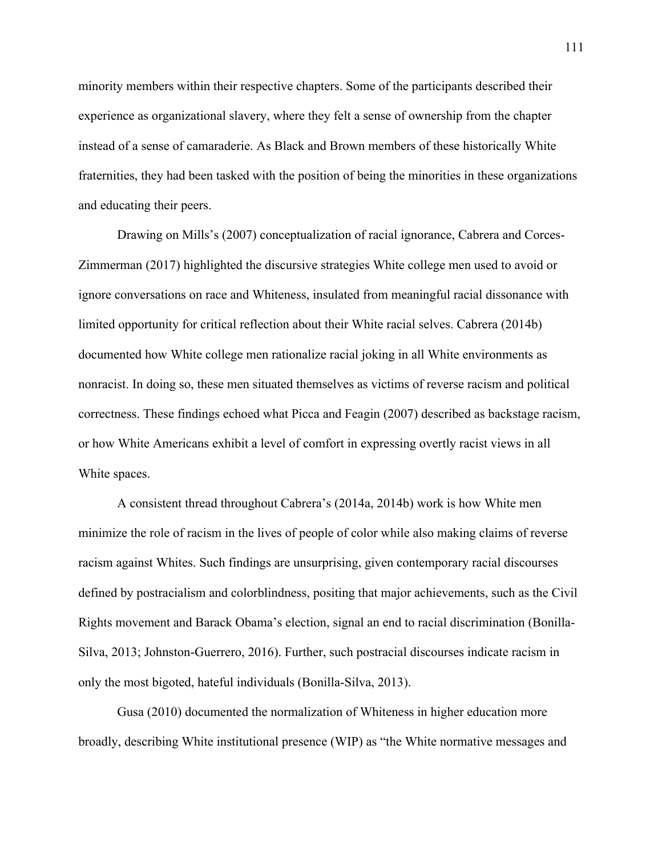minority members within their respective chapters. Some of the participants described their experience as organizational slavery, where they felt a sense of ownership from the chapter instead of a sense of camaraderie. As Black and Brown members of these historically White fraternities, they had been tasked with the position of being the minorities in these organizations and educating their peers.

Drawing on Mills's (2007) conceptualization of racial ignorance, Cabrera and Corces-Zimmerman (2017) highlighted the discursive strategies White college men used to avoid or ignore conversations on race and Whiteness, insulated from meaningful racial dissonance with limited opportunity for critical reflection about their White racial selves. Cabrera (2014b) documented how White college men rationalize racial joking in all White environments as nonracist. In doing so, these men situated themselves as victims of reverse racism and political correctness. These findings echoed what Picca and Feagin (2007) described as backstage racism, or how White Americans exhibit a level of comfort in expressing overtly racist views in all White spaces.

A consistent thread throughout Cabrera's (2014a, 2014b) work is how White men minimize the role of racism in the lives of people of color while also making claims of reverse racism against Whites. Such findings are unsurprising, given contemporary racial discourses defined by postracialism and colorblindness, positing that major achievements, such as the Civil Rights movement and Barack Obama's election, signal an end to racial discrimination (Bonilla-Silva, 2013; Johnston-Guerrero, 2016). Further, such postracial discourses indicate racism in only the most bigoted, hateful individuals (Bonilla-Silva, 2013).

Gusa (2010) documented the normalization of Whiteness in higher education more broadly, describing White institutional presence (WIP) as "the White normative messages and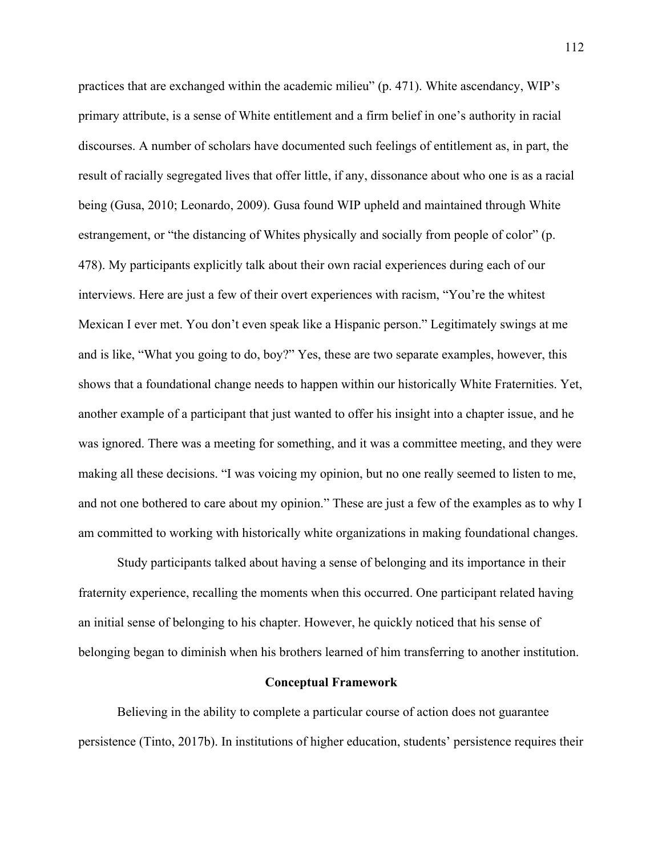practices that are exchanged within the academic milieu" (p. 471). White ascendancy, WIP's primary attribute, is a sense of White entitlement and a firm belief in one's authority in racial discourses. A number of scholars have documented such feelings of entitlement as, in part, the result of racially segregated lives that offer little, if any, dissonance about who one is as a racial being (Gusa, 2010; Leonardo, 2009). Gusa found WIP upheld and maintained through White estrangement, or "the distancing of Whites physically and socially from people of color" (p. 478). My participants explicitly talk about their own racial experiences during each of our interviews. Here are just a few of their overt experiences with racism, "You're the whitest Mexican I ever met. You don't even speak like a Hispanic person." Legitimately swings at me and is like, "What you going to do, boy?" Yes, these are two separate examples, however, this shows that a foundational change needs to happen within our historically White Fraternities. Yet, another example of a participant that just wanted to offer his insight into a chapter issue, and he was ignored. There was a meeting for something, and it was a committee meeting, and they were making all these decisions. "I was voicing my opinion, but no one really seemed to listen to me, and not one bothered to care about my opinion." These are just a few of the examples as to why I am committed to working with historically white organizations in making foundational changes.

Study participants talked about having a sense of belonging and its importance in their fraternity experience, recalling the moments when this occurred. One participant related having an initial sense of belonging to his chapter. However, he quickly noticed that his sense of belonging began to diminish when his brothers learned of him transferring to another institution.

### **Conceptual Framework**

Believing in the ability to complete a particular course of action does not guarantee persistence (Tinto, 2017b). In institutions of higher education, students' persistence requires their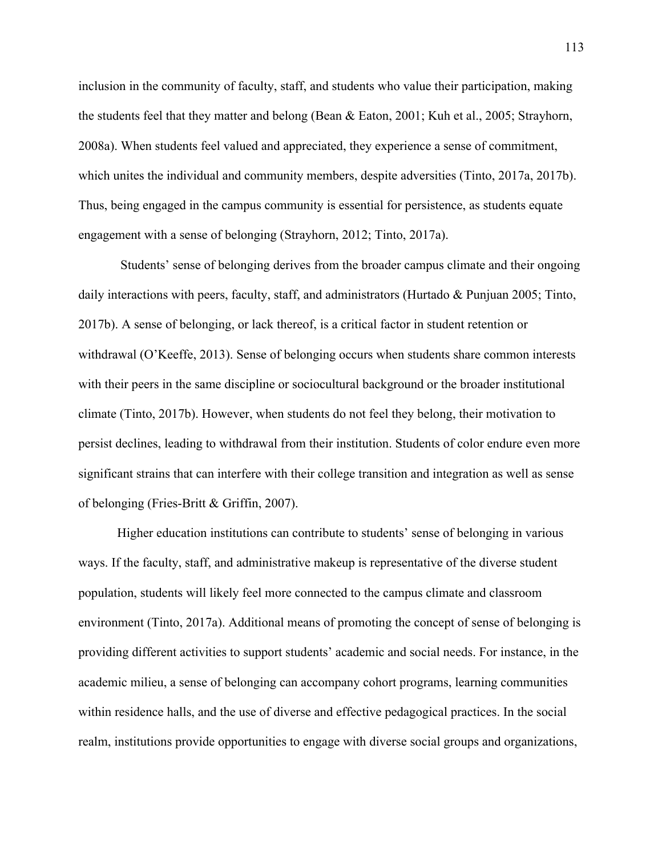inclusion in the community of faculty, staff, and students who value their participation, making the students feel that they matter and belong (Bean & Eaton, 2001; Kuh et al., 2005; Strayhorn, 2008a). When students feel valued and appreciated, they experience a sense of commitment, which unites the individual and community members, despite adversities (Tinto, 2017a, 2017b). Thus, being engaged in the campus community is essential for persistence, as students equate engagement with a sense of belonging (Strayhorn, 2012; Tinto, 2017a).

Students' sense of belonging derives from the broader campus climate and their ongoing daily interactions with peers, faculty, staff, and administrators (Hurtado & Punjuan 2005; Tinto, 2017b). A sense of belonging, or lack thereof, is a critical factor in student retention or withdrawal (O'Keeffe, 2013). Sense of belonging occurs when students share common interests with their peers in the same discipline or sociocultural background or the broader institutional climate (Tinto, 2017b). However, when students do not feel they belong, their motivation to persist declines, leading to withdrawal from their institution. Students of color endure even more significant strains that can interfere with their college transition and integration as well as sense of belonging (Fries-Britt & Griffin, 2007).

Higher education institutions can contribute to students' sense of belonging in various ways. If the faculty, staff, and administrative makeup is representative of the diverse student population, students will likely feel more connected to the campus climate and classroom environment (Tinto, 2017a). Additional means of promoting the concept of sense of belonging is providing different activities to support students' academic and social needs. For instance, in the academic milieu, a sense of belonging can accompany cohort programs, learning communities within residence halls, and the use of diverse and effective pedagogical practices. In the social realm, institutions provide opportunities to engage with diverse social groups and organizations,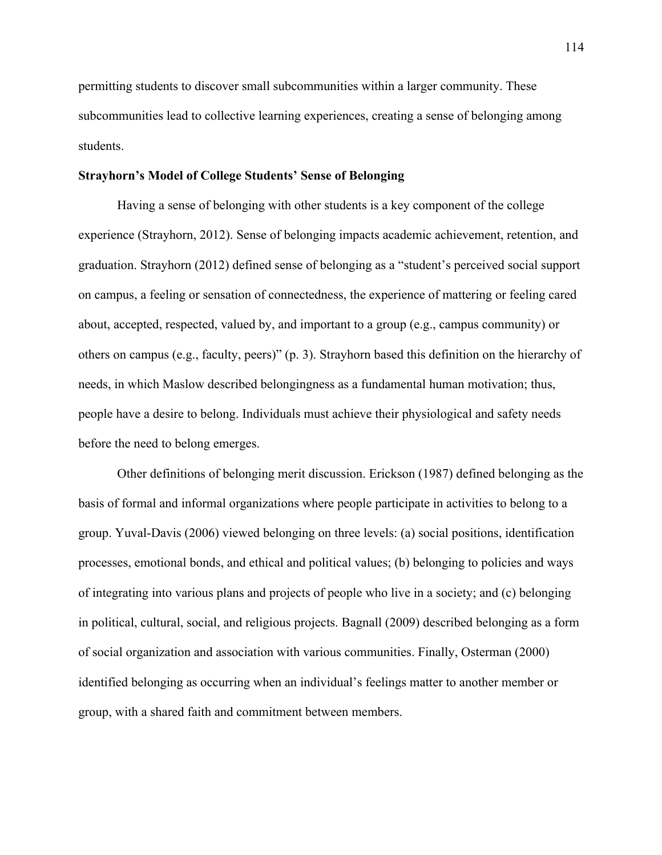permitting students to discover small subcommunities within a larger community. These subcommunities lead to collective learning experiences, creating a sense of belonging among students.

### **Strayhorn's Model of College Students' Sense of Belonging**

Having a sense of belonging with other students is a key component of the college experience (Strayhorn, 2012). Sense of belonging impacts academic achievement, retention, and graduation. Strayhorn (2012) defined sense of belonging as a "student's perceived social support on campus, a feeling or sensation of connectedness, the experience of mattering or feeling cared about, accepted, respected, valued by, and important to a group (e.g., campus community) or others on campus (e.g., faculty, peers)" (p. 3). Strayhorn based this definition on the hierarchy of needs, in which Maslow described belongingness as a fundamental human motivation; thus, people have a desire to belong. Individuals must achieve their physiological and safety needs before the need to belong emerges.

Other definitions of belonging merit discussion. Erickson (1987) defined belonging as the basis of formal and informal organizations where people participate in activities to belong to a group. Yuval-Davis (2006) viewed belonging on three levels: (a) social positions, identification processes, emotional bonds, and ethical and political values; (b) belonging to policies and ways of integrating into various plans and projects of people who live in a society; and (c) belonging in political, cultural, social, and religious projects. Bagnall (2009) described belonging as a form of social organization and association with various communities. Finally, Osterman (2000) identified belonging as occurring when an individual's feelings matter to another member or group, with a shared faith and commitment between members.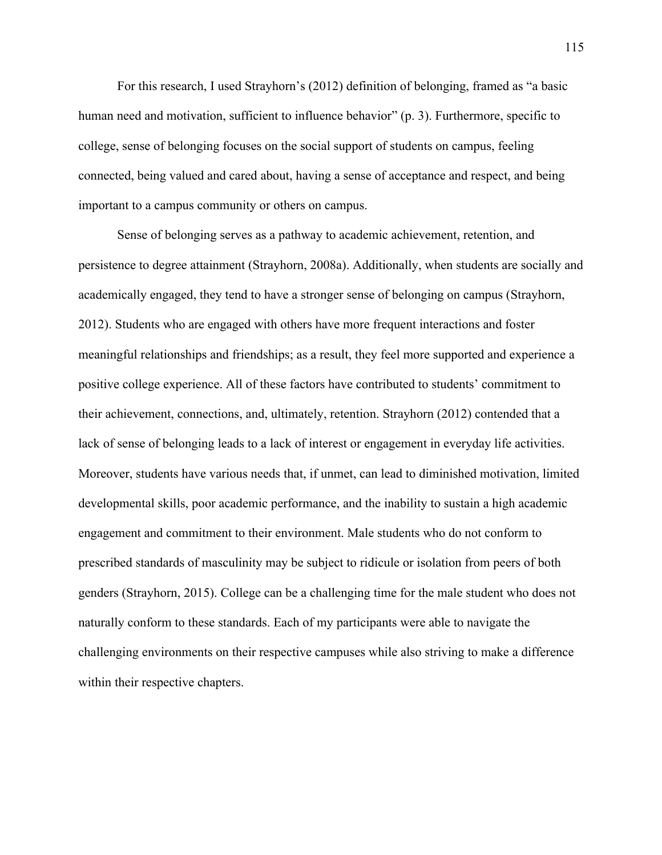For this research, I used Strayhorn's (2012) definition of belonging, framed as "a basic human need and motivation, sufficient to influence behavior" (p. 3). Furthermore, specific to college, sense of belonging focuses on the social support of students on campus, feeling connected, being valued and cared about, having a sense of acceptance and respect, and being important to a campus community or others on campus.

Sense of belonging serves as a pathway to academic achievement, retention, and persistence to degree attainment (Strayhorn, 2008a). Additionally, when students are socially and academically engaged, they tend to have a stronger sense of belonging on campus (Strayhorn, 2012). Students who are engaged with others have more frequent interactions and foster meaningful relationships and friendships; as a result, they feel more supported and experience a positive college experience. All of these factors have contributed to students' commitment to their achievement, connections, and, ultimately, retention. Strayhorn (2012) contended that a lack of sense of belonging leads to a lack of interest or engagement in everyday life activities. Moreover, students have various needs that, if unmet, can lead to diminished motivation, limited developmental skills, poor academic performance, and the inability to sustain a high academic engagement and commitment to their environment. Male students who do not conform to prescribed standards of masculinity may be subject to ridicule or isolation from peers of both genders (Strayhorn, 2015). College can be a challenging time for the male student who does not naturally conform to these standards. Each of my participants were able to navigate the challenging environments on their respective campuses while also striving to make a difference within their respective chapters.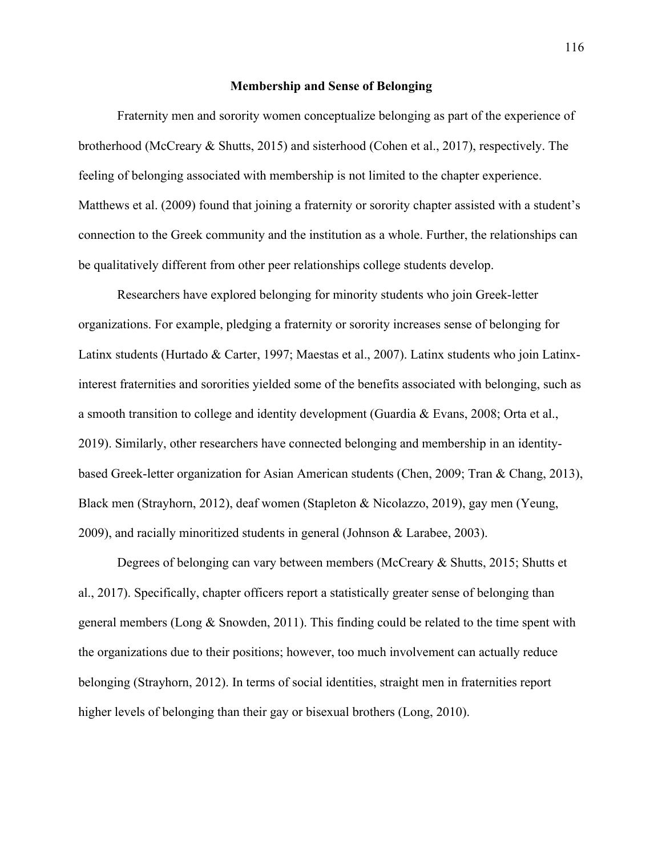### **Membership and Sense of Belonging**

Fraternity men and sorority women conceptualize belonging as part of the experience of brotherhood (McCreary & Shutts, 2015) and sisterhood (Cohen et al., 2017), respectively. The feeling of belonging associated with membership is not limited to the chapter experience. Matthews et al. (2009) found that joining a fraternity or sorority chapter assisted with a student's connection to the Greek community and the institution as a whole. Further, the relationships can be qualitatively different from other peer relationships college students develop.

Researchers have explored belonging for minority students who join Greek-letter organizations. For example, pledging a fraternity or sorority increases sense of belonging for Latinx students (Hurtado & Carter, 1997; Maestas et al., 2007). Latinx students who join Latinxinterest fraternities and sororities yielded some of the benefits associated with belonging, such as a smooth transition to college and identity development (Guardia & Evans, 2008; Orta et al., 2019). Similarly, other researchers have connected belonging and membership in an identitybased Greek-letter organization for Asian American students (Chen, 2009; Tran & Chang, 2013), Black men (Strayhorn, 2012), deaf women (Stapleton & Nicolazzo, 2019), gay men (Yeung, 2009), and racially minoritized students in general (Johnson & Larabee, 2003).

Degrees of belonging can vary between members (McCreary & Shutts, 2015; Shutts et al., 2017). Specifically, chapter officers report a statistically greater sense of belonging than general members (Long & Snowden, 2011). This finding could be related to the time spent with the organizations due to their positions; however, too much involvement can actually reduce belonging (Strayhorn, 2012). In terms of social identities, straight men in fraternities report higher levels of belonging than their gay or bisexual brothers (Long, 2010).

116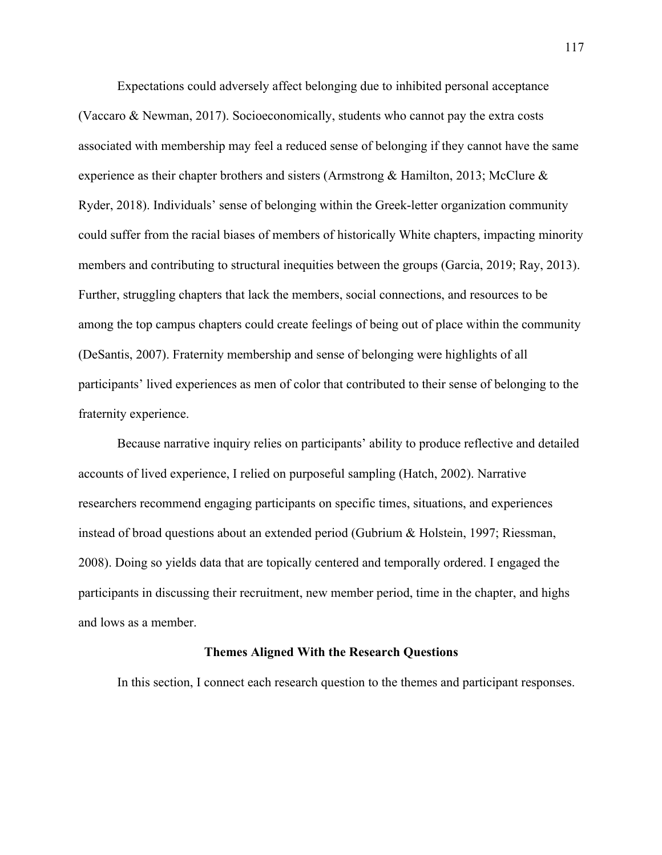Expectations could adversely affect belonging due to inhibited personal acceptance (Vaccaro & Newman, 2017). Socioeconomically, students who cannot pay the extra costs associated with membership may feel a reduced sense of belonging if they cannot have the same experience as their chapter brothers and sisters (Armstrong & Hamilton, 2013; McClure  $\&$ Ryder, 2018). Individuals' sense of belonging within the Greek-letter organization community could suffer from the racial biases of members of historically White chapters, impacting minority members and contributing to structural inequities between the groups (Garcia, 2019; Ray, 2013). Further, struggling chapters that lack the members, social connections, and resources to be among the top campus chapters could create feelings of being out of place within the community (DeSantis, 2007). Fraternity membership and sense of belonging were highlights of all participants' lived experiences as men of color that contributed to their sense of belonging to the fraternity experience.

Because narrative inquiry relies on participants' ability to produce reflective and detailed accounts of lived experience, I relied on purposeful sampling (Hatch, 2002). Narrative researchers recommend engaging participants on specific times, situations, and experiences instead of broad questions about an extended period (Gubrium & Holstein, 1997; Riessman, 2008). Doing so yields data that are topically centered and temporally ordered. I engaged the participants in discussing their recruitment, new member period, time in the chapter, and highs and lows as a member.

## **Themes Aligned With the Research Questions**

In this section, I connect each research question to the themes and participant responses.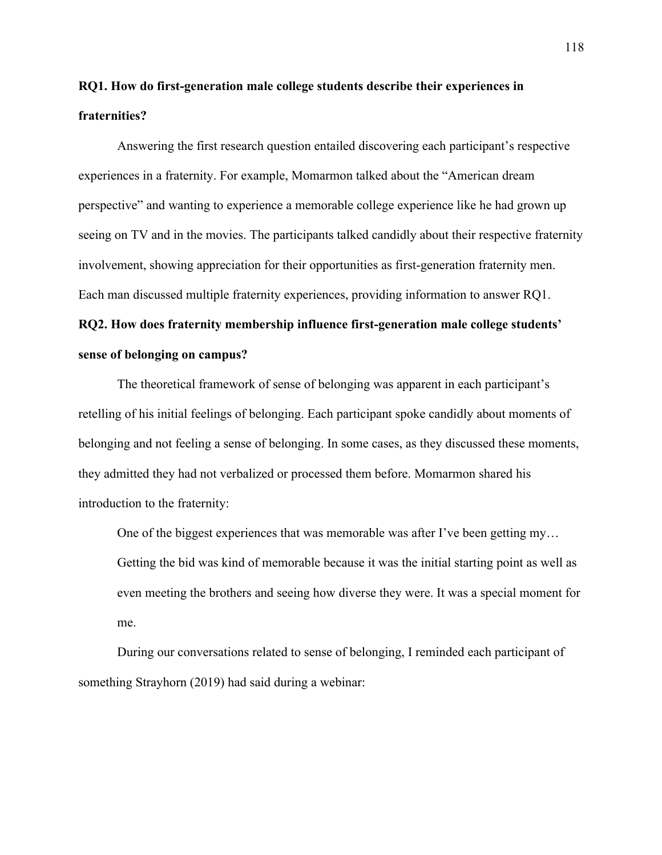## **RQ1. How do first-generation male college students describe their experiences in fraternities?**

Answering the first research question entailed discovering each participant's respective experiences in a fraternity. For example, Momarmon talked about the "American dream perspective" and wanting to experience a memorable college experience like he had grown up seeing on TV and in the movies. The participants talked candidly about their respective fraternity involvement, showing appreciation for their opportunities as first-generation fraternity men. Each man discussed multiple fraternity experiences, providing information to answer RQ1.

# **RQ2. How does fraternity membership influence first-generation male college students' sense of belonging on campus?**

The theoretical framework of sense of belonging was apparent in each participant's retelling of his initial feelings of belonging. Each participant spoke candidly about moments of belonging and not feeling a sense of belonging. In some cases, as they discussed these moments, they admitted they had not verbalized or processed them before. Momarmon shared his introduction to the fraternity:

One of the biggest experiences that was memorable was after I've been getting my… Getting the bid was kind of memorable because it was the initial starting point as well as even meeting the brothers and seeing how diverse they were. It was a special moment for me.

During our conversations related to sense of belonging, I reminded each participant of something Strayhorn (2019) had said during a webinar: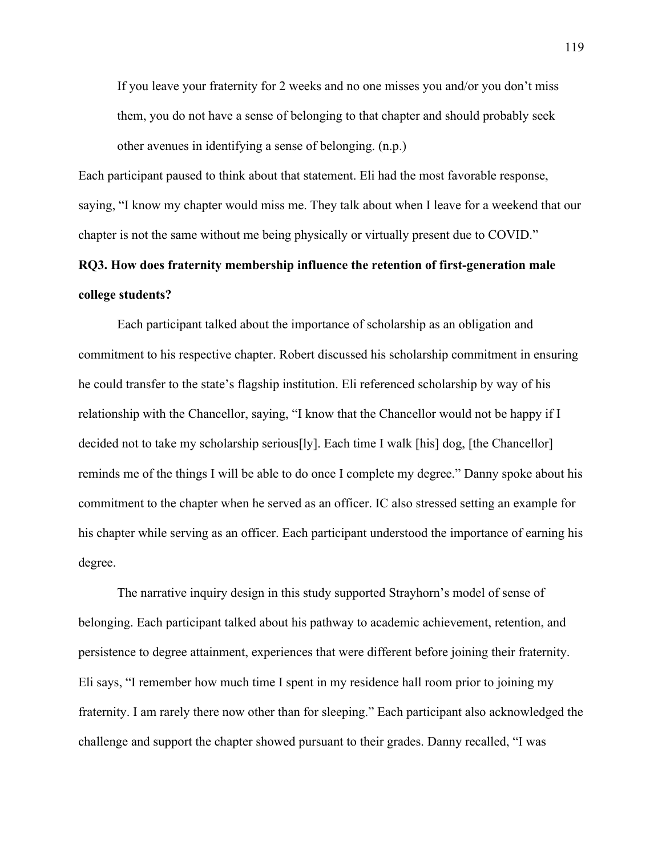If you leave your fraternity for 2 weeks and no one misses you and/or you don't miss them, you do not have a sense of belonging to that chapter and should probably seek other avenues in identifying a sense of belonging. (n.p.)

Each participant paused to think about that statement. Eli had the most favorable response, saying, "I know my chapter would miss me. They talk about when I leave for a weekend that our chapter is not the same without me being physically or virtually present due to COVID."

## **RQ3. How does fraternity membership influence the retention of first-generation male college students?**

Each participant talked about the importance of scholarship as an obligation and commitment to his respective chapter. Robert discussed his scholarship commitment in ensuring he could transfer to the state's flagship institution. Eli referenced scholarship by way of his relationship with the Chancellor, saying, "I know that the Chancellor would not be happy if I decided not to take my scholarship serious[ly]. Each time I walk [his] dog, [the Chancellor] reminds me of the things I will be able to do once I complete my degree." Danny spoke about his commitment to the chapter when he served as an officer. IC also stressed setting an example for his chapter while serving as an officer. Each participant understood the importance of earning his degree.

The narrative inquiry design in this study supported Strayhorn's model of sense of belonging. Each participant talked about his pathway to academic achievement, retention, and persistence to degree attainment, experiences that were different before joining their fraternity. Eli says, "I remember how much time I spent in my residence hall room prior to joining my fraternity. I am rarely there now other than for sleeping." Each participant also acknowledged the challenge and support the chapter showed pursuant to their grades. Danny recalled, "I was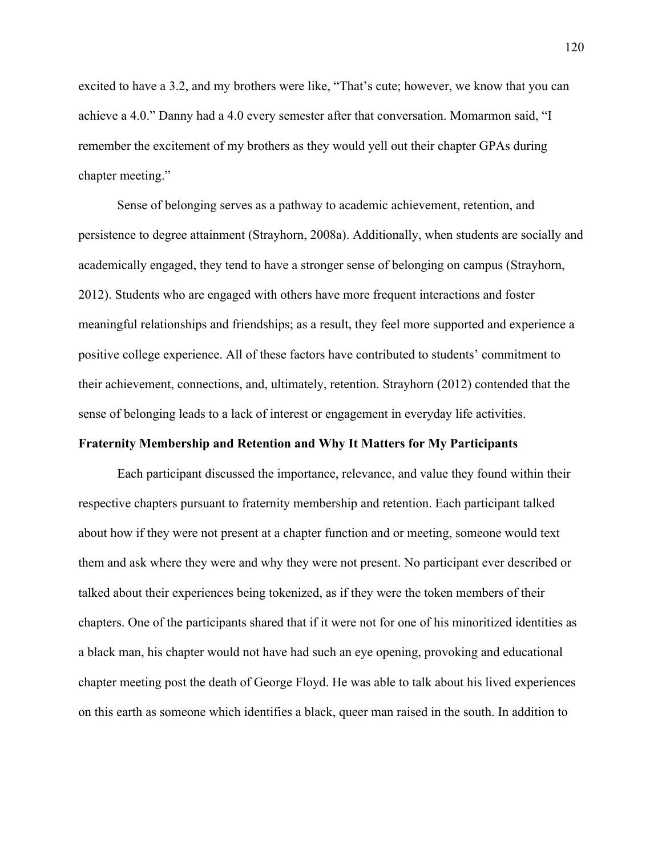excited to have a 3.2, and my brothers were like, "That's cute; however, we know that you can achieve a 4.0." Danny had a 4.0 every semester after that conversation. Momarmon said, "I remember the excitement of my brothers as they would yell out their chapter GPAs during chapter meeting."

Sense of belonging serves as a pathway to academic achievement, retention, and persistence to degree attainment (Strayhorn, 2008a). Additionally, when students are socially and academically engaged, they tend to have a stronger sense of belonging on campus (Strayhorn, 2012). Students who are engaged with others have more frequent interactions and foster meaningful relationships and friendships; as a result, they feel more supported and experience a positive college experience. All of these factors have contributed to students' commitment to their achievement, connections, and, ultimately, retention. Strayhorn (2012) contended that the sense of belonging leads to a lack of interest or engagement in everyday life activities.

### **Fraternity Membership and Retention and Why It Matters for My Participants**

Each participant discussed the importance, relevance, and value they found within their respective chapters pursuant to fraternity membership and retention. Each participant talked about how if they were not present at a chapter function and or meeting, someone would text them and ask where they were and why they were not present. No participant ever described or talked about their experiences being tokenized, as if they were the token members of their chapters. One of the participants shared that if it were not for one of his minoritized identities as a black man, his chapter would not have had such an eye opening, provoking and educational chapter meeting post the death of George Floyd. He was able to talk about his lived experiences on this earth as someone which identifies a black, queer man raised in the south. In addition to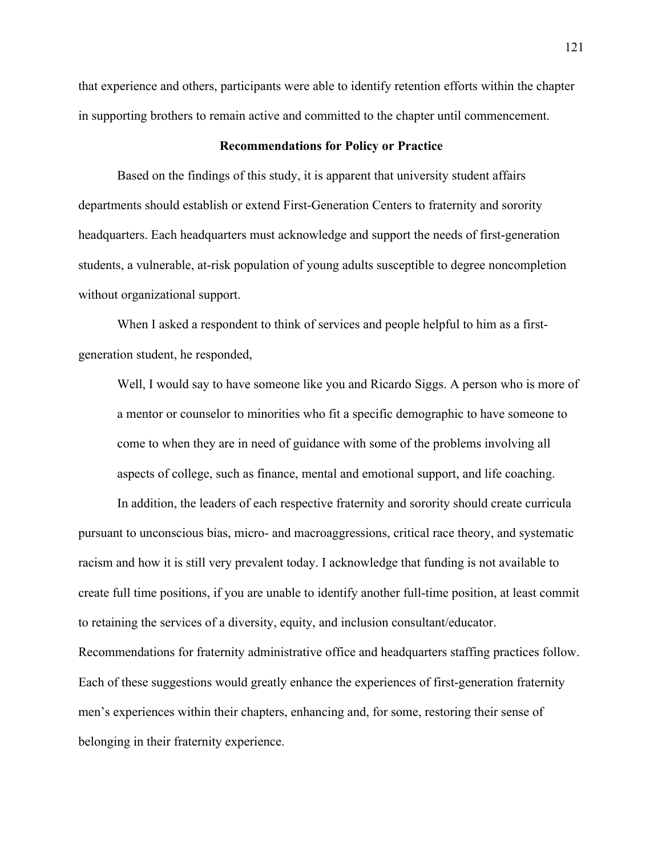that experience and others, participants were able to identify retention efforts within the chapter in supporting brothers to remain active and committed to the chapter until commencement.

### **Recommendations for Policy or Practice**

Based on the findings of this study, it is apparent that university student affairs departments should establish or extend First-Generation Centers to fraternity and sorority headquarters. Each headquarters must acknowledge and support the needs of first-generation students, a vulnerable, at-risk population of young adults susceptible to degree noncompletion without organizational support.

When I asked a respondent to think of services and people helpful to him as a firstgeneration student, he responded,

Well, I would say to have someone like you and Ricardo Siggs. A person who is more of a mentor or counselor to minorities who fit a specific demographic to have someone to come to when they are in need of guidance with some of the problems involving all aspects of college, such as finance, mental and emotional support, and life coaching.

In addition, the leaders of each respective fraternity and sorority should create curricula pursuant to unconscious bias, micro- and macroaggressions, critical race theory, and systematic racism and how it is still very prevalent today. I acknowledge that funding is not available to create full time positions, if you are unable to identify another full-time position, at least commit to retaining the services of a diversity, equity, and inclusion consultant/educator. Recommendations for fraternity administrative office and headquarters staffing practices follow. Each of these suggestions would greatly enhance the experiences of first-generation fraternity men's experiences within their chapters, enhancing and, for some, restoring their sense of belonging in their fraternity experience.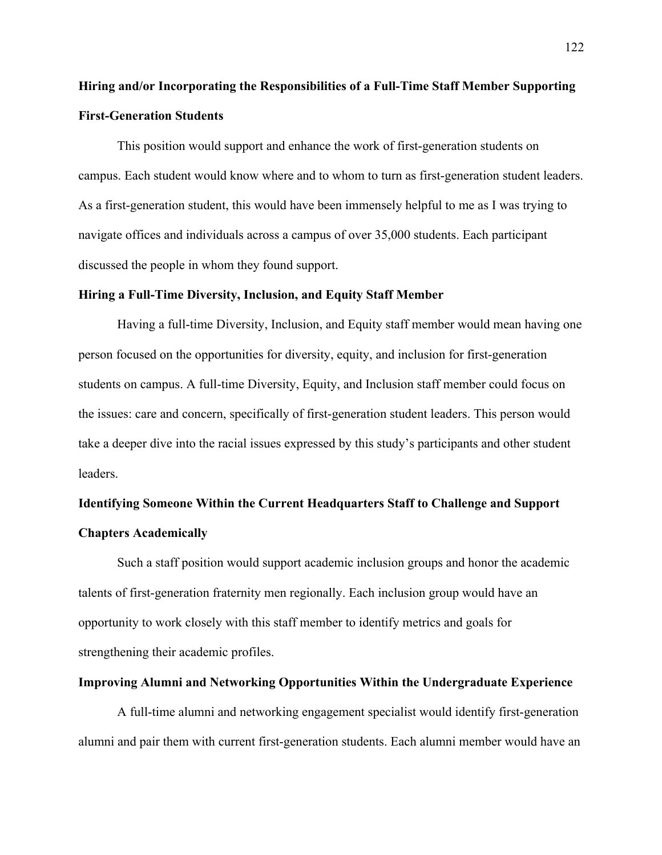## **Hiring and/or Incorporating the Responsibilities of a Full-Time Staff Member Supporting First-Generation Students**

This position would support and enhance the work of first-generation students on campus. Each student would know where and to whom to turn as first-generation student leaders. As a first-generation student, this would have been immensely helpful to me as I was trying to navigate offices and individuals across a campus of over 35,000 students. Each participant discussed the people in whom they found support.

### **Hiring a Full-Time Diversity, Inclusion, and Equity Staff Member**

Having a full-time Diversity, Inclusion, and Equity staff member would mean having one person focused on the opportunities for diversity, equity, and inclusion for first-generation students on campus. A full-time Diversity, Equity, and Inclusion staff member could focus on the issues: care and concern, specifically of first-generation student leaders. This person would take a deeper dive into the racial issues expressed by this study's participants and other student leaders.

# **Identifying Someone Within the Current Headquarters Staff to Challenge and Support Chapters Academically**

Such a staff position would support academic inclusion groups and honor the academic talents of first-generation fraternity men regionally. Each inclusion group would have an opportunity to work closely with this staff member to identify metrics and goals for strengthening their academic profiles.

## **Improving Alumni and Networking Opportunities Within the Undergraduate Experience**

A full-time alumni and networking engagement specialist would identify first-generation alumni and pair them with current first-generation students. Each alumni member would have an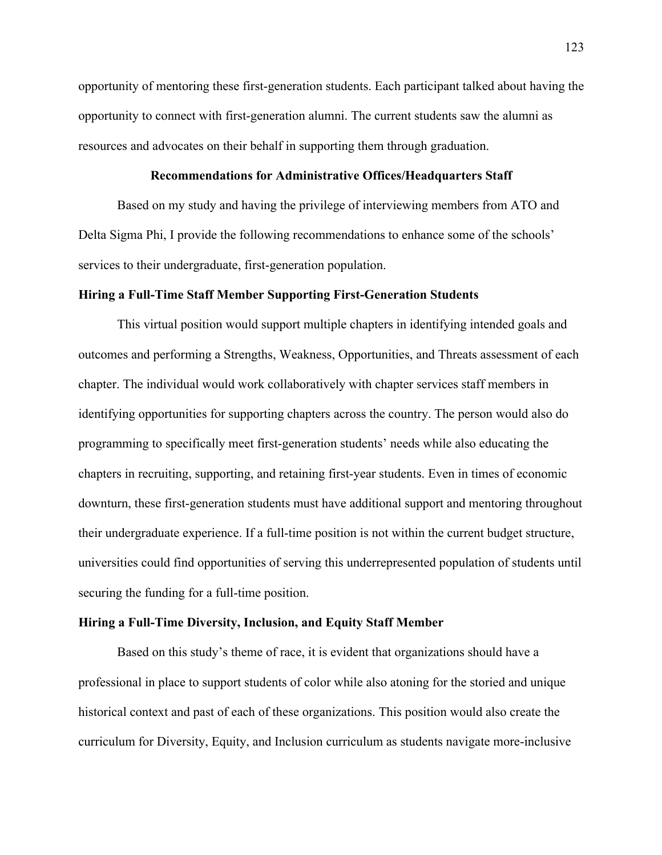opportunity of mentoring these first-generation students. Each participant talked about having the opportunity to connect with first-generation alumni. The current students saw the alumni as resources and advocates on their behalf in supporting them through graduation.

### **Recommendations for Administrative Offices/Headquarters Staff**

Based on my study and having the privilege of interviewing members from ATO and Delta Sigma Phi, I provide the following recommendations to enhance some of the schools' services to their undergraduate, first-generation population.

### **Hiring a Full-Time Staff Member Supporting First-Generation Students**

This virtual position would support multiple chapters in identifying intended goals and outcomes and performing a Strengths, Weakness, Opportunities, and Threats assessment of each chapter. The individual would work collaboratively with chapter services staff members in identifying opportunities for supporting chapters across the country. The person would also do programming to specifically meet first-generation students' needs while also educating the chapters in recruiting, supporting, and retaining first-year students. Even in times of economic downturn, these first-generation students must have additional support and mentoring throughout their undergraduate experience. If a full-time position is not within the current budget structure, universities could find opportunities of serving this underrepresented population of students until securing the funding for a full-time position.

## **Hiring a Full-Time Diversity, Inclusion, and Equity Staff Member**

Based on this study's theme of race, it is evident that organizations should have a professional in place to support students of color while also atoning for the storied and unique historical context and past of each of these organizations. This position would also create the curriculum for Diversity, Equity, and Inclusion curriculum as students navigate more-inclusive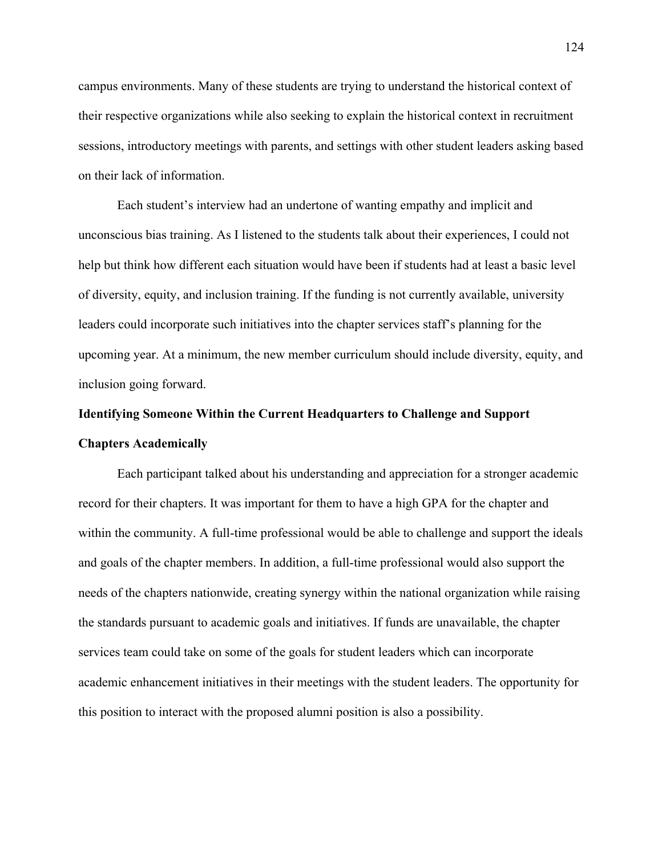campus environments. Many of these students are trying to understand the historical context of their respective organizations while also seeking to explain the historical context in recruitment sessions, introductory meetings with parents, and settings with other student leaders asking based on their lack of information.

Each student's interview had an undertone of wanting empathy and implicit and unconscious bias training. As I listened to the students talk about their experiences, I could not help but think how different each situation would have been if students had at least a basic level of diversity, equity, and inclusion training. If the funding is not currently available, university leaders could incorporate such initiatives into the chapter services staff's planning for the upcoming year. At a minimum, the new member curriculum should include diversity, equity, and inclusion going forward.

# **Identifying Someone Within the Current Headquarters to Challenge and Support Chapters Academically**

Each participant talked about his understanding and appreciation for a stronger academic record for their chapters. It was important for them to have a high GPA for the chapter and within the community. A full-time professional would be able to challenge and support the ideals and goals of the chapter members. In addition, a full-time professional would also support the needs of the chapters nationwide, creating synergy within the national organization while raising the standards pursuant to academic goals and initiatives. If funds are unavailable, the chapter services team could take on some of the goals for student leaders which can incorporate academic enhancement initiatives in their meetings with the student leaders. The opportunity for this position to interact with the proposed alumni position is also a possibility.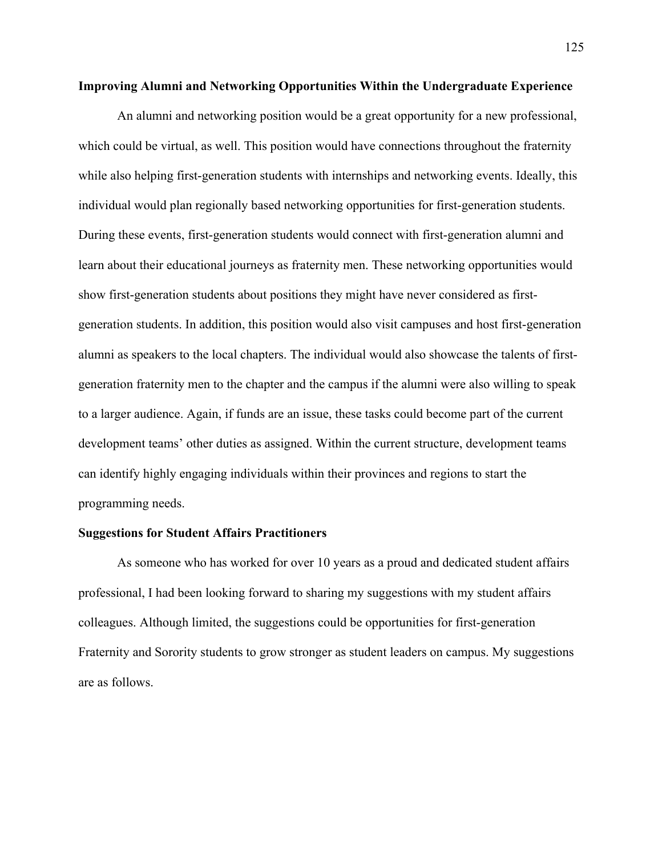### **Improving Alumni and Networking Opportunities Within the Undergraduate Experience**

An alumni and networking position would be a great opportunity for a new professional, which could be virtual, as well. This position would have connections throughout the fraternity while also helping first-generation students with internships and networking events. Ideally, this individual would plan regionally based networking opportunities for first-generation students. During these events, first-generation students would connect with first-generation alumni and learn about their educational journeys as fraternity men. These networking opportunities would show first-generation students about positions they might have never considered as firstgeneration students. In addition, this position would also visit campuses and host first-generation alumni as speakers to the local chapters. The individual would also showcase the talents of firstgeneration fraternity men to the chapter and the campus if the alumni were also willing to speak to a larger audience. Again, if funds are an issue, these tasks could become part of the current development teams' other duties as assigned. Within the current structure, development teams can identify highly engaging individuals within their provinces and regions to start the programming needs.

## **Suggestions for Student Affairs Practitioners**

As someone who has worked for over 10 years as a proud and dedicated student affairs professional, I had been looking forward to sharing my suggestions with my student affairs colleagues. Although limited, the suggestions could be opportunities for first-generation Fraternity and Sorority students to grow stronger as student leaders on campus. My suggestions are as follows.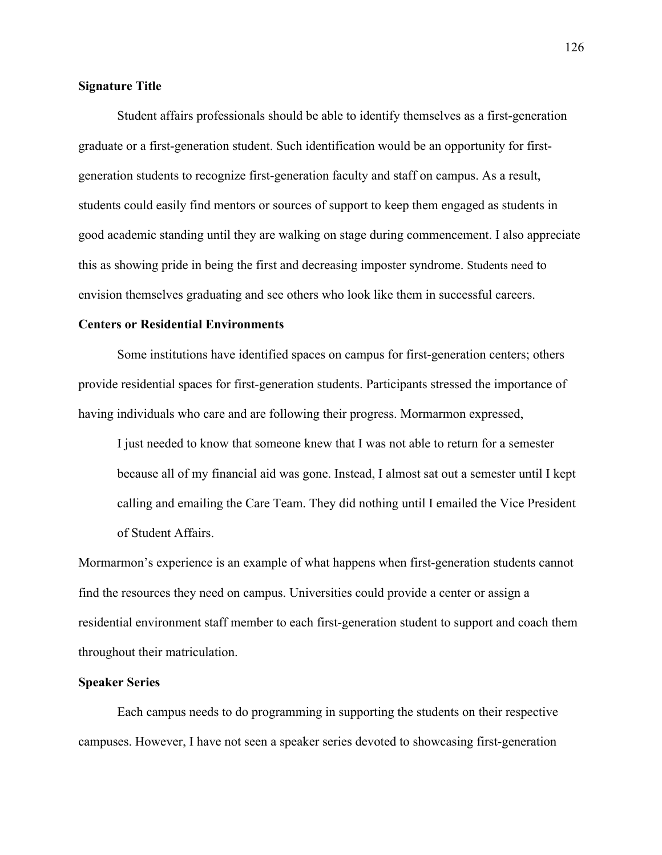## **Signature Title**

Student affairs professionals should be able to identify themselves as a first-generation graduate or a first-generation student. Such identification would be an opportunity for firstgeneration students to recognize first-generation faculty and staff on campus. As a result, students could easily find mentors or sources of support to keep them engaged as students in good academic standing until they are walking on stage during commencement. I also appreciate this as showing pride in being the first and decreasing imposter syndrome. Students need to envision themselves graduating and see others who look like them in successful careers.

### **Centers or Residential Environments**

Some institutions have identified spaces on campus for first-generation centers; others provide residential spaces for first-generation students. Participants stressed the importance of having individuals who care and are following their progress. Mormarmon expressed,

I just needed to know that someone knew that I was not able to return for a semester because all of my financial aid was gone. Instead, I almost sat out a semester until I kept calling and emailing the Care Team. They did nothing until I emailed the Vice President of Student Affairs.

Mormarmon's experience is an example of what happens when first-generation students cannot find the resources they need on campus. Universities could provide a center or assign a residential environment staff member to each first-generation student to support and coach them throughout their matriculation.

## **Speaker Series**

Each campus needs to do programming in supporting the students on their respective campuses. However, I have not seen a speaker series devoted to showcasing first-generation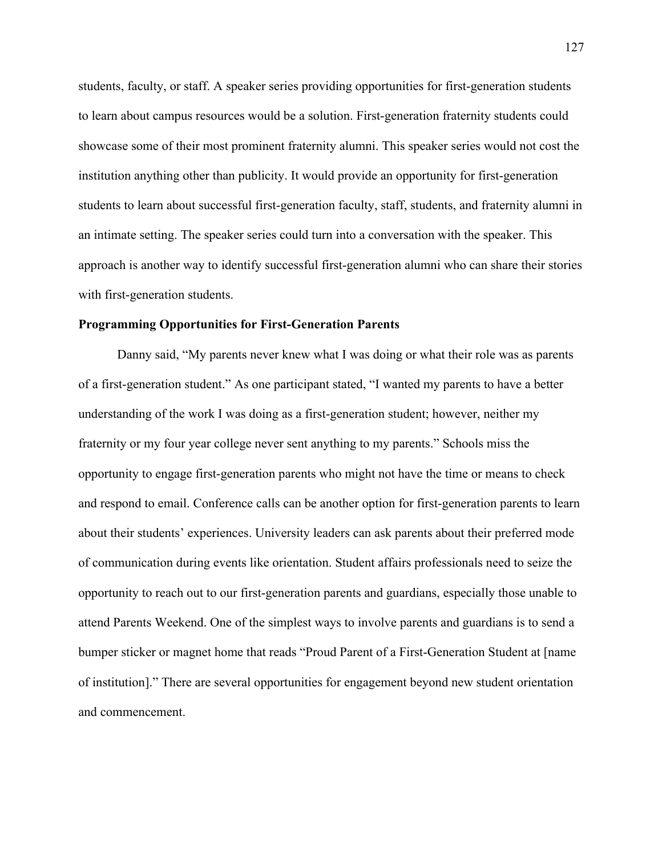students, faculty, or staff. A speaker series providing opportunities for first-generation students to learn about campus resources would be a solution. First-generation fraternity students could showcase some of their most prominent fraternity alumni. This speaker series would not cost the institution anything other than publicity. It would provide an opportunity for first-generation students to learn about successful first-generation faculty, staff, students, and fraternity alumni in an intimate setting. The speaker series could turn into a conversation with the speaker. This approach is another way to identify successful first-generation alumni who can share their stories with first-generation students.

#### **Programming Opportunities for First-Generation Parents**

Danny said, "My parents never knew what I was doing or what their role was as parents of a first-generation student." As one participant stated, "I wanted my parents to have a better understanding of the work I was doing as a first-generation student; however, neither my fraternity or my four year college never sent anything to my parents." Schools miss the opportunity to engage first-generation parents who might not have the time or means to check and respond to email. Conference calls can be another option for first-generation parents to learn about their students' experiences. University leaders can ask parents about their preferred mode of communication during events like orientation. Student affairs professionals need to seize the opportunity to reach out to our first-generation parents and guardians, especially those unable to attend Parents Weekend. One of the simplest ways to involve parents and guardians is to send a bumper sticker or magnet home that reads "Proud Parent of a First-Generation Student at [name of institution]." There are several opportunities for engagement beyond new student orientation and commencement.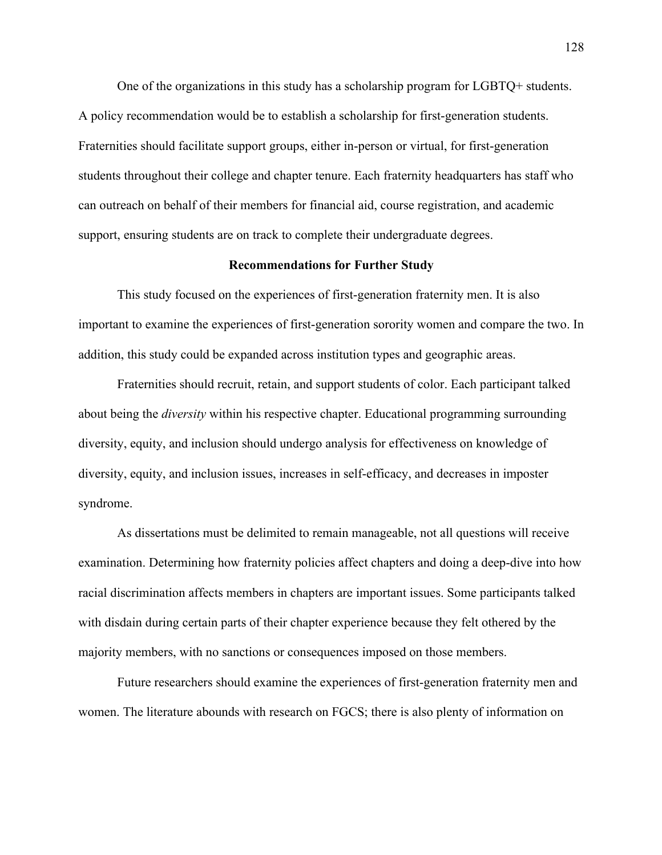One of the organizations in this study has a scholarship program for LGBTQ+ students. A policy recommendation would be to establish a scholarship for first-generation students. Fraternities should facilitate support groups, either in-person or virtual, for first-generation students throughout their college and chapter tenure. Each fraternity headquarters has staff who can outreach on behalf of their members for financial aid, course registration, and academic support, ensuring students are on track to complete their undergraduate degrees.

### **Recommendations for Further Study**

This study focused on the experiences of first-generation fraternity men. It is also important to examine the experiences of first-generation sorority women and compare the two. In addition, this study could be expanded across institution types and geographic areas.

Fraternities should recruit, retain, and support students of color. Each participant talked about being the *diversity* within his respective chapter. Educational programming surrounding diversity, equity, and inclusion should undergo analysis for effectiveness on knowledge of diversity, equity, and inclusion issues, increases in self-efficacy, and decreases in imposter syndrome.

As dissertations must be delimited to remain manageable, not all questions will receive examination. Determining how fraternity policies affect chapters and doing a deep-dive into how racial discrimination affects members in chapters are important issues. Some participants talked with disdain during certain parts of their chapter experience because they felt othered by the majority members, with no sanctions or consequences imposed on those members.

Future researchers should examine the experiences of first-generation fraternity men and women. The literature abounds with research on FGCS; there is also plenty of information on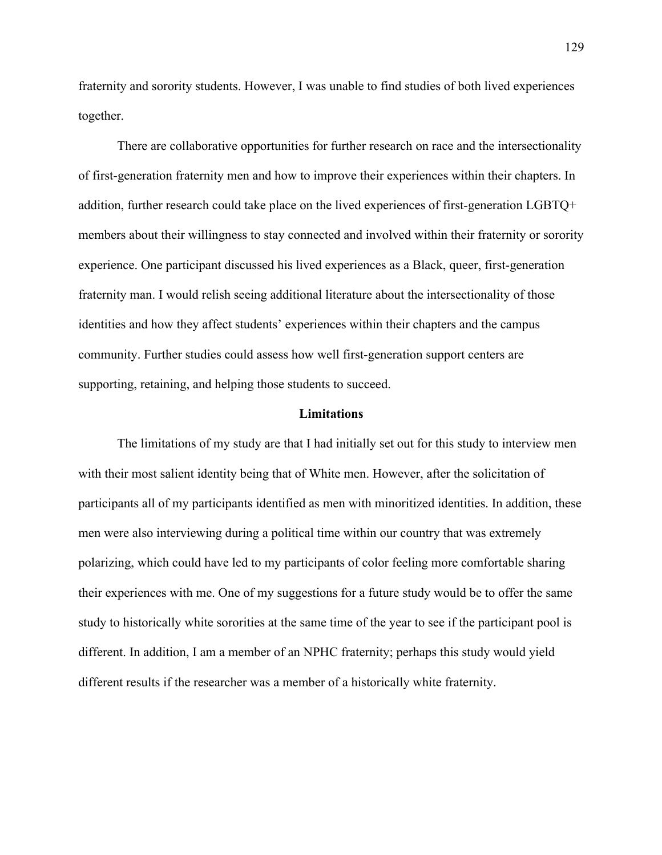fraternity and sorority students. However, I was unable to find studies of both lived experiences together.

There are collaborative opportunities for further research on race and the intersectionality of first-generation fraternity men and how to improve their experiences within their chapters. In addition, further research could take place on the lived experiences of first-generation LGBTQ+ members about their willingness to stay connected and involved within their fraternity or sorority experience. One participant discussed his lived experiences as a Black, queer, first-generation fraternity man. I would relish seeing additional literature about the intersectionality of those identities and how they affect students' experiences within their chapters and the campus community. Further studies could assess how well first-generation support centers are supporting, retaining, and helping those students to succeed.

## **Limitations**

The limitations of my study are that I had initially set out for this study to interview men with their most salient identity being that of White men. However, after the solicitation of participants all of my participants identified as men with minoritized identities. In addition, these men were also interviewing during a political time within our country that was extremely polarizing, which could have led to my participants of color feeling more comfortable sharing their experiences with me. One of my suggestions for a future study would be to offer the same study to historically white sororities at the same time of the year to see if the participant pool is different. In addition, I am a member of an NPHC fraternity; perhaps this study would yield different results if the researcher was a member of a historically white fraternity.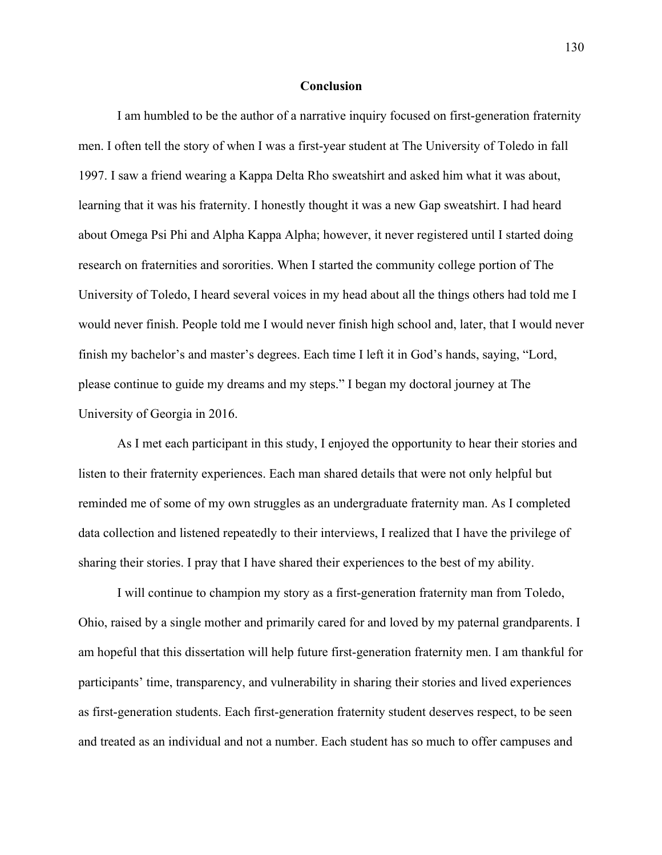## **Conclusion**

I am humbled to be the author of a narrative inquiry focused on first-generation fraternity men. I often tell the story of when I was a first-year student at The University of Toledo in fall 1997. I saw a friend wearing a Kappa Delta Rho sweatshirt and asked him what it was about, learning that it was his fraternity. I honestly thought it was a new Gap sweatshirt. I had heard about Omega Psi Phi and Alpha Kappa Alpha; however, it never registered until I started doing research on fraternities and sororities. When I started the community college portion of The University of Toledo, I heard several voices in my head about all the things others had told me I would never finish. People told me I would never finish high school and, later, that I would never finish my bachelor's and master's degrees. Each time I left it in God's hands, saying, "Lord, please continue to guide my dreams and my steps." I began my doctoral journey at The University of Georgia in 2016.

As I met each participant in this study, I enjoyed the opportunity to hear their stories and listen to their fraternity experiences. Each man shared details that were not only helpful but reminded me of some of my own struggles as an undergraduate fraternity man. As I completed data collection and listened repeatedly to their interviews, I realized that I have the privilege of sharing their stories. I pray that I have shared their experiences to the best of my ability.

I will continue to champion my story as a first-generation fraternity man from Toledo, Ohio, raised by a single mother and primarily cared for and loved by my paternal grandparents. I am hopeful that this dissertation will help future first-generation fraternity men. I am thankful for participants' time, transparency, and vulnerability in sharing their stories and lived experiences as first-generation students. Each first-generation fraternity student deserves respect, to be seen and treated as an individual and not a number. Each student has so much to offer campuses and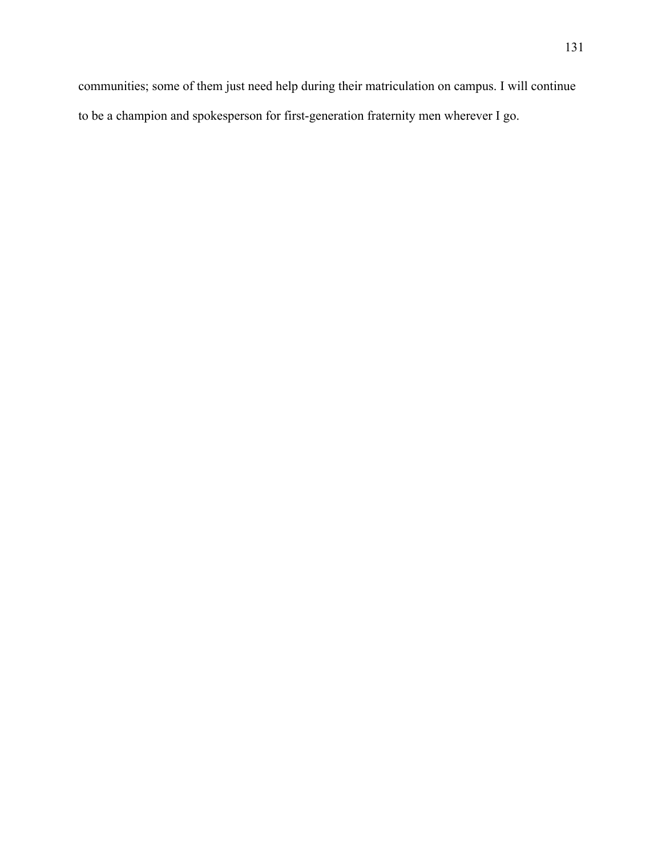communities; some of them just need help during their matriculation on campus. I will continue to be a champion and spokesperson for first-generation fraternity men wherever I go.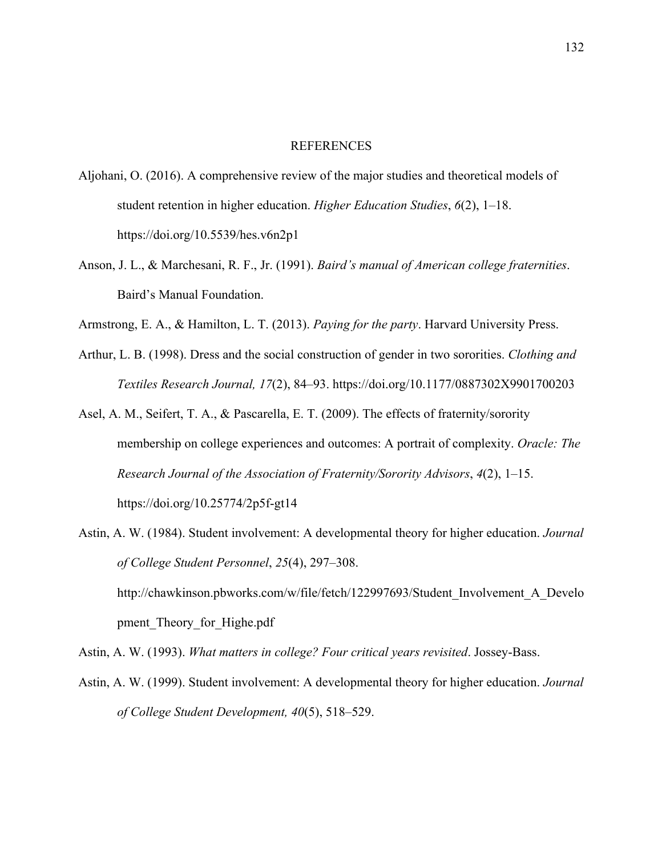## **REFERENCES**

- Aljohani, O. (2016). A comprehensive review of the major studies and theoretical models of student retention in higher education. *Higher Education Studies*, *6*(2), 1–18. https://doi.org/10.5539/hes.v6n2p1
- Anson, J. L., & Marchesani, R. F., Jr. (1991). *Baird's manual of American college fraternities*. Baird's Manual Foundation.
- Armstrong, E. A., & Hamilton, L. T. (2013). *Paying for the party*. Harvard University Press.
- Arthur, L. B. (1998). Dress and the social construction of gender in two sororities. *Clothing and Textiles Research Journal, 17*(2), 84–93. https://doi.org/10.1177/0887302X9901700203
- Asel, A. M., Seifert, T. A., & Pascarella, E. T. (2009). The effects of fraternity/sorority membership on college experiences and outcomes: A portrait of complexity. *Oracle: The Research Journal of the Association of Fraternity/Sorority Advisors*, *4*(2), 1–15. https://doi.org/10.25774/2p5f-gt14
- Astin, A. W. (1984). Student involvement: A developmental theory for higher education. *Journal of College Student Personnel*, *25*(4), 297–308. http://chawkinson.pbworks.com/w/file/fetch/122997693/Student\_Involvement\_A\_Develo pment Theory for Highe.pdf

Astin, A. W. (1993). *What matters in college? Four critical years revisited*. Jossey-Bass.

Astin, A. W. (1999). Student involvement: A developmental theory for higher education. *Journal of College Student Development, 40*(5), 518–529.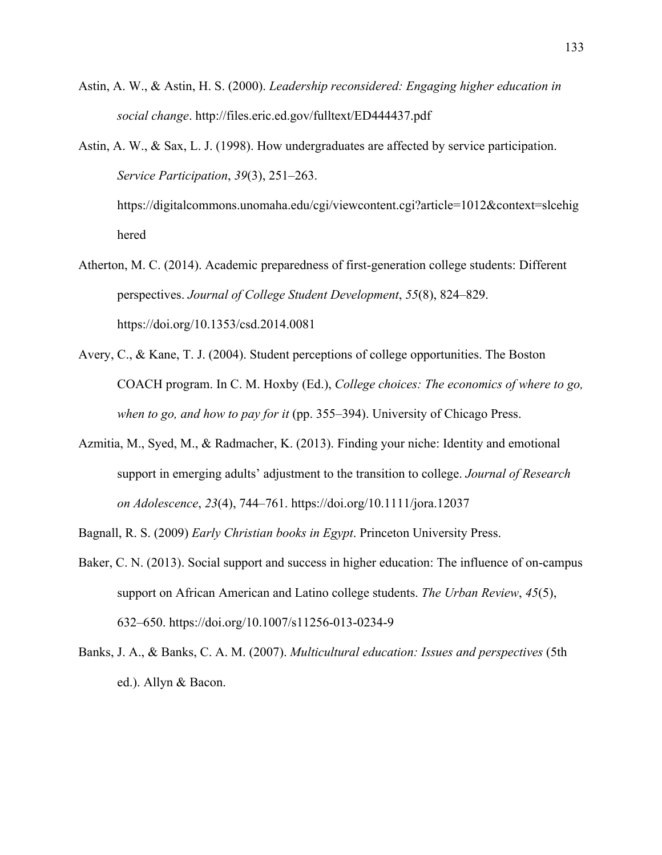- Astin, A. W., & Astin, H. S. (2000). *Leadership reconsidered: Engaging higher education in social change*. http://files.eric.ed.gov/fulltext/ED444437.pdf
- Astin, A. W., & Sax, L. J. (1998). How undergraduates are affected by service participation. *Service Participation*, *39*(3), 251–263.

https://digitalcommons.unomaha.edu/cgi/viewcontent.cgi?article=1012&context=slcehig hered

- Atherton, M. C. (2014). Academic preparedness of first-generation college students: Different perspectives. *Journal of College Student Development*, *55*(8), 824–829. https://doi.org/10.1353/csd.2014.0081
- Avery, C., & Kane, T. J. (2004). Student perceptions of college opportunities. The Boston COACH program. In C. M. Hoxby (Ed.), *College choices: The economics of where to go, when to go, and how to pay for it* (pp. 355–394). University of Chicago Press.
- Azmitia, M., Syed, M., & Radmacher, K. (2013). Finding your niche: Identity and emotional support in emerging adults' adjustment to the transition to college. *Journal of Research on Adolescence*, *23*(4), 744–761. https://doi.org/10.1111/jora.12037

Bagnall, R. S. (2009) *Early Christian books in Egypt*. Princeton University Press.

- Baker, C. N. (2013). Social support and success in higher education: The influence of on-campus support on African American and Latino college students. *The Urban Review*, *45*(5), 632–650. https://doi.org/10.1007/s11256-013-0234-9
- Banks, J. A., & Banks, C. A. M. (2007). *Multicultural education: Issues and perspectives* (5th ed.). Allyn & Bacon.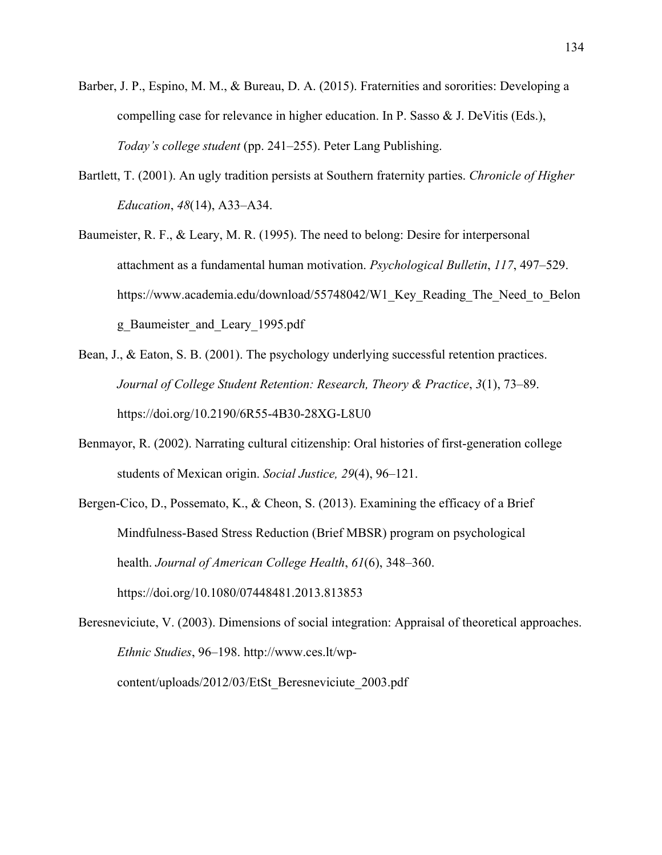- Barber, J. P., Espino, M. M., & Bureau, D. A. (2015). Fraternities and sororities: Developing a compelling case for relevance in higher education. In P. Sasso & J. DeVitis (Eds.), *Today's college student* (pp. 241–255). Peter Lang Publishing.
- Bartlett, T. (2001). An ugly tradition persists at Southern fraternity parties. *Chronicle of Higher Education*, *48*(14), A33–A34.
- Baumeister, R. F., & Leary, M. R. (1995). The need to belong: Desire for interpersonal attachment as a fundamental human motivation. *Psychological Bulletin*, *117*, 497–529. https://www.academia.edu/download/55748042/W1 Key Reading The Need to Belon g\_Baumeister\_and\_Leary\_1995.pdf
- Bean, J., & Eaton, S. B. (2001). The psychology underlying successful retention practices. *Journal of College Student Retention: Research, Theory & Practice*, *3*(1), 73–89. https://doi.org/10.2190/6R55-4B30-28XG-L8U0
- Benmayor, R. (2002). Narrating cultural citizenship: Oral histories of first-generation college students of Mexican origin. *Social Justice, 29*(4), 96–121.
- Bergen-Cico, D., Possemato, K., & Cheon, S. (2013). Examining the efficacy of a Brief Mindfulness-Based Stress Reduction (Brief MBSR) program on psychological health. *Journal of American College Health*, *61*(6), 348–360. https://doi.org/10.1080/07448481.2013.813853
- Beresneviciute, V. (2003). Dimensions of social integration: Appraisal of theoretical approaches. *Ethnic Studies*, 96–198. http://www.ces.lt/wpcontent/uploads/2012/03/EtSt\_Beresneviciute\_2003.pdf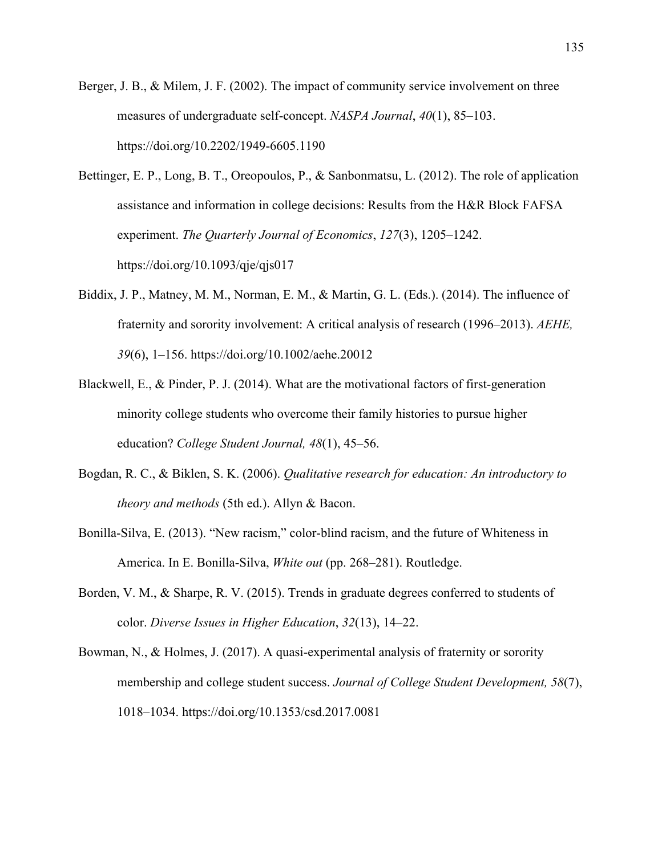- Berger, J. B., & Milem, J. F. (2002). The impact of community service involvement on three measures of undergraduate self-concept. *NASPA Journal*, *40*(1), 85–103. https://doi.org/10.2202/1949-6605.1190
- Bettinger, E. P., Long, B. T., Oreopoulos, P., & Sanbonmatsu, L. (2012). The role of application assistance and information in college decisions: Results from the H&R Block FAFSA experiment. *The Quarterly Journal of Economics*, *127*(3), 1205–1242. https://doi.org/10.1093/qje/qjs017
- Biddix, J. P., Matney, M. M., Norman, E. M., & Martin, G. L. (Eds.). (2014). The influence of fraternity and sorority involvement: A critical analysis of research (1996–2013). *AEHE, 39*(6), 1–156. https://doi.org/10.1002/aehe.20012
- Blackwell, E., & Pinder, P. J. (2014). What are the motivational factors of first-generation minority college students who overcome their family histories to pursue higher education? *College Student Journal, 48*(1), 45–56.
- Bogdan, R. C., & Biklen, S. K. (2006). *Qualitative research for education: An introductory to theory and methods* (5th ed.). Allyn & Bacon.
- Bonilla-Silva, E. (2013). "New racism," color-blind racism, and the future of Whiteness in America. In E. Bonilla-Silva, *White out* (pp. 268–281). Routledge.
- Borden, V. M., & Sharpe, R. V. (2015). Trends in graduate degrees conferred to students of color. *Diverse Issues in Higher Education*, *32*(13), 14–22.
- Bowman, N., & Holmes, J. (2017). A quasi-experimental analysis of fraternity or sorority membership and college student success. *Journal of College Student Development, 58*(7), 1018–1034. https://doi.org/10.1353/csd.2017.0081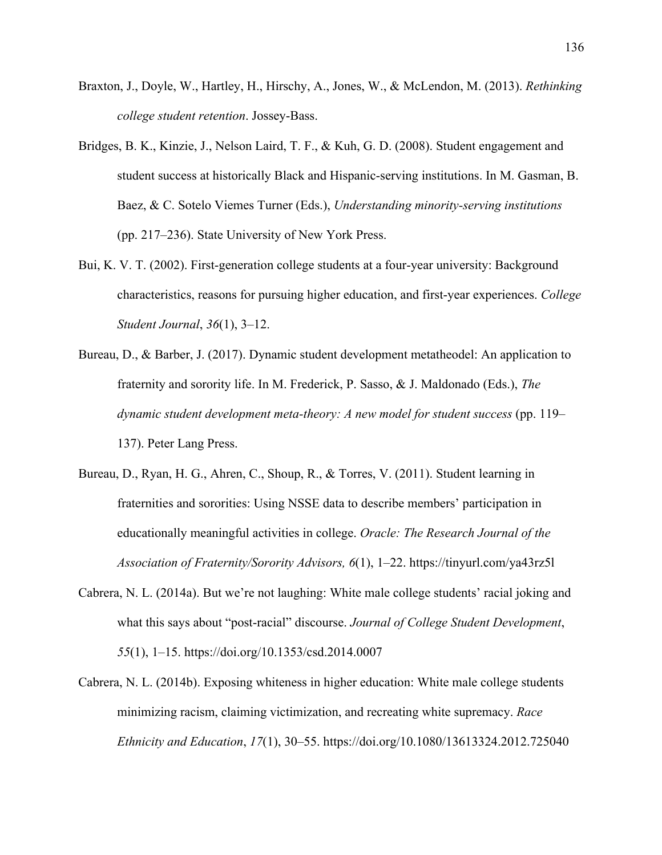- Braxton, J., Doyle, W., Hartley, H., Hirschy, A., Jones, W., & McLendon, M. (2013). *Rethinking college student retention*. Jossey-Bass.
- Bridges, B. K., Kinzie, J., Nelson Laird, T. F., & Kuh, G. D. (2008). Student engagement and student success at historically Black and Hispanic-serving institutions. In M. Gasman, B. Baez, & C. Sotelo Viemes Turner (Eds.), *Understanding minority-serving institutions* (pp. 217–236). State University of New York Press.
- Bui, K. V. T. (2002). First-generation college students at a four-year university: Background characteristics, reasons for pursuing higher education, and first-year experiences. *College Student Journal*, *36*(1), 3–12.
- Bureau, D., & Barber, J. (2017). Dynamic student development metatheodel: An application to fraternity and sorority life. In M. Frederick, P. Sasso, & J. Maldonado (Eds.), *The dynamic student development meta-theory: A new model for student success* (pp. 119– 137). Peter Lang Press.
- Bureau, D., Ryan, H. G., Ahren, C., Shoup, R., & Torres, V. (2011). Student learning in fraternities and sororities: Using NSSE data to describe members' participation in educationally meaningful activities in college. *Oracle: The Research Journal of the Association of Fraternity/Sorority Advisors, 6*(1), 1–22. https://tinyurl.com/ya43rz5l
- Cabrera, N. L. (2014a). But we're not laughing: White male college students' racial joking and what this says about "post-racial" discourse. *Journal of College Student Development*, *55*(1), 1–15. https://doi.org/10.1353/csd.2014.0007
- Cabrera, N. L. (2014b). Exposing whiteness in higher education: White male college students minimizing racism, claiming victimization, and recreating white supremacy. *Race Ethnicity and Education*, *17*(1), 30–55. https://doi.org/10.1080/13613324.2012.725040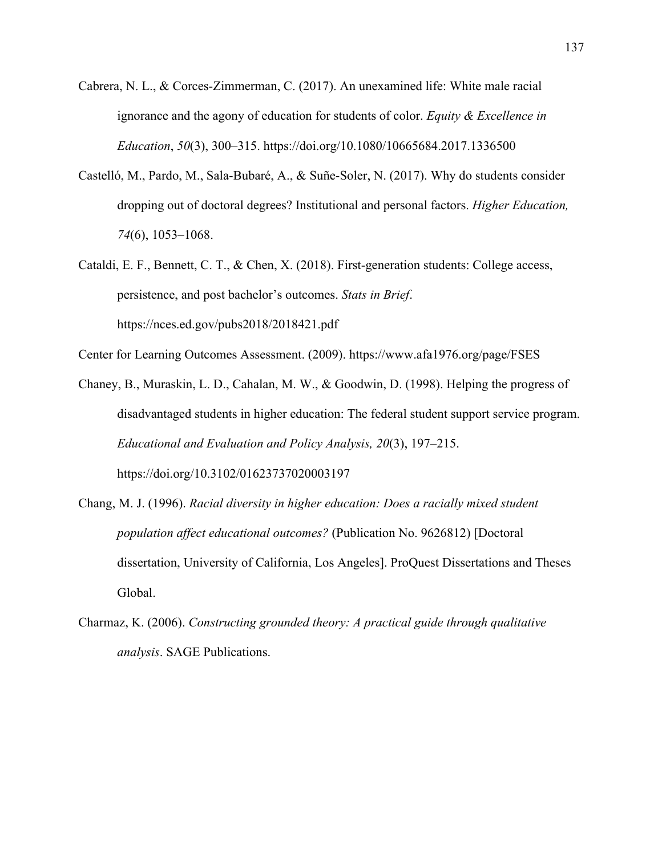- Cabrera, N. L., & Corces-Zimmerman, C. (2017). An unexamined life: White male racial ignorance and the agony of education for students of color. *Equity & Excellence in Education*, *50*(3), 300–315. https://doi.org/10.1080/10665684.2017.1336500
- Castelló, M., Pardo, M., Sala-Bubaré, A., & Suñe-Soler, N. (2017). Why do students consider dropping out of doctoral degrees? Institutional and personal factors. *Higher Education, 74*(6), 1053–1068.
- Cataldi, E. F., Bennett, C. T., & Chen, X. (2018). First-generation students: College access, persistence, and post bachelor's outcomes. *Stats in Brief*. https://nces.ed.gov/pubs2018/2018421.pdf

Center for Learning Outcomes Assessment. (2009). https://www.afa1976.org/page/FSES

- Chaney, B., Muraskin, L. D., Cahalan, M. W., & Goodwin, D. (1998). Helping the progress of disadvantaged students in higher education: The federal student support service program. *Educational and Evaluation and Policy Analysis, 20*(3), 197–215. https://doi.org/10.3102/01623737020003197
- Chang, M. J. (1996). *Racial diversity in higher education: Does a racially mixed student population affect educational outcomes?* (Publication No. 9626812) [Doctoral dissertation, University of California, Los Angeles]. ProQuest Dissertations and Theses Global.
- Charmaz, K. (2006). *Constructing grounded theory: A practical guide through qualitative analysis*. SAGE Publications.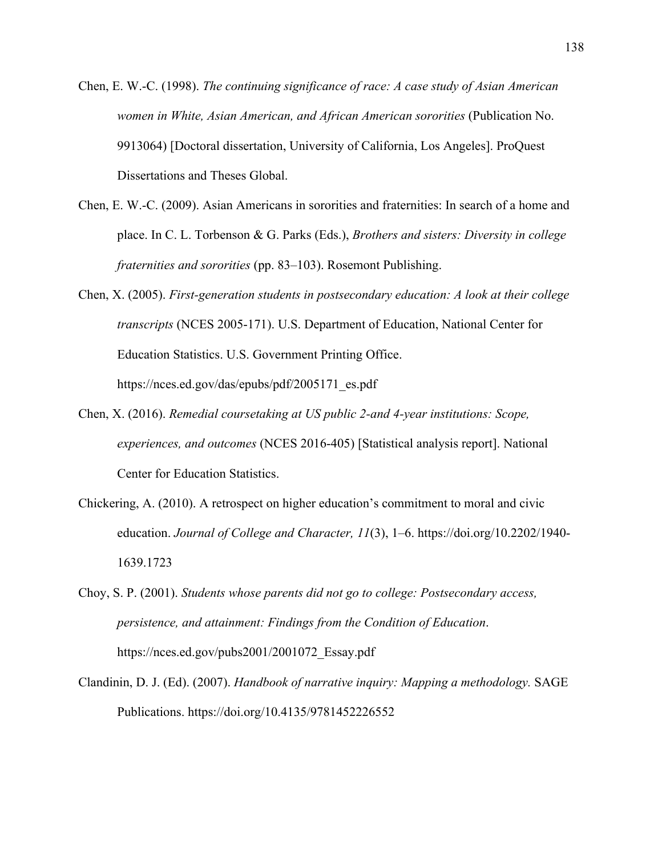- Chen, E. W.-C. (1998). *The continuing significance of race: A case study of Asian American women in White, Asian American, and African American sororities* (Publication No. 9913064) [Doctoral dissertation, University of California, Los Angeles]. ProQuest Dissertations and Theses Global.
- Chen, E. W.-C. (2009). Asian Americans in sororities and fraternities: In search of a home and place. In C. L. Torbenson & G. Parks (Eds.), *Brothers and sisters: Diversity in college fraternities and sororities* (pp. 83–103). Rosemont Publishing.
- Chen, X. (2005). *First-generation students in postsecondary education: A look at their college transcripts* (NCES 2005-171). U.S. Department of Education, National Center for Education Statistics. U.S. Government Printing Office. https://nces.ed.gov/das/epubs/pdf/2005171\_es.pdf
- Chen, X. (2016). *Remedial coursetaking at US public 2-and 4-year institutions: Scope, experiences, and outcomes* (NCES 2016-405) [Statistical analysis report]. National Center for Education Statistics.
- Chickering, A. (2010). A retrospect on higher education's commitment to moral and civic education. *Journal of College and Character, 11*(3), 1–6. https://doi.org/10.2202/1940- 1639.1723
- Choy, S. P. (2001). *Students whose parents did not go to college: Postsecondary access, persistence, and attainment: Findings from the Condition of Education*. https://nces.ed.gov/pubs2001/2001072\_Essay.pdf
- Clandinin, D. J. (Ed). (2007). *Handbook of narrative inquiry: Mapping a methodology.* SAGE Publications. https://doi.org/10.4135/9781452226552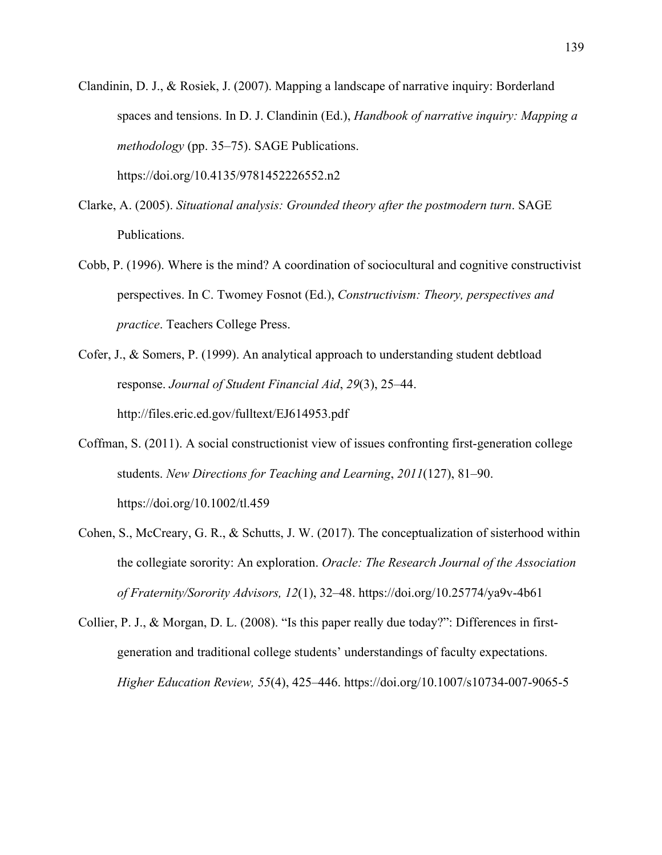Clandinin, D. J., & Rosiek, J. (2007). Mapping a landscape of narrative inquiry: Borderland spaces and tensions. In D. J. Clandinin (Ed.), *Handbook of narrative inquiry: Mapping a methodology* (pp. 35–75). SAGE Publications.

https://doi.org/10.4135/9781452226552.n2

- Clarke, A. (2005). *Situational analysis: Grounded theory after the postmodern turn*. SAGE Publications.
- Cobb, P. (1996). Where is the mind? A coordination of sociocultural and cognitive constructivist perspectives. In C. Twomey Fosnot (Ed.), *Constructivism: Theory, perspectives and practice*. Teachers College Press.
- Cofer, J., & Somers, P. (1999). An analytical approach to understanding student debtload response. *Journal of Student Financial Aid*, *29*(3), 25–44. http://files.eric.ed.gov/fulltext/EJ614953.pdf
- Coffman, S. (2011). A social constructionist view of issues confronting first‐generation college students. *New Directions for Teaching and Learning*, *2011*(127), 81–90. https://doi.org/10.1002/tl.459
- Cohen, S., McCreary, G. R., & Schutts, J. W. (2017). The conceptualization of sisterhood within the collegiate sorority: An exploration. *Oracle: The Research Journal of the Association of Fraternity/Sorority Advisors, 12*(1), 32–48. https://doi.org/10.25774/ya9v-4b61
- Collier, P. J., & Morgan, D. L. (2008). "Is this paper really due today?": Differences in firstgeneration and traditional college students' understandings of faculty expectations. *Higher Education Review, 55*(4), 425–446. https://doi.org/10.1007/s10734-007-9065-5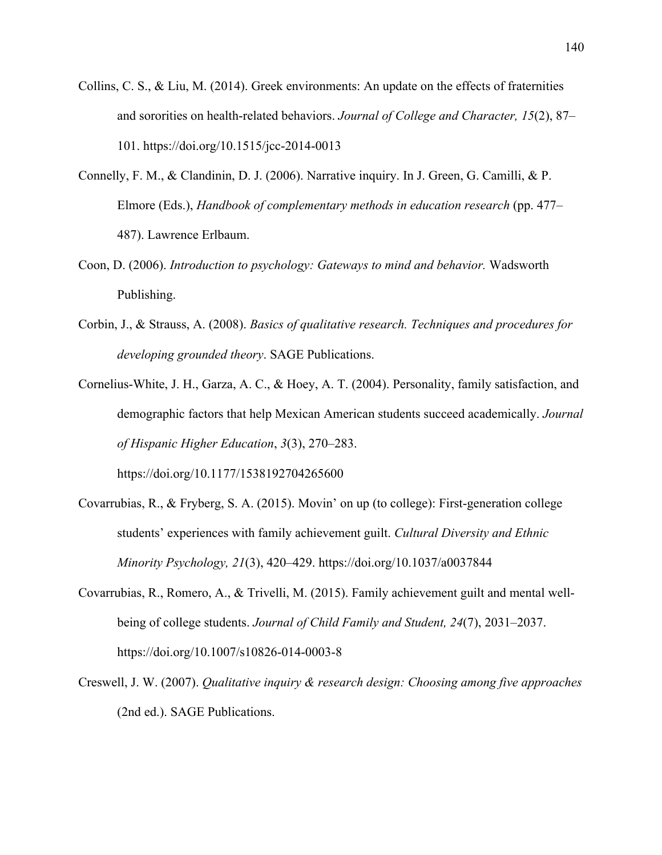- Collins, C. S., & Liu, M. (2014). Greek environments: An update on the effects of fraternities and sororities on health-related behaviors. *Journal of College and Character, 15*(2), 87– 101. https://doi.org/10.1515/jcc-2014-0013
- Connelly, F. M., & Clandinin, D. J. (2006). Narrative inquiry. In J. Green, G. Camilli, & P. Elmore (Eds.), *Handbook of complementary methods in education research* (pp. 477– 487). Lawrence Erlbaum.
- Coon, D. (2006). *Introduction to psychology: Gateways to mind and behavior.* Wadsworth Publishing.
- Corbin, J., & Strauss, A. (2008). *Basics of qualitative research. Techniques and procedures for developing grounded theory*. SAGE Publications.
- Cornelius-White, J. H., Garza, A. C., & Hoey, A. T. (2004). Personality, family satisfaction, and demographic factors that help Mexican American students succeed academically. *Journal of Hispanic Higher Education*, *3*(3), 270–283.

https://doi.org/10.1177/1538192704265600

- Covarrubias, R., & Fryberg, S. A. (2015). Movin' on up (to college): First-generation college students' experiences with family achievement guilt. *Cultural Diversity and Ethnic Minority Psychology, 21*(3), 420–429. https://doi.org/10.1037/a0037844
- Covarrubias, R., Romero, A., & Trivelli, M. (2015). Family achievement guilt and mental wellbeing of college students. *Journal of Child Family and Student, 24*(7), 2031–2037. https://doi.org/10.1007/s10826-014-0003-8
- Creswell, J. W. (2007). *Qualitative inquiry & research design: Choosing among five approaches* (2nd ed.). SAGE Publications.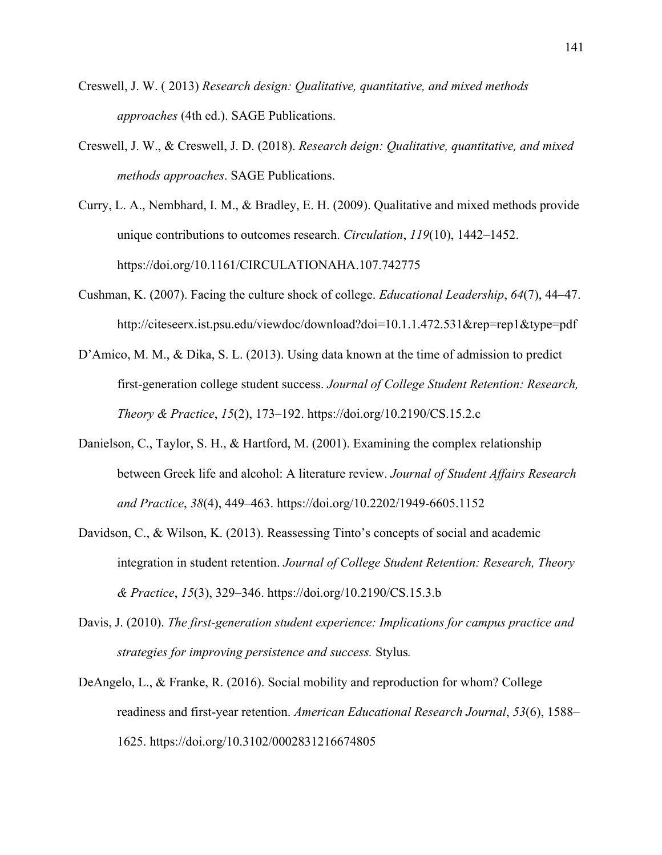- Creswell, J. W. ( 2013) *Research design: Qualitative, quantitative, and mixed methods approaches* (4th ed.). SAGE Publications.
- Creswell, J. W., & Creswell, J. D. (2018). *Research deign: Qualitative, quantitative, and mixed methods approaches*. SAGE Publications.
- Curry, L. A., Nembhard, I. M., & Bradley, E. H. (2009). Qualitative and mixed methods provide unique contributions to outcomes research. *Circulation*, *119*(10), 1442–1452. https://doi.org/10.1161/CIRCULATIONAHA.107.742775
- Cushman, K. (2007). Facing the culture shock of college. *Educational Leadership*, *64*(7), 44–47. http://citeseerx.ist.psu.edu/viewdoc/download?doi=10.1.1.472.531&rep=rep1&type=pdf
- D'Amico, M. M., & Dika, S. L. (2013). Using data known at the time of admission to predict first-generation college student success. *Journal of College Student Retention: Research, Theory & Practice*, *15*(2), 173–192. https://doi.org/10.2190/CS.15.2.c
- Danielson, C., Taylor, S. H., & Hartford, M. (2001). Examining the complex relationship between Greek life and alcohol: A literature review. *Journal of Student Affairs Research and Practice*, *38*(4), 449–463. https://doi.org/10.2202/1949-6605.1152
- Davidson, C., & Wilson, K. (2013). Reassessing Tinto's concepts of social and academic integration in student retention. *Journal of College Student Retention: Research, Theory & Practice*, *15*(3), 329–346. https://doi.org/10.2190/CS.15.3.b
- Davis, J. (2010). *The first-generation student experience: Implications for campus practice and strategies for improving persistence and success.* Stylus*.*
- DeAngelo, L., & Franke, R. (2016). Social mobility and reproduction for whom? College readiness and first-year retention. *American Educational Research Journal*, *53*(6), 1588– 1625. https://doi.org/10.3102/0002831216674805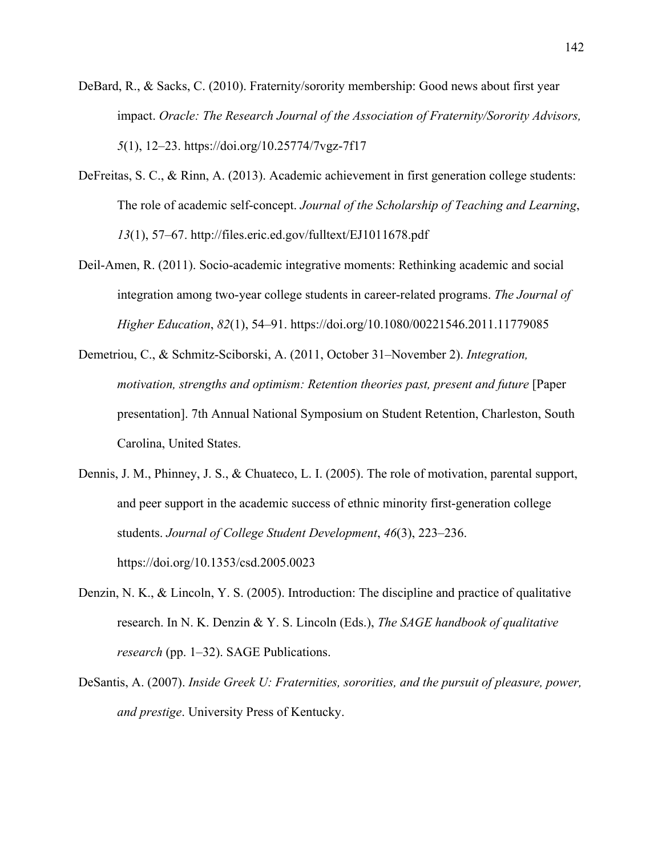- DeBard, R., & Sacks, C. (2010). Fraternity/sorority membership: Good news about first year impact. *Oracle: The Research Journal of the Association of Fraternity/Sorority Advisors, 5*(1), 12–23. https://doi.org/10.25774/7vgz-7f17
- DeFreitas, S. C., & Rinn, A. (2013). Academic achievement in first generation college students: The role of academic self-concept. *Journal of the Scholarship of Teaching and Learning*, *13*(1), 57–67. http://files.eric.ed.gov/fulltext/EJ1011678.pdf
- Deil-Amen, R. (2011). Socio-academic integrative moments: Rethinking academic and social integration among two-year college students in career-related programs. *The Journal of Higher Education*, *82*(1), 54–91. https://doi.org/10.1080/00221546.2011.11779085
- Demetriou, C., & Schmitz-Sciborski, A. (2011, October 31–November 2). *Integration, motivation, strengths and optimism: Retention theories past, present and future* [Paper presentation]. 7th Annual National Symposium on Student Retention, Charleston, South Carolina, United States.
- Dennis, J. M., Phinney, J. S., & Chuateco, L. I. (2005). The role of motivation, parental support, and peer support in the academic success of ethnic minority first-generation college students. *Journal of College Student Development*, *46*(3), 223–236. https://doi.org/10.1353/csd.2005.0023
- Denzin, N. K., & Lincoln, Y. S. (2005). Introduction: The discipline and practice of qualitative research. In N. K. Denzin & Y. S. Lincoln (Eds.), *The SAGE handbook of qualitative research* (pp. 1–32). SAGE Publications.
- DeSantis, A. (2007). *Inside Greek U: Fraternities, sororities, and the pursuit of pleasure, power, and prestige*. University Press of Kentucky.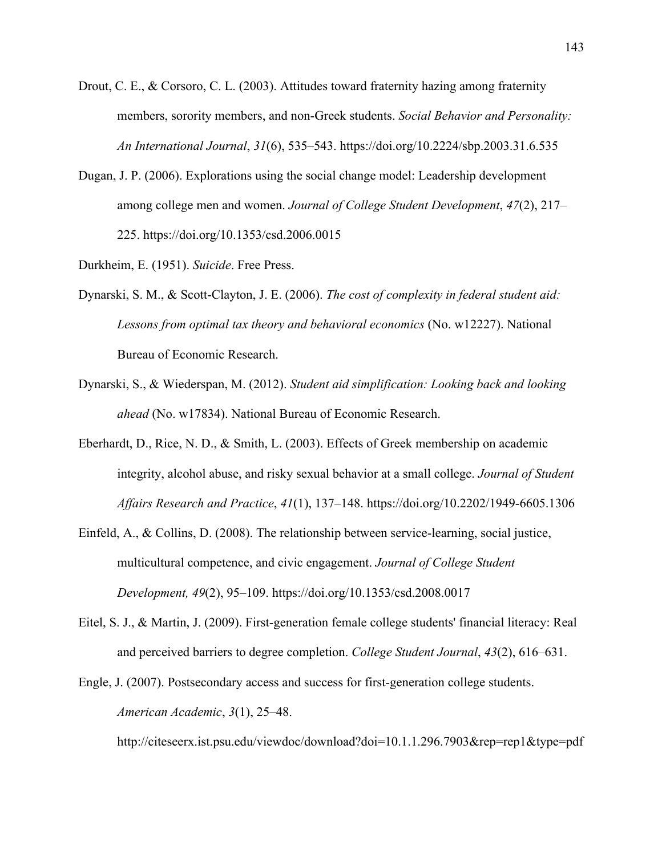- Drout, C. E., & Corsoro, C. L. (2003). Attitudes toward fraternity hazing among fraternity members, sorority members, and non-Greek students. *Social Behavior and Personality: An International Journal*, *31*(6), 535–543. https://doi.org/10.2224/sbp.2003.31.6.535
- Dugan, J. P. (2006). Explorations using the social change model: Leadership development among college men and women. *Journal of College Student Development*, *47*(2), 217– 225. https://doi.org/10.1353/csd.2006.0015

Durkheim, E. (1951). *Suicide*. Free Press.

- Dynarski, S. M., & Scott-Clayton, J. E. (2006). *The cost of complexity in federal student aid: Lessons from optimal tax theory and behavioral economics* (No. w12227). National Bureau of Economic Research.
- Dynarski, S., & Wiederspan, M. (2012). *Student aid simplification: Looking back and looking ahead* (No. w17834). National Bureau of Economic Research.
- Eberhardt, D., Rice, N. D., & Smith, L. (2003). Effects of Greek membership on academic integrity, alcohol abuse, and risky sexual behavior at a small college. *Journal of Student Affairs Research and Practice*, *41*(1), 137–148. https://doi.org/10.2202/1949-6605.1306
- Einfeld, A., & Collins, D. (2008). The relationship between service-learning, social justice, multicultural competence, and civic engagement. *Journal of College Student Development, 49*(2), 95–109. https://doi.org/10.1353/csd.2008.0017
- Eitel, S. J., & Martin, J. (2009). First-generation female college students' financial literacy: Real and perceived barriers to degree completion. *College Student Journal*, *43*(2), 616–631.
- Engle, J. (2007). Postsecondary access and success for first-generation college students. *American Academic*, *3*(1), 25–48.

http://citeseerx.ist.psu.edu/viewdoc/download?doi=10.1.1.296.7903&rep=rep1&type=pdf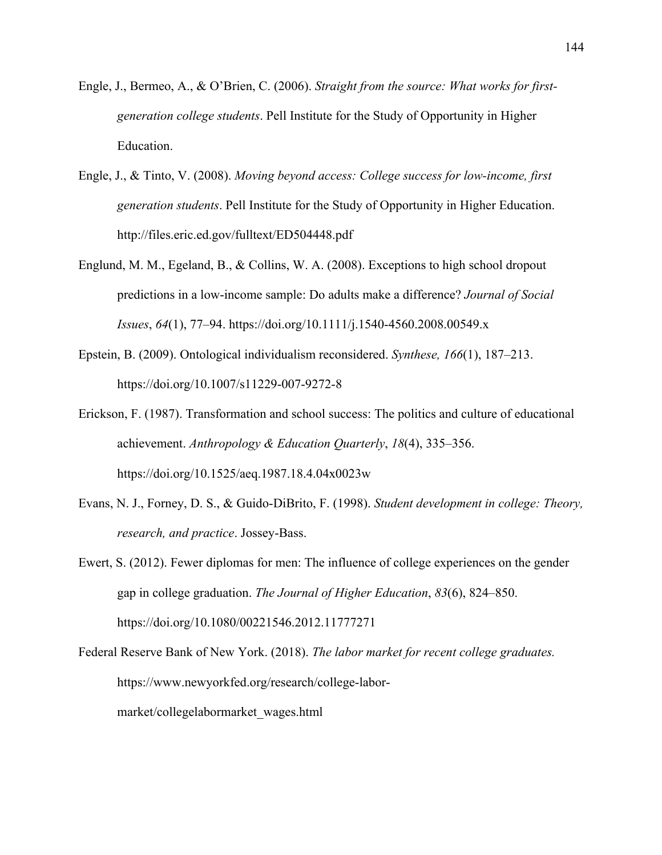- Engle, J., Bermeo, A., & O'Brien, C. (2006). *Straight from the source: What works for firstgeneration college students*. Pell Institute for the Study of Opportunity in Higher Education.
- Engle, J., & Tinto, V. (2008). *Moving beyond access: College success for low-income, first generation students*. Pell Institute for the Study of Opportunity in Higher Education. http://files.eric.ed.gov/fulltext/ED504448.pdf
- Englund, M. M., Egeland, B., & Collins, W. A. (2008). Exceptions to high school dropout predictions in a low‐income sample: Do adults make a difference? *Journal of Social Issues*, *64*(1), 77–94. https://doi.org/10.1111/j.1540-4560.2008.00549.x
- Epstein, B. (2009). Ontological individualism reconsidered. *Synthese, 166*(1), 187–213. https://doi.org/10.1007/s11229-007-9272-8
- Erickson, F. (1987). Transformation and school success: The politics and culture of educational achievement. *Anthropology & Education Quarterly*, *18*(4), 335–356. https://doi.org/10.1525/aeq.1987.18.4.04x0023w
- Evans, N. J., Forney, D. S., & Guido-DiBrito, F. (1998). *Student development in college: Theory, research, and practice*. Jossey-Bass.
- Ewert, S. (2012). Fewer diplomas for men: The influence of college experiences on the gender gap in college graduation. *The Journal of Higher Education*, *83*(6), 824–850. https://doi.org/10.1080/00221546.2012.11777271
- Federal Reserve Bank of New York. (2018). *The labor market for recent college graduates.*  https://www.newyorkfed.org/research/college-labormarket/collegelabormarket\_wages.html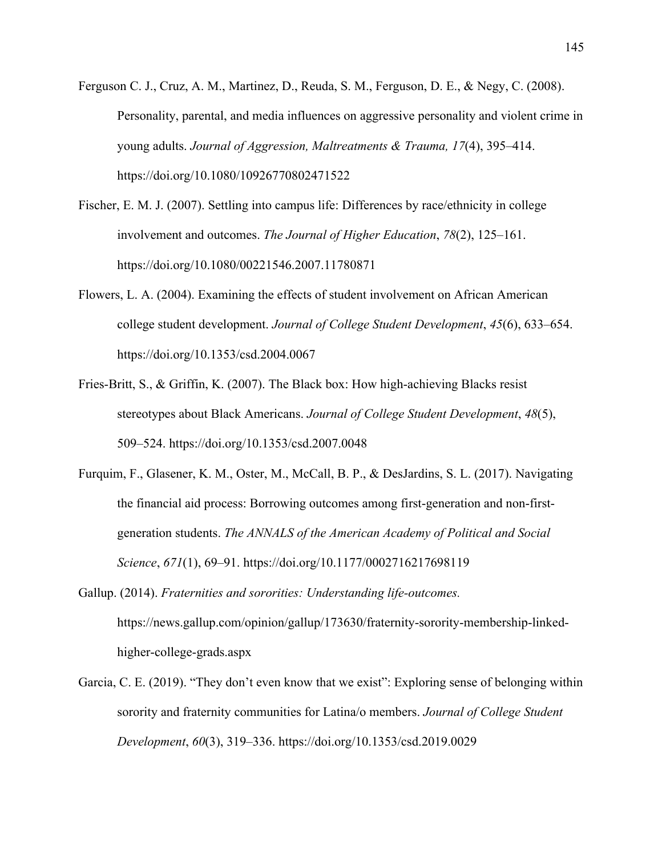- Ferguson C. J., Cruz, A. M., Martinez, D., Reuda, S. M., Ferguson, D. E., & Negy, C. (2008). Personality, parental, and media influences on aggressive personality and violent crime in young adults. *Journal of Aggression, Maltreatments & Trauma, 17*(4), 395–414. https://doi.org/10.1080/10926770802471522
- Fischer, E. M. J. (2007). Settling into campus life: Differences by race/ethnicity in college involvement and outcomes. *The Journal of Higher Education*, *78*(2), 125–161. https://doi.org/10.1080/00221546.2007.11780871
- Flowers, L. A. (2004). Examining the effects of student involvement on African American college student development. *Journal of College Student Development*, *45*(6), 633–654. https://doi.org/10.1353/csd.2004.0067
- Fries-Britt, S., & Griffin, K. (2007). The Black box: How high-achieving Blacks resist stereotypes about Black Americans. *Journal of College Student Development*, *48*(5), 509–524. https://doi.org/10.1353/csd.2007.0048
- Furquim, F., Glasener, K. M., Oster, M., McCall, B. P., & DesJardins, S. L. (2017). Navigating the financial aid process: Borrowing outcomes among first-generation and non-firstgeneration students. *The ANNALS of the American Academy of Political and Social Science*, *671*(1), 69–91. https://doi.org/10.1177/0002716217698119
- Gallup. (2014). *Fraternities and sororities: Understanding life-outcomes.*  https://news.gallup.com/opinion/gallup/173630/fraternity-sorority-membership-linkedhigher-college-grads.aspx
- Garcia, C. E. (2019). "They don't even know that we exist": Exploring sense of belonging within sorority and fraternity communities for Latina/o members. *Journal of College Student Development*, *60*(3), 319–336. https://doi.org/10.1353/csd.2019.0029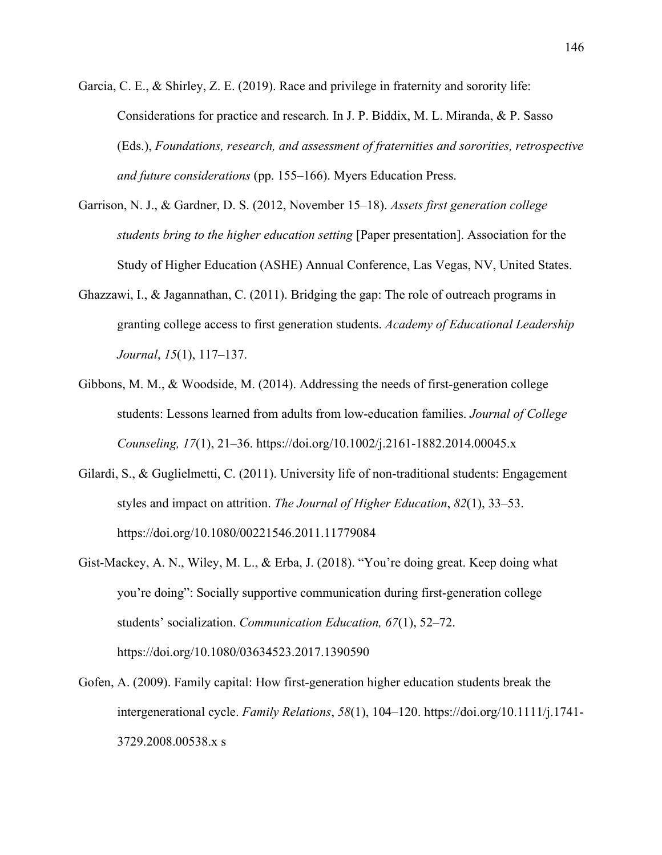- Garcia, C. E., & Shirley, Z. E. (2019). Race and privilege in fraternity and sorority life: Considerations for practice and research. In J. P. Biddix, M. L. Miranda, & P. Sasso (Eds.), *Foundations, research, and assessment of fraternities and sororities, retrospective and future considerations* (pp. 155–166). Myers Education Press.
- Garrison, N. J., & Gardner, D. S. (2012, November 15–18). *Assets first generation college students bring to the higher education setting* [Paper presentation]. Association for the Study of Higher Education (ASHE) Annual Conference, Las Vegas, NV, United States.
- Ghazzawi, I., & Jagannathan, C. (2011). Bridging the gap: The role of outreach programs in granting college access to first generation students. *Academy of Educational Leadership Journal*, *15*(1), 117–137.
- Gibbons, M. M., & Woodside, M. (2014). Addressing the needs of first-generation college students: Lessons learned from adults from low-education families. *Journal of College Counseling, 17*(1), 21–36. https://doi.org/10.1002/j.2161-1882.2014.00045.x
- Gilardi, S., & Guglielmetti, C. (2011). University life of non-traditional students: Engagement styles and impact on attrition. *The Journal of Higher Education*, *82*(1), 33–53. https://doi.org/10.1080/00221546.2011.11779084
- Gist-Mackey, A. N., Wiley, M. L., & Erba, J. (2018). "You're doing great. Keep doing what you're doing": Socially supportive communication during first-generation college students' socialization. *Communication Education, 67*(1), 52–72. https://doi.org/10.1080/03634523.2017.1390590
- Gofen, A. (2009). Family capital: How first‐generation higher education students break the intergenerational cycle. *Family Relations*, *58*(1), 104–120. https://doi.org/10.1111/j.1741- 3729.2008.00538.x s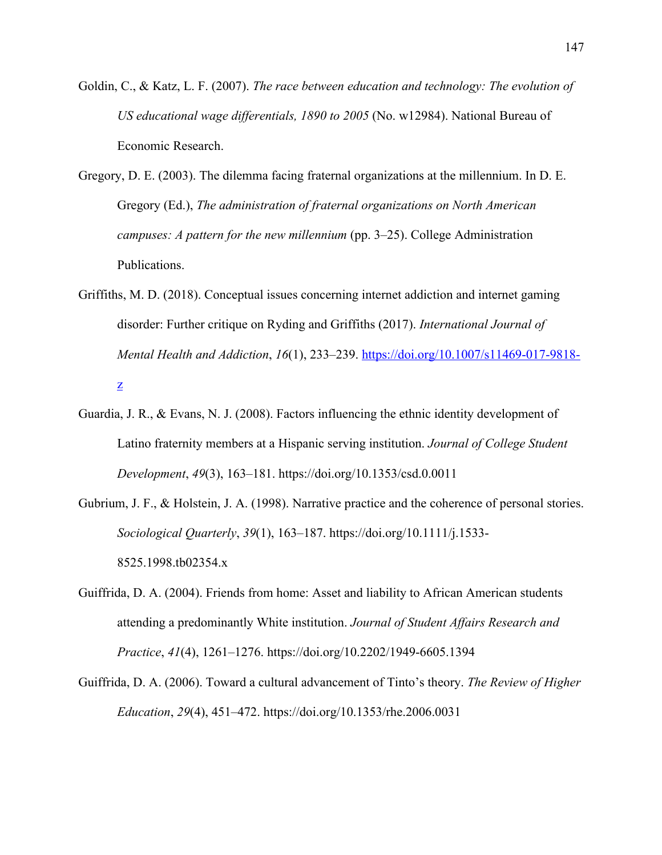- Goldin, C., & Katz, L. F. (2007). *The race between education and technology: The evolution of US educational wage differentials, 1890 to 2005* (No. w12984). National Bureau of Economic Research.
- Gregory, D. E. (2003). The dilemma facing fraternal organizations at the millennium. In D. E. Gregory (Ed.), *The administration of fraternal organizations on North American campuses: A pattern for the new millennium* (pp. 3–25). College Administration Publications.
- Griffiths, M. D. (2018). Conceptual issues concerning internet addiction and internet gaming disorder: Further critique on Ryding and Griffiths (2017). *International Journal of Mental Health and Addiction*, *16*(1), 233–239. https://doi.org/10.1007/s11469-017-9818 z
- Guardia, J. R., & Evans, N. J. (2008). Factors influencing the ethnic identity development of Latino fraternity members at a Hispanic serving institution. *Journal of College Student Development*, *49*(3), 163–181. https://doi.org/10.1353/csd.0.0011
- Gubrium, J. F., & Holstein, J. A. (1998). Narrative practice and the coherence of personal stories. *Sociological Quarterly*, *39*(1), 163–187. https://doi.org/10.1111/j.1533- 8525.1998.tb02354.x
- Guiffrida, D. A. (2004). Friends from home: Asset and liability to African American students attending a predominantly White institution. *Journal of Student Affairs Research and Practice*, *41*(4), 1261–1276. https://doi.org/10.2202/1949-6605.1394
- Guiffrida, D. A. (2006). Toward a cultural advancement of Tinto's theory. *The Review of Higher Education*, *29*(4), 451–472. https://doi.org/10.1353/rhe.2006.0031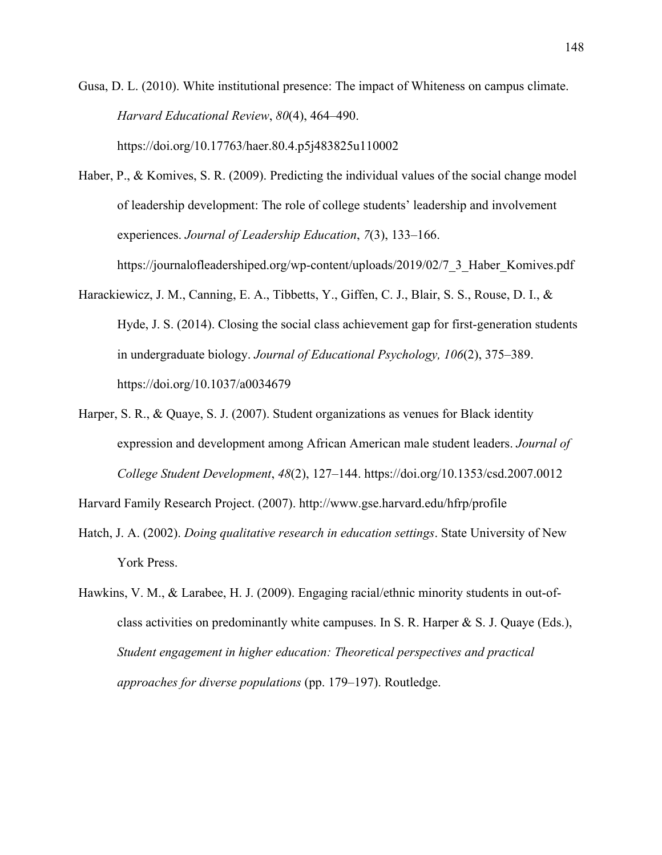Gusa, D. L. (2010). White institutional presence: The impact of Whiteness on campus climate. *Harvard Educational Review*, *80*(4), 464–490. https://doi.org/10.17763/haer.80.4.p5j483825u110002

- Haber, P., & Komives, S. R. (2009). Predicting the individual values of the social change model of leadership development: The role of college students' leadership and involvement experiences. *Journal of Leadership Education*, *7*(3), 133–166. https://journalofleadershiped.org/wp-content/uploads/2019/02/7\_3\_Haber\_Komives.pdf
- Harackiewicz, J. M., Canning, E. A., Tibbetts, Y., Giffen, C. J., Blair, S. S., Rouse, D. I., & Hyde, J. S. (2014). Closing the social class achievement gap for first-generation students in undergraduate biology. *Journal of Educational Psychology, 106*(2), 375–389. https://doi.org/10.1037/a0034679
- Harper, S. R., & Quaye, S. J. (2007). Student organizations as venues for Black identity expression and development among African American male student leaders. *Journal of College Student Development*, *48*(2), 127–144. https://doi.org/10.1353/csd.2007.0012

Harvard Family Research Project. (2007). http://www.gse.harvard.edu/hfrp/profile

- Hatch, J. A. (2002). *Doing qualitative research in education settings*. State University of New York Press.
- Hawkins, V. M., & Larabee, H. J. (2009). Engaging racial/ethnic minority students in out-ofclass activities on predominantly white campuses. In S. R. Harper & S. J. Quaye (Eds.), *Student engagement in higher education: Theoretical perspectives and practical approaches for diverse populations* (pp. 179–197). Routledge.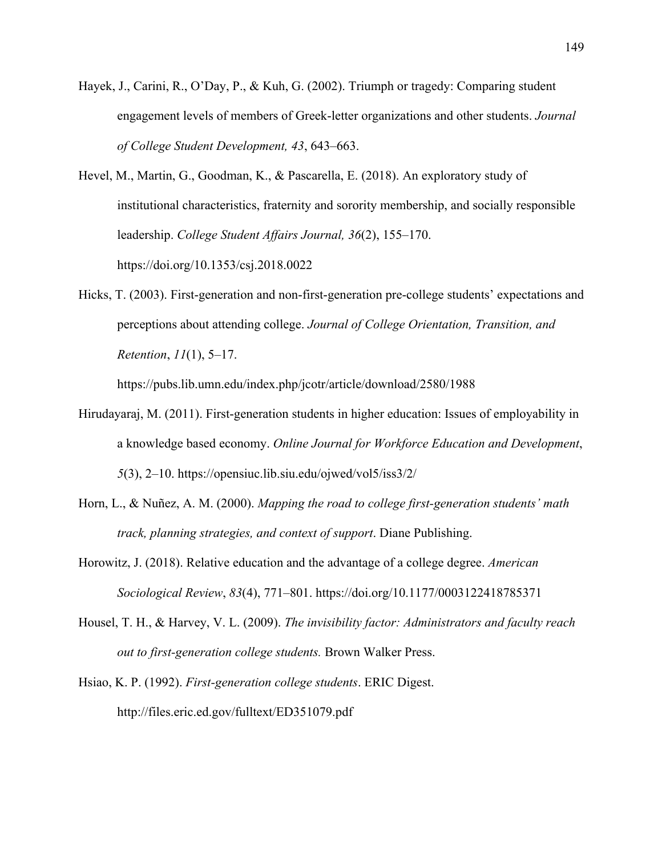- Hayek, J., Carini, R., O'Day, P., & Kuh, G. (2002). Triumph or tragedy: Comparing student engagement levels of members of Greek-letter organizations and other students. *Journal of College Student Development, 43*, 643–663.
- Hevel, M., Martin, G., Goodman, K., & Pascarella, E. (2018). An exploratory study of institutional characteristics, fraternity and sorority membership, and socially responsible leadership. *College Student Affairs Journal, 36*(2), 155–170. https://doi.org/10.1353/csj.2018.0022
- Hicks, T. (2003). First-generation and non-first-generation pre-college students' expectations and perceptions about attending college. *Journal of College Orientation, Transition, and Retention*, *11*(1), 5–17.

https://pubs.lib.umn.edu/index.php/jcotr/article/download/2580/1988

- Hirudayaraj, M. (2011). First-generation students in higher education: Issues of employability in a knowledge based economy. *Online Journal for Workforce Education and Development*, *5*(3), 2–10. https://opensiuc.lib.siu.edu/ojwed/vol5/iss3/2/
- Horn, L., & Nuñez, A. M. (2000). *Mapping the road to college first-generation students' math track, planning strategies, and context of support*. Diane Publishing.
- Horowitz, J. (2018). Relative education and the advantage of a college degree. *American Sociological Review*, *83*(4), 771–801. https://doi.org/10.1177/0003122418785371
- Housel, T. H., & Harvey, V. L. (2009). *The invisibility factor: Administrators and faculty reach out to first-generation college students.* Brown Walker Press.
- Hsiao, K. P. (1992). *First-generation college students*. ERIC Digest. http://files.eric.ed.gov/fulltext/ED351079.pdf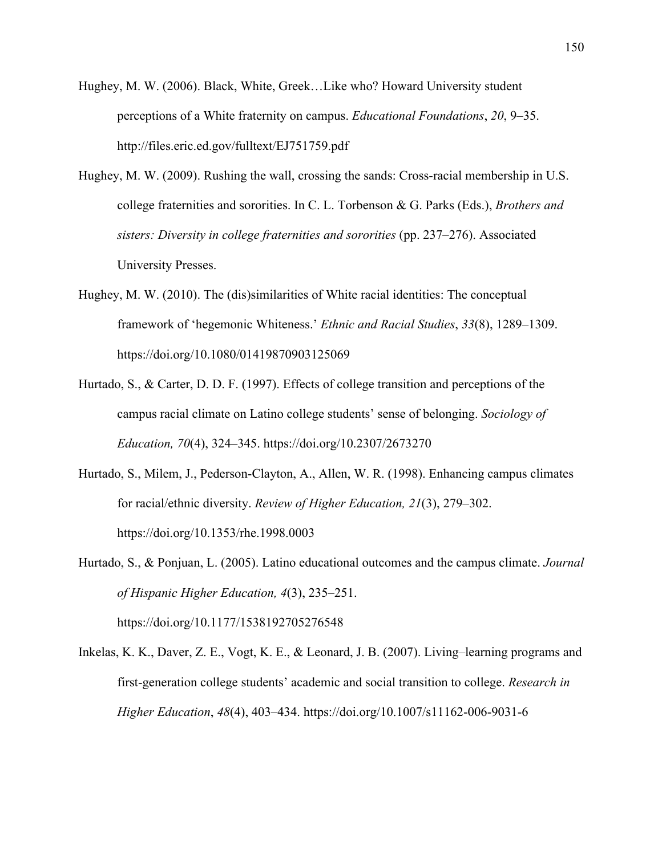- Hughey, M. W. (2006). Black, White, Greek…Like who? Howard University student perceptions of a White fraternity on campus. *Educational Foundations*, *20*, 9–35. http://files.eric.ed.gov/fulltext/EJ751759.pdf
- Hughey, M. W. (2009). Rushing the wall, crossing the sands: Cross-racial membership in U.S. college fraternities and sororities. In C. L. Torbenson & G. Parks (Eds.), *Brothers and sisters: Diversity in college fraternities and sororities* (pp. 237–276). Associated University Presses.
- Hughey, M. W. (2010). The (dis)similarities of White racial identities: The conceptual framework of 'hegemonic Whiteness.' *Ethnic and Racial Studies*, *33*(8), 1289–1309. https://doi.org/10.1080/01419870903125069
- Hurtado, S., & Carter, D. D. F. (1997). Effects of college transition and perceptions of the campus racial climate on Latino college students' sense of belonging. *Sociology of Education, 70*(4), 324–345. https://doi.org/10.2307/2673270
- Hurtado, S., Milem, J., Pederson-Clayton, A., Allen, W. R. (1998). Enhancing campus climates for racial/ethnic diversity. *Review of Higher Education, 21*(3), 279–302. https://doi.org/10.1353/rhe.1998.0003
- Hurtado, S., & Ponjuan, L. (2005). Latino educational outcomes and the campus climate. *Journal of Hispanic Higher Education, 4*(3), 235–251.

https://doi.org/10.1177/1538192705276548

Inkelas, K. K., Daver, Z. E., Vogt, K. E., & Leonard, J. B. (2007). Living–learning programs and first-generation college students' academic and social transition to college. *Research in Higher Education*, *48*(4), 403–434. https://doi.org/10.1007/s11162-006-9031-6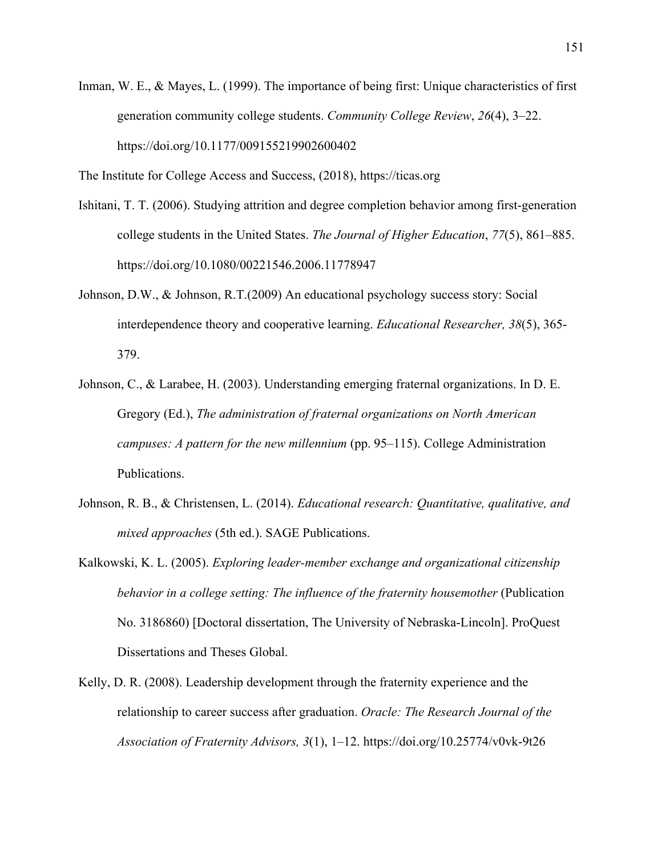Inman, W. E., & Mayes, L. (1999). The importance of being first: Unique characteristics of first generation community college students. *Community College Review*, *26*(4), 3–22. https://doi.org/10.1177/009155219902600402

The Institute for College Access and Success, (2018), https://ticas.org

- Ishitani, T. T. (2006). Studying attrition and degree completion behavior among first-generation college students in the United States. *The Journal of Higher Education*, *77*(5), 861–885. https://doi.org/10.1080/00221546.2006.11778947
- Johnson, D.W., & Johnson, R.T.(2009) An educational psychology success story: Social interdependence theory and cooperative learning. *Educational Researcher, 38*(5), 365- 379.
- Johnson, C., & Larabee, H. (2003). Understanding emerging fraternal organizations. In D. E. Gregory (Ed.), *The administration of fraternal organizations on North American campuses: A pattern for the new millennium* (pp. 95–115). College Administration Publications.
- Johnson, R. B., & Christensen, L. (2014). *Educational research: Quantitative, qualitative, and mixed approaches* (5th ed.). SAGE Publications.
- Kalkowski, K. L. (2005). *Exploring leader-member exchange and organizational citizenship behavior in a college setting: The influence of the fraternity housemother (Publication*) No. 3186860) [Doctoral dissertation, The University of Nebraska-Lincoln]. ProQuest Dissertations and Theses Global.
- Kelly, D. R. (2008). Leadership development through the fraternity experience and the relationship to career success after graduation. *Oracle: The Research Journal of the Association of Fraternity Advisors, 3*(1), 1–12. https://doi.org/10.25774/v0vk-9t26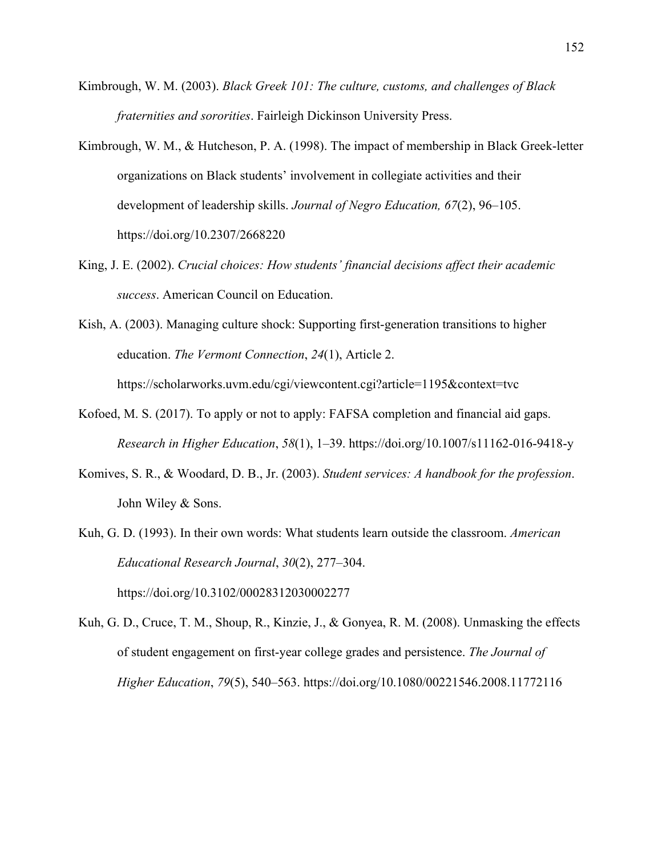- Kimbrough, W. M. (2003). *Black Greek 101: The culture, customs, and challenges of Black fraternities and sororities*. Fairleigh Dickinson University Press.
- Kimbrough, W. M., & Hutcheson, P. A. (1998). The impact of membership in Black Greek-letter organizations on Black students' involvement in collegiate activities and their development of leadership skills. *Journal of Negro Education, 67*(2), 96–105. https://doi.org/10.2307/2668220
- King, J. E. (2002). *Crucial choices: How students' financial decisions affect their academic success*. American Council on Education.

Kish, A. (2003). Managing culture shock: Supporting first-generation transitions to higher education. *The Vermont Connection*, *24*(1), Article 2.

https://scholarworks.uvm.edu/cgi/viewcontent.cgi?article=1195&context=tvc

- Kofoed, M. S. (2017). To apply or not to apply: FAFSA completion and financial aid gaps. *Research in Higher Education*, *58*(1), 1–39. https://doi.org/10.1007/s11162-016-9418-y
- Komives, S. R., & Woodard, D. B., Jr. (2003). *Student services: A handbook for the profession*. John Wiley & Sons.
- Kuh, G. D. (1993). In their own words: What students learn outside the classroom. *American Educational Research Journal*, *30*(2), 277–304. https://doi.org/10.3102/00028312030002277

Kuh, G. D., Cruce, T. M., Shoup, R., Kinzie, J., & Gonyea, R. M. (2008). Unmasking the effects of student engagement on first-year college grades and persistence. *The Journal of Higher Education*, *79*(5), 540–563. https://doi.org/10.1080/00221546.2008.11772116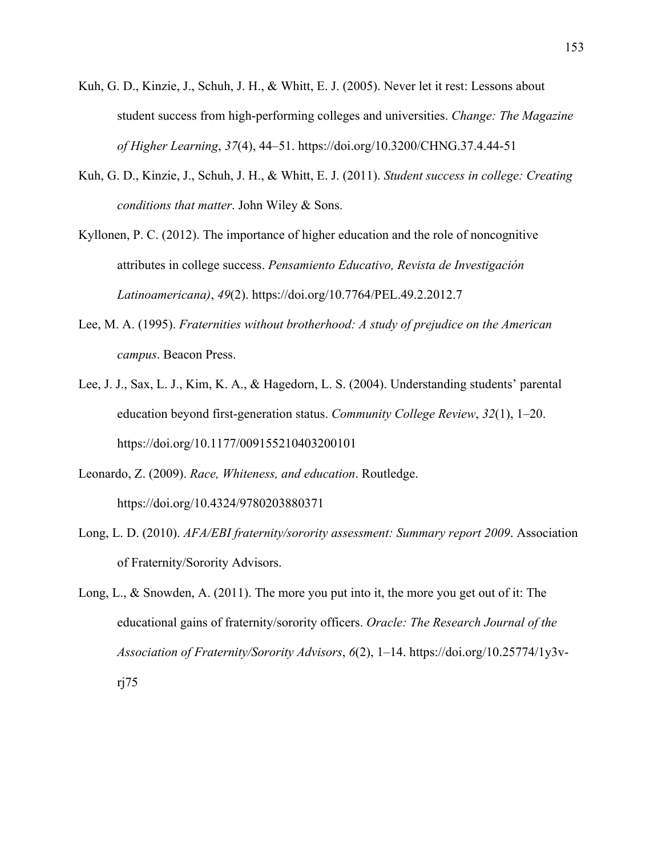- Kuh, G. D., Kinzie, J., Schuh, J. H., & Whitt, E. J. (2005). Never let it rest: Lessons about student success from high-performing colleges and universities. *Change: The Magazine of Higher Learning*, *37*(4), 44–51. https://doi.org/10.3200/CHNG.37.4.44-51
- Kuh, G. D., Kinzie, J., Schuh, J. H., & Whitt, E. J. (2011). *Student success in college: Creating conditions that matter*. John Wiley & Sons.
- Kyllonen, P. C. (2012). The importance of higher education and the role of noncognitive attributes in college success. *Pensamiento Educativo, Revista de Investigación Latinoamericana)*, *49*(2). https://doi.org/10.7764/PEL.49.2.2012.7
- Lee, M. A. (1995). *Fraternities without brotherhood: A study of prejudice on the American campus*. Beacon Press.
- Lee, J. J., Sax, L. J., Kim, K. A., & Hagedorn, L. S. (2004). Understanding students' parental education beyond first-generation status. *Community College Review*, *32*(1), 1–20. https://doi.org/10.1177/009155210403200101
- Leonardo, Z. (2009). *Race, Whiteness, and education*. Routledge. https://doi.org/10.4324/9780203880371
- Long, L. D. (2010). *AFA/EBI fraternity/sorority assessment: Summary report 2009*. Association of Fraternity/Sorority Advisors.
- Long, L., & Snowden, A. (2011). The more you put into it, the more you get out of it: The educational gains of fraternity/sorority officers. *Oracle: The Research Journal of the Association of Fraternity/Sorority Advisors*, *6*(2), 1–14. https://doi.org/10.25774/1y3vrj75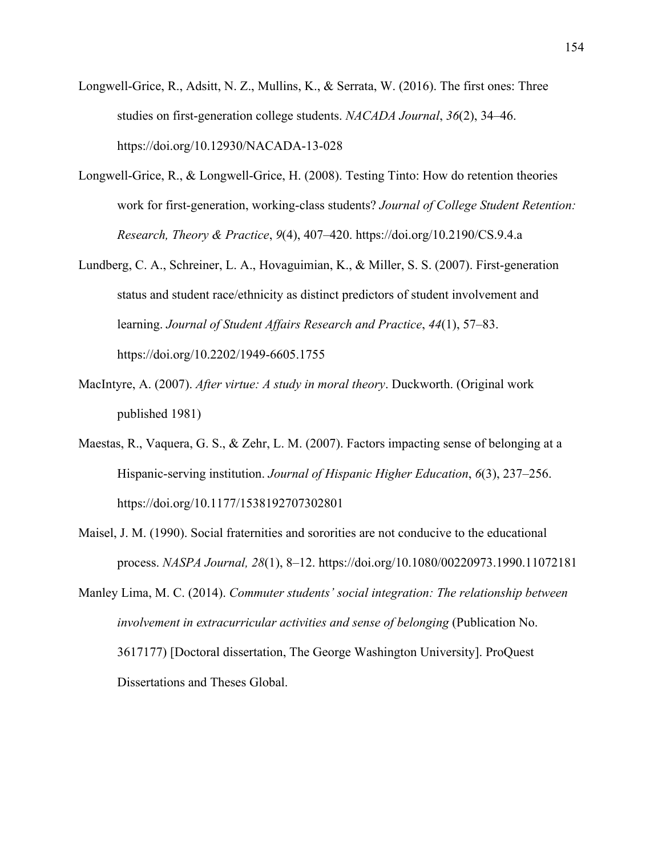- Longwell-Grice, R., Adsitt, N. Z., Mullins, K., & Serrata, W. (2016). The first ones: Three studies on first-generation college students. *NACADA Journal*, *36*(2), 34–46. https://doi.org/10.12930/NACADA-13-028
- Longwell-Grice, R., & Longwell-Grice, H. (2008). Testing Tinto: How do retention theories work for first-generation, working-class students? *Journal of College Student Retention: Research, Theory & Practice*, *9*(4), 407–420. https://doi.org/10.2190/CS.9.4.a
- Lundberg, C. A., Schreiner, L. A., Hovaguimian, K., & Miller, S. S. (2007). First-generation status and student race/ethnicity as distinct predictors of student involvement and learning. *Journal of Student Affairs Research and Practice*, *44*(1), 57–83. https://doi.org/10.2202/1949-6605.1755
- MacIntyre, A. (2007). *After virtue: A study in moral theory*. Duckworth. (Original work published 1981)
- Maestas, R., Vaquera, G. S., & Zehr, L. M. (2007). Factors impacting sense of belonging at a Hispanic-serving institution. *Journal of Hispanic Higher Education*, *6*(3), 237–256. https://doi.org/10.1177/1538192707302801
- Maisel, J. M. (1990). Social fraternities and sororities are not conducive to the educational process. *NASPA Journal, 28*(1), 8–12. https://doi.org/10.1080/00220973.1990.11072181
- Manley Lima, M. C. (2014). *Commuter students' social integration: The relationship between involvement in extracurricular activities and sense of belonging* (Publication No. 3617177) [Doctoral dissertation, The George Washington University]. ProQuest Dissertations and Theses Global.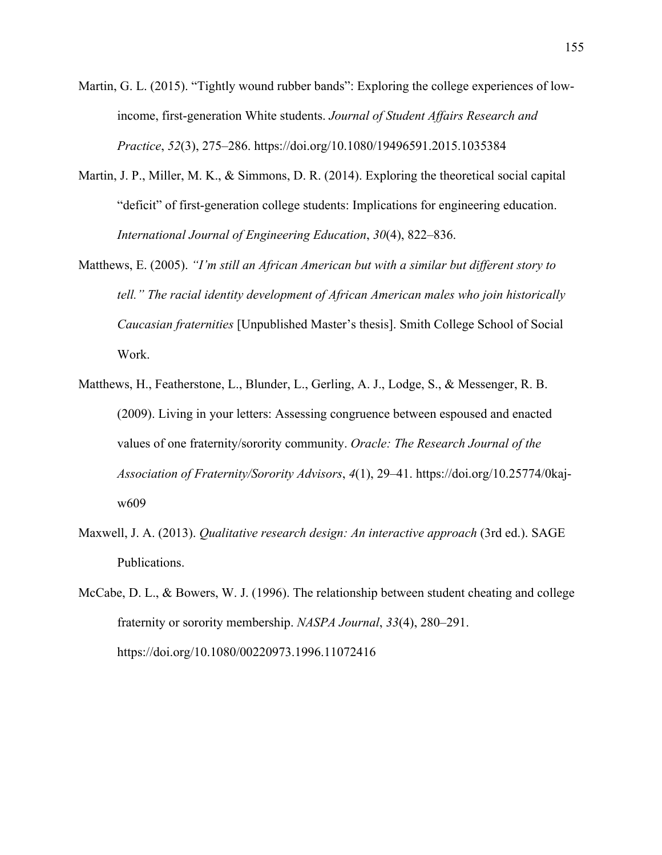Martin, G. L. (2015). "Tightly wound rubber bands": Exploring the college experiences of lowincome, first-generation White students. *Journal of Student Affairs Research and Practice*, *52*(3), 275–286. https://doi.org/10.1080/19496591.2015.1035384

- Martin, J. P., Miller, M. K., & Simmons, D. R. (2014). Exploring the theoretical social capital "deficit" of first-generation college students: Implications for engineering education. *International Journal of Engineering Education*, *30*(4), 822–836.
- Matthews, E. (2005). *"I'm still an African American but with a similar but different story to tell." The racial identity development of African American males who join historically Caucasian fraternities* [Unpublished Master's thesis]. Smith College School of Social Work.
- Matthews, H., Featherstone, L., Blunder, L., Gerling, A. J., Lodge, S., & Messenger, R. B. (2009). Living in your letters: Assessing congruence between espoused and enacted values of one fraternity/sorority community. *Oracle: The Research Journal of the Association of Fraternity/Sorority Advisors*, *4*(1), 29–41. https://doi.org/10.25774/0kajw609
- Maxwell, J. A. (2013). *Qualitative research design: An interactive approach* (3rd ed.). SAGE Publications.
- McCabe, D. L., & Bowers, W. J. (1996). The relationship between student cheating and college fraternity or sorority membership. *NASPA Journal*, *33*(4), 280–291. https://doi.org/10.1080/00220973.1996.11072416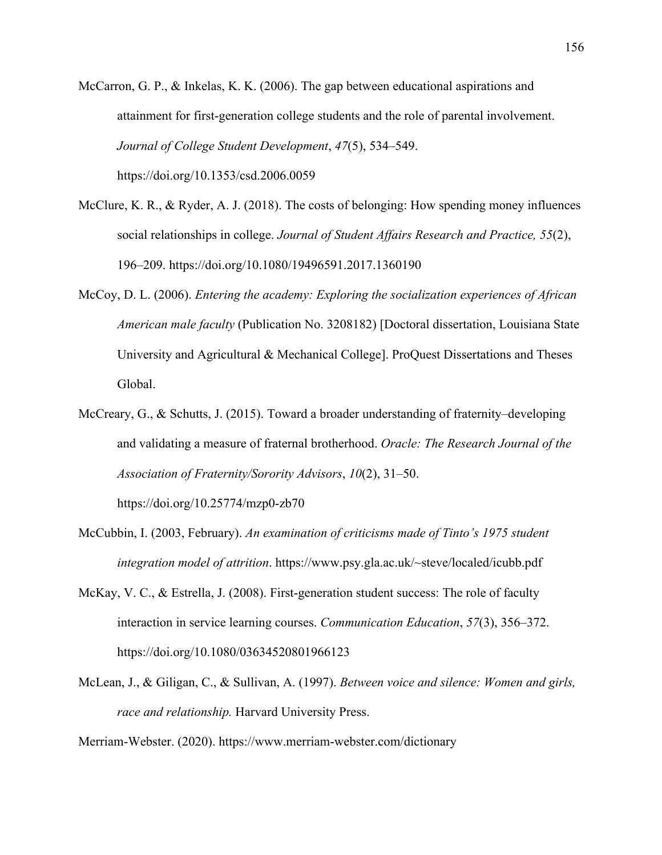- McCarron, G. P., & Inkelas, K. K. (2006). The gap between educational aspirations and attainment for first-generation college students and the role of parental involvement. *Journal of College Student Development*, *47*(5), 534–549. https://doi.org/10.1353/csd.2006.0059
	-
- McClure, K. R., & Ryder, A. J. (2018). The costs of belonging: How spending money influences social relationships in college. *Journal of Student Affairs Research and Practice, 55*(2), 196–209. https://doi.org/10.1080/19496591.2017.1360190
- McCoy, D. L. (2006). *Entering the academy: Exploring the socialization experiences of African American male faculty* (Publication No. 3208182) [Doctoral dissertation, Louisiana State University and Agricultural & Mechanical College]. ProQuest Dissertations and Theses Global.
- McCreary, G., & Schutts, J. (2015). Toward a broader understanding of fraternity–developing and validating a measure of fraternal brotherhood. *Oracle: The Research Journal of the Association of Fraternity/Sorority Advisors*, *10*(2), 31–50.

https://doi.org/10.25774/mzp0-zb70

- McCubbin, I. (2003, February). *An examination of criticisms made of Tinto's 1975 student integration model of attrition*. https://www.psy.gla.ac.uk/~steve/localed/icubb.pdf
- McKay, V. C., & Estrella, J. (2008). First-generation student success: The role of faculty interaction in service learning courses. *Communication Education*, *57*(3), 356–372. https://doi.org/10.1080/03634520801966123
- McLean, J., & Giligan, C., & Sullivan, A. (1997). *Between voice and silence: Women and girls, race and relationship.* Harvard University Press.

Merriam-Webster. (2020). https://www.merriam-webster.com/dictionary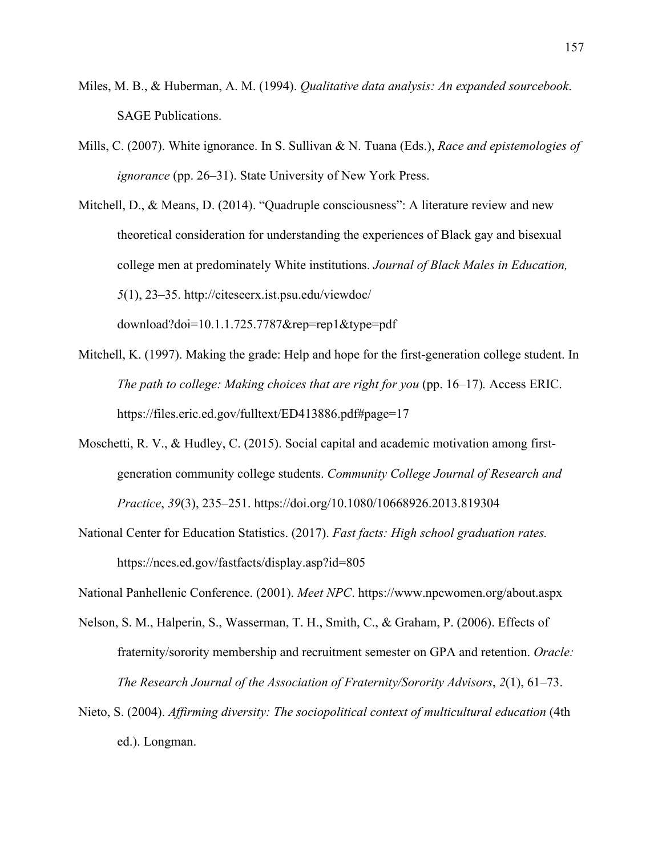- Miles, M. B., & Huberman, A. M. (1994). *Qualitative data analysis: An expanded sourcebook*. SAGE Publications.
- Mills, C. (2007). White ignorance. In S. Sullivan & N. Tuana (Eds.), *Race and epistemologies of ignorance* (pp. 26–31). State University of New York Press.

Mitchell, D., & Means, D. (2014). "Quadruple consciousness": A literature review and new theoretical consideration for understanding the experiences of Black gay and bisexual college men at predominately White institutions. *Journal of Black Males in Education, 5*(1), 23–35. http://citeseerx.ist.psu.edu/viewdoc/ download?doi=10.1.1.725.7787&rep=rep1&type=pdf

- Mitchell, K. (1997). Making the grade: Help and hope for the first-generation college student. In *The path to college: Making choices that are right for you (pp. 16–17). Access ERIC.* https://files.eric.ed.gov/fulltext/ED413886.pdf#page=17
- Moschetti, R. V., & Hudley, C. (2015). Social capital and academic motivation among firstgeneration community college students. *Community College Journal of Research and Practice*, *39*(3), 235–251. https://doi.org/10.1080/10668926.2013.819304
- National Center for Education Statistics. (2017). *Fast facts: High school graduation rates.*  https://nces.ed.gov/fastfacts/display.asp?id=805

National Panhellenic Conference. (2001). *Meet NPC*. https://www.npcwomen.org/about.aspx

- Nelson, S. M., Halperin, S., Wasserman, T. H., Smith, C., & Graham, P. (2006). Effects of fraternity/sorority membership and recruitment semester on GPA and retention. *Oracle: The Research Journal of the Association of Fraternity/Sorority Advisors*, *2*(1), 61–73.
- Nieto, S. (2004). *Affirming diversity: The sociopolitical context of multicultural education* (4th ed.). Longman.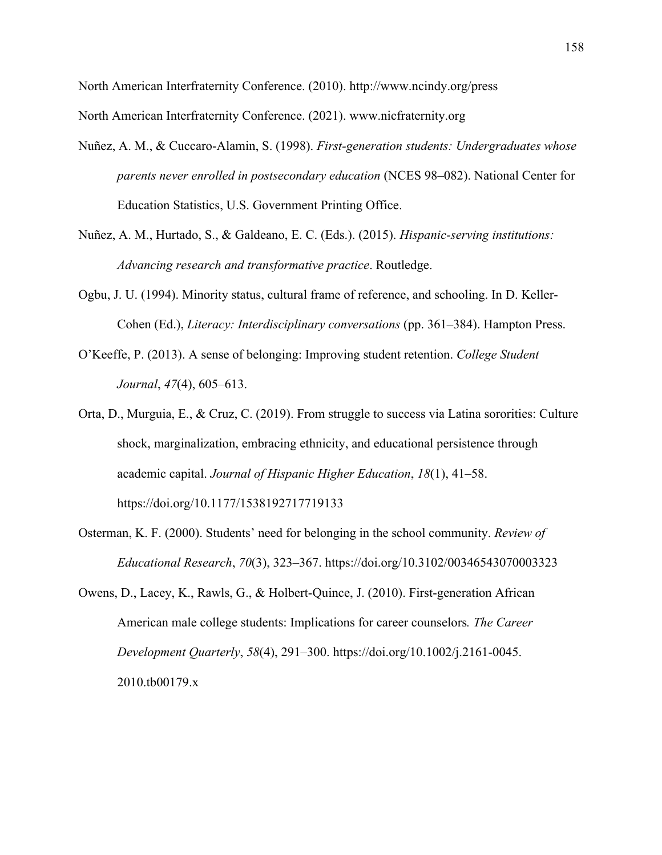North American Interfraternity Conference. (2010). http://www.ncindy.org/press North American Interfraternity Conference. (2021). www.nicfraternity.org

- Nuñez, A. M., & Cuccaro-Alamin, S. (1998). *First-generation students: Undergraduates whose parents never enrolled in postsecondary education* (NCES 98–082). National Center for Education Statistics, U.S. Government Printing Office.
- Nuñez, A. M., Hurtado, S., & Galdeano, E. C. (Eds.). (2015). *Hispanic-serving institutions: Advancing research and transformative practice*. Routledge.
- Ogbu, J. U. (1994). Minority status, cultural frame of reference, and schooling. In D. Keller-Cohen (Ed.), *Literacy: Interdisciplinary conversations* (pp. 361–384). Hampton Press.
- O'Keeffe, P. (2013). A sense of belonging: Improving student retention. *College Student Journal*, *47*(4), 605–613.
- Orta, D., Murguia, E., & Cruz, C. (2019). From struggle to success via Latina sororities: Culture shock, marginalization, embracing ethnicity, and educational persistence through academic capital. *Journal of Hispanic Higher Education*, *18*(1), 41–58. https://doi.org/10.1177/1538192717719133
- Osterman, K. F. (2000). Students' need for belonging in the school community. *Review of Educational Research*, *70*(3), 323–367. https://doi.org/10.3102/00346543070003323
- Owens, D., Lacey, K., Rawls, G., & Holbert-Quince, J. (2010). First-generation African American male college students: Implications for career counselors*. The Career Development Quarterly*, *58*(4), 291–300. https://doi.org/10.1002/j.2161-0045. 2010.tb00179.x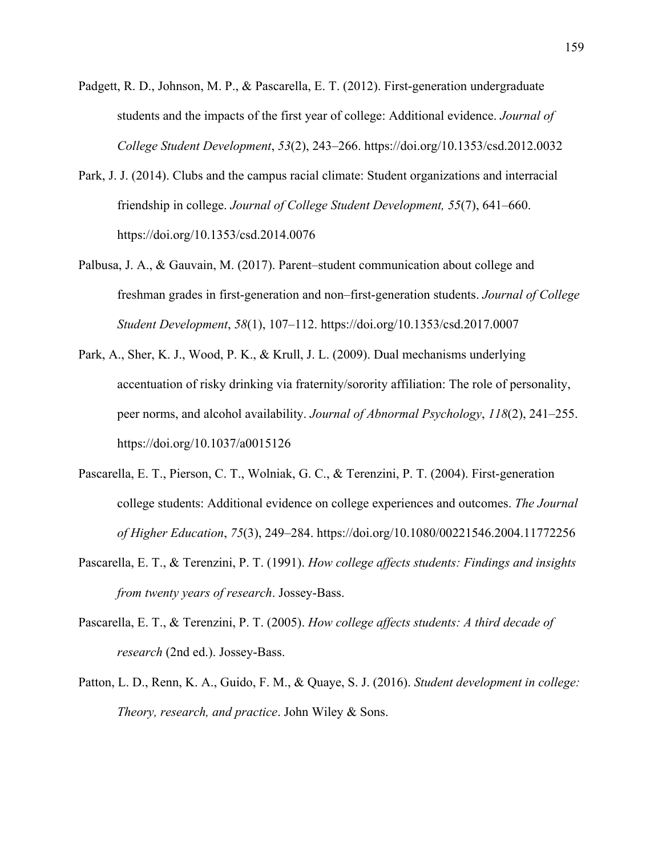- Padgett, R. D., Johnson, M. P., & Pascarella, E. T. (2012). First-generation undergraduate students and the impacts of the first year of college: Additional evidence. *Journal of College Student Development*, *53*(2), 243–266. https://doi.org/10.1353/csd.2012.0032
- Park, J. J. (2014). Clubs and the campus racial climate: Student organizations and interracial friendship in college. *Journal of College Student Development, 55*(7), 641–660. https://doi.org/10.1353/csd.2014.0076
- Palbusa, J. A., & Gauvain, M. (2017). Parent–student communication about college and freshman grades in first-generation and non–first-generation students. *Journal of College Student Development*, *58*(1), 107–112. https://doi.org/10.1353/csd.2017.0007
- Park, A., Sher, K. J., Wood, P. K., & Krull, J. L. (2009). Dual mechanisms underlying accentuation of risky drinking via fraternity/sorority affiliation: The role of personality, peer norms, and alcohol availability. *Journal of Abnormal Psychology*, *118*(2), 241–255. https://doi.org/10.1037/a0015126
- Pascarella, E. T., Pierson, C. T., Wolniak, G. C., & Terenzini, P. T. (2004). First-generation college students: Additional evidence on college experiences and outcomes. *The Journal of Higher Education*, *75*(3), 249–284. https://doi.org/10.1080/00221546.2004.11772256
- Pascarella, E. T., & Terenzini, P. T. (1991). *How college affects students: Findings and insights from twenty years of research*. Jossey-Bass.
- Pascarella, E. T., & Terenzini, P. T. (2005). *How college affects students: A third decade of research* (2nd ed.). Jossey-Bass.
- Patton, L. D., Renn, K. A., Guido, F. M., & Quaye, S. J. (2016). *Student development in college: Theory, research, and practice*. John Wiley & Sons.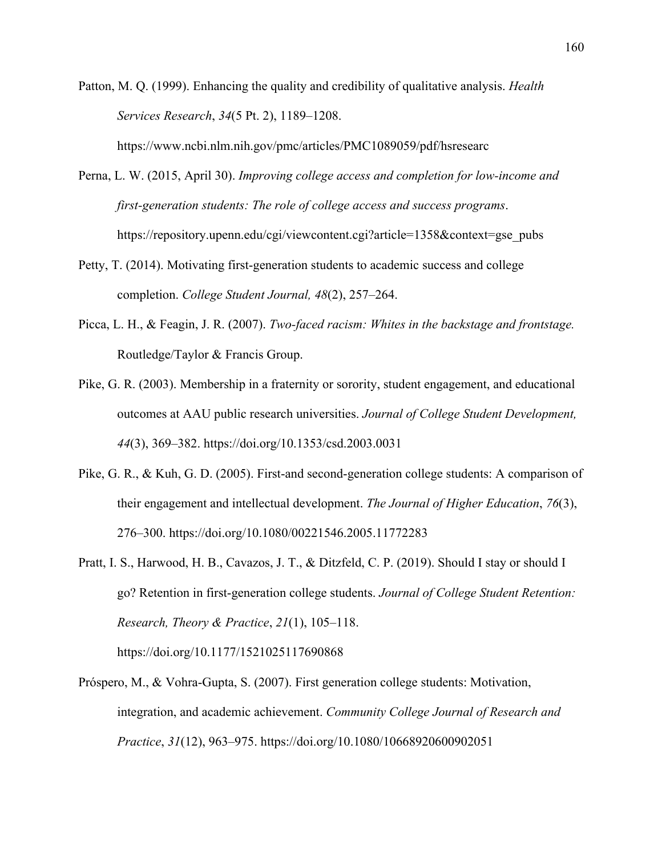Patton, M. Q. (1999). Enhancing the quality and credibility of qualitative analysis. *Health Services Research*, *34*(5 Pt. 2), 1189–1208.

https://www.ncbi.nlm.nih.gov/pmc/articles/PMC1089059/pdf/hsresearc

- Perna, L. W. (2015, April 30). *Improving college access and completion for low-income and first-generation students: The role of college access and success programs*. https://repository.upenn.edu/cgi/viewcontent.cgi?article=1358&context=gse\_pubs
- Petty, T. (2014). Motivating first-generation students to academic success and college completion. *College Student Journal, 48*(2), 257–264.
- Picca, L. H., & Feagin, J. R. (2007). *Two-faced racism: Whites in the backstage and frontstage.*  Routledge/Taylor & Francis Group.
- Pike, G. R. (2003). Membership in a fraternity or sorority, student engagement, and educational outcomes at AAU public research universities. *Journal of College Student Development, 44*(3), 369–382. https://doi.org/10.1353/csd.2003.0031
- Pike, G. R., & Kuh, G. D. (2005). First-and second-generation college students: A comparison of their engagement and intellectual development. *The Journal of Higher Education*, *76*(3), 276–300. https://doi.org/10.1080/00221546.2005.11772283
- Pratt, I. S., Harwood, H. B., Cavazos, J. T., & Ditzfeld, C. P. (2019). Should I stay or should I go? Retention in first-generation college students. *Journal of College Student Retention: Research, Theory & Practice*, *21*(1), 105–118.

https://doi.org/10.1177/1521025117690868

Próspero, M., & Vohra-Gupta, S. (2007). First generation college students: Motivation, integration, and academic achievement. *Community College Journal of Research and Practice*, *31*(12), 963–975. https://doi.org/10.1080/10668920600902051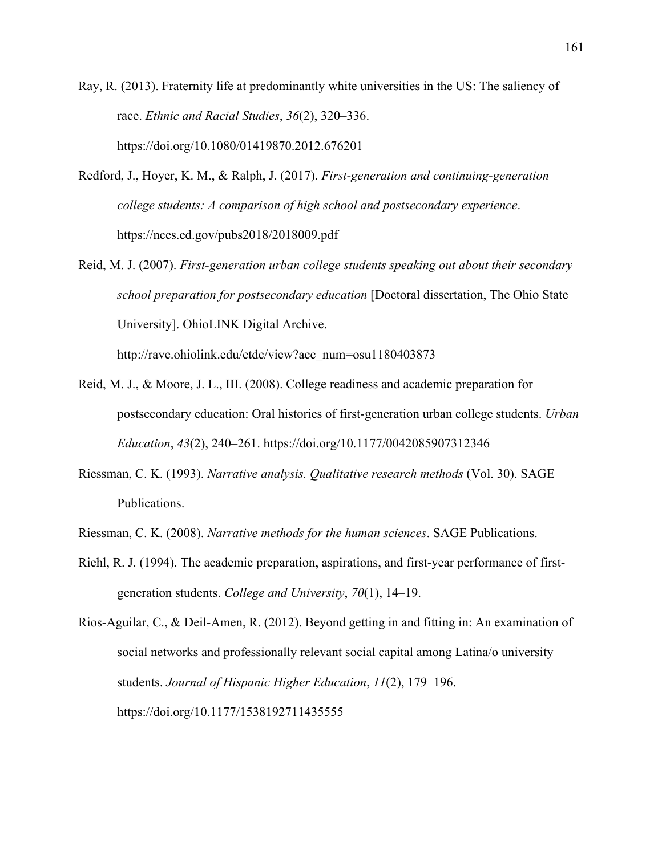Ray, R. (2013). Fraternity life at predominantly white universities in the US: The saliency of race. *Ethnic and Racial Studies*, *36*(2), 320–336. https://doi.org/10.1080/01419870.2012.676201

- Redford, J., Hoyer, K. M., & Ralph, J. (2017). *First-generation and continuing-generation college students: A comparison of high school and postsecondary experience*. https://nces.ed.gov/pubs2018/2018009.pdf
- Reid, M. J. (2007). *First-generation urban college students speaking out about their secondary school preparation for postsecondary education* [Doctoral dissertation, The Ohio State University]. OhioLINK Digital Archive.

http://rave.ohiolink.edu/etdc/view?acc\_num=osu1180403873

- Reid, M. J., & Moore, J. L., III. (2008). College readiness and academic preparation for postsecondary education: Oral histories of first-generation urban college students. *Urban Education*, *43*(2), 240–261. https://doi.org/10.1177/0042085907312346
- Riessman, C. K. (1993). *Narrative analysis. Qualitative research methods* (Vol. 30). SAGE Publications.
- Riessman, C. K. (2008). *Narrative methods for the human sciences*. SAGE Publications.
- Riehl, R. J. (1994). The academic preparation, aspirations, and first-year performance of firstgeneration students. *College and University*, *70*(1), 14–19.

Rios-Aguilar, C., & Deil-Amen, R. (2012). Beyond getting in and fitting in: An examination of social networks and professionally relevant social capital among Latina/o university students. *Journal of Hispanic Higher Education*, *11*(2), 179–196. https://doi.org/10.1177/1538192711435555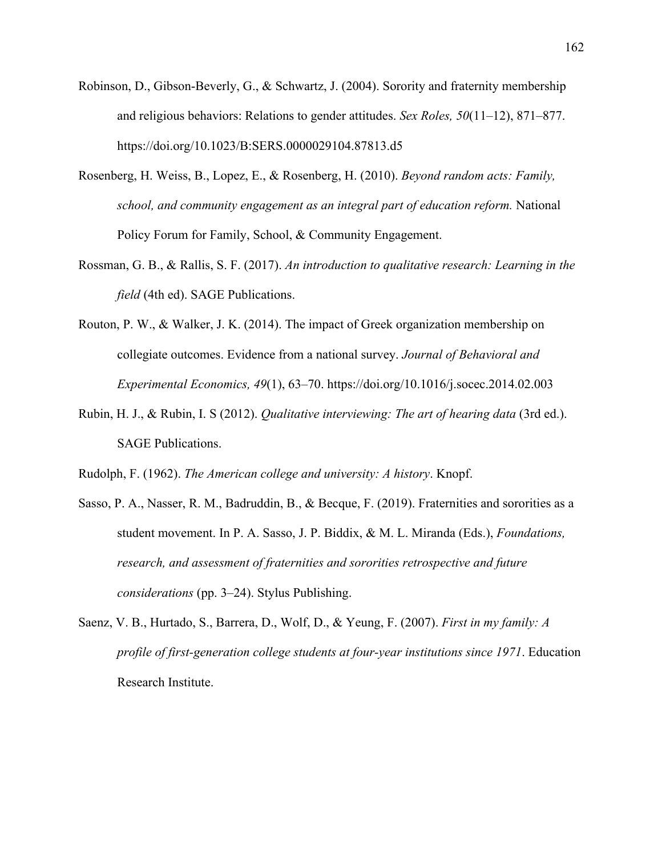- Robinson, D., Gibson-Beverly, G., & Schwartz, J. (2004). Sorority and fraternity membership and religious behaviors: Relations to gender attitudes. *Sex Roles, 50*(11–12), 871–877. https://doi.org/10.1023/B:SERS.0000029104.87813.d5
- Rosenberg, H. Weiss, B., Lopez, E., & Rosenberg, H. (2010). *Beyond random acts: Family, school, and community engagement as an integral part of education reform.* National Policy Forum for Family, School, & Community Engagement.
- Rossman, G. B., & Rallis, S. F. (2017). *An introduction to qualitative research: Learning in the field* (4th ed). SAGE Publications.
- Routon, P. W., & Walker, J. K. (2014). The impact of Greek organization membership on collegiate outcomes. Evidence from a national survey. *Journal of Behavioral and Experimental Economics, 49*(1), 63–70. https://doi.org/10.1016/j.socec.2014.02.003
- Rubin, H. J., & Rubin, I. S (2012). *Qualitative interviewing: The art of hearing data* (3rd ed.). SAGE Publications.

Rudolph, F. (1962). *The American college and university: A history*. Knopf.

- Sasso, P. A., Nasser, R. M., Badruddin, B., & Becque, F. (2019). Fraternities and sororities as a student movement. In P. A. Sasso, J. P. Biddix, & M. L. Miranda (Eds.), *Foundations, research, and assessment of fraternities and sororities retrospective and future considerations* (pp. 3–24). Stylus Publishing.
- Saenz, V. B., Hurtado, S., Barrera, D., Wolf, D., & Yeung, F. (2007). *First in my family: A profile of first-generation college students at four-year institutions since 1971*. Education Research Institute.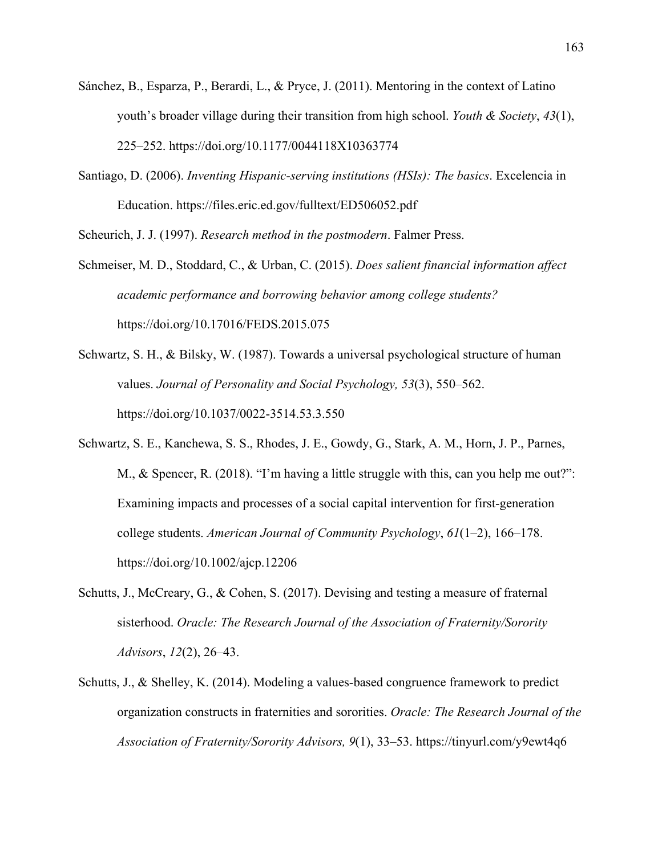- Sánchez, B., Esparza, P., Berardi, L., & Pryce, J. (2011). Mentoring in the context of Latino youth's broader village during their transition from high school. *Youth & Society*, *43*(1), 225–252. https://doi.org/10.1177/0044118X10363774
- Santiago, D. (2006). *Inventing Hispanic-serving institutions (HSIs): The basics*. Excelencia in Education. https://files.eric.ed.gov/fulltext/ED506052.pdf

Scheurich, J. J. (1997). *Research method in the postmodern*. Falmer Press.

- Schmeiser, M. D., Stoddard, C., & Urban, C. (2015). *Does salient financial information affect academic performance and borrowing behavior among college students?* https://doi.org/10.17016/FEDS.2015.075
- Schwartz, S. H., & Bilsky, W. (1987). Towards a universal psychological structure of human values. *Journal of Personality and Social Psychology, 53*(3), 550–562. https://doi.org/10.1037/0022-3514.53.3.550
- Schwartz, S. E., Kanchewa, S. S., Rhodes, J. E., Gowdy, G., Stark, A. M., Horn, J. P., Parnes, M., & Spencer, R. (2018). "I'm having a little struggle with this, can you help me out?": Examining impacts and processes of a social capital intervention for first‐generation college students. *American Journal of Community Psychology*, *61*(1–2), 166–178. https://doi.org/10.1002/ajcp.12206
- Schutts, J., McCreary, G., & Cohen, S. (2017). Devising and testing a measure of fraternal sisterhood. *Oracle: The Research Journal of the Association of Fraternity/Sorority Advisors*, *12*(2), 26–43.
- Schutts, J., & Shelley, K. (2014). Modeling a values-based congruence framework to predict organization constructs in fraternities and sororities. *Oracle: The Research Journal of the Association of Fraternity/Sorority Advisors, 9*(1), 33–53. https://tinyurl.com/y9ewt4q6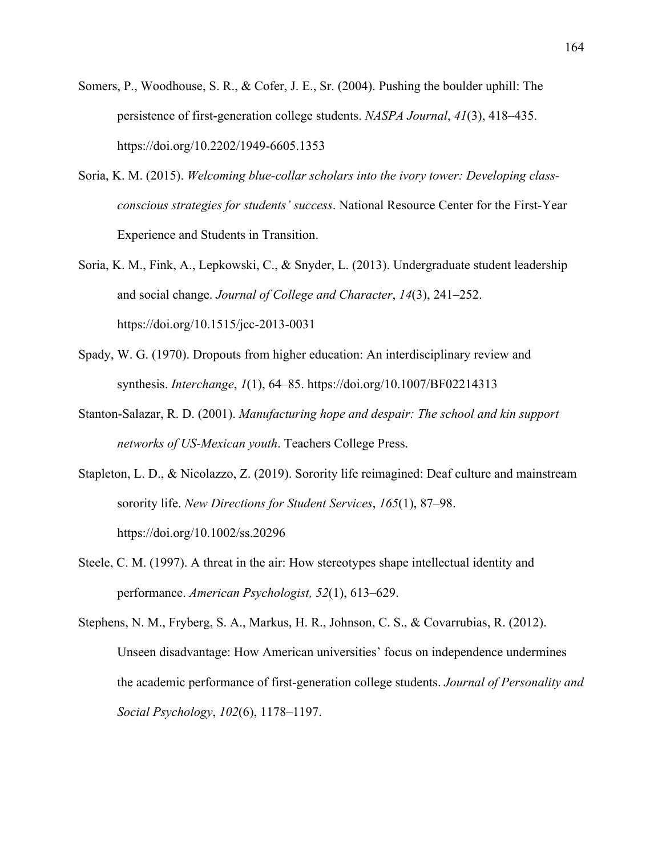- Somers, P., Woodhouse, S. R., & Cofer, J. E., Sr. (2004). Pushing the boulder uphill: The persistence of first-generation college students. *NASPA Journal*, *41*(3), 418–435. https://doi.org/10.2202/1949-6605.1353
- Soria, K. M. (2015). *Welcoming blue-collar scholars into the ivory tower: Developing classconscious strategies for students' success*. National Resource Center for the First-Year Experience and Students in Transition.
- Soria, K. M., Fink, A., Lepkowski, C., & Snyder, L. (2013). Undergraduate student leadership and social change. *Journal of College and Character*, *14*(3), 241–252. https://doi.org/10.1515/jcc-2013-0031
- Spady, W. G. (1970). Dropouts from higher education: An interdisciplinary review and synthesis. *Interchange*, *1*(1), 64–85. https://doi.org/10.1007/BF02214313
- Stanton-Salazar, R. D. (2001). *Manufacturing hope and despair: The school and kin support networks of US-Mexican youth*. Teachers College Press.
- Stapleton, L. D., & Nicolazzo, Z. (2019). Sorority life reimagined: Deaf culture and mainstream sorority life. *New Directions for Student Services*, *165*(1), 87–98. https://doi.org/10.1002/ss.20296
- Steele, C. M. (1997). A threat in the air: How stereotypes shape intellectual identity and performance. *American Psychologist, 52*(1), 613–629.

Stephens, N. M., Fryberg, S. A., Markus, H. R., Johnson, C. S., & Covarrubias, R. (2012). Unseen disadvantage: How American universities' focus on independence undermines the academic performance of first-generation college students. *Journal of Personality and Social Psychology*, *102*(6), 1178–1197.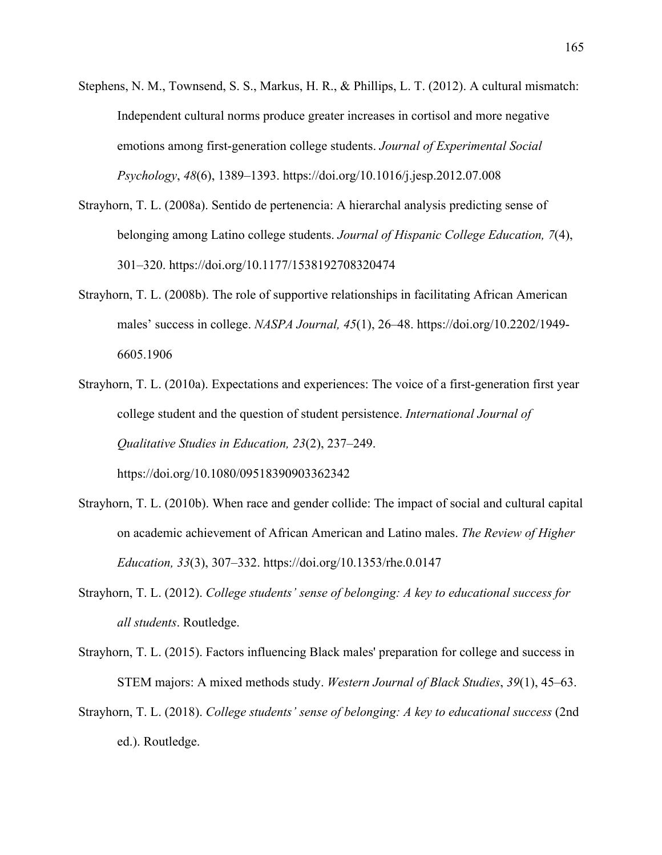- Stephens, N. M., Townsend, S. S., Markus, H. R., & Phillips, L. T. (2012). A cultural mismatch: Independent cultural norms produce greater increases in cortisol and more negative emotions among first-generation college students. *Journal of Experimental Social Psychology*, *48*(6), 1389–1393. https://doi.org/10.1016/j.jesp.2012.07.008
- Strayhorn, T. L. (2008a). Sentido de pertenencia: A hierarchal analysis predicting sense of belonging among Latino college students. *Journal of Hispanic College Education, 7*(4), 301–320. https://doi.org/10.1177/1538192708320474
- Strayhorn, T. L. (2008b). The role of supportive relationships in facilitating African American males' success in college. *NASPA Journal, 45*(1), 26–48. https://doi.org/10.2202/1949- 6605.1906
- Strayhorn, T. L. (2010a). Expectations and experiences: The voice of a first-generation first year college student and the question of student persistence. *International Journal of Qualitative Studies in Education, 23*(2), 237–249.

https://doi.org/10.1080/09518390903362342

- Strayhorn, T. L. (2010b). When race and gender collide: The impact of social and cultural capital on academic achievement of African American and Latino males. *The Review of Higher Education, 33*(3), 307–332. https://doi.org/10.1353/rhe.0.0147
- Strayhorn, T. L. (2012). *College students' sense of belonging: A key to educational success for all students*. Routledge.
- Strayhorn, T. L. (2015). Factors influencing Black males' preparation for college and success in STEM majors: A mixed methods study. *Western Journal of Black Studies*, *39*(1), 45–63.
- Strayhorn, T. L. (2018). *College students' sense of belonging: A key to educational success* (2nd ed.). Routledge.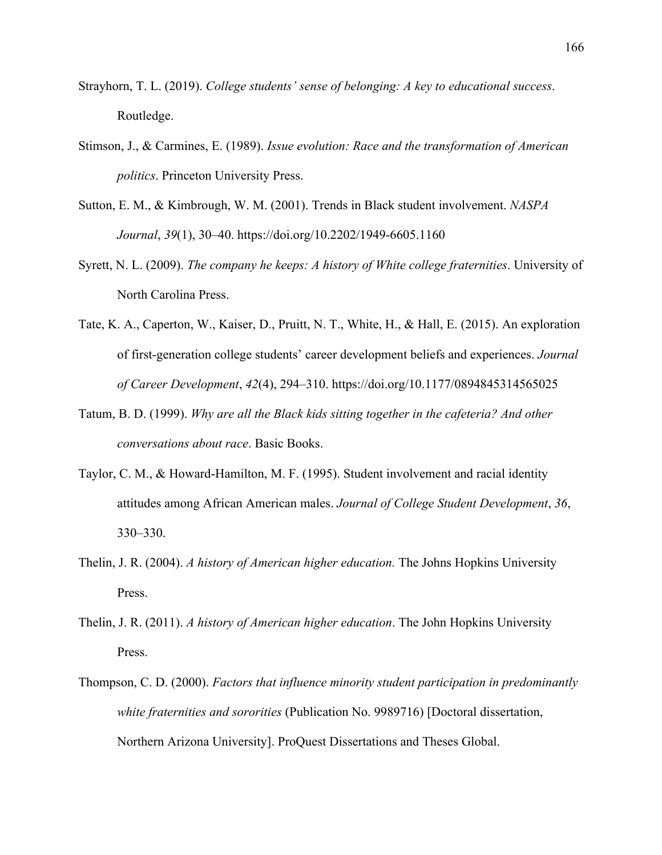- Strayhorn, T. L. (2019). *College students' sense of belonging: A key to educational success*. Routledge.
- Stimson, J., & Carmines, E. (1989). *Issue evolution: Race and the transformation of American politics*. Princeton University Press.
- Sutton, E. M., & Kimbrough, W. M. (2001). Trends in Black student involvement. *NASPA Journal*, *39*(1), 30–40. https://doi.org/10.2202/1949-6605.1160
- Syrett, N. L. (2009). *The company he keeps: A history of White college fraternities*. University of North Carolina Press.
- Tate, K. A., Caperton, W., Kaiser, D., Pruitt, N. T., White, H., & Hall, E. (2015). An exploration of first-generation college students' career development beliefs and experiences. *Journal of Career Development*, *42*(4), 294–310. https://doi.org/10.1177/0894845314565025
- Tatum, B. D. (1999). *Why are all the Black kids sitting together in the cafeteria? And other conversations about race*. Basic Books.
- Taylor, C. M., & Howard-Hamilton, M. F. (1995). Student involvement and racial identity attitudes among African American males. *Journal of College Student Development*, *36*, 330–330.
- Thelin, J. R. (2004). *A history of American higher education.* The Johns Hopkins University Press.
- Thelin, J. R. (2011). *A history of American higher education*. The John Hopkins University Press.
- Thompson, C. D. (2000). *Factors that influence minority student participation in predominantly white fraternities and sororities* (Publication No. 9989716) [Doctoral dissertation, Northern Arizona University]. ProQuest Dissertations and Theses Global.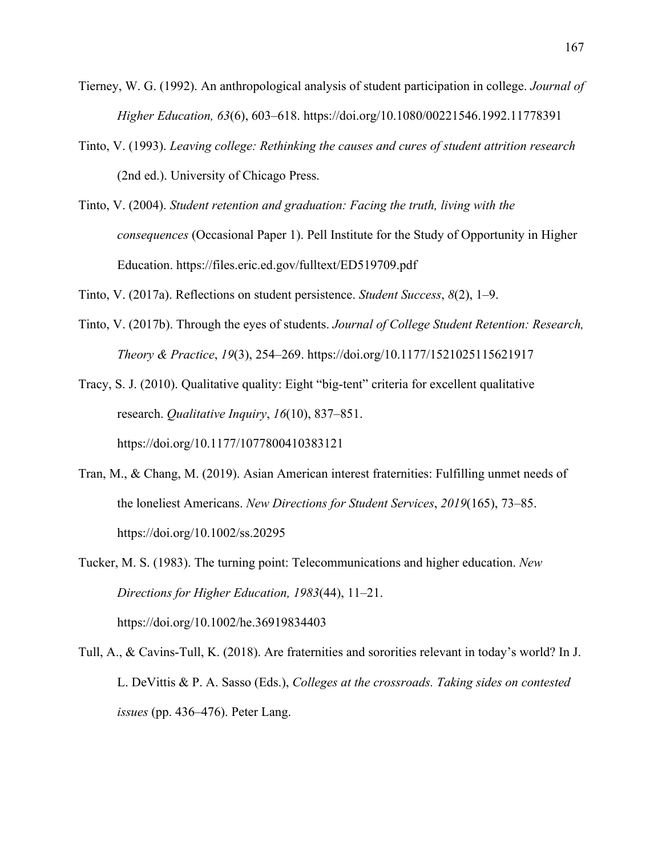- Tierney, W. G. (1992). An anthropological analysis of student participation in college. *Journal of Higher Education, 63*(6), 603–618. https://doi.org/10.1080/00221546.1992.11778391
- Tinto, V. (1993). *Leaving college: Rethinking the causes and cures of student attrition research*  (2nd ed.). University of Chicago Press.
- Tinto, V. (2004). *Student retention and graduation: Facing the truth, living with the consequences* (Occasional Paper 1). Pell Institute for the Study of Opportunity in Higher Education. https://files.eric.ed.gov/fulltext/ED519709.pdf

Tinto, V. (2017a). Reflections on student persistence. *Student Success*, *8*(2), 1–9.

Tinto, V. (2017b). Through the eyes of students. *Journal of College Student Retention: Research, Theory & Practice*, *19*(3), 254–269. https://doi.org/10.1177/1521025115621917

Tracy, S. J. (2010). Qualitative quality: Eight "big-tent" criteria for excellent qualitative research. *Qualitative Inquiry*, *16*(10), 837–851.

https://doi.org/10.1177/1077800410383121

- Tran, M., & Chang, M. (2019). Asian American interest fraternities: Fulfilling unmet needs of the loneliest Americans. *New Directions for Student Services*, *2019*(165), 73–85. https://doi.org/10.1002/ss.20295
- Tucker, M. S. (1983). The turning point: Telecommunications and higher education. *New Directions for Higher Education, 1983*(44), 11–21. https://doi.org/10.1002/he.36919834403
- Tull, A., & Cavins-Tull, K. (2018). Are fraternities and sororities relevant in today's world? In J. L. DeVittis & P. A. Sasso (Eds.), *Colleges at the crossroads. Taking sides on contested issues* (pp. 436–476). Peter Lang.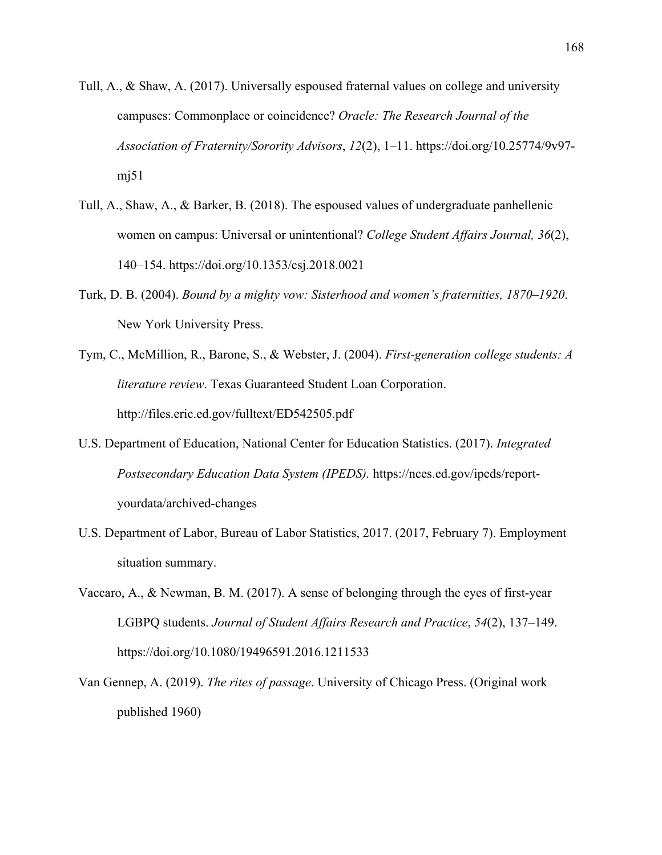- Tull, A., & Shaw, A. (2017). Universally espoused fraternal values on college and university campuses: Commonplace or coincidence? *Oracle: The Research Journal of the Association of Fraternity/Sorority Advisors*, *12*(2), 1–11. https://doi.org/10.25774/9v97  $m<sub>1</sub>51$
- Tull, A., Shaw, A., & Barker, B. (2018). The espoused values of undergraduate panhellenic women on campus: Universal or unintentional? *College Student Affairs Journal, 36*(2), 140–154. https://doi.org/10.1353/csj.2018.0021
- Turk, D. B. (2004). *Bound by a mighty vow: Sisterhood and women's fraternities, 1870–1920*. New York University Press.
- Tym, C., McMillion, R., Barone, S., & Webster, J. (2004). *First-generation college students: A literature review*. Texas Guaranteed Student Loan Corporation. http://files.eric.ed.gov/fulltext/ED542505.pdf
- U.S. Department of Education, National Center for Education Statistics. (2017). *Integrated Postsecondary Education Data System (IPEDS).* https://nces.ed.gov/ipeds/reportyourdata/archived-changes
- U.S. Department of Labor, Bureau of Labor Statistics, 2017. (2017, February 7). Employment situation summary.
- Vaccaro, A., & Newman, B. M. (2017). A sense of belonging through the eyes of first-year LGBPQ students. *Journal of Student Affairs Research and Practice*, *54*(2), 137–149. https://doi.org/10.1080/19496591.2016.1211533
- Van Gennep, A. (2019). *The rites of passage*. University of Chicago Press. (Original work published 1960)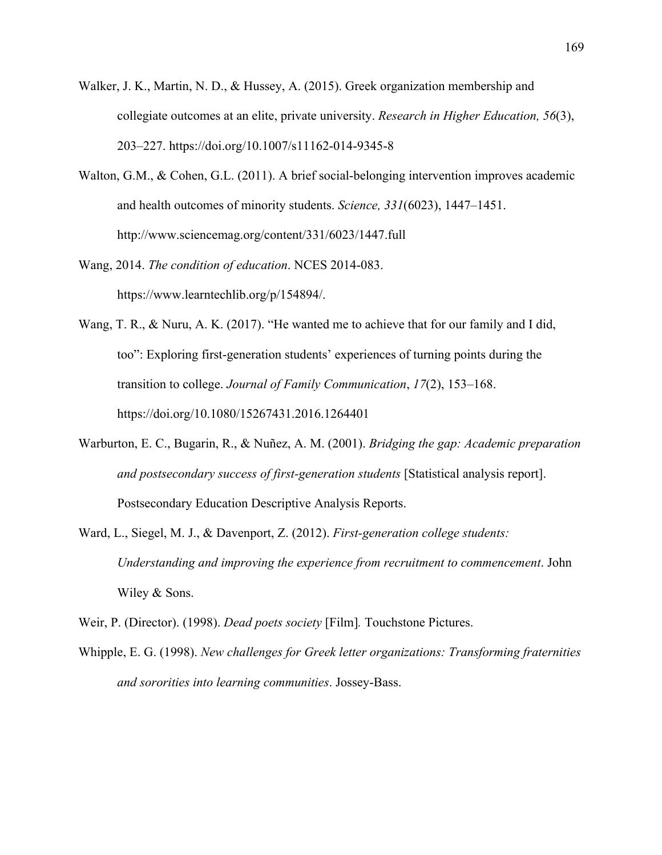- Walker, J. K., Martin, N. D., & Hussey, A. (2015). Greek organization membership and collegiate outcomes at an elite, private university. *Research in Higher Education, 56*(3), 203–227. https://doi.org/10.1007/s11162-014-9345-8
- Walton, G.M., & Cohen, G.L. (2011). A brief social-belonging intervention improves academic and health outcomes of minority students. *Science, 331*(6023), 1447–1451. http://www.sciencemag.org/content/331/6023/1447.full
- Wang, 2014. *The condition of education*. NCES 2014-083. https://www.learntechlib.org/p/154894/.
- Wang, T. R., & Nuru, A. K. (2017). "He wanted me to achieve that for our family and I did, too": Exploring first-generation students' experiences of turning points during the transition to college. *Journal of Family Communication*, *17*(2), 153–168. https://doi.org/10.1080/15267431.2016.1264401
- Warburton, E. C., Bugarin, R., & Nuñez, A. M. (2001). *Bridging the gap: Academic preparation and postsecondary success of first-generation students* [Statistical analysis report]. Postsecondary Education Descriptive Analysis Reports.
- Ward, L., Siegel, M. J., & Davenport, Z. (2012). *First-generation college students: Understanding and improving the experience from recruitment to commencement*. John Wiley & Sons.
- Weir, P. (Director). (1998). *Dead poets society* [Film]*.* Touchstone Pictures.
- Whipple, E. G. (1998). *New challenges for Greek letter organizations: Transforming fraternities and sororities into learning communities*. Jossey-Bass.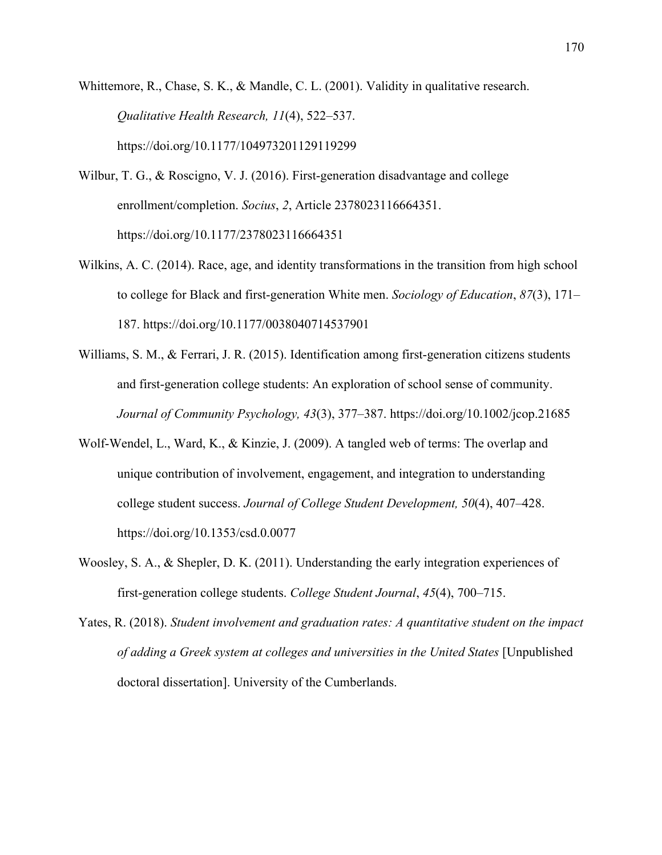Whittemore, R., Chase, S. K., & Mandle, C. L. (2001). Validity in qualitative research. *Qualitative Health Research, 11*(4), 522–537. https://doi.org/10.1177/104973201129119299

- Wilbur, T. G., & Roscigno, V. J. (2016). First-generation disadvantage and college enrollment/completion. *Socius*, *2*, Article 2378023116664351. https://doi.org/10.1177/2378023116664351
- Wilkins, A. C. (2014). Race, age, and identity transformations in the transition from high school to college for Black and first-generation White men. *Sociology of Education*, *87*(3), 171– 187. https://doi.org/10.1177/0038040714537901
- Williams, S. M., & Ferrari, J. R. (2015). Identification among first-generation citizens students and first-generation college students: An exploration of school sense of community. *Journal of Community Psychology, 43*(3), 377–387. https://doi.org/10.1002/jcop.21685
- Wolf-Wendel, L., Ward, K., & Kinzie, J. (2009). A tangled web of terms: The overlap and unique contribution of involvement, engagement, and integration to understanding college student success. *Journal of College Student Development, 50*(4), 407–428. https://doi.org/10.1353/csd.0.0077
- Woosley, S. A., & Shepler, D. K. (2011). Understanding the early integration experiences of first-generation college students. *College Student Journal*, *45*(4), 700–715.
- Yates, R. (2018). *Student involvement and graduation rates: A quantitative student on the impact of adding a Greek system at colleges and universities in the United States* [Unpublished doctoral dissertation]. University of the Cumberlands.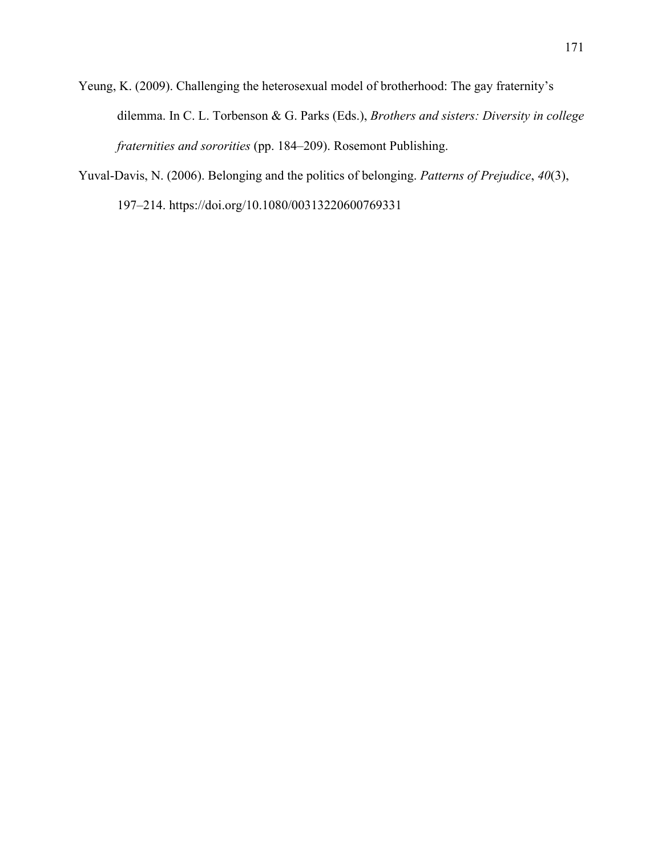Yeung, K. (2009). Challenging the heterosexual model of brotherhood: The gay fraternity's dilemma. In C. L. Torbenson & G. Parks (Eds.), *Brothers and sisters: Diversity in college fraternities and sororities* (pp. 184–209). Rosemont Publishing.

Yuval-Davis, N. (2006). Belonging and the politics of belonging. *Patterns of Prejudice*, *40*(3), 197–214. https://doi.org/10.1080/00313220600769331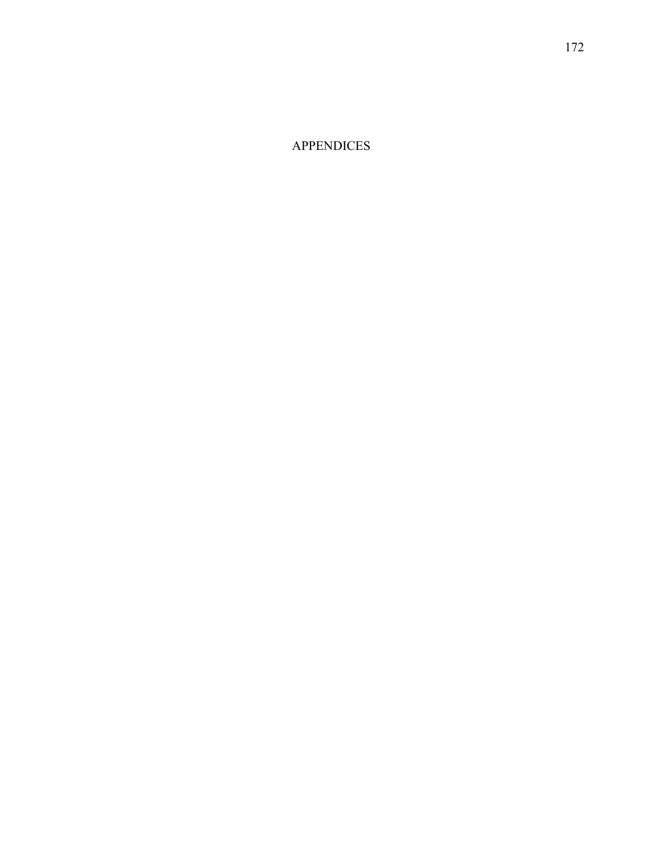APPENDICES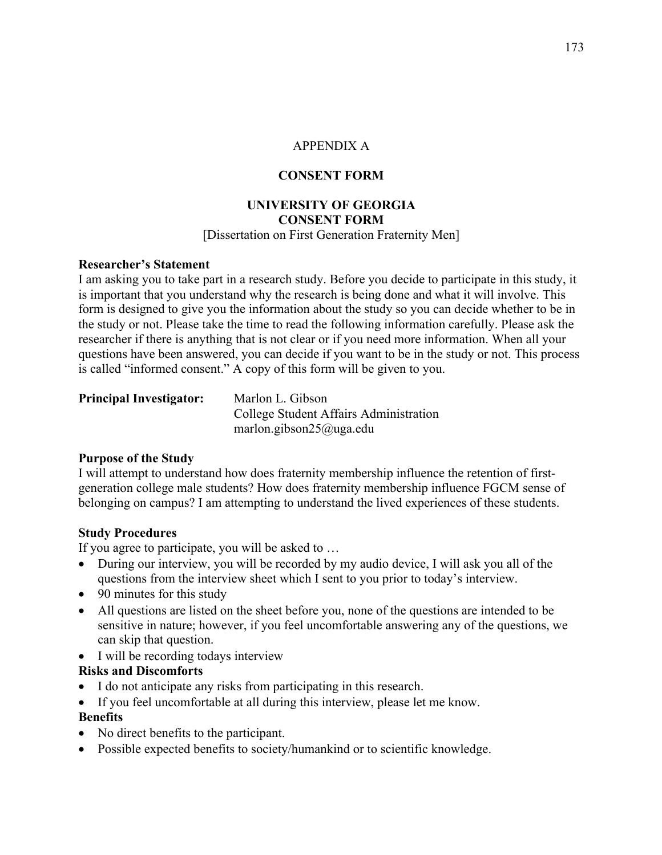# APPENDIX A

# **CONSENT FORM**

### **UNIVERSITY OF GEORGIA CONSENT FORM** [Dissertation on First Generation Fraternity Men]

### **Researcher's Statement**

I am asking you to take part in a research study. Before you decide to participate in this study, it is important that you understand why the research is being done and what it will involve. This form is designed to give you the information about the study so you can decide whether to be in the study or not. Please take the time to read the following information carefully. Please ask the researcher if there is anything that is not clear or if you need more information. When all your questions have been answered, you can decide if you want to be in the study or not. This process is called "informed consent." A copy of this form will be given to you.

| <b>Principal Investigator:</b> | Marlon L. Gibson                       |
|--------------------------------|----------------------------------------|
|                                | College Student Affairs Administration |
|                                | marlon.gibson $25$ @uga.edu            |

#### **Purpose of the Study**

I will attempt to understand how does fraternity membership influence the retention of firstgeneration college male students? How does fraternity membership influence FGCM sense of belonging on campus? I am attempting to understand the lived experiences of these students.

#### **Study Procedures**

If you agree to participate, you will be asked to …

- During our interview, you will be recorded by my audio device, I will ask you all of the questions from the interview sheet which I sent to you prior to today's interview.
- 90 minutes for this study
- All questions are listed on the sheet before you, none of the questions are intended to be sensitive in nature; however, if you feel uncomfortable answering any of the questions, we can skip that question.
- I will be recording todays interview

# **Risks and Discomforts**

- I do not anticipate any risks from participating in this research.
- If you feel uncomfortable at all during this interview, please let me know.

# **Benefits**

- No direct benefits to the participant.
- Possible expected benefits to society/humankind or to scientific knowledge.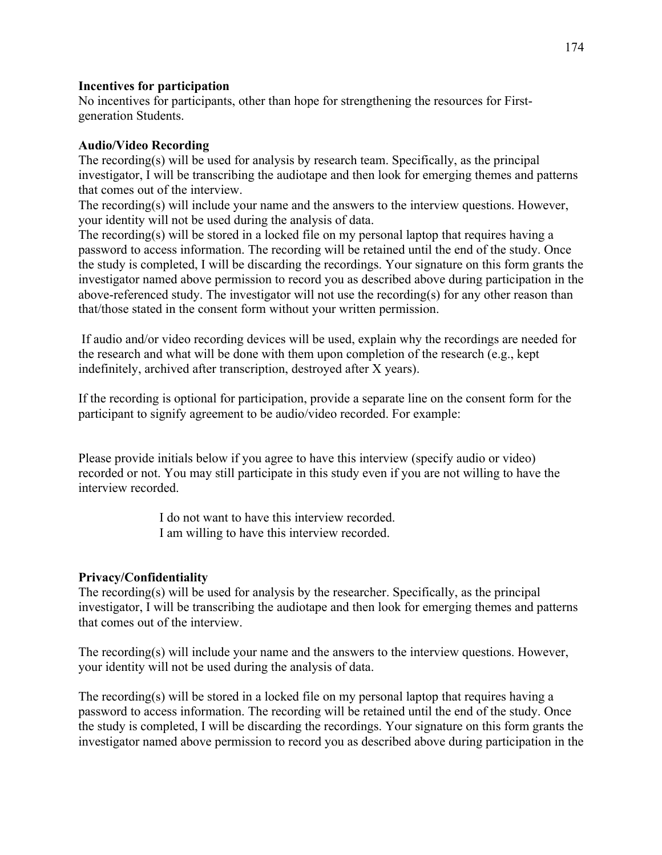# **Incentives for participation**

No incentives for participants, other than hope for strengthening the resources for Firstgeneration Students.

### **Audio/Video Recording**

The recording(s) will be used for analysis by research team. Specifically, as the principal investigator, I will be transcribing the audiotape and then look for emerging themes and patterns that comes out of the interview.

The recording(s) will include your name and the answers to the interview questions. However, your identity will not be used during the analysis of data.

The recording(s) will be stored in a locked file on my personal laptop that requires having a password to access information. The recording will be retained until the end of the study. Once the study is completed, I will be discarding the recordings. Your signature on this form grants the investigator named above permission to record you as described above during participation in the above-referenced study. The investigator will not use the recording(s) for any other reason than that/those stated in the consent form without your written permission.

If audio and/or video recording devices will be used, explain why the recordings are needed for the research and what will be done with them upon completion of the research (e.g., kept indefinitely, archived after transcription, destroyed after X years).

If the recording is optional for participation, provide a separate line on the consent form for the participant to signify agreement to be audio/video recorded. For example:

Please provide initials below if you agree to have this interview (specify audio or video) recorded or not. You may still participate in this study even if you are not willing to have the interview recorded.

> I do not want to have this interview recorded. I am willing to have this interview recorded.

# **Privacy/Confidentiality**

The recording(s) will be used for analysis by the researcher. Specifically, as the principal investigator, I will be transcribing the audiotape and then look for emerging themes and patterns that comes out of the interview.

The recording(s) will include your name and the answers to the interview questions. However, your identity will not be used during the analysis of data.

The recording(s) will be stored in a locked file on my personal laptop that requires having a password to access information. The recording will be retained until the end of the study. Once the study is completed, I will be discarding the recordings. Your signature on this form grants the investigator named above permission to record you as described above during participation in the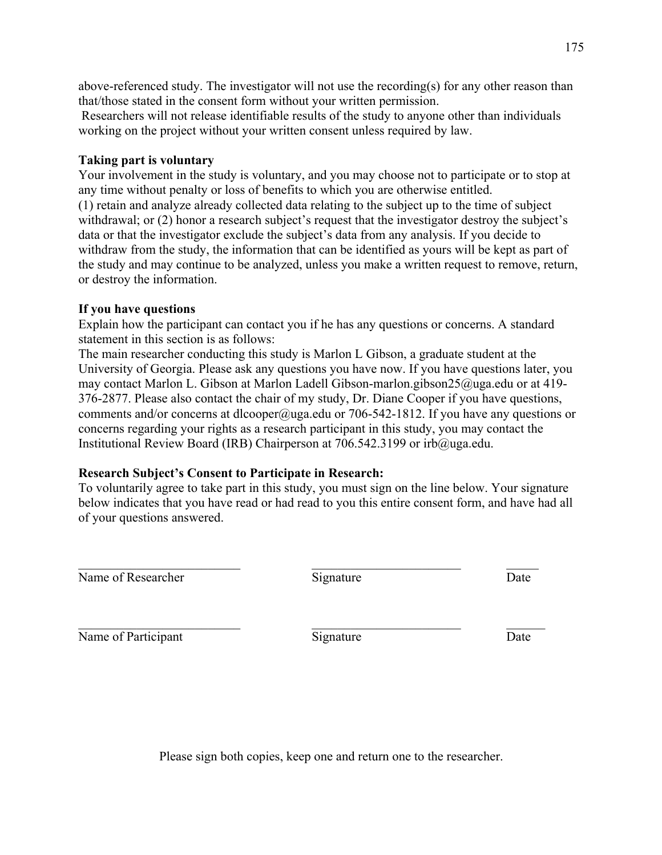above-referenced study. The investigator will not use the recording(s) for any other reason than that/those stated in the consent form without your written permission.

Researchers will not release identifiable results of the study to anyone other than individuals working on the project without your written consent unless required by law.

# **Taking part is voluntary**

Your involvement in the study is voluntary, and you may choose not to participate or to stop at any time without penalty or loss of benefits to which you are otherwise entitled. (1) retain and analyze already collected data relating to the subject up to the time of subject withdrawal; or (2) honor a research subject's request that the investigator destroy the subject's data or that the investigator exclude the subject's data from any analysis. If you decide to withdraw from the study, the information that can be identified as yours will be kept as part of the study and may continue to be analyzed, unless you make a written request to remove, return, or destroy the information.

### **If you have questions**

Explain how the participant can contact you if he has any questions or concerns. A standard statement in this section is as follows:

The main researcher conducting this study is Marlon L Gibson, a graduate student at the University of Georgia. Please ask any questions you have now. If you have questions later, you may contact Marlon L. Gibson at Marlon Ladell Gibson-marlon.gibson25@uga.edu or at 419- 376-2877. Please also contact the chair of my study, Dr. Diane Cooper if you have questions, comments and/or concerns at dlcooper@uga.edu or 706-542-1812. If you have any questions or concerns regarding your rights as a research participant in this study, you may contact the Institutional Review Board (IRB) Chairperson at 706.542.3199 or irb@uga.edu.

# **Research Subject's Consent to Participate in Research:**

To voluntarily agree to take part in this study, you must sign on the line below. Your signature below indicates that you have read or had read to you this entire consent form, and have had all of your questions answered.

Name of Researcher Signature Signature Date

Name of Participant Signature Signature Date

Please sign both copies, keep one and return one to the researcher.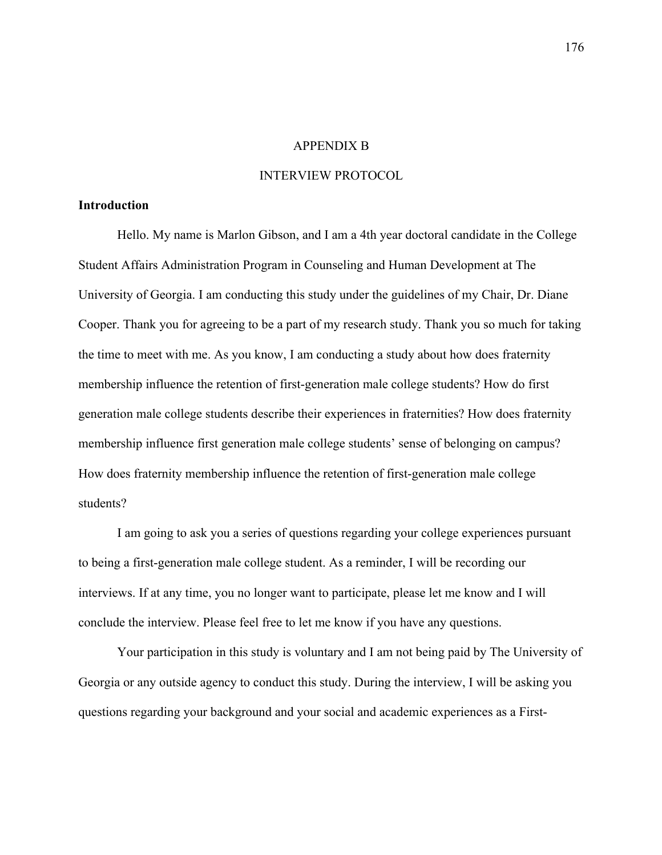#### APPENDIX B

#### INTERVIEW PROTOCOL

#### **Introduction**

Hello. My name is Marlon Gibson, and I am a 4th year doctoral candidate in the College Student Affairs Administration Program in Counseling and Human Development at The University of Georgia. I am conducting this study under the guidelines of my Chair, Dr. Diane Cooper. Thank you for agreeing to be a part of my research study. Thank you so much for taking the time to meet with me. As you know, I am conducting a study about how does fraternity membership influence the retention of first-generation male college students? How do first generation male college students describe their experiences in fraternities? How does fraternity membership influence first generation male college students' sense of belonging on campus? How does fraternity membership influence the retention of first-generation male college students?

I am going to ask you a series of questions regarding your college experiences pursuant to being a first-generation male college student. As a reminder, I will be recording our interviews. If at any time, you no longer want to participate, please let me know and I will conclude the interview. Please feel free to let me know if you have any questions.

Your participation in this study is voluntary and I am not being paid by The University of Georgia or any outside agency to conduct this study. During the interview, I will be asking you questions regarding your background and your social and academic experiences as a First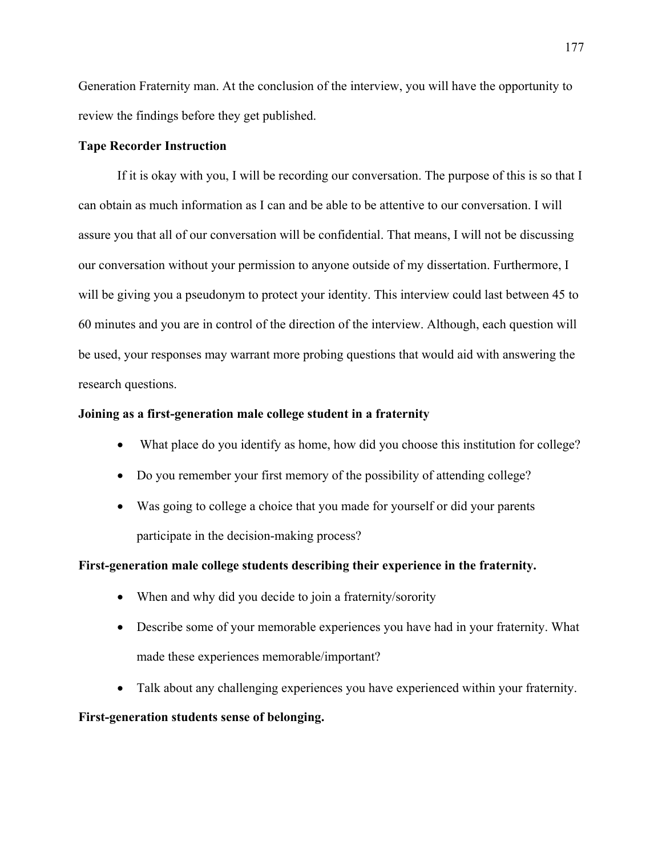Generation Fraternity man. At the conclusion of the interview, you will have the opportunity to review the findings before they get published.

#### **Tape Recorder Instruction**

If it is okay with you, I will be recording our conversation. The purpose of this is so that I can obtain as much information as I can and be able to be attentive to our conversation. I will assure you that all of our conversation will be confidential. That means, I will not be discussing our conversation without your permission to anyone outside of my dissertation. Furthermore, I will be giving you a pseudonym to protect your identity. This interview could last between 45 to 60 minutes and you are in control of the direction of the interview. Although, each question will be used, your responses may warrant more probing questions that would aid with answering the research questions.

#### **Joining as a first-generation male college student in a fraternity**

- What place do you identify as home, how did you choose this institution for college?
- Do you remember your first memory of the possibility of attending college?
- Was going to college a choice that you made for yourself or did your parents participate in the decision-making process?

### **First-generation male college students describing their experience in the fraternity.**

- When and why did you decide to join a fraternity/sorority
- Describe some of your memorable experiences you have had in your fraternity. What made these experiences memorable/important?
- Talk about any challenging experiences you have experienced within your fraternity.

#### **First-generation students sense of belonging.**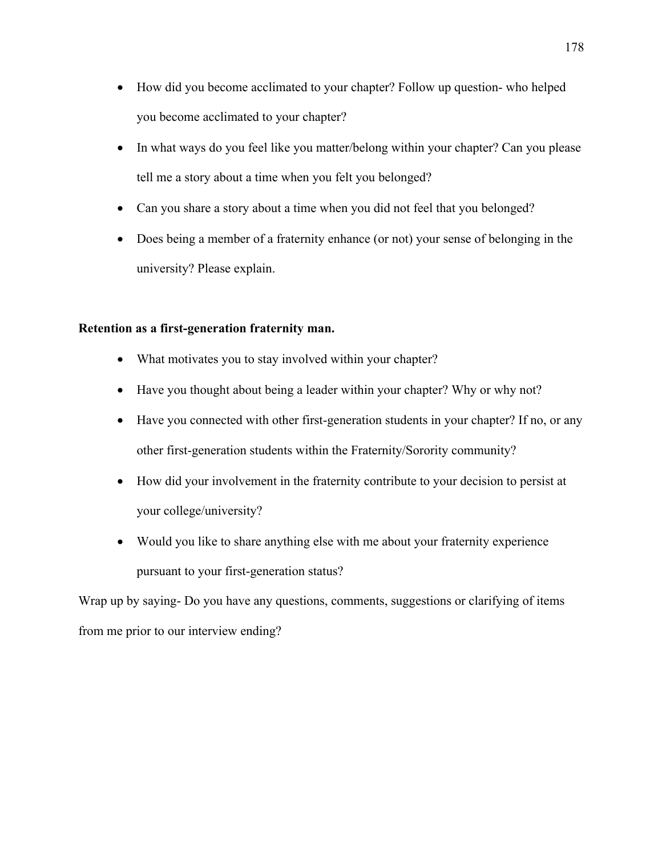- How did you become acclimated to your chapter? Follow up question- who helped you become acclimated to your chapter?
- In what ways do you feel like you matter/belong within your chapter? Can you please tell me a story about a time when you felt you belonged?
- Can you share a story about a time when you did not feel that you belonged?
- Does being a member of a fraternity enhance (or not) your sense of belonging in the university? Please explain.

#### **Retention as a first-generation fraternity man.**

- What motivates you to stay involved within your chapter?
- Have you thought about being a leader within your chapter? Why or why not?
- Have you connected with other first-generation students in your chapter? If no, or any other first-generation students within the Fraternity/Sorority community?
- How did your involvement in the fraternity contribute to your decision to persist at your college/university?
- Would you like to share anything else with me about your fraternity experience pursuant to your first-generation status?

Wrap up by saying- Do you have any questions, comments, suggestions or clarifying of items from me prior to our interview ending?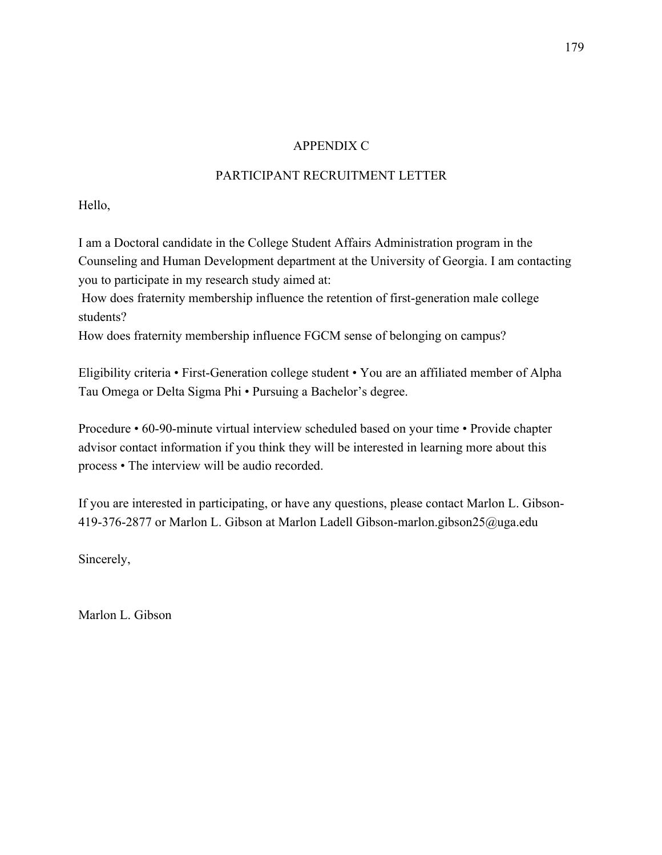# APPENDIX C

# PARTICIPANT RECRUITMENT LETTER

Hello,

I am a Doctoral candidate in the College Student Affairs Administration program in the Counseling and Human Development department at the University of Georgia. I am contacting you to participate in my research study aimed at:

How does fraternity membership influence the retention of first-generation male college students?

How does fraternity membership influence FGCM sense of belonging on campus?

Eligibility criteria • First-Generation college student • You are an affiliated member of Alpha Tau Omega or Delta Sigma Phi • Pursuing a Bachelor's degree.

Procedure • 60-90-minute virtual interview scheduled based on your time • Provide chapter advisor contact information if you think they will be interested in learning more about this process • The interview will be audio recorded.

If you are interested in participating, or have any questions, please contact Marlon L. Gibson-419-376-2877 or Marlon L. Gibson at Marlon Ladell Gibson-marlon.gibson25@uga.edu

Sincerely,

Marlon L. Gibson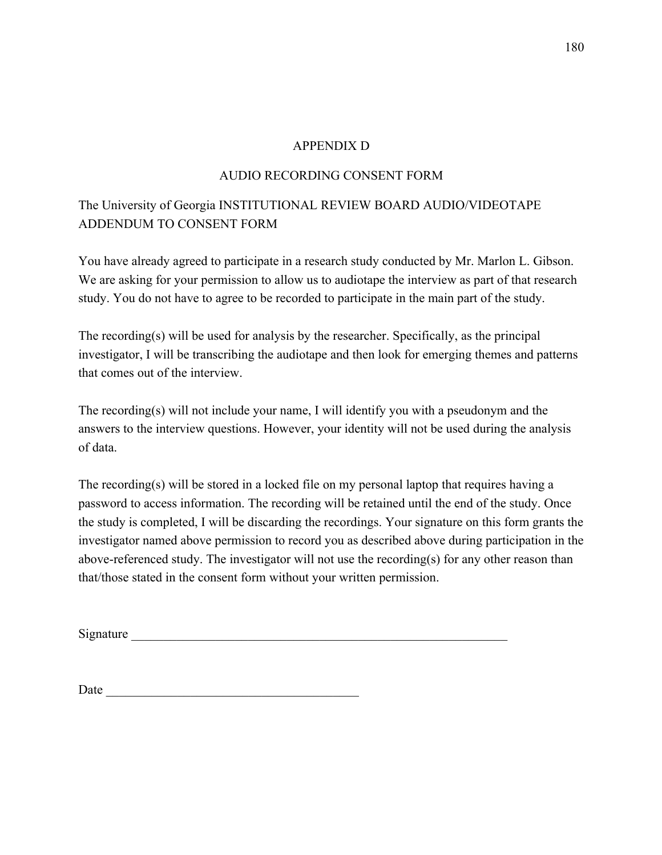# APPENDIX D

# AUDIO RECORDING CONSENT FORM

# The University of Georgia INSTITUTIONAL REVIEW BOARD AUDIO/VIDEOTAPE ADDENDUM TO CONSENT FORM

You have already agreed to participate in a research study conducted by Mr. Marlon L. Gibson. We are asking for your permission to allow us to audiotape the interview as part of that research study. You do not have to agree to be recorded to participate in the main part of the study.

The recording(s) will be used for analysis by the researcher. Specifically, as the principal investigator, I will be transcribing the audiotape and then look for emerging themes and patterns that comes out of the interview.

The recording(s) will not include your name, I will identify you with a pseudonym and the answers to the interview questions. However, your identity will not be used during the analysis of data.

The recording(s) will be stored in a locked file on my personal laptop that requires having a password to access information. The recording will be retained until the end of the study. Once the study is completed, I will be discarding the recordings. Your signature on this form grants the investigator named above permission to record you as described above during participation in the above-referenced study. The investigator will not use the recording(s) for any other reason than that/those stated in the consent form without your written permission.

Signature  $\Box$ 

Date  $\Box$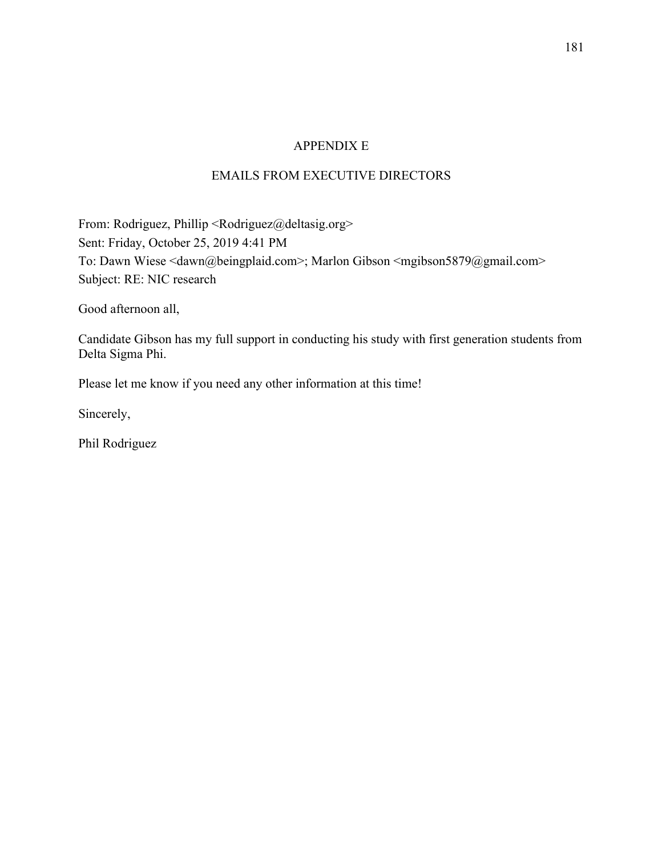# APPENDIX E

# EMAILS FROM EXECUTIVE DIRECTORS

From: Rodriguez, Phillip <Rodriguez@deltasig.org> Sent: Friday, October 25, 2019 4:41 PM To: Dawn Wiese <dawn@beingplaid.com>; Marlon Gibson <mgibson5879@gmail.com> Subject: RE: NIC research

Good afternoon all,

Candidate Gibson has my full support in conducting his study with first generation students from Delta Sigma Phi.

Please let me know if you need any other information at this time!

Sincerely,

Phil Rodriguez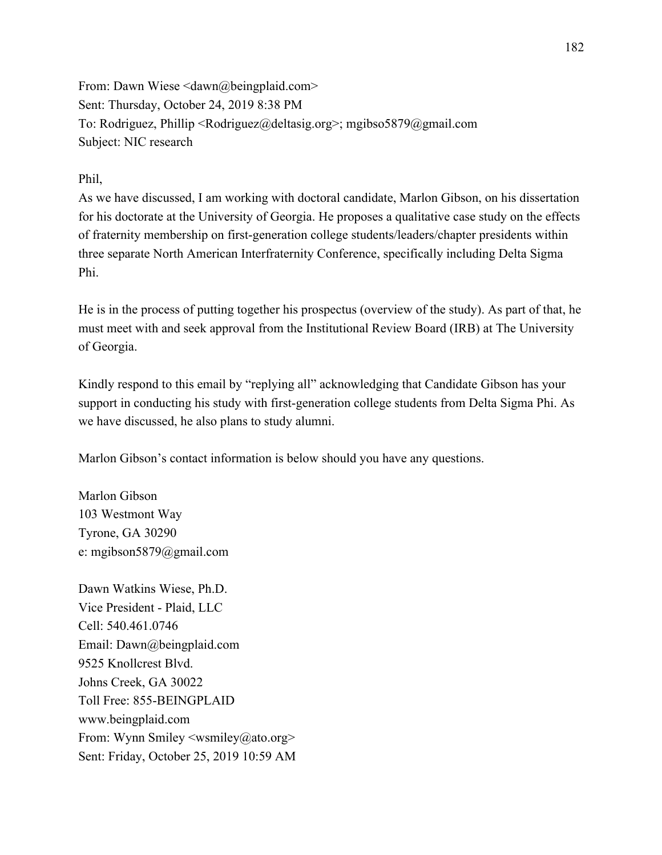From: Dawn Wiese <dawn@beingplaid.com> Sent: Thursday, October 24, 2019 8:38 PM To: Rodriguez, Phillip <Rodriguez@deltasig.org>; mgibso5879@gmail.com Subject: NIC research

### Phil,

As we have discussed, I am working with doctoral candidate, Marlon Gibson, on his dissertation for his doctorate at the University of Georgia. He proposes a qualitative case study on the effects of fraternity membership on first-generation college students/leaders/chapter presidents within three separate North American Interfraternity Conference, specifically including Delta Sigma Phi.

He is in the process of putting together his prospectus (overview of the study). As part of that, he must meet with and seek approval from the Institutional Review Board (IRB) at The University of Georgia.

Kindly respond to this email by "replying all" acknowledging that Candidate Gibson has your support in conducting his study with first-generation college students from Delta Sigma Phi. As we have discussed, he also plans to study alumni.

Marlon Gibson's contact information is below should you have any questions.

Marlon Gibson 103 Westmont Way Tyrone, GA 30290 e: mgibson5879@gmail.com

Dawn Watkins Wiese, Ph.D. Vice President - Plaid, LLC Cell: 540.461.0746 Email: Dawn@beingplaid.com 9525 Knollcrest Blvd. Johns Creek, GA 30022 Toll Free: 855-BEINGPLAID www.beingplaid.com From: Wynn Smiley <wsmiley@ato.org> Sent: Friday, October 25, 2019 10:59 AM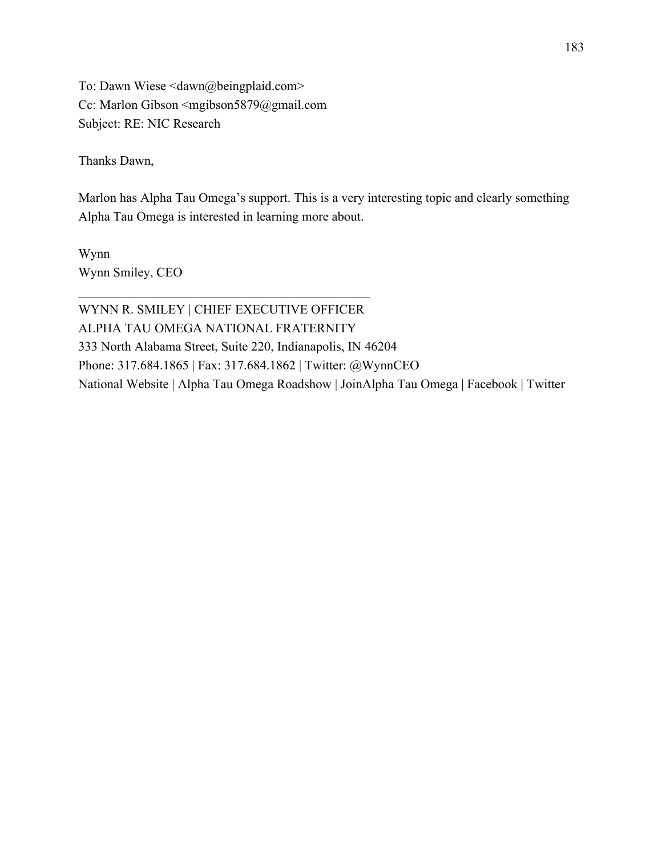To: Dawn Wiese <dawn@beingplaid.com> Cc: Marlon Gibson <mgibson5879@gmail.com Subject: RE: NIC Research

Thanks Dawn,

Marlon has Alpha Tau Omega's support. This is a very interesting topic and clearly something Alpha Tau Omega is interested in learning more about.

Wynn Wynn Smiley, CEO

WYNN R. SMILEY | CHIEF EXECUTIVE OFFICER ALPHA TAU OMEGA NATIONAL FRATERNITY 333 North Alabama Street, Suite 220, Indianapolis, IN 46204 Phone: 317.684.1865 | Fax: 317.684.1862 | Twitter: @WynnCEO National Website | Alpha Tau Omega Roadshow | JoinAlpha Tau Omega | Facebook | Twitter